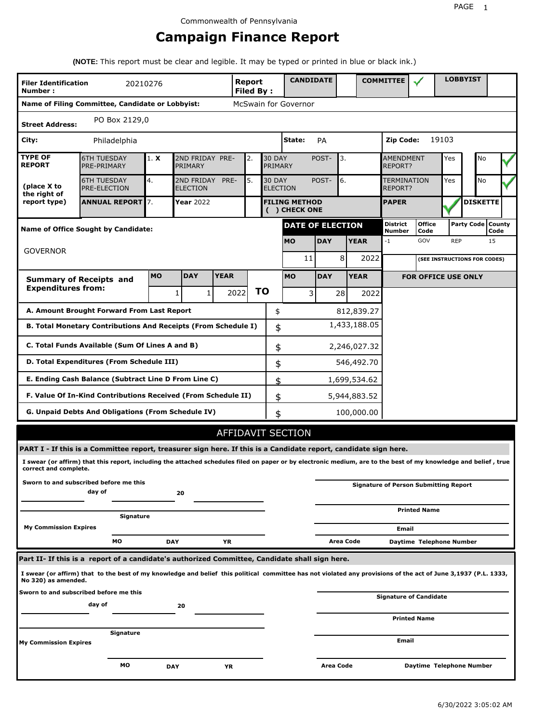## **Campaign Finance Report**

**(NOTE:** This report must be clear and legible. It may be typed or printed in blue or black ink.)

| <b>Filer Identification</b>     | 20210276                                                                                                                                                        |           |                                    |             | <b>Report</b>     |                                  | <b>CANDIDATE</b>                      |            |              | <b>COMMITTEE</b>          |                                              |            | <b>LOBBYIST</b>              |                |
|---------------------------------|-----------------------------------------------------------------------------------------------------------------------------------------------------------------|-----------|------------------------------------|-------------|-------------------|----------------------------------|---------------------------------------|------------|--------------|---------------------------|----------------------------------------------|------------|------------------------------|----------------|
| Number:                         | Name of Filing Committee, Candidate or Lobbyist:                                                                                                                |           |                                    |             | <b>Filed By:</b>  |                                  | McSwain for Governor                  |            |              |                           |                                              |            |                              |                |
|                                 | PO Box 2129,0                                                                                                                                                   |           |                                    |             |                   |                                  |                                       |            |              |                           |                                              |            |                              |                |
| <b>Street Address:</b>          |                                                                                                                                                                 |           |                                    |             |                   |                                  |                                       |            |              |                           |                                              |            |                              |                |
| City:                           | Philadelphia                                                                                                                                                    |           |                                    |             |                   |                                  | State:                                | PA         |              | <b>Zip Code:</b>          |                                              | 19103      |                              |                |
| <b>TYPE OF</b><br><b>REPORT</b> | <b>6TH TUESDAY</b><br>PRE-PRIMARY                                                                                                                               | 1. X      | 2ND FRIDAY PRE-<br>PRIMARY         |             | 2.                | <b>30 DAY</b><br>PRIMARY         |                                       | POST-      | 3.           | AMENDMENT<br>REPORT?      |                                              | Yes        | No                           |                |
| (place X to<br>the right of     | <b>6TH TUESDAY</b><br>PRE-ELECTION                                                                                                                              | 4.        | 2ND FRIDAY PRE-<br><b>ELECTION</b> |             | 5.                | <b>30 DAY</b><br><b>ELECTION</b> |                                       | POST-      | 6.           | TERMINATION<br>REPORT?    |                                              | Yes        | No                           |                |
| report type)                    | <b>ANNUAL REPORT</b> 7.                                                                                                                                         |           | Year 2022                          |             |                   |                                  | <b>FILING METHOD</b><br>( ) CHECK ONE |            |              | <b>PAPER</b>              |                                              |            | <b>DISKETTE</b>              |                |
|                                 | <b>Name of Office Sought by Candidate:</b>                                                                                                                      |           |                                    |             |                   |                                  | <b>DATE OF ELECTION</b>               |            |              | <b>District</b><br>Number | <b>Office</b><br>Code                        |            | <b>Party Code</b>            | County<br>Code |
|                                 |                                                                                                                                                                 |           |                                    |             |                   |                                  | <b>MO</b>                             | <b>DAY</b> | <b>YEAR</b>  | $-1$                      | GOV                                          | <b>REP</b> |                              | 15             |
| <b>GOVERNOR</b>                 |                                                                                                                                                                 |           |                                    |             |                   |                                  | 11                                    | 8          | 2022         |                           |                                              |            | (SEE INSTRUCTIONS FOR CODES) |                |
|                                 | <b>Summary of Receipts and</b>                                                                                                                                  | <b>MO</b> | <b>DAY</b>                         | <b>YEAR</b> |                   |                                  | <b>MO</b>                             | <b>DAY</b> | <b>YEAR</b>  |                           | <b>FOR OFFICE USE ONLY</b>                   |            |                              |                |
| <b>Expenditures from:</b>       |                                                                                                                                                                 |           | $\mathbf{1}$<br>$\mathbf{1}$       |             | <b>TO</b><br>2022 |                                  | 3                                     | 28         | 2022         |                           |                                              |            |                              |                |
|                                 | A. Amount Brought Forward From Last Report                                                                                                                      |           |                                    |             |                   | \$                               |                                       |            | 812,839.27   |                           |                                              |            |                              |                |
|                                 | B. Total Monetary Contributions And Receipts (From Schedule I)                                                                                                  |           |                                    |             |                   | \$                               |                                       |            | 1,433,188.05 |                           |                                              |            |                              |                |
|                                 | C. Total Funds Available (Sum Of Lines A and B)                                                                                                                 |           |                                    |             |                   | \$                               |                                       |            | 2,246,027.32 |                           |                                              |            |                              |                |
|                                 | D. Total Expenditures (From Schedule III)                                                                                                                       |           |                                    |             |                   | \$                               |                                       |            | 546,492.70   |                           |                                              |            |                              |                |
|                                 | E. Ending Cash Balance (Subtract Line D From Line C)                                                                                                            |           |                                    |             |                   | \$                               |                                       |            | 1,699,534.62 |                           |                                              |            |                              |                |
|                                 | F. Value Of In-Kind Contributions Received (From Schedule II)                                                                                                   |           |                                    |             |                   | \$                               |                                       |            | 5,944,883.52 |                           |                                              |            |                              |                |
|                                 | G. Unpaid Debts And Obligations (From Schedule IV)                                                                                                              |           |                                    |             |                   | \$                               |                                       |            | 100,000.00   |                           |                                              |            |                              |                |
|                                 |                                                                                                                                                                 |           |                                    |             |                   |                                  | <b>AFFIDAVIT SECTION</b>              |            |              |                           |                                              |            |                              |                |
|                                 | PART I - If this is a Committee report, treasurer sign here. If this is a Candidate report, candidate sign here.                                                |           |                                    |             |                   |                                  |                                       |            |              |                           |                                              |            |                              |                |
| correct and complete.           | I swear (or affirm) that this report, including the attached schedules filed on paper or by electronic medium, are to the best of my knowledge and belief, true |           |                                    |             |                   |                                  |                                       |            |              |                           |                                              |            |                              |                |
|                                 | Sworn to and subscribed before me this<br>day of                                                                                                                |           | 20                                 |             |                   |                                  |                                       |            |              |                           | <b>Signature of Person Submitting Report</b> |            |                              |                |
|                                 | Signature                                                                                                                                                       |           |                                    |             |                   |                                  |                                       |            |              |                           | <b>Printed Name</b>                          |            |                              |                |
| <b>My Commission Expires</b>    |                                                                                                                                                                 |           |                                    |             |                   |                                  |                                       |            |              | Email                     |                                              |            |                              |                |
|                                 | МO                                                                                                                                                              |           | <b>DAY</b>                         | YR          |                   |                                  |                                       |            | Area Code    |                           | Daytime Telephone Number                     |            |                              |                |
|                                 | Part II- If this is a report of a candidate's authorized Committee, Candidate shall sign here.                                                                  |           |                                    |             |                   |                                  |                                       |            |              |                           |                                              |            |                              |                |
| No 320) as amended.             | I swear (or affirm) that to the best of my knowledge and belief this political committee has not violated any provisions of the act of June 3,1937 (P.L. 1333,  |           |                                    |             |                   |                                  |                                       |            |              |                           |                                              |            |                              |                |
|                                 | Sworn to and subscribed before me this                                                                                                                          |           |                                    |             |                   |                                  |                                       |            |              |                           | <b>Signature of Candidate</b>                |            |                              |                |
|                                 | day of                                                                                                                                                          |           | 20                                 |             |                   |                                  |                                       |            |              |                           | <b>Printed Name</b>                          |            |                              |                |
|                                 | Signature                                                                                                                                                       |           |                                    |             |                   |                                  |                                       |            |              |                           |                                              |            |                              |                |
| <b>My Commission Expires</b>    |                                                                                                                                                                 |           |                                    |             |                   |                                  |                                       |            |              | Email                     |                                              |            |                              |                |
|                                 | МO                                                                                                                                                              |           | DAY                                | ΥR          |                   |                                  |                                       | Area Code  |              |                           | Daytime Telephone Number                     |            |                              |                |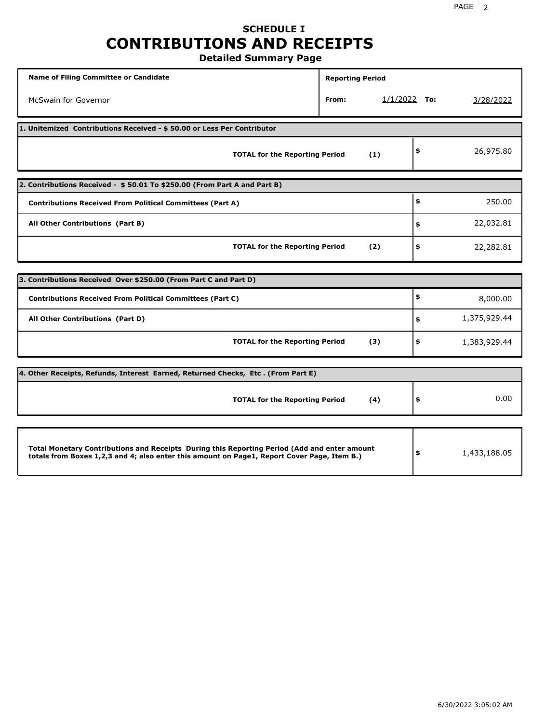## **SCHEDULE I CONTRIBUTIONS AND RECEIPTS**

**Detailed Summary Page**

| <b>Name of Filing Committee or Candidate</b>                                                                                                                                                | <b>Reporting Period</b> |                |              |
|---------------------------------------------------------------------------------------------------------------------------------------------------------------------------------------------|-------------------------|----------------|--------------|
| McSwain for Governor                                                                                                                                                                        | From:                   | $1/1/2022$ To: | 3/28/2022    |
| 1. Unitemized Contributions Received - \$50.00 or Less Per Contributor                                                                                                                      |                         |                |              |
| <b>TOTAL for the Reporting Period</b>                                                                                                                                                       | (1)                     | \$             | 26,975.80    |
| 2. Contributions Received - \$50.01 To \$250.00 (From Part A and Part B)                                                                                                                    |                         |                |              |
| <b>Contributions Received From Political Committees (Part A)</b>                                                                                                                            |                         | \$             | 250.00       |
| All Other Contributions (Part B)                                                                                                                                                            |                         | \$             | 22,032.81    |
| <b>TOTAL for the Reporting Period</b>                                                                                                                                                       | (2)                     | \$             | 22,282.81    |
|                                                                                                                                                                                             |                         |                |              |
| 3. Contributions Received Over \$250.00 (From Part C and Part D)                                                                                                                            |                         |                |              |
| <b>Contributions Received From Political Committees (Part C)</b>                                                                                                                            |                         | \$             | 8,000.00     |
| All Other Contributions (Part D)                                                                                                                                                            |                         | \$             | 1,375,929.44 |
| <b>TOTAL for the Reporting Period</b>                                                                                                                                                       | (3)                     | \$             | 1,383,929.44 |
| [4. Other Receipts, Refunds, Interest Earned, Returned Checks, Etc. (From Part E)                                                                                                           |                         |                |              |
| <b>TOTAL for the Reporting Period</b>                                                                                                                                                       | (4)                     | \$             | 0.00         |
|                                                                                                                                                                                             |                         |                |              |
| Total Monetary Contributions and Receipts During this Reporting Period (Add and enter amount<br>totals from Boxes 1,2,3 and 4; also enter this amount on Page1, Report Cover Page, Item B.) |                         | \$             | 1,433,188.05 |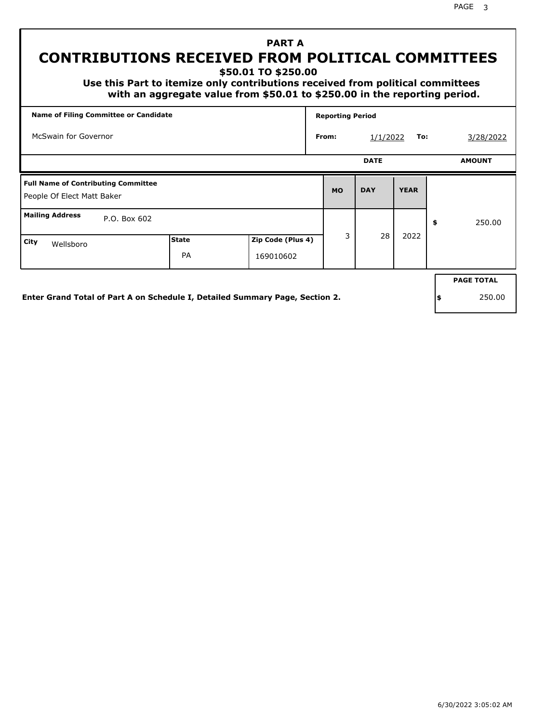## **PART A CONTRIBUTIONS RECEIVED FROM POLITICAL COMMITTEES**

**\$50.01 TO \$250.00**

 **Use this Part to itemize only contributions received from political committees with an aggregate value from \$50.01 to \$250.00 in the reporting period.**

| Name of Filing Committee or Candidate                                    |              |                   | <b>Reporting Period</b> |             |             |                   |
|--------------------------------------------------------------------------|--------------|-------------------|-------------------------|-------------|-------------|-------------------|
| McSwain for Governor                                                     |              |                   | From:                   | 1/1/2022    | To:         | 3/28/2022         |
|                                                                          |              |                   |                         | <b>DATE</b> |             | <b>AMOUNT</b>     |
| <b>Full Name of Contributing Committee</b><br>People Of Elect Matt Baker |              |                   | <b>MO</b>               | <b>DAY</b>  | <b>YEAR</b> |                   |
| <b>Mailing Address</b><br>P.O. Box 602                                   |              |                   |                         |             |             | \$<br>250.00      |
| City<br>Wellsboro                                                        | <b>State</b> | Zip Code (Plus 4) | 3                       | 28          | 2022        |                   |
|                                                                          | PA           | 169010602         |                         |             |             |                   |
|                                                                          |              |                   |                         |             |             | <b>PAGE TOTAL</b> |
|                                                                          |              |                   |                         |             |             |                   |

**Enter Grand Total of Part A on Schedule I, Detailed Summary Page, Section 2.**

**\$** 250.00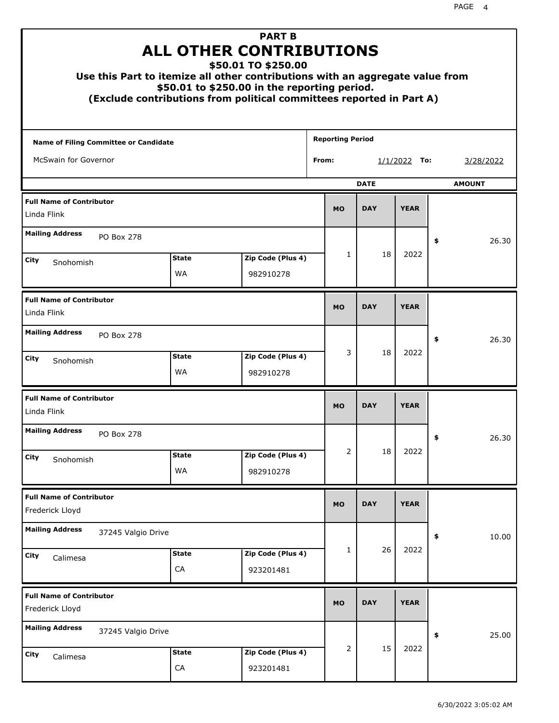| Use this Part to itemize all other contributions with an aggregate value from |                    | <b>PART B</b><br><b>ALL OTHER CONTRIBUTIONS</b><br>\$50.01 TO \$250.00<br>\$50.01 to \$250.00 in the reporting period.<br>(Exclude contributions from political committees reported in Part A) |                         |             |                |               |
|-------------------------------------------------------------------------------|--------------------|------------------------------------------------------------------------------------------------------------------------------------------------------------------------------------------------|-------------------------|-------------|----------------|---------------|
| Name of Filing Committee or Candidate                                         |                    |                                                                                                                                                                                                | <b>Reporting Period</b> |             |                |               |
| McSwain for Governor                                                          |                    |                                                                                                                                                                                                | From:                   |             | $1/1/2022$ To: | 3/28/2022     |
|                                                                               |                    |                                                                                                                                                                                                |                         | <b>DATE</b> |                | <b>AMOUNT</b> |
| <b>Full Name of Contributor</b><br>Linda Flink                                |                    |                                                                                                                                                                                                | <b>MO</b>               | <b>DAY</b>  | <b>YEAR</b>    |               |
| <b>Mailing Address</b><br><b>PO Box 278</b>                                   |                    |                                                                                                                                                                                                |                         |             |                | 26.30<br>\$   |
| City                                                                          | <b>State</b>       | Zip Code (Plus 4)                                                                                                                                                                              | 1                       | 18          | 2022           |               |
| Snohomish                                                                     | WA                 | 982910278                                                                                                                                                                                      |                         |             |                |               |
| <b>Full Name of Contributor</b><br>Linda Flink                                |                    |                                                                                                                                                                                                | <b>MO</b>               | <b>DAY</b>  | <b>YEAR</b>    |               |
| <b>Mailing Address</b><br><b>PO Box 278</b>                                   |                    |                                                                                                                                                                                                |                         |             |                | 26.30<br>\$   |
| City<br>Snohomish                                                             | <b>State</b><br>WA | Zip Code (Plus 4)<br>982910278                                                                                                                                                                 | 3                       | 18          | 2022           |               |
| <b>Full Name of Contributor</b><br>Linda Flink                                |                    |                                                                                                                                                                                                | <b>MO</b>               | <b>DAY</b>  | <b>YEAR</b>    |               |
| <b>Mailing Address</b><br>PO Box 278                                          |                    |                                                                                                                                                                                                |                         |             |                | 26.30<br>÷,   |
| <b>City</b><br>Snohomish                                                      | <b>State</b><br>WA | Zip Code (Plus 4)<br>982910278                                                                                                                                                                 | 2                       | 18          | 2022           |               |
| <b>Full Name of Contributor</b><br>Frederick Lloyd                            |                    |                                                                                                                                                                                                | <b>MO</b>               | <b>DAY</b>  | <b>YEAR</b>    |               |
| <b>Mailing Address</b><br>37245 Valgio Drive                                  |                    |                                                                                                                                                                                                |                         |             |                | \$<br>10.00   |
| <b>City</b><br>Calimesa                                                       | <b>State</b><br>CA | Zip Code (Plus 4)<br>923201481                                                                                                                                                                 | 1                       | 26          | 2022           |               |
| <b>Full Name of Contributor</b><br>Frederick Lloyd                            |                    |                                                                                                                                                                                                | <b>MO</b>               | <b>DAY</b>  | <b>YEAR</b>    |               |
| <b>Mailing Address</b><br>37245 Valgio Drive                                  |                    |                                                                                                                                                                                                |                         |             |                | \$<br>25.00   |
| City<br>Calimesa                                                              | <b>State</b><br>CA | Zip Code (Plus 4)<br>923201481                                                                                                                                                                 | 2                       | 15          | 2022           |               |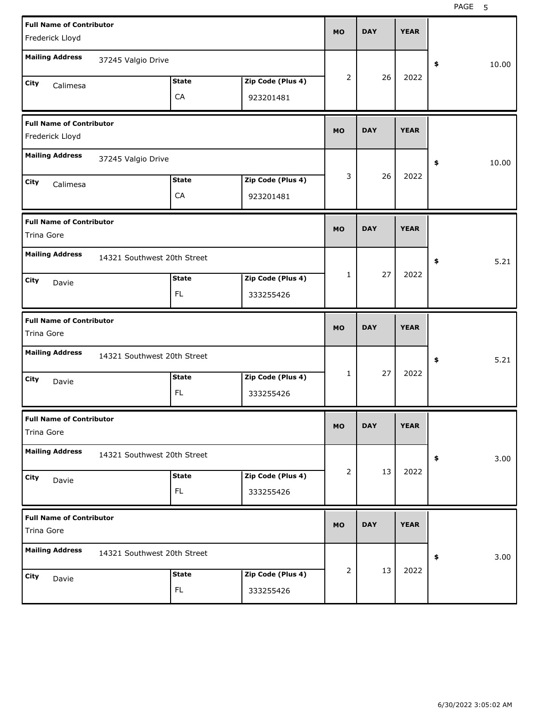| <b>Full Name of Contributor</b><br>Frederick Lloyd |                             |                           |                                | <b>MO</b> | <b>DAY</b> | <b>YEAR</b> |             |
|----------------------------------------------------|-----------------------------|---------------------------|--------------------------------|-----------|------------|-------------|-------------|
| <b>Mailing Address</b>                             | 37245 Valgio Drive          |                           |                                |           |            |             | \$<br>10.00 |
| <b>City</b><br>Calimesa                            |                             | <b>State</b><br>CA        | Zip Code (Plus 4)<br>923201481 | 2         | 26         | 2022        |             |
| <b>Full Name of Contributor</b><br>Frederick Lloyd |                             |                           |                                | <b>MO</b> | <b>DAY</b> | <b>YEAR</b> |             |
| <b>Mailing Address</b>                             | 37245 Valgio Drive          |                           |                                |           |            |             | \$<br>10.00 |
| <b>City</b><br>Calimesa                            |                             | <b>State</b><br>CA        | Zip Code (Plus 4)<br>923201481 | 3         | 26         | 2022        |             |
| <b>Full Name of Contributor</b><br>Trina Gore      |                             |                           |                                | <b>MO</b> | <b>DAY</b> | <b>YEAR</b> |             |
| <b>Mailing Address</b><br>City<br>Davie            | 14321 Southwest 20th Street | <b>State</b>              | Zip Code (Plus 4)              | 1         | 27         | 2022        | \$<br>5.21  |
|                                                    |                             | <b>FL</b>                 | 333255426                      |           |            |             |             |
|                                                    |                             |                           |                                |           |            |             |             |
| <b>Full Name of Contributor</b><br>Trina Gore      |                             |                           |                                | <b>MO</b> | <b>DAY</b> | <b>YEAR</b> |             |
| <b>Mailing Address</b>                             | 14321 Southwest 20th Street |                           |                                |           |            |             | 5.21<br>\$  |
| City<br>Davie                                      |                             | <b>State</b><br><b>FL</b> | Zip Code (Plus 4)<br>333255426 | 1         | 27         | 2022        |             |
| <b>Full Name of Contributor</b><br>Trina Gore      |                             |                           |                                | <b>MO</b> | <b>DAY</b> | <b>YEAR</b> |             |
| <b>Mailing Address</b>                             | 14321 Southwest 20th Street |                           |                                |           |            |             | \$<br>3.00  |
| City<br>Davie                                      |                             | <b>State</b><br>FL.       | Zip Code (Plus 4)<br>333255426 | 2         | 13         | 2022        |             |
| <b>Full Name of Contributor</b><br>Trina Gore      |                             |                           |                                | <b>MO</b> | <b>DAY</b> | <b>YEAR</b> |             |
| <b>Mailing Address</b>                             | 14321 Southwest 20th Street |                           |                                | 2         | 13         | 2022        | \$<br>3.00  |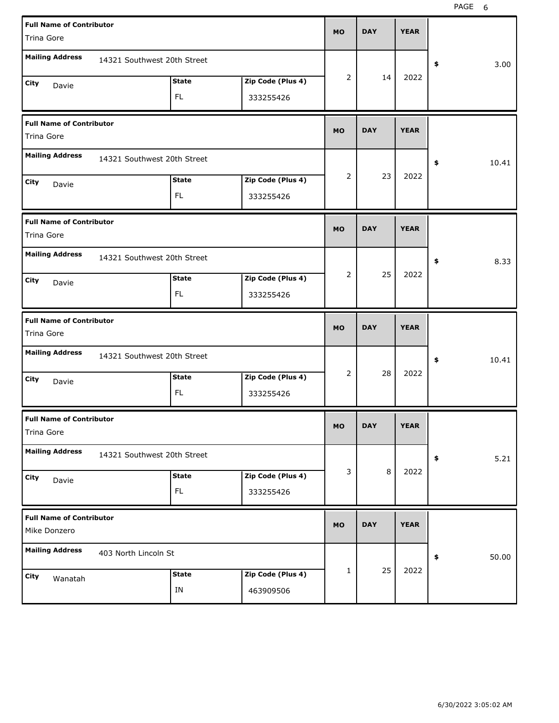| <b>Full Name of Contributor</b> |                             |              |                   |           |            |             |             |
|---------------------------------|-----------------------------|--------------|-------------------|-----------|------------|-------------|-------------|
| Trina Gore                      |                             |              |                   | <b>MO</b> | <b>DAY</b> | <b>YEAR</b> |             |
| <b>Mailing Address</b>          |                             |              |                   |           |            |             |             |
|                                 | 14321 Southwest 20th Street |              |                   |           |            |             | \$<br>3.00  |
| City<br>Davie                   |                             | <b>State</b> | Zip Code (Plus 4) | 2         | 14         | 2022        |             |
|                                 |                             | FL.          | 333255426         |           |            |             |             |
| <b>Full Name of Contributor</b> |                             |              |                   | <b>MO</b> | <b>DAY</b> | <b>YEAR</b> |             |
| Trina Gore                      |                             |              |                   |           |            |             |             |
| <b>Mailing Address</b>          | 14321 Southwest 20th Street |              |                   |           |            |             | \$<br>10.41 |
| City<br>Davie                   |                             | <b>State</b> | Zip Code (Plus 4) | 2         | 23         | 2022        |             |
|                                 |                             | FL.          | 333255426         |           |            |             |             |
| <b>Full Name of Contributor</b> |                             |              |                   |           |            |             |             |
| Trina Gore                      |                             |              |                   | <b>MO</b> | <b>DAY</b> | <b>YEAR</b> |             |
| <b>Mailing Address</b>          | 14321 Southwest 20th Street |              |                   |           |            |             | \$<br>8.33  |
| City<br>Davie                   |                             | <b>State</b> | Zip Code (Plus 4) | 2         | 25         | 2022        |             |
|                                 |                             | FL.          | 333255426         |           |            |             |             |
|                                 |                             |              |                   |           |            |             |             |
| <b>Full Name of Contributor</b> |                             |              |                   |           |            |             |             |
| Trina Gore                      |                             |              |                   | <b>MO</b> | <b>DAY</b> | <b>YEAR</b> |             |
| <b>Mailing Address</b>          | 14321 Southwest 20th Street |              |                   |           |            |             | \$<br>10.41 |
| City<br>Davie                   |                             | <b>State</b> | Zip Code (Plus 4) | 2         | 28         | 2022        |             |
|                                 |                             | FL.          | 333255426         |           |            |             |             |
| <b>Full Name of Contributor</b> |                             |              |                   |           |            |             |             |
| Trina Gore                      |                             |              |                   | <b>MO</b> | <b>DAY</b> | <b>YEAR</b> |             |
| <b>Mailing Address</b>          | 14321 Southwest 20th Street |              |                   |           |            |             | \$<br>5.21  |
| City<br>Davie                   |                             | <b>State</b> | Zip Code (Plus 4) | 3         | 8          | 2022        |             |
|                                 |                             | FL.          | 333255426         |           |            |             |             |
| <b>Full Name of Contributor</b> |                             |              |                   | <b>MO</b> | <b>DAY</b> | <b>YEAR</b> |             |
| Mike Donzero                    |                             |              |                   |           |            |             |             |
| <b>Mailing Address</b>          | 403 North Lincoln St        |              |                   |           |            |             | \$<br>50.00 |
| City<br>Wanatah                 |                             | <b>State</b> | Zip Code (Plus 4) | 1         | 25         | 2022        |             |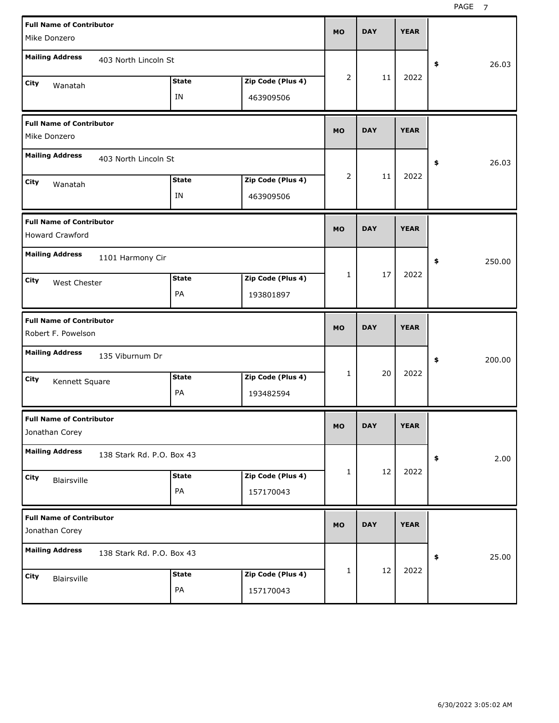PAGE<sub>7</sub>

| <b>Full Name of Contributor</b>                   |                           |              |                   | <b>MO</b>    | <b>DAY</b> | <b>YEAR</b> |              |
|---------------------------------------------------|---------------------------|--------------|-------------------|--------------|------------|-------------|--------------|
| Mike Donzero                                      |                           |              |                   |              |            |             |              |
| <b>Mailing Address</b>                            | 403 North Lincoln St      |              |                   |              |            |             | \$<br>26.03  |
| City<br>Wanatah                                   |                           | <b>State</b> | Zip Code (Plus 4) | 2            | 11         | 2022        |              |
|                                                   |                           | ΙN           | 463909506         |              |            |             |              |
| <b>Full Name of Contributor</b>                   |                           |              |                   | <b>MO</b>    | <b>DAY</b> | <b>YEAR</b> |              |
| Mike Donzero                                      |                           |              |                   |              |            |             |              |
| <b>Mailing Address</b>                            | 403 North Lincoln St      |              |                   |              |            |             | \$<br>26.03  |
| City<br>Wanatah                                   |                           | <b>State</b> | Zip Code (Plus 4) | 2            | 11         | 2022        |              |
|                                                   |                           | ΙN           | 463909506         |              |            |             |              |
| <b>Full Name of Contributor</b>                   |                           |              |                   | <b>MO</b>    | <b>DAY</b> | <b>YEAR</b> |              |
| <b>Howard Crawford</b>                            |                           |              |                   |              |            |             |              |
| <b>Mailing Address</b>                            | 1101 Harmony Cir          |              |                   |              |            |             | \$<br>250.00 |
| City<br>West Chester                              |                           | <b>State</b> | Zip Code (Plus 4) | $\mathbf{1}$ | 17         | 2022        |              |
|                                                   |                           | PA           | 193801897         |              |            |             |              |
|                                                   |                           |              |                   |              |            |             |              |
| <b>Full Name of Contributor</b>                   |                           |              |                   | <b>MO</b>    | <b>DAY</b> | <b>YEAR</b> |              |
| Robert F. Powelson                                |                           |              |                   |              |            |             |              |
| <b>Mailing Address</b>                            | 135 Viburnum Dr           |              |                   |              |            |             | \$<br>200.00 |
| City<br>Kennett Square                            |                           | <b>State</b> | Zip Code (Plus 4) | 1            | 20         | 2022        |              |
|                                                   |                           | PA           | 193482594         |              |            |             |              |
| <b>Full Name of Contributor</b><br>Jonathan Corey |                           |              |                   | <b>MO</b>    | <b>DAY</b> | <b>YEAR</b> |              |
| <b>Mailing Address</b>                            | 138 Stark Rd. P.O. Box 43 |              |                   |              |            |             | \$<br>2.00   |
| City                                              |                           | <b>State</b> | Zip Code (Plus 4) | $\mathbf{1}$ | 12         | 2022        |              |
| Blairsville                                       |                           | PA           | 157170043         |              |            |             |              |
| <b>Full Name of Contributor</b><br>Jonathan Corey |                           |              |                   | <b>MO</b>    | <b>DAY</b> | <b>YEAR</b> |              |
| <b>Mailing Address</b>                            | 138 Stark Rd. P.O. Box 43 |              |                   |              |            |             | \$<br>25.00  |
| City<br>Blairsville                               |                           | <b>State</b> | Zip Code (Plus 4) | 1            | 12         | 2022        |              |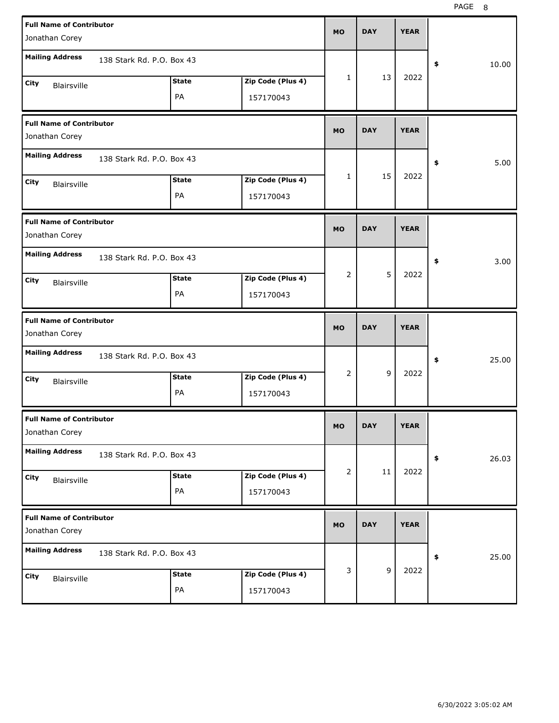| <b>Full Name of Contributor</b>                   |                           |              |                   | <b>MO</b>    | <b>DAY</b>  | <b>YEAR</b> |             |
|---------------------------------------------------|---------------------------|--------------|-------------------|--------------|-------------|-------------|-------------|
| Jonathan Corey                                    |                           |              |                   |              |             |             |             |
| <b>Mailing Address</b>                            | 138 Stark Rd. P.O. Box 43 |              |                   |              |             |             | \$<br>10.00 |
| City<br><b>Blairsville</b>                        |                           | <b>State</b> | Zip Code (Plus 4) | 1            | 13          | 2022        |             |
|                                                   |                           | PA           | 157170043         |              |             |             |             |
| <b>Full Name of Contributor</b>                   |                           |              |                   | <b>MO</b>    | <b>DAY</b>  | <b>YEAR</b> |             |
| Jonathan Corey                                    |                           |              |                   |              |             |             |             |
| <b>Mailing Address</b>                            | 138 Stark Rd. P.O. Box 43 |              |                   |              |             |             | \$<br>5.00  |
| City<br><b>Blairsville</b>                        |                           | <b>State</b> | Zip Code (Plus 4) | $\mathbf{1}$ | 15          | 2022        |             |
|                                                   |                           | PA           | 157170043         |              |             |             |             |
| <b>Full Name of Contributor</b>                   |                           |              |                   |              | <b>DAY</b>  | <b>YEAR</b> |             |
| Jonathan Corey                                    |                           |              |                   | <b>MO</b>    |             |             |             |
| <b>Mailing Address</b>                            | 138 Stark Rd. P.O. Box 43 |              |                   |              |             |             | \$<br>3.00  |
| City<br><b>Blairsville</b>                        |                           | <b>State</b> | Zip Code (Plus 4) | 2            | 5           | 2022        |             |
|                                                   |                           | PA           | 157170043         |              |             |             |             |
|                                                   |                           |              |                   |              |             |             |             |
| <b>Full Name of Contributor</b>                   |                           |              |                   | <b>MO</b>    | <b>DAY</b>  | <b>YEAR</b> |             |
| Jonathan Corey<br><b>Mailing Address</b>          | 138 Stark Rd. P.O. Box 43 |              |                   |              |             |             |             |
|                                                   |                           |              |                   | 2            | 9           | 2022        | \$<br>25.00 |
| City<br><b>Blairsville</b>                        |                           | <b>State</b> | Zip Code (Plus 4) |              |             |             |             |
|                                                   |                           | PA           | 157170043         |              |             |             |             |
| <b>Full Name of Contributor</b><br>Jonathan Corey |                           |              |                   | МO           | <b>DAY</b>  | <b>YEAR</b> |             |
| <b>Mailing Address</b>                            | 138 Stark Rd. P.O. Box 43 |              |                   |              |             |             | 26.03<br>\$ |
| City                                              |                           | <b>State</b> | Zip Code (Plus 4) | 2            | 11          | 2022        |             |
| Blairsville                                       |                           | PA           | 157170043         |              |             |             |             |
| <b>Full Name of Contributor</b>                   |                           |              |                   | <b>MO</b>    | <b>DAY</b>  | <b>YEAR</b> |             |
| Jonathan Corey                                    |                           |              |                   |              |             |             |             |
| <b>Mailing Address</b>                            | 138 Stark Rd. P.O. Box 43 |              |                   |              |             |             | 25.00<br>\$ |
| City<br>Blairsville                               |                           | <b>State</b> | Zip Code (Plus 4) | 3            | $\mathsf g$ | 2022        |             |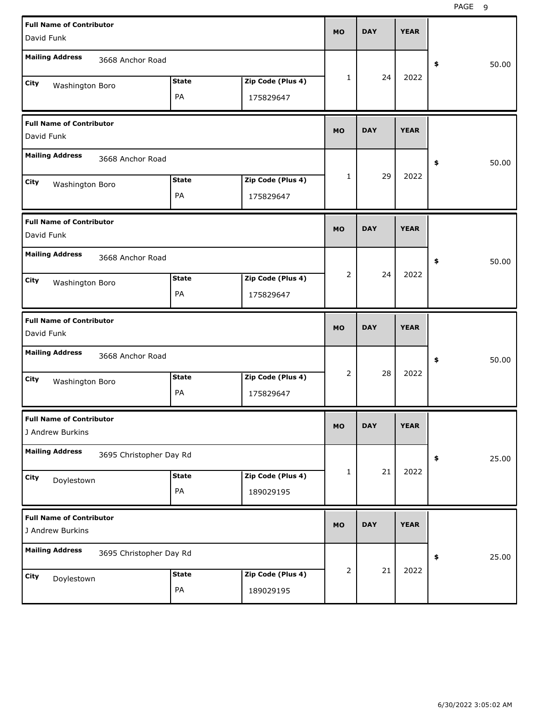| <b>Full Name of Contributor</b>                     |                         |                   | <b>MO</b>      | <b>DAY</b> | <b>YEAR</b> |             |
|-----------------------------------------------------|-------------------------|-------------------|----------------|------------|-------------|-------------|
| David Funk                                          |                         |                   |                |            |             |             |
| <b>Mailing Address</b><br>3668 Anchor Road          |                         |                   |                |            |             | \$<br>50.00 |
| <b>City</b><br>Washington Boro                      | <b>State</b>            | Zip Code (Plus 4) | $\mathbf{1}$   | 24         | 2022        |             |
|                                                     | PA                      | 175829647         |                |            |             |             |
| <b>Full Name of Contributor</b><br>David Funk       |                         |                   | <b>MO</b>      | <b>DAY</b> | <b>YEAR</b> |             |
| <b>Mailing Address</b><br>3668 Anchor Road          |                         |                   |                |            |             | \$<br>50.00 |
| City<br>Washington Boro                             | <b>State</b>            | Zip Code (Plus 4) | $\mathbf{1}$   | 29         | 2022        |             |
|                                                     | PA                      | 175829647         |                |            |             |             |
| <b>Full Name of Contributor</b><br>David Funk       |                         |                   | <b>MO</b>      | <b>DAY</b> | <b>YEAR</b> |             |
| <b>Mailing Address</b><br>3668 Anchor Road          |                         |                   |                |            |             | \$<br>50.00 |
| City<br>Washington Boro                             | <b>State</b>            | Zip Code (Plus 4) | $\overline{2}$ | 24         | 2022        |             |
|                                                     | PA                      | 175829647         |                |            |             |             |
|                                                     |                         |                   |                |            |             |             |
| <b>Full Name of Contributor</b><br>David Funk       |                         |                   | <b>MO</b>      | <b>DAY</b> | <b>YEAR</b> |             |
| <b>Mailing Address</b><br>3668 Anchor Road          |                         |                   |                |            |             | \$<br>50.00 |
| City                                                | <b>State</b>            | Zip Code (Plus 4) | 2              | 28         | 2022        |             |
| Washington Boro                                     | PA                      | 175829647         |                |            |             |             |
| <b>Full Name of Contributor</b><br>J Andrew Burkins |                         |                   | <b>MO</b>      | <b>DAY</b> | <b>YEAR</b> |             |
| <b>Mailing Address</b>                              | 3695 Christopher Day Rd |                   |                |            |             | 25.00<br>\$ |
| City                                                | <b>State</b>            | Zip Code (Plus 4) | $\mathbf{1}$   | 21         | 2022        |             |
| Doylestown                                          | PA                      | 189029195         |                |            |             |             |
| <b>Full Name of Contributor</b><br>J Andrew Burkins |                         |                   | <b>MO</b>      | <b>DAY</b> | <b>YEAR</b> |             |
| <b>Mailing Address</b>                              | 3695 Christopher Day Rd |                   |                |            |             | 25.00<br>\$ |
| <b>City</b><br>Doylestown                           | <b>State</b>            | Zip Code (Plus 4) | $\overline{2}$ | 21         | 2022        |             |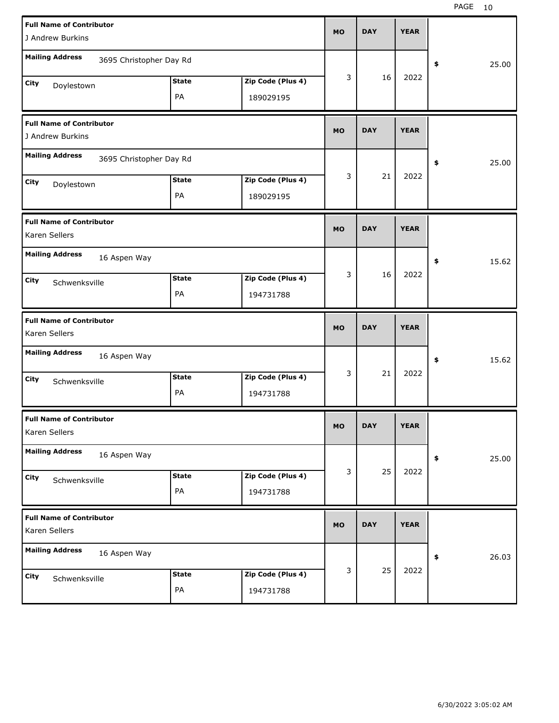| <b>Full Name of Contributor</b><br>J Andrew Burkins |              |                   | <b>MO</b> | <b>DAY</b> | <b>YEAR</b> |            |       |
|-----------------------------------------------------|--------------|-------------------|-----------|------------|-------------|------------|-------|
| <b>Mailing Address</b><br>3695 Christopher Day Rd   |              |                   |           |            |             |            |       |
|                                                     |              |                   | 3         | 16         | 2022        | \$         | 25.00 |
| City<br>Doylestown                                  | <b>State</b> | Zip Code (Plus 4) |           |            |             |            |       |
|                                                     | PA           | 189029195         |           |            |             |            |       |
| <b>Full Name of Contributor</b><br>J Andrew Burkins |              |                   | <b>MO</b> | <b>DAY</b> | <b>YEAR</b> |            |       |
| <b>Mailing Address</b><br>3695 Christopher Day Rd   |              |                   |           |            |             | \$         | 25.00 |
| City<br>Doylestown                                  | <b>State</b> | Zip Code (Plus 4) | 3         | 21         | 2022        |            |       |
|                                                     | PA           | 189029195         |           |            |             |            |       |
| <b>Full Name of Contributor</b><br>Karen Sellers    |              |                   | <b>MO</b> | <b>DAY</b> | <b>YEAR</b> |            |       |
| <b>Mailing Address</b><br>16 Aspen Way              |              |                   |           |            |             | \$         | 15.62 |
| City<br>Schwenksville                               | <b>State</b> | Zip Code (Plus 4) | 3         | 16         | 2022        |            |       |
|                                                     | PA           | 194731788         |           |            |             |            |       |
|                                                     |              |                   |           |            |             |            |       |
| <b>Full Name of Contributor</b><br>Karen Sellers    |              |                   | <b>MO</b> | <b>DAY</b> | <b>YEAR</b> |            |       |
| <b>Mailing Address</b><br>16 Aspen Way              |              |                   |           |            |             | \$         | 15.62 |
| City                                                | <b>State</b> | Zip Code (Plus 4) | 3         | 21         | 2022        |            |       |
| Schwenksville                                       | PA           | 194731788         |           |            |             |            |       |
| <b>Full Name of Contributor</b><br>Karen Sellers    |              |                   | <b>MO</b> | <b>DAY</b> | <b>YEAR</b> |            |       |
| <b>Mailing Address</b><br>16 Aspen Way              |              |                   |           |            |             | $\pmb{\$}$ | 25.00 |
| City                                                | <b>State</b> | Zip Code (Plus 4) | 3         | 25         | 2022        |            |       |
| Schwenksville                                       | PA           | 194731788         |           |            |             |            |       |
| <b>Full Name of Contributor</b><br>Karen Sellers    |              |                   | <b>MO</b> | <b>DAY</b> | <b>YEAR</b> |            |       |
| <b>Mailing Address</b><br>16 Aspen Way              |              |                   |           |            |             | \$         | 26.03 |
| City<br>Schwenksville                               | <b>State</b> | Zip Code (Plus 4) | 3         | 25         | 2022        |            |       |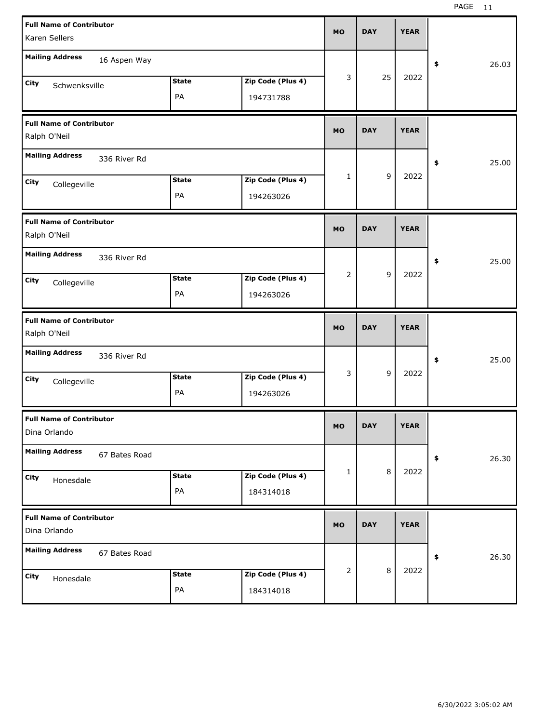| <b>Full Name of Contributor</b> |               |              |                   | <b>MO</b> | <b>DAY</b> |         | <b>YEAR</b> |             |
|---------------------------------|---------------|--------------|-------------------|-----------|------------|---------|-------------|-------------|
| Karen Sellers                   |               |              |                   |           |            |         |             |             |
| <b>Mailing Address</b>          | 16 Aspen Way  |              |                   |           |            |         |             | \$<br>26.03 |
| City<br>Schwenksville           |               | <b>State</b> | Zip Code (Plus 4) | 3         |            | 25      | 2022        |             |
|                                 |               | PA           | 194731788         |           |            |         |             |             |
| <b>Full Name of Contributor</b> |               |              |                   | <b>MO</b> | <b>DAY</b> |         | <b>YEAR</b> |             |
| Ralph O'Neil                    |               |              |                   |           |            |         |             |             |
| <b>Mailing Address</b>          | 336 River Rd  |              |                   |           |            |         |             | \$<br>25.00 |
| City<br>Collegeville            |               | <b>State</b> | Zip Code (Plus 4) | 1         |            | 9       | 2022        |             |
|                                 |               | PA           | 194263026         |           |            |         |             |             |
| <b>Full Name of Contributor</b> |               |              |                   | <b>MO</b> | <b>DAY</b> |         | <b>YEAR</b> |             |
| Ralph O'Neil                    |               |              |                   |           |            |         |             |             |
| <b>Mailing Address</b>          | 336 River Rd  |              |                   |           |            |         |             | \$<br>25.00 |
| City<br>Collegeville            |               | <b>State</b> | Zip Code (Plus 4) | 2         |            | 9       | 2022        |             |
|                                 |               | PA           | 194263026         |           |            |         |             |             |
|                                 |               |              |                   |           |            |         |             |             |
| <b>Full Name of Contributor</b> |               |              |                   |           |            |         |             |             |
| Ralph O'Neil                    |               |              |                   | <b>MO</b> | <b>DAY</b> |         | <b>YEAR</b> |             |
| <b>Mailing Address</b>          | 336 River Rd  |              |                   |           |            |         |             | \$<br>25.00 |
| City<br>Collegeville            |               | <b>State</b> | Zip Code (Plus 4) | 3         |            | 9       | 2022        |             |
|                                 |               | PA           | 194263026         |           |            |         |             |             |
| <b>Full Name of Contributor</b> |               |              |                   | MO        | <b>DAY</b> |         | <b>YEAR</b> |             |
| Dina Orlando                    |               |              |                   |           |            |         |             |             |
| <b>Mailing Address</b>          | 67 Bates Road |              |                   |           |            |         |             | \$<br>26.30 |
| City<br>Honesdale               |               | <b>State</b> | Zip Code (Plus 4) | 1         |            | 8       | 2022        |             |
|                                 |               | PA           | 184314018         |           |            |         |             |             |
| <b>Full Name of Contributor</b> |               |              |                   | MO        | <b>DAY</b> |         | <b>YEAR</b> |             |
| Dina Orlando                    |               |              |                   |           |            |         |             |             |
| <b>Mailing Address</b>          | 67 Bates Road |              |                   |           |            |         |             | \$<br>26.30 |
| City<br>Honesdale               |               | <b>State</b> | Zip Code (Plus 4) | 2         |            | $\,8\,$ | 2022        |             |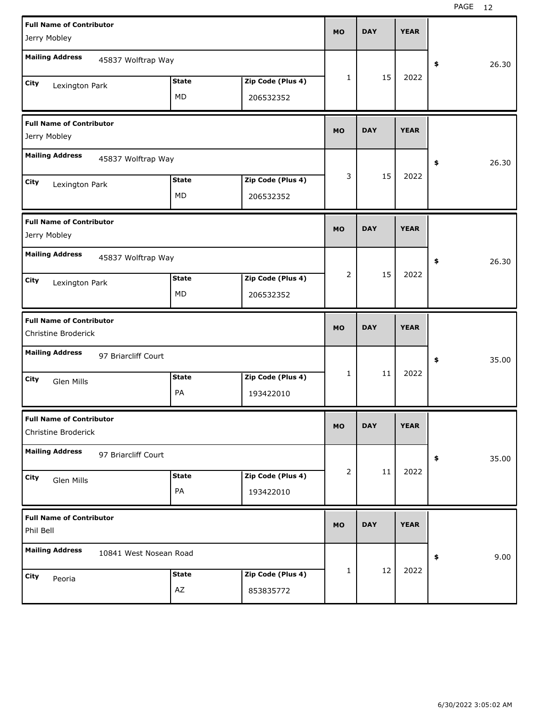| <b>Full Name of Contributor</b><br>Jerry Mobley        |                    |                                | MO             | <b>DAY</b> | <b>YEAR</b> |             |
|--------------------------------------------------------|--------------------|--------------------------------|----------------|------------|-------------|-------------|
| <b>Mailing Address</b><br>45837 Wolftrap Way           |                    |                                |                |            |             | 26.30<br>\$ |
| City<br>Lexington Park                                 | <b>State</b><br>MD | Zip Code (Plus 4)<br>206532352 | 1              | 15         | 2022        |             |
| <b>Full Name of Contributor</b><br>Jerry Mobley        |                    |                                | <b>MO</b>      | <b>DAY</b> | <b>YEAR</b> |             |
| <b>Mailing Address</b><br>45837 Wolftrap Way           |                    |                                |                |            |             | 26.30<br>\$ |
| City<br>Lexington Park                                 | <b>State</b><br>MD | Zip Code (Plus 4)<br>206532352 | 3              | 15         | 2022        |             |
| <b>Full Name of Contributor</b><br>Jerry Mobley        |                    |                                | MO             | <b>DAY</b> | <b>YEAR</b> |             |
| <b>Mailing Address</b><br>45837 Wolftrap Way           |                    |                                |                |            |             | 26.30<br>\$ |
| City<br>Lexington Park                                 | <b>State</b><br>MD | Zip Code (Plus 4)<br>206532352 | 2              | 15         | 2022        |             |
|                                                        |                    |                                |                |            |             |             |
| <b>Full Name of Contributor</b><br>Christine Broderick |                    |                                | MO             | <b>DAY</b> | <b>YEAR</b> |             |
| <b>Mailing Address</b><br>97 Briarcliff Court          |                    |                                |                |            |             | 35.00<br>\$ |
| City<br>Glen Mills                                     | <b>State</b><br>PA | Zip Code (Plus 4)<br>193422010 | 1              | 11         | 2022        |             |
| <b>Full Name of Contributor</b><br>Christine Broderick |                    |                                | MU.            | DAY        | YEAR        |             |
| <b>Mailing Address</b><br>97 Briarcliff Court          |                    |                                |                |            |             | 35.00<br>\$ |
| City<br>Glen Mills                                     | <b>State</b><br>PA | Zip Code (Plus 4)<br>193422010 | $\overline{2}$ | 11         | 2022        |             |
| <b>Full Name of Contributor</b><br>Phil Bell           |                    |                                | MO             | <b>DAY</b> | <b>YEAR</b> |             |
| <b>Mailing Address</b><br>10841 West Nosean Road       |                    |                                |                |            |             | 9.00<br>\$  |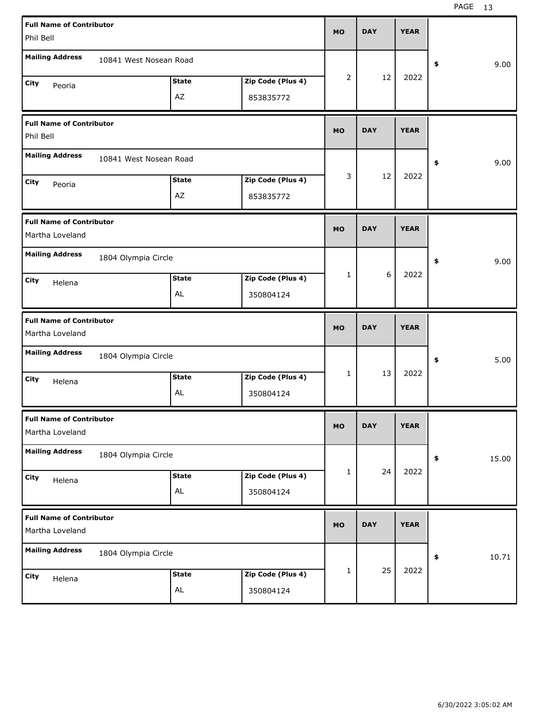| <b>Full Name of Contributor</b>                    |                        |              |                   | <b>MO</b>    | <b>DAY</b> | <b>YEAR</b> |             |
|----------------------------------------------------|------------------------|--------------|-------------------|--------------|------------|-------------|-------------|
| Phil Bell                                          |                        |              |                   |              |            |             |             |
| <b>Mailing Address</b>                             | 10841 West Nosean Road |              |                   |              |            |             | 9.00<br>\$  |
| City<br>Peoria                                     |                        | <b>State</b> | Zip Code (Plus 4) | 2            | 12         | 2022        |             |
|                                                    |                        | AZ           | 853835772         |              |            |             |             |
| <b>Full Name of Contributor</b><br>Phil Bell       |                        |              |                   | <b>MO</b>    | <b>DAY</b> | <b>YEAR</b> |             |
| <b>Mailing Address</b>                             | 10841 West Nosean Road |              |                   |              |            |             | 9.00<br>\$  |
| City<br>Peoria                                     |                        | <b>State</b> | Zip Code (Plus 4) | 3            | 12         | 2022        |             |
|                                                    |                        | AZ           | 853835772         |              |            |             |             |
| <b>Full Name of Contributor</b><br>Martha Loveland |                        |              |                   | <b>MO</b>    | <b>DAY</b> | <b>YEAR</b> |             |
| <b>Mailing Address</b>                             | 1804 Olympia Circle    |              |                   |              |            |             | 9.00<br>\$  |
| City<br>Helena                                     |                        | <b>State</b> | Zip Code (Plus 4) | 1            | 6          | 2022        |             |
|                                                    |                        | AL           | 350804124         |              |            |             |             |
|                                                    |                        |              |                   |              |            |             |             |
| <b>Full Name of Contributor</b><br>Martha Loveland |                        |              |                   | <b>MO</b>    | <b>DAY</b> | <b>YEAR</b> |             |
| <b>Mailing Address</b>                             | 1804 Olympia Circle    |              |                   |              |            |             | 5.00<br>\$  |
| City<br>Helena                                     |                        | <b>State</b> | Zip Code (Plus 4) | $\mathbf{1}$ | 13         | 2022        |             |
|                                                    |                        | AL           | 350804124         |              |            |             |             |
| <b>Full Name of Contributor</b><br>Martha Loveland |                        |              |                   | MO           | <b>DAY</b> | <b>YEAR</b> |             |
| <b>Mailing Address</b>                             | 1804 Olympia Circle    |              |                   |              |            |             | 15.00<br>\$ |
| City<br>Helena                                     |                        | <b>State</b> | Zip Code (Plus 4) | 1            | 24         | 2022        |             |
|                                                    |                        | AL           | 350804124         |              |            |             |             |
| <b>Full Name of Contributor</b><br>Martha Loveland |                        |              |                   | <b>MO</b>    | <b>DAY</b> | <b>YEAR</b> |             |
| <b>Mailing Address</b>                             | 1804 Olympia Circle    |              |                   |              |            |             | 10.71<br>\$ |
| City<br>Helena                                     |                        | <b>State</b> | Zip Code (Plus 4) | 1            | 25         | 2022        |             |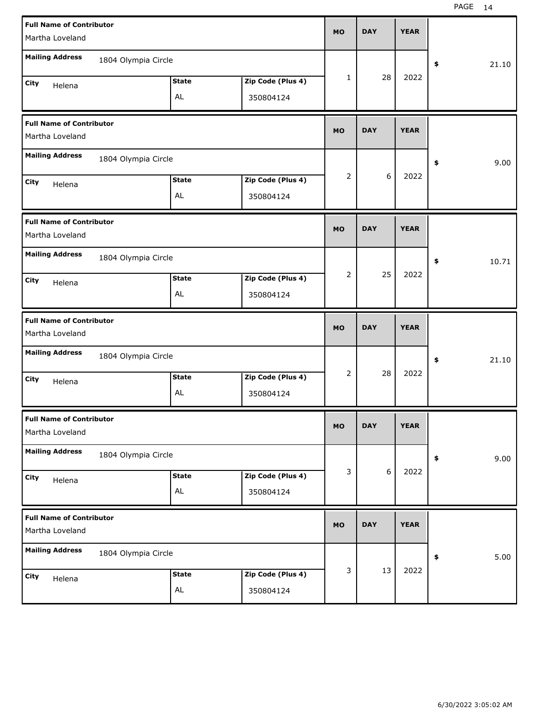| <b>Full Name of Contributor</b><br>Martha Loveland |                     |              |                   | <b>MO</b> | <b>DAY</b> | <b>YEAR</b> |             |
|----------------------------------------------------|---------------------|--------------|-------------------|-----------|------------|-------------|-------------|
| <b>Mailing Address</b>                             | 1804 Olympia Circle |              |                   |           |            |             | 21.10<br>\$ |
|                                                    |                     | <b>State</b> | Zip Code (Plus 4) | 1         | 28         | 2022        |             |
| City<br>Helena                                     |                     | AL           | 350804124         |           |            |             |             |
| <b>Full Name of Contributor</b><br>Martha Loveland |                     |              |                   | <b>MO</b> | <b>DAY</b> | <b>YEAR</b> |             |
| <b>Mailing Address</b>                             | 1804 Olympia Circle |              |                   |           |            |             | 9.00<br>\$  |
| City<br>Helena                                     |                     | <b>State</b> | Zip Code (Plus 4) | 2         | 6          | 2022        |             |
|                                                    |                     | AL           | 350804124         |           |            |             |             |
| <b>Full Name of Contributor</b><br>Martha Loveland |                     |              |                   | <b>MO</b> | <b>DAY</b> | <b>YEAR</b> |             |
| <b>Mailing Address</b>                             | 1804 Olympia Circle |              |                   |           |            |             | 10.71<br>\$ |
| City<br>Helena                                     |                     | <b>State</b> | Zip Code (Plus 4) | 2         | 25         | 2022        |             |
|                                                    |                     | AL           | 350804124         |           |            |             |             |
|                                                    |                     |              |                   |           |            |             |             |
| <b>Full Name of Contributor</b><br>Martha Loveland |                     |              |                   | <b>MO</b> | <b>DAY</b> | <b>YEAR</b> |             |
| <b>Mailing Address</b>                             | 1804 Olympia Circle |              |                   |           |            |             | 21.10<br>\$ |
| City<br>Helena                                     |                     | <b>State</b> | Zip Code (Plus 4) | 2         | 28         | 2022        |             |
|                                                    |                     | AL           | 350804124         |           |            |             |             |
| <b>Full Name of Contributor</b><br>Martha Loveland |                     |              |                   | <b>MO</b> | <b>DAY</b> | <b>YEAR</b> |             |
| <b>Mailing Address</b>                             | 1804 Olympia Circle |              |                   |           |            |             | 9.00<br>\$  |
| City<br>Helena                                     |                     | <b>State</b> | Zip Code (Plus 4) | 3         | 6          | 2022        |             |
|                                                    |                     | AL           | 350804124         |           |            |             |             |
| <b>Full Name of Contributor</b><br>Martha Loveland |                     |              |                   | <b>MO</b> | <b>DAY</b> | <b>YEAR</b> |             |
| <b>Mailing Address</b>                             | 1804 Olympia Circle |              |                   |           |            |             | 5.00<br>\$  |
| City<br>Helena                                     |                     | <b>State</b> | Zip Code (Plus 4) | 3         | 13         | 2022        |             |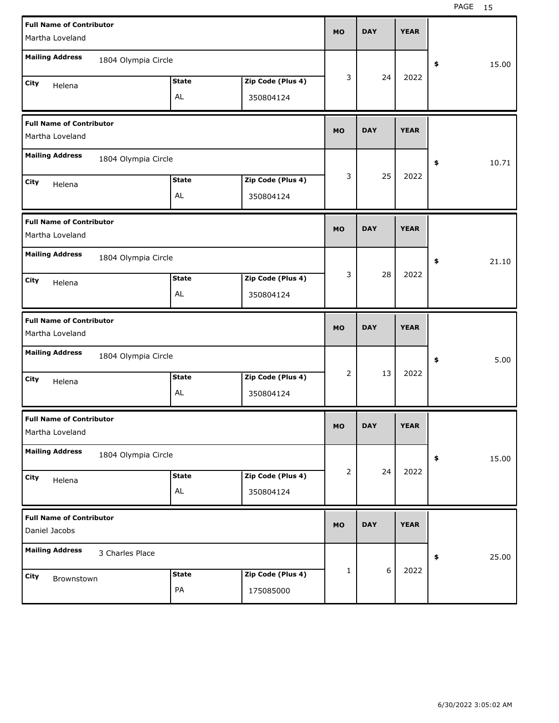| <b>Full Name of Contributor</b><br>Martha Loveland |                     |              |                   | <b>MO</b>    | <b>DAY</b> | <b>YEAR</b> |             |
|----------------------------------------------------|---------------------|--------------|-------------------|--------------|------------|-------------|-------------|
|                                                    |                     |              |                   |              |            |             |             |
| <b>Mailing Address</b>                             | 1804 Olympia Circle |              |                   |              |            |             | \$<br>15.00 |
| City<br>Helena                                     |                     | <b>State</b> | Zip Code (Plus 4) | 3            | 24         | 2022        |             |
|                                                    |                     | AL           | 350804124         |              |            |             |             |
| <b>Full Name of Contributor</b>                    |                     |              |                   | <b>MO</b>    | <b>DAY</b> | <b>YEAR</b> |             |
| Martha Loveland                                    |                     |              |                   |              |            |             |             |
| <b>Mailing Address</b>                             | 1804 Olympia Circle |              |                   |              |            |             | \$<br>10.71 |
| <b>City</b><br>Helena                              |                     | <b>State</b> | Zip Code (Plus 4) | 3            | 25         | 2022        |             |
|                                                    |                     | AL           | 350804124         |              |            |             |             |
| <b>Full Name of Contributor</b>                    |                     |              |                   | <b>MO</b>    | <b>DAY</b> | <b>YEAR</b> |             |
| Martha Loveland                                    |                     |              |                   |              |            |             |             |
| <b>Mailing Address</b>                             | 1804 Olympia Circle |              |                   |              |            |             | \$<br>21.10 |
| City<br>Helena                                     |                     | <b>State</b> | Zip Code (Plus 4) | 3            | 28         | 2022        |             |
|                                                    |                     | AL           | 350804124         |              |            |             |             |
|                                                    |                     |              |                   |              |            |             |             |
| <b>Full Name of Contributor</b>                    |                     |              |                   | <b>MO</b>    | <b>DAY</b> | <b>YEAR</b> |             |
| Martha Loveland                                    |                     |              |                   |              |            |             |             |
| <b>Mailing Address</b>                             | 1804 Olympia Circle |              |                   |              |            |             | \$<br>5.00  |
| City<br>Helena                                     |                     | <b>State</b> | Zip Code (Plus 4) | 2            | 13         | 2022        |             |
|                                                    |                     | AL           | 350804124         |              |            |             |             |
| <b>Full Name of Contributor</b>                    |                     |              |                   | <b>MO</b>    | DAY        | YEAK        |             |
| Martha Loveland                                    |                     |              |                   |              |            |             |             |
| <b>Mailing Address</b>                             | 1804 Olympia Circle |              |                   |              |            |             | \$<br>15.00 |
| City<br>Helena                                     |                     | <b>State</b> | Zip Code (Plus 4) | 2            | 24         | 2022        |             |
|                                                    |                     | AL           | 350804124         |              |            |             |             |
| <b>Full Name of Contributor</b><br>Daniel Jacobs   |                     |              |                   | <b>MO</b>    | <b>DAY</b> | <b>YEAR</b> |             |
| <b>Mailing Address</b>                             | 3 Charles Place     |              |                   |              |            |             | \$<br>25.00 |
| City<br>Brownstown                                 |                     | <b>State</b> | Zip Code (Plus 4) | $\mathbf{1}$ | 6          | 2022        |             |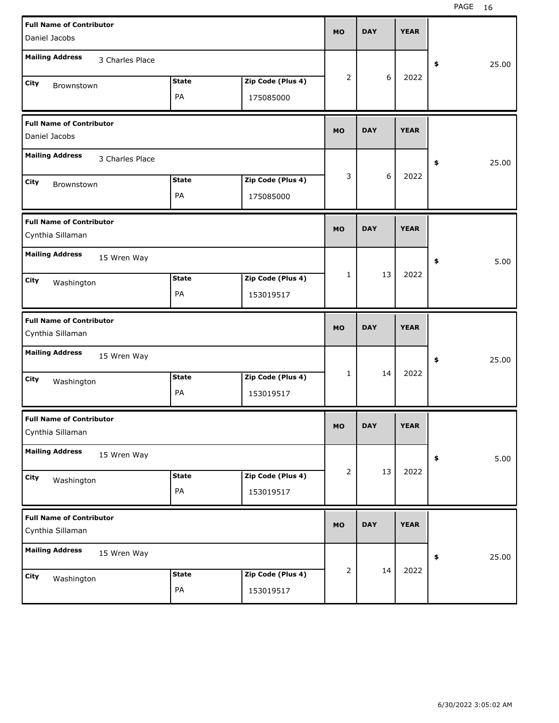| <b>Full Name of Contributor</b><br>Daniel Jacobs    |                    |                                | <b>MO</b>      | <b>DAY</b> | <b>YEAR</b> |             |
|-----------------------------------------------------|--------------------|--------------------------------|----------------|------------|-------------|-------------|
| <b>Mailing Address</b><br>3 Charles Place           |                    |                                |                |            |             | 25.00<br>\$ |
| City<br>Brownstown                                  | <b>State</b><br>PA | Zip Code (Plus 4)<br>175085000 | $\overline{2}$ | 6          | 2022        |             |
| <b>Full Name of Contributor</b><br>Daniel Jacobs    |                    |                                | <b>MO</b>      | <b>DAY</b> | <b>YEAR</b> |             |
| <b>Mailing Address</b><br>3 Charles Place           |                    |                                |                |            |             | 25.00<br>\$ |
| City<br>Brownstown                                  | <b>State</b><br>PA | Zip Code (Plus 4)<br>175085000 | 3              | 6          | 2022        |             |
| <b>Full Name of Contributor</b><br>Cynthia Sillaman |                    |                                | <b>MO</b>      | <b>DAY</b> | <b>YEAR</b> |             |
| <b>Mailing Address</b><br>15 Wren Way               |                    |                                |                |            |             | 5.00<br>\$  |
| City<br>Washington                                  | <b>State</b><br>PA | Zip Code (Plus 4)<br>153019517 | $\mathbf{1}$   | 13         | 2022        |             |
|                                                     |                    |                                |                |            |             |             |
| <b>Full Name of Contributor</b><br>Cynthia Sillaman |                    |                                | <b>MO</b>      | <b>DAY</b> | <b>YEAR</b> |             |
| <b>Mailing Address</b><br>15 Wren Way               |                    |                                |                |            |             | 25.00<br>\$ |
| City<br>Washington                                  | <b>State</b><br>PA | Zip Code (Plus 4)<br>153019517 | $\mathbf{1}$   | 14         | 2022        |             |
| <b>Full Name of Contributor</b><br>Cynthia Sillaman |                    |                                | <b>MO</b>      | <b>DAY</b> | <b>YEAR</b> |             |
| <b>Mailing Address</b><br>15 Wren Way               |                    |                                |                |            |             | 5.00<br>\$  |
| City<br>Washington                                  | <b>State</b><br>PA | Zip Code (Plus 4)<br>153019517 | $\overline{2}$ | 13         | 2022        |             |
| <b>Full Name of Contributor</b><br>Cynthia Sillaman |                    |                                | <b>MO</b>      | <b>DAY</b> | <b>YEAR</b> |             |
| <b>Mailing Address</b><br>15 Wren Way               |                    |                                | $\overline{2}$ | 14         | 2022        | 25.00<br>\$ |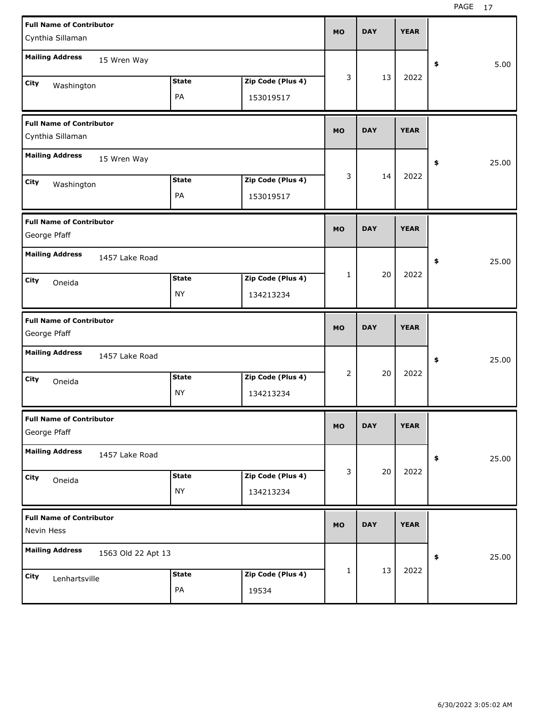| <b>Full Name of Contributor</b> |                    |              |                   |              |            |             |             |
|---------------------------------|--------------------|--------------|-------------------|--------------|------------|-------------|-------------|
| Cynthia Sillaman                |                    |              |                   | <b>MO</b>    | <b>DAY</b> | <b>YEAR</b> |             |
| <b>Mailing Address</b>          |                    |              |                   |              |            |             |             |
|                                 | 15 Wren Way        |              |                   |              |            |             | \$<br>5.00  |
| City<br>Washington              |                    | <b>State</b> | Zip Code (Plus 4) | 3            | 13         | 2022        |             |
|                                 |                    | PA           | 153019517         |              |            |             |             |
| <b>Full Name of Contributor</b> |                    |              |                   |              |            |             |             |
| Cynthia Sillaman                |                    |              |                   | <b>MO</b>    | <b>DAY</b> | <b>YEAR</b> |             |
| <b>Mailing Address</b>          | 15 Wren Way        |              |                   |              |            |             | \$<br>25.00 |
| City<br>Washington              |                    | <b>State</b> | Zip Code (Plus 4) | 3            | 14         | 2022        |             |
|                                 |                    | PA           | 153019517         |              |            |             |             |
| <b>Full Name of Contributor</b> |                    |              |                   |              |            |             |             |
| George Pfaff                    |                    |              |                   | <b>MO</b>    | <b>DAY</b> | <b>YEAR</b> |             |
| <b>Mailing Address</b>          | 1457 Lake Road     |              |                   |              |            |             | \$<br>25.00 |
| City<br>Oneida                  |                    | <b>State</b> | Zip Code (Plus 4) | $\mathbf{1}$ | 20         | 2022        |             |
|                                 |                    | NY           | 134213234         |              |            |             |             |
|                                 |                    |              |                   |              |            |             |             |
| <b>Full Name of Contributor</b> |                    |              |                   |              |            |             |             |
| George Pfaff                    |                    |              |                   | <b>MO</b>    | <b>DAY</b> | <b>YEAR</b> |             |
| <b>Mailing Address</b>          | 1457 Lake Road     |              |                   |              |            |             | \$<br>25.00 |
| City                            |                    | <b>State</b> | Zip Code (Plus 4) | 2            | 20         | 2022        |             |
| Oneida                          |                    | NY           | 134213234         |              |            |             |             |
| <b>Full Name of Contributor</b> |                    |              |                   |              |            |             |             |
| George Pfaff                    |                    |              |                   | MO           | <b>DAY</b> | <b>YEAR</b> |             |
| <b>Mailing Address</b>          | 1457 Lake Road     |              |                   |              |            |             | \$<br>25.00 |
| City                            |                    | <b>State</b> | Zip Code (Plus 4) | 3            | 20         | 2022        |             |
| Oneida                          |                    | NY           | 134213234         |              |            |             |             |
| <b>Full Name of Contributor</b> |                    |              |                   |              |            |             |             |
| Nevin Hess                      |                    |              |                   | <b>MO</b>    | <b>DAY</b> | <b>YEAR</b> |             |
| <b>Mailing Address</b>          | 1563 Old 22 Apt 13 |              |                   |              |            |             | \$<br>25.00 |
| City<br>Lenhartsville           |                    | <b>State</b> | Zip Code (Plus 4) | 1            | 13         | 2022        |             |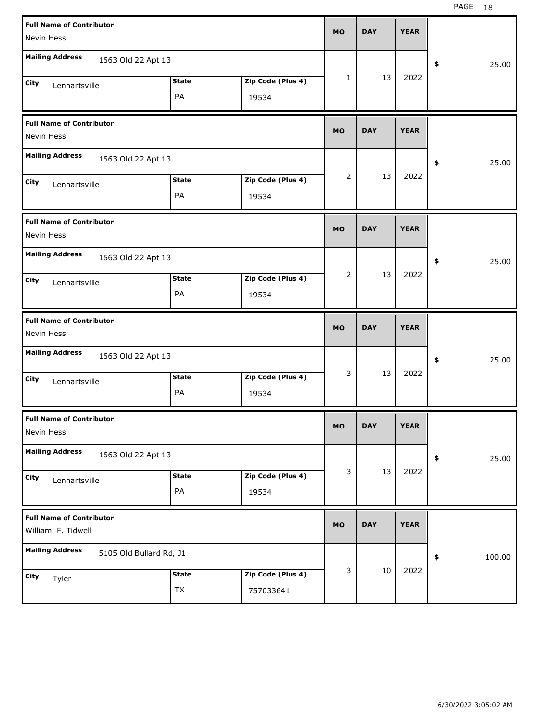| <b>Full Name of Contributor</b>                       |              |                   | <b>MO</b>    | <b>DAY</b> | <b>YEAR</b> |              |
|-------------------------------------------------------|--------------|-------------------|--------------|------------|-------------|--------------|
| Nevin Hess                                            |              |                   |              |            |             |              |
| <b>Mailing Address</b><br>1563 Old 22 Apt 13          |              |                   |              |            |             | \$<br>25.00  |
| City<br>Lenhartsville                                 | <b>State</b> | Zip Code (Plus 4) | $\mathbf{1}$ | 13         | 2022        |              |
|                                                       | PA           | 19534             |              |            |             |              |
| <b>Full Name of Contributor</b><br>Nevin Hess         |              |                   | <b>MO</b>    | <b>DAY</b> | <b>YEAR</b> |              |
| <b>Mailing Address</b><br>1563 Old 22 Apt 13          |              |                   |              |            |             | \$<br>25.00  |
| City<br>Lenhartsville                                 | <b>State</b> | Zip Code (Plus 4) | 2            | 13         | 2022        |              |
|                                                       | PA           | 19534             |              |            |             |              |
| <b>Full Name of Contributor</b><br>Nevin Hess         |              |                   | <b>MO</b>    | <b>DAY</b> | <b>YEAR</b> |              |
| <b>Mailing Address</b><br>1563 Old 22 Apt 13          |              |                   |              |            |             | \$<br>25.00  |
| City<br>Lenhartsville                                 | <b>State</b> | Zip Code (Plus 4) | 2            | 13         | 2022        |              |
|                                                       | PA           | 19534             |              |            |             |              |
|                                                       |              |                   |              |            |             |              |
| <b>Full Name of Contributor</b><br>Nevin Hess         |              |                   | <b>MO</b>    | <b>DAY</b> | <b>YEAR</b> |              |
| <b>Mailing Address</b><br>1563 Old 22 Apt 13          |              |                   |              |            |             | \$<br>25.00  |
| City                                                  | <b>State</b> | Zip Code (Plus 4) | 3            | 13         | 2022        |              |
| Lenhartsville                                         | PA           | 19534             |              |            |             |              |
| <b>Full Name of Contributor</b><br>Nevin Hess         |              |                   | <b>MO</b>    | <b>DAY</b> | <b>YEAR</b> |              |
| <b>Mailing Address</b><br>1563 Old 22 Apt 13          |              |                   |              |            |             | \$<br>25.00  |
| City                                                  | <b>State</b> | Zip Code (Plus 4) | 3            | 13         | 2022        |              |
| Lenhartsville                                         | PA           | 19534             |              |            |             |              |
| <b>Full Name of Contributor</b><br>William F. Tidwell |              |                   | <b>MO</b>    | <b>DAY</b> | <b>YEAR</b> |              |
| <b>Mailing Address</b><br>5105 Old Bullard Rd, J1     |              |                   |              |            |             | \$<br>100.00 |
| City<br>Tyler                                         | <b>State</b> | Zip Code (Plus 4) | 3            | $10\,$     | 2022        |              |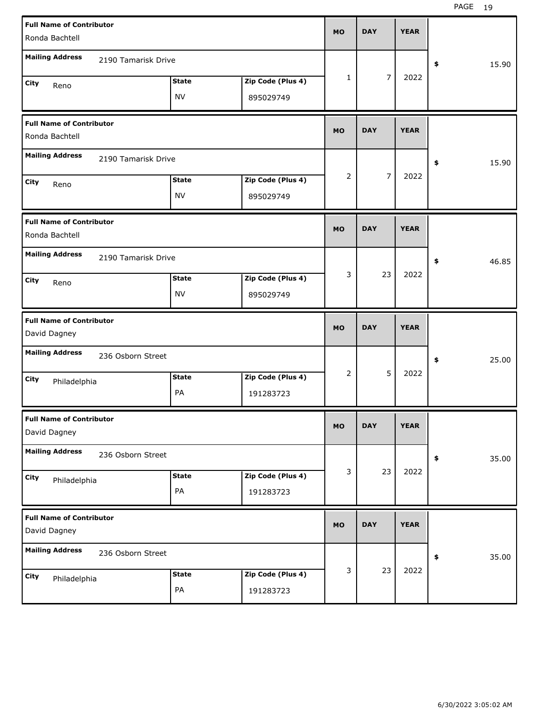| <b>Full Name of Contributor</b><br>Ronda Bachtell |                           |                                | <b>MO</b>      | <b>DAY</b>     | <b>YEAR</b> |             |
|---------------------------------------------------|---------------------------|--------------------------------|----------------|----------------|-------------|-------------|
| <b>Mailing Address</b><br>2190 Tamarisk Drive     |                           |                                |                |                |             | \$<br>15.90 |
| City<br>Reno                                      | <b>State</b><br><b>NV</b> | Zip Code (Plus 4)<br>895029749 | 1              | $\overline{7}$ | 2022        |             |
| <b>Full Name of Contributor</b><br>Ronda Bachtell |                           |                                | <b>MO</b>      | <b>DAY</b>     | <b>YEAR</b> |             |
| <b>Mailing Address</b><br>2190 Tamarisk Drive     |                           |                                |                |                |             | 15.90<br>\$ |
| <b>City</b><br>Reno                               | <b>State</b><br><b>NV</b> | Zip Code (Plus 4)<br>895029749 | $\overline{2}$ | $\overline{7}$ | 2022        |             |
| <b>Full Name of Contributor</b><br>Ronda Bachtell |                           |                                | <b>MO</b>      | <b>DAY</b>     | <b>YEAR</b> |             |
| <b>Mailing Address</b><br>2190 Tamarisk Drive     |                           |                                |                |                |             | 46.85<br>\$ |
| City<br>Reno                                      | <b>State</b><br><b>NV</b> | Zip Code (Plus 4)<br>895029749 | 3              | 23             | 2022        |             |
|                                                   |                           |                                |                |                |             |             |
| <b>Full Name of Contributor</b><br>David Dagney   |                           |                                | <b>MO</b>      | <b>DAY</b>     | <b>YEAR</b> |             |
| <b>Mailing Address</b><br>236 Osborn Street       |                           |                                |                |                |             | \$<br>25.00 |
| City<br>Philadelphia                              | <b>State</b><br>PA        | Zip Code (Plus 4)<br>191283723 | 2              | 5              | 2022        |             |
| <b>Full Name of Contributor</b><br>David Dagney   |                           |                                | MO             | <b>DAY</b>     | <b>YEAR</b> |             |
| <b>Mailing Address</b><br>236 Osborn Street       |                           |                                |                |                |             | 35.00<br>\$ |
| City<br>Philadelphia                              | <b>State</b><br>PA        | Zip Code (Plus 4)<br>191283723 | 3              | 23             | 2022        |             |
| <b>Full Name of Contributor</b><br>David Dagney   |                           |                                | <b>MO</b>      | <b>DAY</b>     | <b>YEAR</b> |             |
| <b>Mailing Address</b><br>236 Osborn Street       |                           |                                | 3              | 23             | 2022        | 35.00<br>\$ |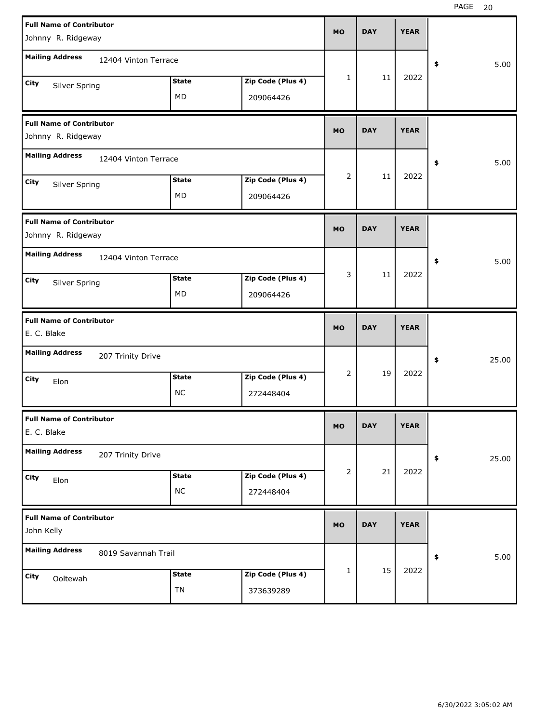| <b>Full Name of Contributor</b>                       |                      |              |                   | <b>MO</b>      | <b>DAY</b> | <b>YEAR</b> |             |
|-------------------------------------------------------|----------------------|--------------|-------------------|----------------|------------|-------------|-------------|
| Johnny R. Ridgeway                                    |                      |              |                   |                |            |             |             |
| <b>Mailing Address</b>                                | 12404 Vinton Terrace |              |                   |                |            |             | 5.00<br>\$  |
| <b>City</b><br>Silver Spring                          |                      | <b>State</b> | Zip Code (Plus 4) | 1              | 11         | 2022        |             |
|                                                       |                      | MD           | 209064426         |                |            |             |             |
| <b>Full Name of Contributor</b><br>Johnny R. Ridgeway |                      |              |                   | <b>MO</b>      | <b>DAY</b> | <b>YEAR</b> |             |
| <b>Mailing Address</b>                                | 12404 Vinton Terrace |              |                   |                |            |             | 5.00<br>\$  |
| <b>City</b><br>Silver Spring                          |                      | <b>State</b> | Zip Code (Plus 4) | $\overline{2}$ | 11         | 2022        |             |
|                                                       |                      | MD           | 209064426         |                |            |             |             |
| <b>Full Name of Contributor</b><br>Johnny R. Ridgeway |                      |              |                   | <b>MO</b>      | <b>DAY</b> | <b>YEAR</b> |             |
| <b>Mailing Address</b>                                | 12404 Vinton Terrace |              |                   |                |            |             | 5.00<br>\$  |
| City<br>Silver Spring                                 |                      | <b>State</b> | Zip Code (Plus 4) | 3              | 11         | 2022        |             |
|                                                       |                      | MD           | 209064426         |                |            |             |             |
|                                                       |                      |              |                   |                |            |             |             |
| <b>Full Name of Contributor</b><br>E. C. Blake        |                      |              |                   | <b>MO</b>      | <b>DAY</b> | <b>YEAR</b> |             |
| <b>Mailing Address</b>                                | 207 Trinity Drive    |              |                   |                |            |             | 25.00<br>\$ |
| City                                                  |                      | <b>State</b> | Zip Code (Plus 4) | $\overline{2}$ | 19         | 2022        |             |
| Elon                                                  |                      | <b>NC</b>    | 272448404         |                |            |             |             |
| <b>Full Name of Contributor</b><br>E. C. Blake        |                      |              |                   | MO             | <b>DAY</b> | <b>YEAR</b> |             |
| <b>Mailing Address</b>                                | 207 Trinity Drive    |              |                   |                |            |             | 25.00<br>\$ |
| <b>City</b>                                           |                      | <b>State</b> | Zip Code (Plus 4) | 2              | 21         | 2022        |             |
| Elon                                                  |                      | <b>NC</b>    | 272448404         |                |            |             |             |
| <b>Full Name of Contributor</b><br>John Kelly         |                      |              |                   | <b>MO</b>      | <b>DAY</b> | <b>YEAR</b> |             |
| <b>Mailing Address</b>                                | 8019 Savannah Trail  |              |                   |                |            |             | 5.00<br>\$  |
| <b>City</b><br>Ooltewah                               |                      | <b>State</b> | Zip Code (Plus 4) | 1              | 15         | 2022        |             |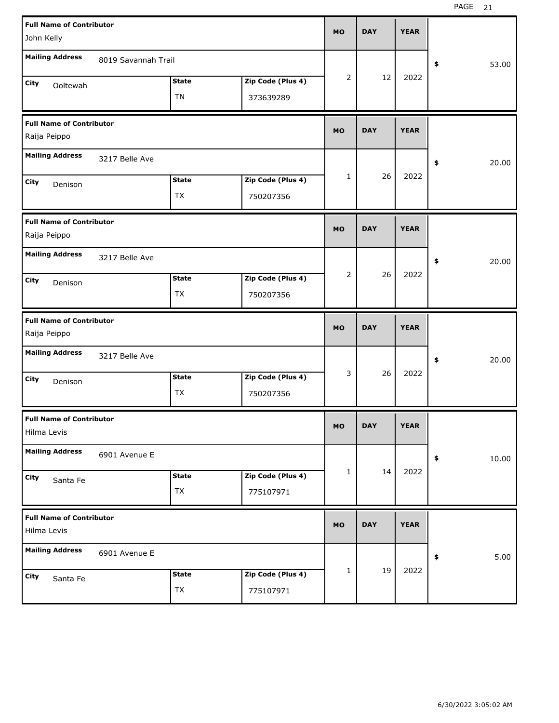| <b>Full Name of Contributor</b>                 |                     |              |                   | <b>MO</b>    | <b>DAY</b> | <b>YEAR</b> |             |
|-------------------------------------------------|---------------------|--------------|-------------------|--------------|------------|-------------|-------------|
| John Kelly                                      |                     |              |                   |              |            |             |             |
| <b>Mailing Address</b>                          | 8019 Savannah Trail |              |                   |              |            |             | \$<br>53.00 |
| City<br>Ooltewah                                |                     | <b>State</b> | Zip Code (Plus 4) | 2            | 12         | 2022        |             |
|                                                 |                     | <b>TN</b>    | 373639289         |              |            |             |             |
| <b>Full Name of Contributor</b><br>Raija Peippo |                     |              |                   | <b>MO</b>    | <b>DAY</b> | <b>YEAR</b> |             |
| <b>Mailing Address</b>                          | 3217 Belle Ave      |              |                   |              |            |             | \$<br>20.00 |
| City<br>Denison                                 |                     | <b>State</b> | Zip Code (Plus 4) | 1            | 26         | 2022        |             |
|                                                 |                     | <b>TX</b>    | 750207356         |              |            |             |             |
| <b>Full Name of Contributor</b><br>Raija Peippo |                     |              |                   | <b>MO</b>    | <b>DAY</b> | <b>YEAR</b> |             |
| <b>Mailing Address</b>                          | 3217 Belle Ave      |              |                   |              |            |             | \$<br>20.00 |
| City<br>Denison                                 |                     | <b>State</b> | Zip Code (Plus 4) | 2            | 26         | 2022        |             |
|                                                 |                     | TX           | 750207356         |              |            |             |             |
|                                                 |                     |              |                   |              |            |             |             |
| <b>Full Name of Contributor</b><br>Raija Peippo |                     |              |                   | <b>MO</b>    | <b>DAY</b> | <b>YEAR</b> |             |
| <b>Mailing Address</b>                          | 3217 Belle Ave      |              |                   |              |            |             | \$<br>20.00 |
| City<br>Denison                                 |                     | <b>State</b> | Zip Code (Plus 4) | 3            | 26         | 2022        |             |
|                                                 |                     | TX           | 750207356         |              |            |             |             |
| <b>Full Name of Contributor</b><br>Hilma Levis  |                     |              |                   | <b>MO</b>    | <b>DAY</b> | <b>YEAR</b> |             |
| <b>Mailing Address</b>                          | 6901 Avenue E       |              |                   |              |            |             | \$<br>10.00 |
| City                                            |                     | <b>State</b> | Zip Code (Plus 4) | $\mathbf{1}$ | 14         | 2022        |             |
| Santa Fe                                        |                     | TX           | 775107971         |              |            |             |             |
| <b>Full Name of Contributor</b><br>Hilma Levis  |                     |              |                   | <b>MO</b>    | <b>DAY</b> | <b>YEAR</b> |             |
| <b>Mailing Address</b>                          | 6901 Avenue E       |              |                   |              |            |             | \$<br>5.00  |
| City<br>Santa Fe                                |                     | <b>State</b> | Zip Code (Plus 4) | $\mathbf{1}$ | 19         | 2022        |             |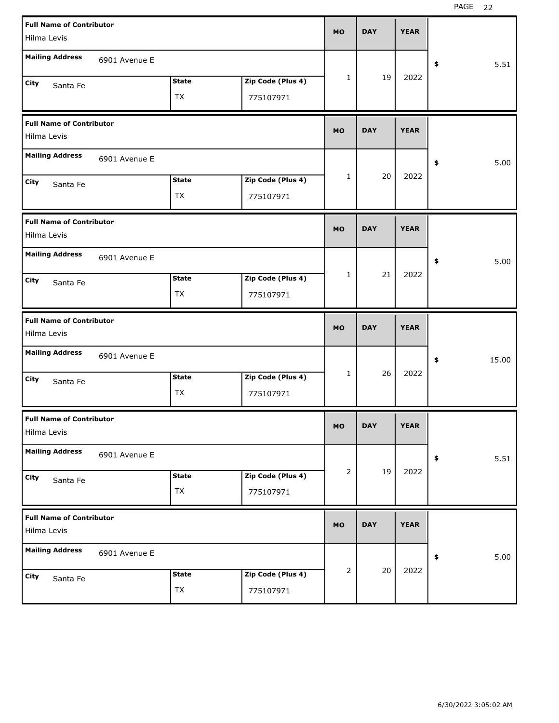| <b>Full Name of Contributor</b><br>Hilma Levis |               |              |                   | <b>MO</b> | <b>DAY</b> | <b>YEAR</b> |             |       |
|------------------------------------------------|---------------|--------------|-------------------|-----------|------------|-------------|-------------|-------|
| <b>Mailing Address</b>                         | 6901 Avenue E |              |                   |           |            |             |             |       |
|                                                |               |              |                   |           | 19         | 2022        | \$          | 5.51  |
| City<br>Santa Fe                               |               | <b>State</b> | Zip Code (Plus 4) | 1         |            |             |             |       |
|                                                |               | TX           | 775107971         |           |            |             |             |       |
| <b>Full Name of Contributor</b><br>Hilma Levis |               |              |                   | <b>MO</b> | <b>DAY</b> | <b>YEAR</b> |             |       |
| <b>Mailing Address</b>                         | 6901 Avenue E |              |                   |           |            |             | \$          | 5.00  |
| City<br>Santa Fe                               |               | <b>State</b> | Zip Code (Plus 4) | 1         | 20         | 2022        |             |       |
|                                                |               | TX           | 775107971         |           |            |             |             |       |
| <b>Full Name of Contributor</b><br>Hilma Levis |               |              |                   | <b>MO</b> | <b>DAY</b> | <b>YEAR</b> |             |       |
| <b>Mailing Address</b>                         | 6901 Avenue E |              |                   |           |            |             | \$          | 5.00  |
| City<br>Santa Fe                               |               | <b>State</b> | Zip Code (Plus 4) | 1         | 21         | 2022        |             |       |
|                                                |               | TX           | 775107971         |           |            |             |             |       |
|                                                |               |              |                   |           |            |             |             |       |
| <b>Full Name of Contributor</b><br>Hilma Levis |               |              |                   | <b>MO</b> | <b>DAY</b> | <b>YEAR</b> |             |       |
| <b>Mailing Address</b>                         | 6901 Avenue E |              |                   |           |            |             | \$          | 15.00 |
| City<br>Santa Fe                               |               | <b>State</b> | Zip Code (Plus 4) | 1         | 26         | 2022        |             |       |
|                                                |               | TX           | 775107971         |           |            |             |             |       |
| <b>Full Name of Contributor</b><br>Hilma Levis |               |              |                   | <b>MO</b> | <b>DAY</b> | <b>YEAR</b> |             |       |
| <b>Mailing Address</b>                         | 6901 Avenue E |              |                   |           |            |             | $\clubsuit$ | 5.51  |
| City<br>Santa Fe                               |               | <b>State</b> | Zip Code (Plus 4) | 2         | 19         | 2022        |             |       |
|                                                |               | <b>TX</b>    | 775107971         |           |            |             |             |       |
| <b>Full Name of Contributor</b><br>Hilma Levis |               |              |                   | <b>MO</b> | <b>DAY</b> | <b>YEAR</b> |             |       |
| <b>Mailing Address</b>                         | 6901 Avenue E |              |                   |           |            |             | \$          | 5.00  |
| City<br>Santa Fe                               |               | <b>State</b> | Zip Code (Plus 4) | 2         | 20         | 2022        |             |       |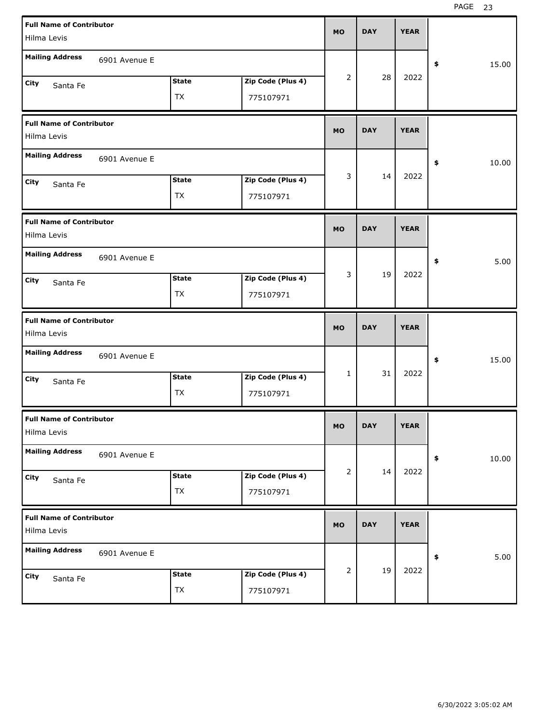| <b>Full Name of Contributor</b><br>Hilma Levis |               |                           |                                | <b>MO</b>    | <b>DAY</b> | <b>YEAR</b> |             |
|------------------------------------------------|---------------|---------------------------|--------------------------------|--------------|------------|-------------|-------------|
| <b>Mailing Address</b>                         | 6901 Avenue E |                           |                                |              |            |             | \$<br>15.00 |
| City<br>Santa Fe                               |               | <b>State</b><br>TX        | Zip Code (Plus 4)<br>775107971 | 2            | 28         | 2022        |             |
| <b>Full Name of Contributor</b><br>Hilma Levis |               |                           |                                | <b>MO</b>    | <b>DAY</b> | <b>YEAR</b> |             |
| <b>Mailing Address</b>                         | 6901 Avenue E |                           |                                |              |            |             | \$<br>10.00 |
| City<br>Santa Fe                               |               | <b>State</b><br>TX        | Zip Code (Plus 4)<br>775107971 | 3            | 14         | 2022        |             |
| <b>Full Name of Contributor</b><br>Hilma Levis |               |                           |                                | <b>MO</b>    | <b>DAY</b> | <b>YEAR</b> |             |
| <b>Mailing Address</b>                         | 6901 Avenue E |                           |                                |              |            |             | \$<br>5.00  |
| City<br>Santa Fe                               |               | <b>State</b><br>TX        | Zip Code (Plus 4)<br>775107971 | 3            | 19         | 2022        |             |
|                                                |               |                           |                                |              |            |             |             |
| <b>Full Name of Contributor</b><br>Hilma Levis |               |                           |                                | <b>MO</b>    | <b>DAY</b> | <b>YEAR</b> |             |
| <b>Mailing Address</b>                         | 6901 Avenue E |                           |                                |              |            |             | \$<br>15.00 |
| City<br>Santa Fe                               |               | <b>State</b><br>TX        | Zip Code (Plus 4)<br>775107971 | $\mathbf{1}$ | 31         | 2022        |             |
| <b>Full Name of Contributor</b><br>Hilma Levis |               |                           |                                | <b>MO</b>    | <b>DAY</b> | <b>YEAR</b> |             |
| <b>Mailing Address</b>                         | 6901 Avenue E |                           |                                |              |            |             | 10.00<br>\$ |
| City<br>Santa Fe                               |               | <b>State</b><br><b>TX</b> | Zip Code (Plus 4)<br>775107971 | 2            | 14         | 2022        |             |
| <b>Full Name of Contributor</b><br>Hilma Levis |               |                           |                                | <b>MO</b>    | <b>DAY</b> | <b>YEAR</b> |             |
| <b>Mailing Address</b>                         | 6901 Avenue E |                           |                                | 2            | 19         | 2022        | 5.00<br>\$  |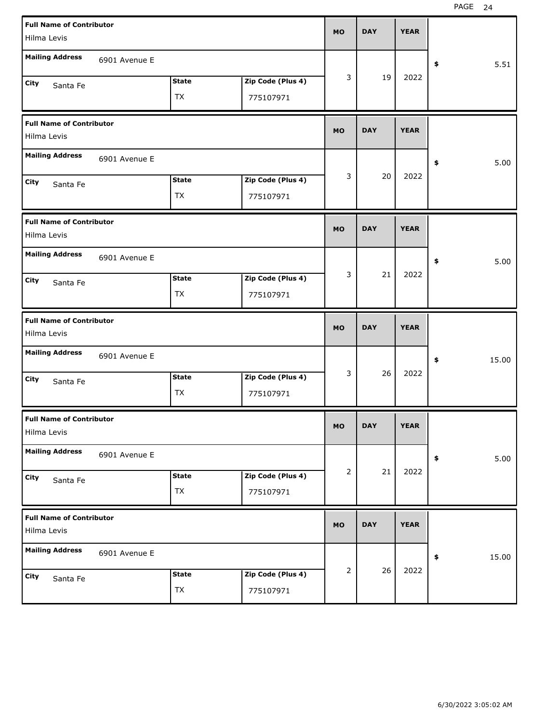| <b>Full Name of Contributor</b>                |               |                    |                                | <b>MO</b> | <b>DAY</b> | <b>YEAR</b> |                      |
|------------------------------------------------|---------------|--------------------|--------------------------------|-----------|------------|-------------|----------------------|
| Hilma Levis                                    |               |                    |                                |           |            |             |                      |
| <b>Mailing Address</b>                         | 6901 Avenue E |                    |                                |           |            |             | 5.51<br>\$           |
| <b>City</b><br>Santa Fe                        |               | <b>State</b>       | Zip Code (Plus 4)              | 3         | 19         | 2022        |                      |
|                                                |               | <b>TX</b>          | 775107971                      |           |            |             |                      |
| <b>Full Name of Contributor</b>                |               |                    |                                | <b>MO</b> | <b>DAY</b> | <b>YEAR</b> |                      |
| Hilma Levis                                    |               |                    |                                |           |            |             |                      |
| <b>Mailing Address</b>                         | 6901 Avenue E |                    |                                |           |            |             | 5.00<br>\$           |
| <b>City</b><br>Santa Fe                        |               | <b>State</b>       | Zip Code (Plus 4)              | 3         | 20         | 2022        |                      |
|                                                |               | <b>TX</b>          | 775107971                      |           |            |             |                      |
| <b>Full Name of Contributor</b>                |               |                    |                                | <b>MO</b> | <b>DAY</b> | <b>YEAR</b> |                      |
| Hilma Levis                                    |               |                    |                                |           |            |             |                      |
| <b>Mailing Address</b>                         | 6901 Avenue E |                    |                                |           |            |             | 5.00<br>\$           |
| City<br>Santa Fe                               |               | <b>State</b>       | Zip Code (Plus 4)              | 3         | 21         | 2022        |                      |
|                                                |               | TX                 | 775107971                      |           |            |             |                      |
|                                                |               |                    |                                |           |            |             |                      |
| <b>Full Name of Contributor</b>                |               |                    |                                | <b>MO</b> | <b>DAY</b> | <b>YEAR</b> |                      |
| Hilma Levis                                    |               |                    |                                |           |            |             |                      |
| <b>Mailing Address</b>                         | 6901 Avenue E |                    |                                |           |            |             | 15.00<br>\$          |
| <b>City</b><br>Santa Fe                        |               | <b>State</b>       | Zip Code (Plus 4)              | 3         | 26         | 2022        |                      |
|                                                |               | <b>TX</b>          | 775107971                      |           |            |             |                      |
| <b>Full Name of Contributor</b><br>Hilma Levis |               |                    |                                | МO        | <b>DAY</b> | <b>YEAR</b> |                      |
| <b>Mailing Address</b>                         | 6901 Avenue E |                    |                                |           |            |             |                      |
|                                                |               |                    |                                | 2         | 21         | 2022        | 5.00<br>$\clubsuit$  |
| City<br>Santa Fe                               |               | <b>State</b><br>TX | Zip Code (Plus 4)<br>775107971 |           |            |             |                      |
|                                                |               |                    |                                |           |            |             |                      |
| <b>Full Name of Contributor</b><br>Hilma Levis |               |                    |                                | <b>MO</b> | <b>DAY</b> | <b>YEAR</b> |                      |
| <b>Mailing Address</b>                         | 6901 Avenue E |                    |                                |           |            |             | 15.00<br>$\clubsuit$ |
| City<br>Santa Fe                               |               | <b>State</b>       | Zip Code (Plus 4)              | 2         | 26         | 2022        |                      |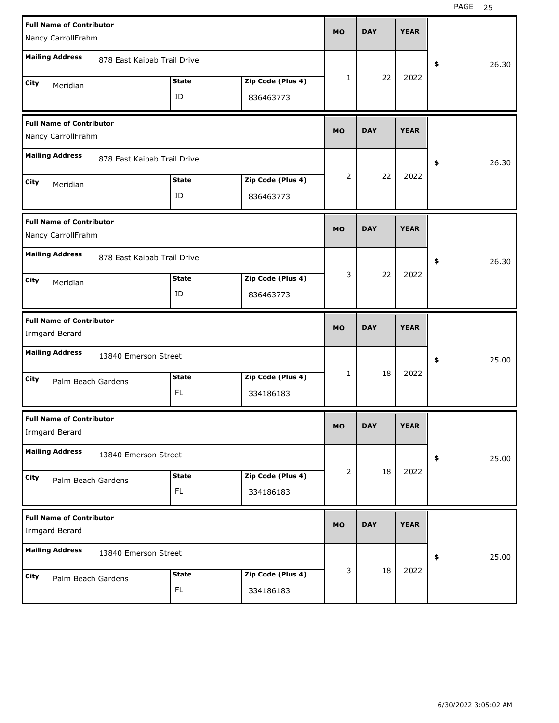|      | <b>Full Name of Contributor</b>                       |                             |              |                   | <b>MO</b> | <b>DAY</b> | <b>YEAR</b> |             |
|------|-------------------------------------------------------|-----------------------------|--------------|-------------------|-----------|------------|-------------|-------------|
|      | Nancy CarrollFrahm                                    |                             |              |                   |           |            |             |             |
|      | <b>Mailing Address</b>                                | 878 East Kaibab Trail Drive |              |                   |           |            |             | \$<br>26.30 |
| City | Meridian                                              |                             | <b>State</b> | Zip Code (Plus 4) | 1         | 22         | 2022        |             |
|      |                                                       |                             | ID           | 836463773         |           |            |             |             |
|      | <b>Full Name of Contributor</b><br>Nancy CarrollFrahm |                             |              |                   | <b>MO</b> | <b>DAY</b> | <b>YEAR</b> |             |
|      | <b>Mailing Address</b>                                | 878 East Kaibab Trail Drive |              |                   |           |            |             | \$<br>26.30 |
| City | Meridian                                              |                             | <b>State</b> | Zip Code (Plus 4) | 2         | 22         | 2022        |             |
|      |                                                       |                             | ID           | 836463773         |           |            |             |             |
|      | <b>Full Name of Contributor</b><br>Nancy CarrollFrahm |                             |              |                   | <b>MO</b> | <b>DAY</b> | <b>YEAR</b> |             |
|      | <b>Mailing Address</b>                                | 878 East Kaibab Trail Drive |              |                   |           |            |             | \$<br>26.30 |
| City | Meridian                                              |                             | <b>State</b> | Zip Code (Plus 4) | 3         | 22         | 2022        |             |
|      |                                                       |                             | ID           | 836463773         |           |            |             |             |
|      |                                                       |                             |              |                   |           |            |             |             |
|      | <b>Full Name of Contributor</b><br>Irmgard Berard     |                             |              |                   | <b>MO</b> | <b>DAY</b> | <b>YEAR</b> |             |
|      | <b>Mailing Address</b>                                | 13840 Emerson Street        |              |                   |           |            |             | \$<br>25.00 |
| City |                                                       |                             | <b>State</b> | Zip Code (Plus 4) | 1         | 18         | 2022        |             |
|      | Palm Beach Gardens                                    |                             | FL           | 334186183         |           |            |             |             |
|      | <b>Full Name of Contributor</b><br>Irmgard Berard     |                             |              |                   | MO        | <b>DAY</b> | <b>YEAR</b> |             |
|      | <b>Mailing Address</b>                                | 13840 Emerson Street        |              |                   |           |            |             | \$<br>25.00 |
| City |                                                       |                             | <b>State</b> | Zip Code (Plus 4) | 2         | 18         | 2022        |             |
|      | Palm Beach Gardens                                    |                             | <b>FL</b>    | 334186183         |           |            |             |             |
|      | <b>Full Name of Contributor</b><br>Irmgard Berard     |                             |              |                   | <b>MO</b> | <b>DAY</b> | <b>YEAR</b> |             |
|      | <b>Mailing Address</b>                                | 13840 Emerson Street        |              |                   |           |            |             | \$<br>25.00 |
| City | Palm Beach Gardens                                    |                             | <b>State</b> | Zip Code (Plus 4) | 3         | 18         | 2022        |             |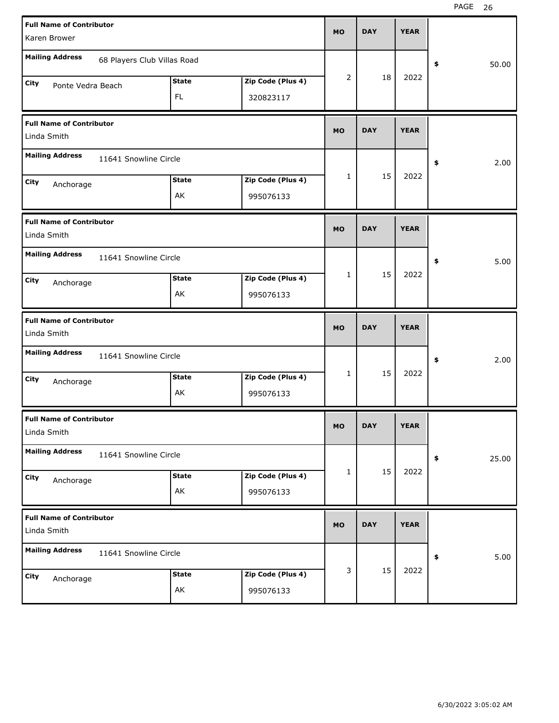| <b>Full Name of Contributor</b>                       |              |                   | <b>MO</b>      | <b>DAY</b> | <b>YEAR</b> |             |
|-------------------------------------------------------|--------------|-------------------|----------------|------------|-------------|-------------|
| Karen Brower                                          |              |                   |                |            |             |             |
| <b>Mailing Address</b><br>68 Players Club Villas Road |              |                   |                |            |             | 50.00<br>\$ |
| City<br>Ponte Vedra Beach                             | <b>State</b> | Zip Code (Plus 4) | $\overline{2}$ | 18         | 2022        |             |
|                                                       | FL.          | 320823117         |                |            |             |             |
|                                                       |              |                   |                |            |             |             |
| <b>Full Name of Contributor</b><br>Linda Smith        |              |                   | <b>MO</b>      | <b>DAY</b> | <b>YEAR</b> |             |
| <b>Mailing Address</b><br>11641 Snowline Circle       |              |                   |                |            |             | 2.00<br>\$  |
| City                                                  | <b>State</b> | Zip Code (Plus 4) | $\mathbf{1}$   | 15         | 2022        |             |
| Anchorage                                             | AK           | 995076133         |                |            |             |             |
|                                                       |              |                   |                |            |             |             |
| <b>Full Name of Contributor</b>                       |              |                   | <b>MO</b>      | <b>DAY</b> | <b>YEAR</b> |             |
| Linda Smith                                           |              |                   |                |            |             |             |
| <b>Mailing Address</b><br>11641 Snowline Circle       |              |                   |                |            |             | 5.00<br>\$  |
| City<br>Anchorage                                     | <b>State</b> | Zip Code (Plus 4) | $\mathbf{1}$   | 15         | 2022        |             |
|                                                       | AK           | 995076133         |                |            |             |             |
|                                                       |              |                   |                |            |             |             |
|                                                       |              |                   |                |            |             |             |
| <b>Full Name of Contributor</b><br>Linda Smith        |              |                   | <b>MO</b>      | <b>DAY</b> | <b>YEAR</b> |             |
| <b>Mailing Address</b><br>11641 Snowline Circle       |              |                   |                |            |             | 2.00<br>\$  |
| City                                                  | <b>State</b> | Zip Code (Plus 4) | $\mathbf{1}$   | 15         | 2022        |             |
| Anchorage                                             | AK           | 995076133         |                |            |             |             |
| <b>Full Name of Contributor</b>                       |              |                   |                |            |             |             |
| Linda Smith                                           |              |                   | <b>MO</b>      | <b>DAY</b> | <b>YEAR</b> |             |
| <b>Mailing Address</b><br>11641 Snowline Circle       |              |                   |                |            |             | 25.00<br>\$ |
| City                                                  | <b>State</b> | Zip Code (Plus 4) | $\mathbf{1}$   | 15         | 2022        |             |
| Anchorage                                             | AK           | 995076133         |                |            |             |             |
|                                                       |              |                   |                |            |             |             |
| <b>Full Name of Contributor</b><br>Linda Smith        |              |                   | <b>MO</b>      | <b>DAY</b> | <b>YEAR</b> |             |
| <b>Mailing Address</b><br>11641 Snowline Circle       |              |                   |                |            |             | 5.00<br>\$  |
| City<br>Anchorage                                     | <b>State</b> | Zip Code (Plus 4) | 3              | 15         | 2022        |             |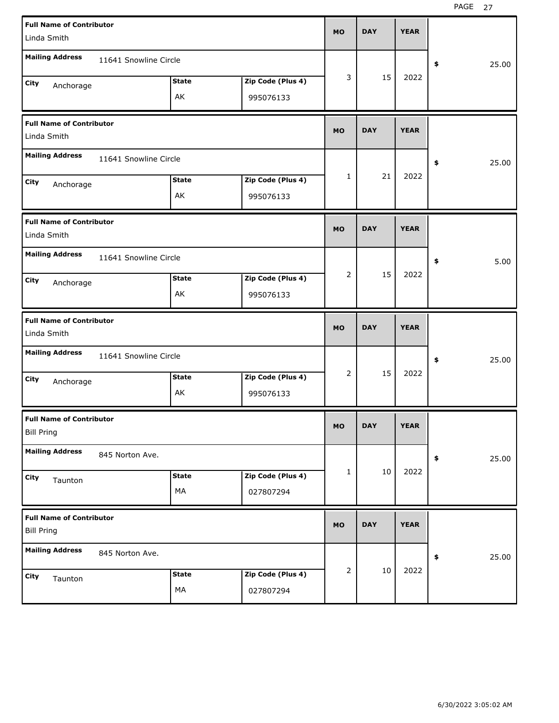| <b>Full Name of Contributor</b>                      |                       |              |                   | <b>MO</b>      | <b>DAY</b> | <b>YEAR</b> |             |
|------------------------------------------------------|-----------------------|--------------|-------------------|----------------|------------|-------------|-------------|
| Linda Smith                                          |                       |              |                   |                |            |             |             |
| <b>Mailing Address</b>                               | 11641 Snowline Circle |              |                   |                |            |             | \$<br>25.00 |
| City<br>Anchorage                                    |                       | <b>State</b> | Zip Code (Plus 4) | 3              | 15         | 2022        |             |
|                                                      |                       | AK           | 995076133         |                |            |             |             |
| <b>Full Name of Contributor</b><br>Linda Smith       |                       |              |                   | <b>MO</b>      | <b>DAY</b> | <b>YEAR</b> |             |
| <b>Mailing Address</b>                               | 11641 Snowline Circle |              |                   |                |            |             | \$<br>25.00 |
| City<br>Anchorage                                    |                       | <b>State</b> | Zip Code (Plus 4) | 1              | 21         | 2022        |             |
|                                                      |                       | AK           | 995076133         |                |            |             |             |
| <b>Full Name of Contributor</b><br>Linda Smith       |                       |              |                   | <b>MO</b>      | <b>DAY</b> | <b>YEAR</b> |             |
| <b>Mailing Address</b>                               | 11641 Snowline Circle |              |                   |                |            |             | \$<br>5.00  |
| City<br>Anchorage                                    |                       | <b>State</b> | Zip Code (Plus 4) | 2              | 15         | 2022        |             |
|                                                      |                       | AK           | 995076133         |                |            |             |             |
|                                                      |                       |              |                   |                |            |             |             |
| <b>Full Name of Contributor</b><br>Linda Smith       |                       |              |                   | <b>MO</b>      | <b>DAY</b> | <b>YEAR</b> |             |
| <b>Mailing Address</b>                               | 11641 Snowline Circle |              |                   |                |            |             | \$<br>25.00 |
| City                                                 |                       | <b>State</b> | Zip Code (Plus 4) | 2              | 15         | 2022        |             |
| Anchorage                                            |                       | AK           | 995076133         |                |            |             |             |
| <b>Full Name of Contributor</b><br><b>Bill Pring</b> |                       |              |                   | MO             | <b>DAY</b> | <b>YEAR</b> |             |
| <b>Mailing Address</b>                               | 845 Norton Ave.       |              |                   |                |            |             | \$<br>25.00 |
| City                                                 |                       | <b>State</b> | Zip Code (Plus 4) | $\mathbf{1}$   | 10         | 2022        |             |
| Taunton                                              |                       | МA           | 027807294         |                |            |             |             |
| <b>Full Name of Contributor</b><br><b>Bill Pring</b> |                       |              |                   | <b>MO</b>      | <b>DAY</b> | <b>YEAR</b> |             |
| <b>Mailing Address</b>                               | 845 Norton Ave.       |              |                   |                |            |             | \$<br>25.00 |
| City<br>Taunton                                      |                       | <b>State</b> | Zip Code (Plus 4) | $\overline{2}$ | $10\,$     | 2022        |             |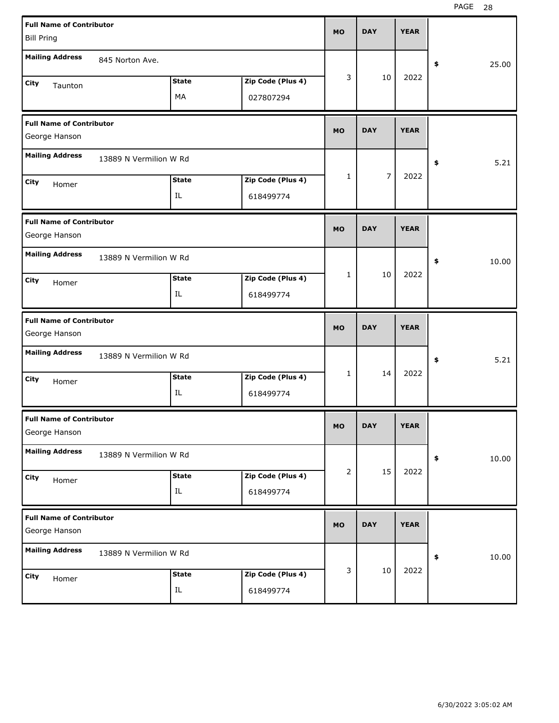| <b>Full Name of Contributor</b>                  |                        |              |                   | <b>MO</b> | <b>DAY</b>     | <b>YEAR</b> |             |
|--------------------------------------------------|------------------------|--------------|-------------------|-----------|----------------|-------------|-------------|
| <b>Bill Pring</b>                                |                        |              |                   |           |                |             |             |
| <b>Mailing Address</b>                           | 845 Norton Ave.        |              |                   |           |                |             | \$<br>25.00 |
| City<br>Taunton                                  |                        | <b>State</b> | Zip Code (Plus 4) | 3         | 10             | 2022        |             |
|                                                  |                        | MA           | 027807294         |           |                |             |             |
| <b>Full Name of Contributor</b><br>George Hanson |                        |              |                   | <b>MO</b> | <b>DAY</b>     | <b>YEAR</b> |             |
| <b>Mailing Address</b>                           | 13889 N Vermilion W Rd |              |                   |           |                |             | \$<br>5.21  |
| City                                             |                        | <b>State</b> | Zip Code (Plus 4) | 1         | $\overline{7}$ | 2022        |             |
| Homer                                            |                        | IL           | 618499774         |           |                |             |             |
| <b>Full Name of Contributor</b><br>George Hanson |                        |              |                   | <b>MO</b> | <b>DAY</b>     | <b>YEAR</b> |             |
| <b>Mailing Address</b>                           | 13889 N Vermilion W Rd |              |                   |           |                |             | \$<br>10.00 |
| City<br>Homer                                    |                        | <b>State</b> | Zip Code (Plus 4) | 1         | 10             | 2022        |             |
|                                                  |                        | IL           | 618499774         |           |                |             |             |
|                                                  |                        |              |                   |           |                |             |             |
| <b>Full Name of Contributor</b><br>George Hanson |                        |              |                   | <b>MO</b> | <b>DAY</b>     | <b>YEAR</b> |             |
| <b>Mailing Address</b>                           | 13889 N Vermilion W Rd |              |                   |           |                |             | \$<br>5.21  |
| City<br>Homer                                    |                        | <b>State</b> | Zip Code (Plus 4) | 1         | 14             | 2022        |             |
|                                                  |                        | IL           | 618499774         |           |                |             |             |
| <b>Full Name of Contributor</b><br>George Hanson |                        |              |                   | MO        | <b>DAY</b>     | <b>YEAR</b> |             |
| <b>Mailing Address</b>                           | 13889 N Vermilion W Rd |              |                   |           |                |             | \$<br>10.00 |
| <b>City</b>                                      |                        | <b>State</b> | Zip Code (Plus 4) | 2         | 15             | 2022        |             |
| Homer                                            |                        | IL           | 618499774         |           |                |             |             |
| <b>Full Name of Contributor</b><br>George Hanson |                        |              |                   | <b>MO</b> | <b>DAY</b>     | <b>YEAR</b> |             |
| <b>Mailing Address</b>                           | 13889 N Vermilion W Rd |              |                   |           |                |             | \$<br>10.00 |
| City<br>Homer                                    |                        | <b>State</b> | Zip Code (Plus 4) | 3         | $10\,$         | 2022        |             |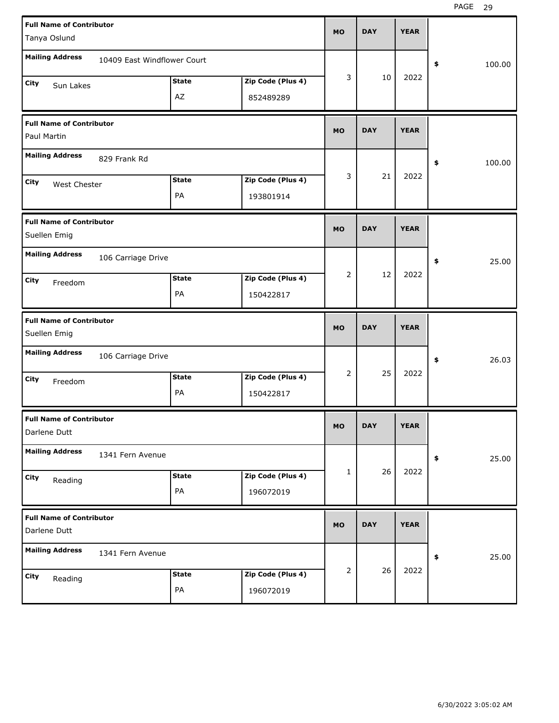| <b>Full Name of Contributor</b><br>Tanya Oslund |                             |                    |                                | <b>MO</b>    | <b>DAY</b> | <b>YEAR</b> |              |
|-------------------------------------------------|-----------------------------|--------------------|--------------------------------|--------------|------------|-------------|--------------|
| <b>Mailing Address</b>                          | 10409 East Windflower Court |                    |                                |              |            |             | \$<br>100.00 |
| City<br>Sun Lakes                               |                             | <b>State</b><br>AZ | Zip Code (Plus 4)<br>852489289 | 3            | 10         | 2022        |              |
| <b>Full Name of Contributor</b><br>Paul Martin  |                             |                    |                                | <b>MO</b>    | <b>DAY</b> | <b>YEAR</b> |              |
| <b>Mailing Address</b>                          | 829 Frank Rd                |                    |                                |              |            |             | \$<br>100.00 |
| City<br>West Chester                            |                             | <b>State</b><br>PA | Zip Code (Plus 4)<br>193801914 | 3            | 21         | 2022        |              |
| <b>Full Name of Contributor</b><br>Suellen Emig |                             |                    |                                | <b>MO</b>    | <b>DAY</b> | <b>YEAR</b> |              |
| <b>Mailing Address</b>                          | 106 Carriage Drive          |                    |                                |              |            |             | \$<br>25.00  |
| City<br>Freedom                                 |                             | <b>State</b><br>PA | Zip Code (Plus 4)<br>150422817 | 2            | 12         | 2022        |              |
|                                                 |                             |                    |                                |              |            |             |              |
| <b>Full Name of Contributor</b><br>Suellen Emig |                             |                    |                                | <b>MO</b>    | <b>DAY</b> | <b>YEAR</b> |              |
| <b>Mailing Address</b>                          | 106 Carriage Drive          |                    |                                |              |            |             | \$<br>26.03  |
| City<br>Freedom                                 |                             | <b>State</b><br>PA | Zip Code (Plus 4)<br>150422817 | 2            | 25         | 2022        |              |
| <b>Full Name of Contributor</b><br>Darlene Dutt |                             |                    |                                | <b>MO</b>    | <b>DAY</b> | <b>YEAR</b> |              |
| <b>Mailing Address</b>                          | 1341 Fern Avenue            |                    |                                |              |            |             | \$<br>25.00  |
| City<br>Reading                                 |                             | <b>State</b><br>PA | Zip Code (Plus 4)<br>196072019 | $\mathbf{1}$ | 26         | 2022        |              |
| <b>Full Name of Contributor</b><br>Darlene Dutt |                             |                    |                                | <b>MO</b>    | <b>DAY</b> | <b>YEAR</b> |              |
| <b>Mailing Address</b>                          | 1341 Fern Avenue            |                    |                                | 2            | 26         | 2022        | \$<br>25.00  |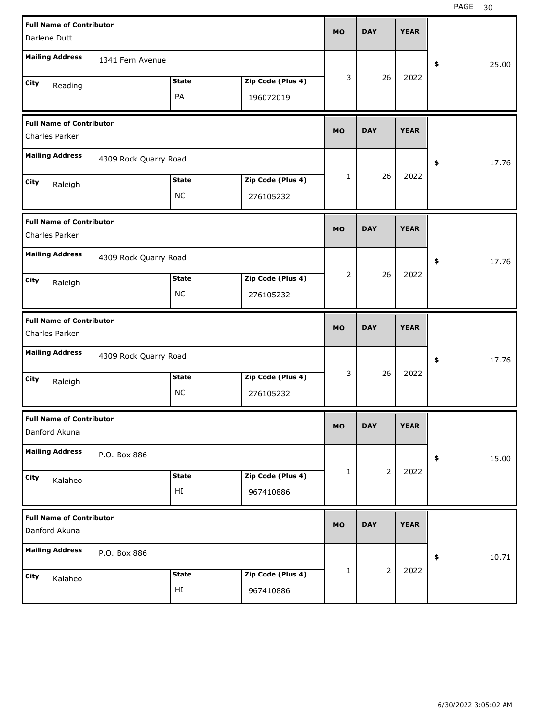| <b>Full Name of Contributor</b>                   |                       |              |                   |           | <b>DAY</b>     | <b>YEAR</b> |             |  |
|---------------------------------------------------|-----------------------|--------------|-------------------|-----------|----------------|-------------|-------------|--|
| Darlene Dutt                                      |                       |              |                   | <b>MO</b> |                |             |             |  |
| <b>Mailing Address</b>                            | 1341 Fern Avenue      |              |                   |           |                |             | 25.00<br>\$ |  |
| City<br>Reading                                   |                       | <b>State</b> | Zip Code (Plus 4) | 3         | 26             | 2022        |             |  |
|                                                   |                       | PA           | 196072019         |           |                |             |             |  |
| <b>Full Name of Contributor</b><br>Charles Parker |                       |              |                   | <b>MO</b> | <b>DAY</b>     | <b>YEAR</b> |             |  |
| <b>Mailing Address</b>                            | 4309 Rock Quarry Road |              |                   |           |                |             | 17.76<br>\$ |  |
| City<br>Raleigh                                   |                       | <b>State</b> | Zip Code (Plus 4) | 1         | 26             | 2022        |             |  |
|                                                   |                       | <b>NC</b>    | 276105232         |           |                |             |             |  |
| <b>Full Name of Contributor</b><br>Charles Parker |                       |              |                   | <b>MO</b> | <b>DAY</b>     | <b>YEAR</b> |             |  |
| <b>Mailing Address</b>                            | 4309 Rock Quarry Road |              |                   |           |                |             | 17.76<br>\$ |  |
| City<br>Raleigh                                   |                       | <b>State</b> | Zip Code (Plus 4) | 2         | 26             | 2022        |             |  |
|                                                   |                       | <b>NC</b>    | 276105232         |           |                |             |             |  |
|                                                   |                       |              |                   |           |                |             |             |  |
| <b>Full Name of Contributor</b><br>Charles Parker |                       |              |                   | <b>MO</b> | <b>DAY</b>     | <b>YEAR</b> |             |  |
| <b>Mailing Address</b>                            | 4309 Rock Quarry Road |              |                   |           |                |             | 17.76<br>\$ |  |
| City                                              |                       | <b>State</b> | Zip Code (Plus 4) | 3         | 26             | 2022        |             |  |
| Raleigh                                           |                       | <b>NC</b>    | 276105232         |           |                |             |             |  |
| <b>Full Name of Contributor</b><br>Danford Akuna  |                       |              |                   | <b>MO</b> | <b>DAY</b>     | <b>YEAR</b> |             |  |
| <b>Mailing Address</b>                            | P.O. Box 886          |              |                   |           |                |             | 15.00<br>\$ |  |
| City                                              |                       | <b>State</b> | Zip Code (Plus 4) | 1         | $\overline{2}$ | 2022        |             |  |
| Kalaheo                                           |                       | HI           | 967410886         |           |                |             |             |  |
| <b>Full Name of Contributor</b><br>Danford Akuna  |                       |              |                   | <b>MO</b> | <b>DAY</b>     | <b>YEAR</b> |             |  |
| <b>Mailing Address</b>                            | P.O. Box 886          |              |                   |           |                |             | 10.71<br>\$ |  |
| City<br>Kalaheo                                   |                       | <b>State</b> | Zip Code (Plus 4) | 1         | $\overline{2}$ | 2022        |             |  |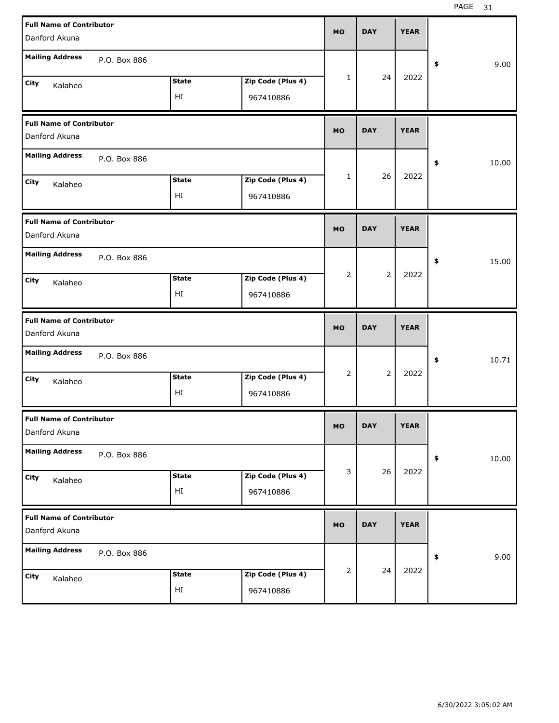| <b>Full Name of Contributor</b><br>Danford Akuna |              |                    |                                | <b>MO</b>      | <b>DAY</b>     | <b>YEAR</b> |                     |
|--------------------------------------------------|--------------|--------------------|--------------------------------|----------------|----------------|-------------|---------------------|
| <b>Mailing Address</b>                           | P.O. Box 886 |                    |                                |                |                |             | 9.00<br>\$          |
| City<br>Kalaheo                                  |              | <b>State</b><br>HI | Zip Code (Plus 4)<br>967410886 | 1              | 24             | 2022        |                     |
| <b>Full Name of Contributor</b><br>Danford Akuna |              |                    |                                | <b>MO</b>      | <b>DAY</b>     | <b>YEAR</b> |                     |
| <b>Mailing Address</b>                           | P.O. Box 886 |                    |                                |                |                |             | 10.00<br>\$         |
| City<br>Kalaheo                                  |              | <b>State</b><br>HI | Zip Code (Plus 4)<br>967410886 | 1              | 26             | 2022        |                     |
| <b>Full Name of Contributor</b><br>Danford Akuna |              |                    |                                | <b>MO</b>      | <b>DAY</b>     | <b>YEAR</b> |                     |
| <b>Mailing Address</b>                           | P.O. Box 886 |                    |                                |                |                |             | 15.00<br>\$         |
| City<br>Kalaheo                                  |              | <b>State</b><br>HI | Zip Code (Plus 4)<br>967410886 | $\overline{2}$ | $\overline{2}$ | 2022        |                     |
|                                                  |              |                    |                                |                |                |             |                     |
| <b>Full Name of Contributor</b><br>Danford Akuna |              |                    |                                | <b>MO</b>      | <b>DAY</b>     | <b>YEAR</b> |                     |
| <b>Mailing Address</b>                           | P.O. Box 886 |                    |                                |                |                |             | 10.71<br>\$         |
| City<br>Kalaheo                                  |              | <b>State</b><br>HI | Zip Code (Plus 4)<br>967410886 | 2              | $\overline{2}$ | 2022        |                     |
| <b>Full Name of Contributor</b><br>Danford Akuna |              |                    |                                | <b>MO</b>      | <b>DAY</b>     | <b>YEAR</b> |                     |
| <b>Mailing Address</b>                           | P.O. Box 886 |                    |                                |                |                |             | 10.00<br>$\pmb{\$}$ |
| City<br>Kalaheo                                  |              | <b>State</b><br>HI | Zip Code (Plus 4)<br>967410886 | 3              | 26             | 2022        |                     |
| <b>Full Name of Contributor</b><br>Danford Akuna |              |                    |                                | <b>MO</b>      | <b>DAY</b>     | <b>YEAR</b> |                     |
| <b>Mailing Address</b>                           | P.O. Box 886 |                    |                                | 2              | 24             | 2022        | 9.00<br>$\pmb{\$}$  |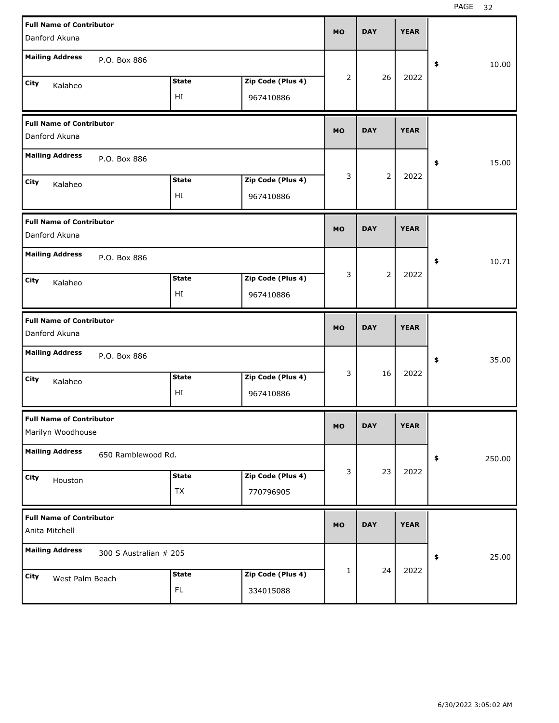| <b>Full Name of Contributor</b><br>Danford Akuna     |                        |                    |                                | <b>MO</b> | <b>DAY</b>     | <b>YEAR</b> |              |
|------------------------------------------------------|------------------------|--------------------|--------------------------------|-----------|----------------|-------------|--------------|
| <b>Mailing Address</b>                               | P.O. Box 886           |                    |                                |           |                |             | \$<br>10.00  |
| City<br>Kalaheo                                      |                        | <b>State</b><br>HI | Zip Code (Plus 4)<br>967410886 | 2         | 26             | 2022        |              |
| <b>Full Name of Contributor</b><br>Danford Akuna     |                        |                    |                                | <b>MO</b> | <b>DAY</b>     | <b>YEAR</b> |              |
| <b>Mailing Address</b>                               | P.O. Box 886           |                    |                                |           |                |             | \$<br>15.00  |
| City<br>Kalaheo                                      |                        | <b>State</b><br>ΗI | Zip Code (Plus 4)<br>967410886 | 3         | $\overline{2}$ | 2022        |              |
| <b>Full Name of Contributor</b><br>Danford Akuna     |                        |                    |                                | <b>MO</b> | <b>DAY</b>     | <b>YEAR</b> |              |
| <b>Mailing Address</b>                               | P.O. Box 886           |                    |                                |           |                |             | \$<br>10.71  |
| City<br>Kalaheo                                      |                        | <b>State</b><br>HI | Zip Code (Plus 4)<br>967410886 | 3         | $\overline{2}$ | 2022        |              |
|                                                      |                        |                    |                                |           |                |             |              |
| <b>Full Name of Contributor</b><br>Danford Akuna     |                        |                    |                                | <b>MO</b> | <b>DAY</b>     | <b>YEAR</b> |              |
| <b>Mailing Address</b>                               | P.O. Box 886           |                    |                                |           |                |             | \$<br>35.00  |
| City<br>Kalaheo                                      |                        | <b>State</b><br>HI | Zip Code (Plus 4)<br>967410886 | 3         | 16             | 2022        |              |
| <b>Full Name of Contributor</b><br>Marilyn Woodhouse |                        |                    |                                | <b>MO</b> | <b>DAY</b>     | <b>YEAR</b> |              |
| <b>Mailing Address</b>                               | 650 Ramblewood Rd.     |                    |                                |           |                |             | \$<br>250.00 |
| City<br>Houston                                      |                        | <b>State</b><br>TX | Zip Code (Plus 4)<br>770796905 | 3         | 23             | 2022        |              |
| <b>Full Name of Contributor</b><br>Anita Mitchell    |                        |                    |                                | <b>MO</b> | <b>DAY</b>     | <b>YEAR</b> |              |
| <b>Mailing Address</b>                               | 300 S Australian # 205 |                    |                                |           | 24             | 2022        | \$<br>25.00  |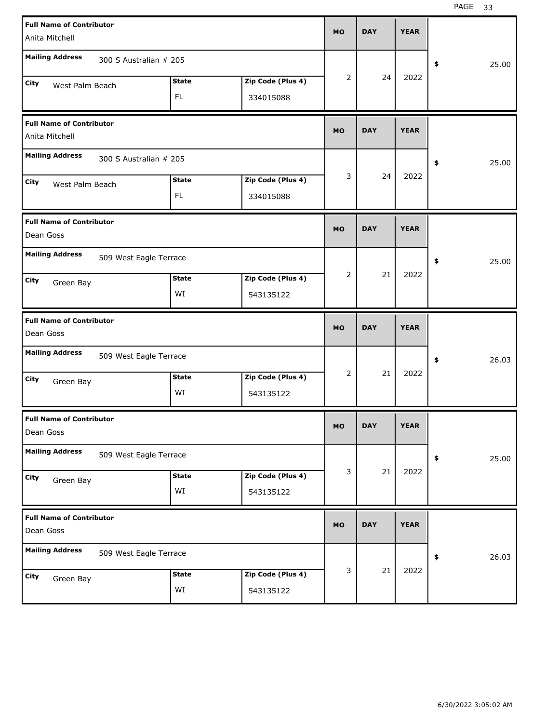| <b>Full Name of Contributor</b><br>Anita Mitchell |                        |                           |                                | <b>MO</b> | <b>DAY</b> | <b>YEAR</b> |             |
|---------------------------------------------------|------------------------|---------------------------|--------------------------------|-----------|------------|-------------|-------------|
| <b>Mailing Address</b>                            | 300 S Australian # 205 |                           |                                |           |            |             | \$<br>25.00 |
| <b>City</b><br>West Palm Beach                    |                        | <b>State</b><br><b>FL</b> | Zip Code (Plus 4)<br>334015088 | 2         | 24         | 2022        |             |
| <b>Full Name of Contributor</b><br>Anita Mitchell |                        |                           |                                | <b>MO</b> | <b>DAY</b> | <b>YEAR</b> |             |
| <b>Mailing Address</b>                            | 300 S Australian # 205 |                           |                                |           |            |             | \$<br>25.00 |
| City<br>West Palm Beach                           |                        | <b>State</b><br>FL.       | Zip Code (Plus 4)<br>334015088 | 3         | 24         | 2022        |             |
| <b>Full Name of Contributor</b><br>Dean Goss      |                        |                           |                                | <b>MO</b> | <b>DAY</b> | <b>YEAR</b> |             |
| <b>Mailing Address</b>                            | 509 West Eagle Terrace |                           |                                |           |            |             | \$<br>25.00 |
| City<br>Green Bay                                 |                        | <b>State</b><br>WI        | Zip Code (Plus 4)<br>543135122 | 2         | 21         | 2022        |             |
|                                                   |                        |                           |                                |           |            |             |             |
| <b>Full Name of Contributor</b><br>Dean Goss      |                        |                           |                                | <b>MO</b> | <b>DAY</b> | <b>YEAR</b> |             |
| <b>Mailing Address</b>                            | 509 West Eagle Terrace |                           |                                |           |            |             | \$<br>26.03 |
| <b>City</b><br>Green Bay                          |                        | <b>State</b><br>WI        | Zip Code (Plus 4)<br>543135122 | 2         | 21         | 2022        |             |
| <b>Full Name of Contributor</b><br>Dean Goss      |                        |                           |                                | <b>MO</b> | <b>DAY</b> | <b>YEAR</b> |             |
| <b>Mailing Address</b>                            | 509 West Eagle Terrace |                           |                                |           |            |             | \$<br>25.00 |
| City<br>Green Bay                                 |                        | <b>State</b><br>WI        | Zip Code (Plus 4)<br>543135122 | 3         | 21         | 2022        |             |
| <b>Full Name of Contributor</b><br>Dean Goss      |                        |                           |                                | <b>MO</b> | <b>DAY</b> | <b>YEAR</b> |             |
| <b>Mailing Address</b>                            | 509 West Eagle Terrace |                           |                                | 3         | 21         | 2022        | \$<br>26.03 |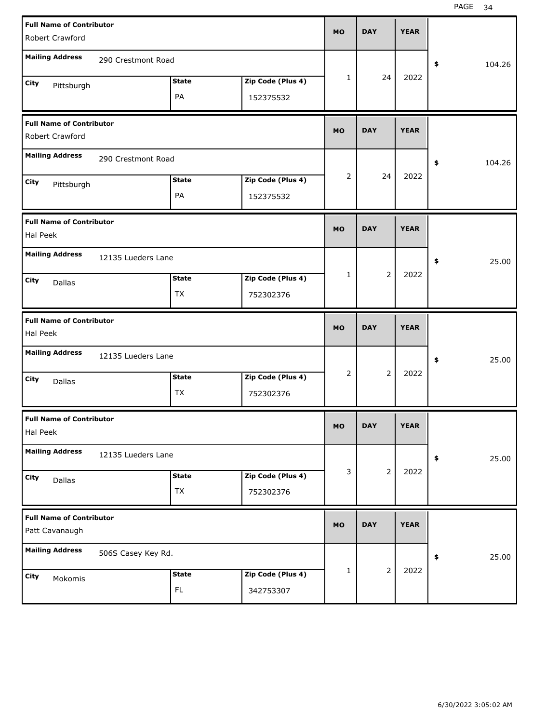| <b>Full Name of Contributor</b>                    |                    |              |                   | <b>MO</b> | <b>DAY</b>     | <b>YEAR</b> |                      |  |
|----------------------------------------------------|--------------------|--------------|-------------------|-----------|----------------|-------------|----------------------|--|
| Robert Crawford                                    |                    |              |                   |           |                |             |                      |  |
| <b>Mailing Address</b>                             | 290 Crestmont Road |              |                   |           |                |             | \$<br>104.26         |  |
| City<br>Pittsburgh                                 |                    | <b>State</b> | Zip Code (Plus 4) | 1         | 24             | 2022        |                      |  |
|                                                    |                    | PA           | 152375532         |           |                |             |                      |  |
| <b>Full Name of Contributor</b><br>Robert Crawford |                    |              |                   | <b>MO</b> | <b>DAY</b>     | <b>YEAR</b> |                      |  |
| <b>Mailing Address</b>                             | 290 Crestmont Road |              |                   |           |                |             | 104.26<br>\$         |  |
| City<br>Pittsburgh                                 |                    | <b>State</b> | Zip Code (Plus 4) | 2         | 24             | 2022        |                      |  |
|                                                    |                    | PA           | 152375532         |           |                |             |                      |  |
| <b>Full Name of Contributor</b><br>Hal Peek        |                    |              |                   | <b>MO</b> | <b>DAY</b>     | <b>YEAR</b> |                      |  |
| <b>Mailing Address</b>                             | 12135 Lueders Lane |              |                   |           |                |             | 25.00<br>\$          |  |
| City<br>Dallas                                     |                    | <b>State</b> | Zip Code (Plus 4) | 1         | $\overline{2}$ | 2022        |                      |  |
|                                                    |                    | <b>TX</b>    | 752302376         |           |                |             |                      |  |
|                                                    |                    |              |                   |           |                |             |                      |  |
| <b>Full Name of Contributor</b><br>Hal Peek        |                    |              |                   | <b>MO</b> | <b>DAY</b>     | <b>YEAR</b> |                      |  |
| <b>Mailing Address</b>                             | 12135 Lueders Lane |              |                   |           |                |             | 25.00<br>\$          |  |
| City                                               |                    | <b>State</b> | Zip Code (Plus 4) | 2         | $\overline{2}$ | 2022        |                      |  |
| Dallas                                             |                    | <b>TX</b>    | 752302376         |           |                |             |                      |  |
| <b>Full Name of Contributor</b><br>Hal Peek        |                    |              |                   | MO        | <b>DAY</b>     | <b>YEAR</b> |                      |  |
| <b>Mailing Address</b>                             | 12135 Lueders Lane |              |                   |           |                |             | 25.00<br>$\clubsuit$ |  |
| City                                               |                    | <b>State</b> | Zip Code (Plus 4) | 3         | $\overline{2}$ | 2022        |                      |  |
| Dallas                                             |                    | <b>TX</b>    | 752302376         |           |                |             |                      |  |
| <b>Full Name of Contributor</b><br>Patt Cavanaugh  |                    |              |                   | <b>MO</b> | <b>DAY</b>     | <b>YEAR</b> |                      |  |
| <b>Mailing Address</b>                             | 506S Casey Key Rd. |              |                   |           |                |             | 25.00<br>\$          |  |
| City<br>Mokomis                                    |                    | <b>State</b> | Zip Code (Plus 4) | 1         | $\overline{2}$ | 2022        |                      |  |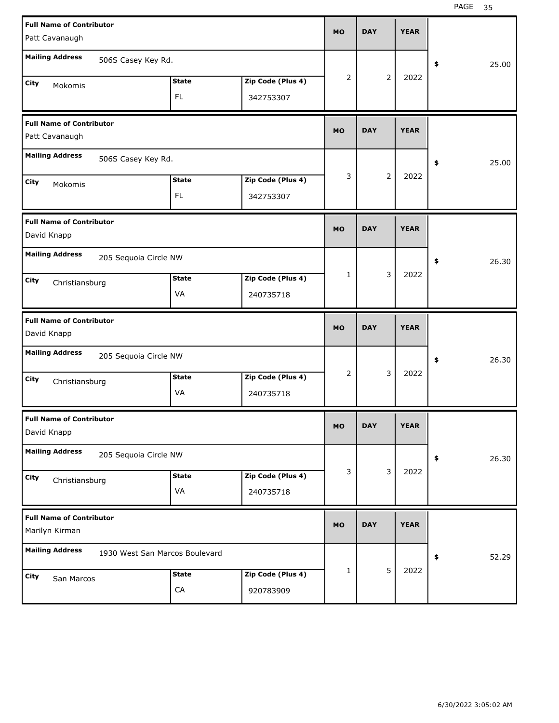| <b>Full Name of Contributor</b>                   |                                |                   | <b>MO</b> | <b>DAY</b> | <b>YEAR</b> |             |
|---------------------------------------------------|--------------------------------|-------------------|-----------|------------|-------------|-------------|
| Patt Cavanaugh                                    |                                |                   |           |            |             |             |
| <b>Mailing Address</b><br>506S Casey Key Rd.      |                                |                   |           |            |             | \$<br>25.00 |
| City<br>Mokomis                                   | <b>State</b>                   | Zip Code (Plus 4) | 2         | 2          | 2022        |             |
|                                                   | FL                             | 342753307         |           |            |             |             |
| <b>Full Name of Contributor</b>                   |                                |                   | <b>MO</b> | <b>DAY</b> | <b>YEAR</b> |             |
| Patt Cavanaugh                                    |                                |                   |           |            |             |             |
| <b>Mailing Address</b><br>506S Casey Key Rd.      |                                |                   |           |            |             | \$<br>25.00 |
| City<br>Mokomis                                   | <b>State</b>                   | Zip Code (Plus 4) | 3         | 2          | 2022        |             |
|                                                   | FL                             | 342753307         |           |            |             |             |
| <b>Full Name of Contributor</b><br>David Knapp    |                                |                   | <b>MO</b> | <b>DAY</b> | <b>YEAR</b> |             |
|                                                   |                                |                   |           |            |             |             |
| <b>Mailing Address</b><br>205 Sequoia Circle NW   |                                |                   | 1         | 3          | 2022        | \$<br>26.30 |
| City<br>Christiansburg                            | <b>State</b>                   | Zip Code (Plus 4) |           |            |             |             |
|                                                   | VA                             | 240735718         |           |            |             |             |
|                                                   |                                |                   |           |            |             |             |
| <b>Full Name of Contributor</b><br>David Knapp    |                                |                   | <b>MO</b> | <b>DAY</b> | <b>YEAR</b> |             |
| <b>Mailing Address</b><br>205 Sequoia Circle NW   |                                |                   |           |            |             | \$<br>26.30 |
|                                                   | <b>State</b>                   | Zip Code (Plus 4) | 2         | 3          | 2022        |             |
| City<br>Christiansburg                            | VA                             | 240735718         |           |            |             |             |
| <b>Full Name of Contributor</b><br>David Knapp    |                                |                   | <b>MO</b> | <b>DAY</b> | <b>YEAR</b> |             |
| <b>Mailing Address</b><br>205 Sequoia Circle NW   |                                |                   |           |            |             | \$<br>26.30 |
|                                                   | <b>State</b>                   | Zip Code (Plus 4) | 3         | 3          | 2022        |             |
| City<br>Christiansburg                            | VA                             | 240735718         |           |            |             |             |
| <b>Full Name of Contributor</b><br>Marilyn Kirman |                                |                   | <b>MO</b> | <b>DAY</b> | <b>YEAR</b> |             |
| <b>Mailing Address</b>                            | 1930 West San Marcos Boulevard |                   |           |            |             | \$<br>52.29 |
|                                                   | <b>State</b>                   | Zip Code (Plus 4) | 1         | 5          | 2022        |             |
| City<br>San Marcos                                | ${\sf CA}$                     | 920783909         |           |            |             |             |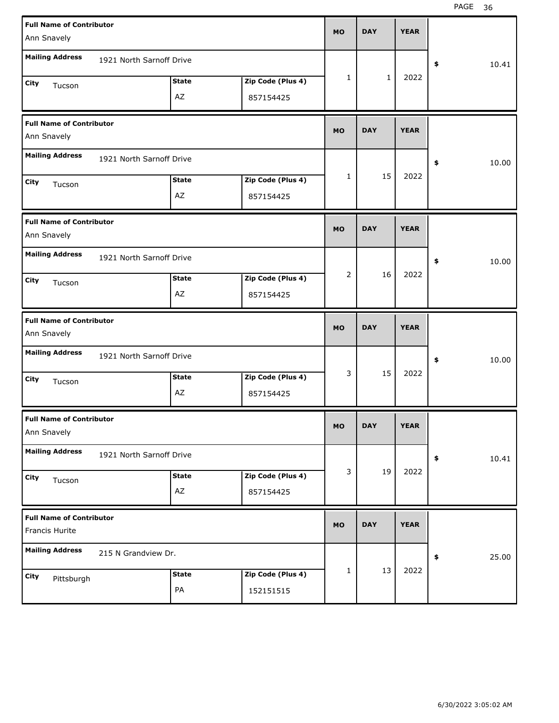| <b>Full Name of Contributor</b><br>Ann Snavely    |                          |                    |                                | <b>MO</b> | <b>DAY</b>   | <b>YEAR</b> |             |
|---------------------------------------------------|--------------------------|--------------------|--------------------------------|-----------|--------------|-------------|-------------|
| <b>Mailing Address</b>                            | 1921 North Sarnoff Drive |                    |                                |           |              |             |             |
|                                                   |                          |                    |                                | 1         | $\mathbf{1}$ | 2022        | \$<br>10.41 |
| City<br>Tucson                                    |                          | <b>State</b><br>AZ | Zip Code (Plus 4)<br>857154425 |           |              |             |             |
|                                                   |                          |                    |                                |           |              |             |             |
| <b>Full Name of Contributor</b><br>Ann Snavely    |                          |                    |                                | <b>MO</b> | <b>DAY</b>   | <b>YEAR</b> |             |
| <b>Mailing Address</b>                            | 1921 North Sarnoff Drive |                    |                                |           |              |             | \$<br>10.00 |
| City<br>Tucson                                    |                          | <b>State</b>       | Zip Code (Plus 4)              | 1         | 15           | 2022        |             |
|                                                   |                          | AZ                 | 857154425                      |           |              |             |             |
| <b>Full Name of Contributor</b><br>Ann Snavely    |                          |                    |                                | <b>MO</b> | <b>DAY</b>   | <b>YEAR</b> |             |
| <b>Mailing Address</b>                            | 1921 North Sarnoff Drive |                    |                                |           |              |             | \$<br>10.00 |
| City<br>Tucson                                    |                          | <b>State</b>       | Zip Code (Plus 4)              | 2         | 16           | 2022        |             |
|                                                   |                          | AZ                 | 857154425                      |           |              |             |             |
|                                                   |                          |                    |                                |           |              |             |             |
| <b>Full Name of Contributor</b><br>Ann Snavely    |                          |                    |                                | <b>MO</b> | <b>DAY</b>   | <b>YEAR</b> |             |
| <b>Mailing Address</b>                            | 1921 North Sarnoff Drive |                    |                                |           |              |             | \$<br>10.00 |
| City<br>Tucson                                    |                          | <b>State</b>       | Zip Code (Plus 4)              | 3         | 15           | 2022        |             |
|                                                   |                          | AZ                 | 857154425                      |           |              |             |             |
| <b>Full Name of Contributor</b><br>Ann Snavely    |                          |                    |                                | MO        | <b>DAY</b>   | <b>YEAR</b> |             |
| <b>Mailing Address</b>                            | 1921 North Sarnoff Drive |                    |                                |           |              |             | \$<br>10.41 |
| City                                              |                          | <b>State</b>       | Zip Code (Plus 4)              | 3         | 19           | 2022        |             |
| Tucson                                            |                          | AZ                 | 857154425                      |           |              |             |             |
| <b>Full Name of Contributor</b><br>Francis Hurite |                          |                    |                                | <b>MO</b> | <b>DAY</b>   | <b>YEAR</b> |             |
| <b>Mailing Address</b>                            | 215 N Grandview Dr.      |                    |                                |           |              |             | \$<br>25.00 |
| City<br>Pittsburgh                                |                          | <b>State</b>       | Zip Code (Plus 4)              | 1         | 13           | 2022        |             |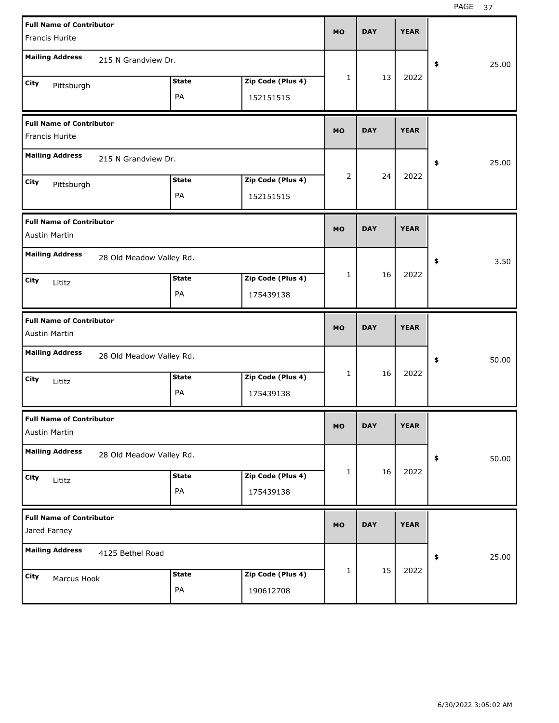| <b>Full Name of Contributor</b><br>Francis Hurite |                          |              |                   | <b>MO</b>      | <b>DAY</b> | <b>YEAR</b> |             |
|---------------------------------------------------|--------------------------|--------------|-------------------|----------------|------------|-------------|-------------|
|                                                   |                          |              |                   |                |            |             |             |
| <b>Mailing Address</b>                            | 215 N Grandview Dr.      |              |                   |                |            |             | \$<br>25.00 |
| City<br>Pittsburgh                                |                          | <b>State</b> | Zip Code (Plus 4) | 1              | 13         | 2022        |             |
|                                                   |                          | PA           | 152151515         |                |            |             |             |
| <b>Full Name of Contributor</b>                   |                          |              |                   | <b>MO</b>      | <b>DAY</b> | <b>YEAR</b> |             |
| Francis Hurite                                    |                          |              |                   |                |            |             |             |
| <b>Mailing Address</b>                            | 215 N Grandview Dr.      |              |                   |                |            |             | \$<br>25.00 |
| City<br>Pittsburgh                                |                          | <b>State</b> | Zip Code (Plus 4) | $\overline{2}$ | 24         | 2022        |             |
|                                                   |                          | PA           | 152151515         |                |            |             |             |
| <b>Full Name of Contributor</b>                   |                          |              |                   | <b>MO</b>      | <b>DAY</b> | <b>YEAR</b> |             |
| Austin Martin                                     |                          |              |                   |                |            |             |             |
| <b>Mailing Address</b>                            | 28 Old Meadow Valley Rd. |              |                   |                |            |             | \$<br>3.50  |
| City<br>Lititz                                    |                          | <b>State</b> | Zip Code (Plus 4) | 1              | 16         | 2022        |             |
|                                                   |                          | PA           | 175439138         |                |            |             |             |
|                                                   |                          |              |                   |                |            |             |             |
| <b>Full Name of Contributor</b><br>Austin Martin  |                          |              |                   | <b>MO</b>      | <b>DAY</b> | <b>YEAR</b> |             |
| <b>Mailing Address</b>                            | 28 Old Meadow Valley Rd. |              |                   |                |            |             | \$<br>50.00 |
| City                                              |                          | <b>State</b> | Zip Code (Plus 4) | 1              | 16         | 2022        |             |
| Lititz                                            |                          | PA           | 175439138         |                |            |             |             |
| <b>Full Name of Contributor</b><br>Austin Martin  |                          |              |                   | MO             | <b>DAY</b> | <b>YEAR</b> |             |
| <b>Mailing Address</b>                            | 28 Old Meadow Valley Rd. |              |                   |                |            |             | \$<br>50.00 |
| City                                              |                          | <b>State</b> | Zip Code (Plus 4) | 1              | 16         | 2022        |             |
| Lititz                                            |                          | PA           | 175439138         |                |            |             |             |
| <b>Full Name of Contributor</b><br>Jared Farney   |                          |              |                   | MO             | <b>DAY</b> | <b>YEAR</b> |             |
| <b>Mailing Address</b>                            | 4125 Bethel Road         |              |                   |                |            |             | \$<br>25.00 |
| City<br>Marcus Hook                               |                          | <b>State</b> | Zip Code (Plus 4) | 1              | 15         | 2022        |             |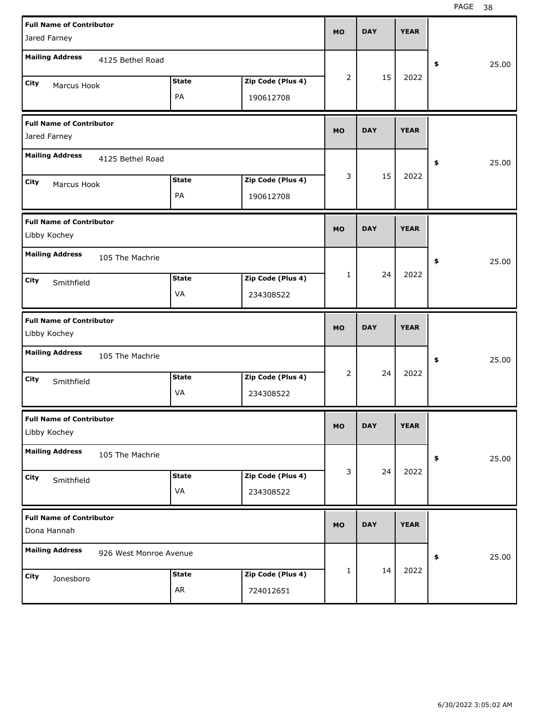| <b>Full Name of Contributor</b><br>Jared Farney |                        |                    |                                | <b>MO</b>    | <b>DAY</b> | <b>YEAR</b> |             |
|-------------------------------------------------|------------------------|--------------------|--------------------------------|--------------|------------|-------------|-------------|
| <b>Mailing Address</b>                          | 4125 Bethel Road       |                    |                                |              |            |             | \$<br>25.00 |
| City<br>Marcus Hook                             |                        | <b>State</b><br>PA | Zip Code (Plus 4)<br>190612708 | 2            | 15         | 2022        |             |
| <b>Full Name of Contributor</b><br>Jared Farney |                        |                    |                                | <b>MO</b>    | <b>DAY</b> | <b>YEAR</b> |             |
| <b>Mailing Address</b>                          | 4125 Bethel Road       |                    |                                |              |            |             | \$<br>25.00 |
| City<br>Marcus Hook                             |                        | <b>State</b><br>PA | Zip Code (Plus 4)<br>190612708 | 3            | 15         | 2022        |             |
| <b>Full Name of Contributor</b><br>Libby Kochey |                        |                    |                                | <b>MO</b>    | <b>DAY</b> | <b>YEAR</b> |             |
| <b>Mailing Address</b>                          | 105 The Machrie        |                    |                                |              |            |             | \$<br>25.00 |
| City<br>Smithfield                              |                        | <b>State</b><br>VA | Zip Code (Plus 4)<br>234308522 | $\mathbf{1}$ | 24         | 2022        |             |
|                                                 |                        |                    |                                |              |            |             |             |
| <b>Full Name of Contributor</b><br>Libby Kochey |                        |                    |                                | <b>MO</b>    | <b>DAY</b> | <b>YEAR</b> |             |
| <b>Mailing Address</b>                          | 105 The Machrie        |                    |                                |              |            |             | \$<br>25.00 |
| City<br>Smithfield                              |                        | <b>State</b><br>VA | Zip Code (Plus 4)<br>234308522 | 2            | 24         | 2022        |             |
| <b>Full Name of Contributor</b><br>Libby Kochey |                        |                    |                                | <b>MO</b>    | <b>DAY</b> | <b>YEAR</b> |             |
| <b>Mailing Address</b>                          | 105 The Machrie        |                    |                                |              |            |             | \$<br>25.00 |
| City<br>Smithfield                              |                        | <b>State</b><br>VA | Zip Code (Plus 4)<br>234308522 | 3            | 24         | 2022        |             |
| <b>Full Name of Contributor</b><br>Dona Hannah  |                        |                    |                                | <b>MO</b>    | <b>DAY</b> | <b>YEAR</b> |             |
| <b>Mailing Address</b>                          | 926 West Monroe Avenue |                    |                                |              | 14         | 2022        | \$<br>25.00 |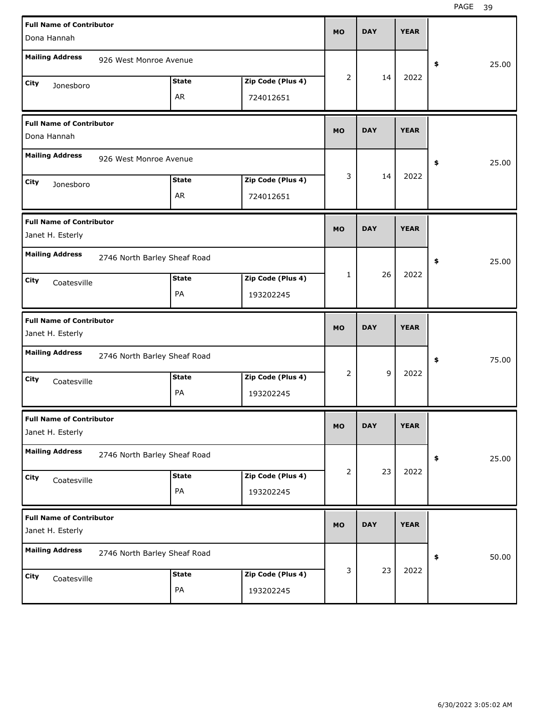| <b>Full Name of Contributor</b><br>Dona Hannah      |                              |                    |                                | <b>MO</b> | <b>DAY</b> | <b>YEAR</b> |             |
|-----------------------------------------------------|------------------------------|--------------------|--------------------------------|-----------|------------|-------------|-------------|
| <b>Mailing Address</b>                              | 926 West Monroe Avenue       |                    |                                |           |            |             | \$<br>25.00 |
| City<br>Jonesboro                                   |                              | <b>State</b><br>AR | Zip Code (Plus 4)<br>724012651 | 2         | 14         | 2022        |             |
| <b>Full Name of Contributor</b><br>Dona Hannah      |                              |                    |                                | <b>MO</b> | <b>DAY</b> | <b>YEAR</b> |             |
| <b>Mailing Address</b>                              | 926 West Monroe Avenue       |                    |                                |           |            |             | \$<br>25.00 |
| City<br>Jonesboro                                   |                              | <b>State</b><br>AR | Zip Code (Plus 4)<br>724012651 | 3         | 14         | 2022        |             |
| <b>Full Name of Contributor</b><br>Janet H. Esterly |                              |                    |                                | <b>MO</b> | <b>DAY</b> | <b>YEAR</b> |             |
| <b>Mailing Address</b>                              | 2746 North Barley Sheaf Road |                    |                                |           |            |             | \$<br>25.00 |
| City<br>Coatesville                                 |                              | <b>State</b><br>PA | Zip Code (Plus 4)<br>193202245 | 1         | 26         | 2022        |             |
|                                                     |                              |                    |                                |           |            |             |             |
| <b>Full Name of Contributor</b><br>Janet H. Esterly |                              |                    |                                | <b>MO</b> | <b>DAY</b> | <b>YEAR</b> |             |
| <b>Mailing Address</b>                              | 2746 North Barley Sheaf Road |                    |                                |           |            |             | \$<br>75.00 |
| City<br>Coatesville                                 |                              | <b>State</b><br>PA | Zip Code (Plus 4)<br>193202245 | 2         | 9          | 2022        |             |
| <b>Full Name of Contributor</b><br>Janet H. Esterly |                              |                    |                                | <b>MO</b> | <b>DAY</b> | <b>YEAR</b> |             |
| <b>Mailing Address</b>                              | 2746 North Barley Sheaf Road |                    |                                |           |            |             | \$<br>25.00 |
| City<br>Coatesville                                 |                              | <b>State</b><br>PA | Zip Code (Plus 4)<br>193202245 | 2         | 23         | 2022        |             |
| <b>Full Name of Contributor</b><br>Janet H. Esterly |                              |                    |                                | <b>MO</b> | <b>DAY</b> | <b>YEAR</b> |             |
| <b>Mailing Address</b>                              | 2746 North Barley Sheaf Road |                    |                                |           | 23         | 2022        | \$<br>50.00 |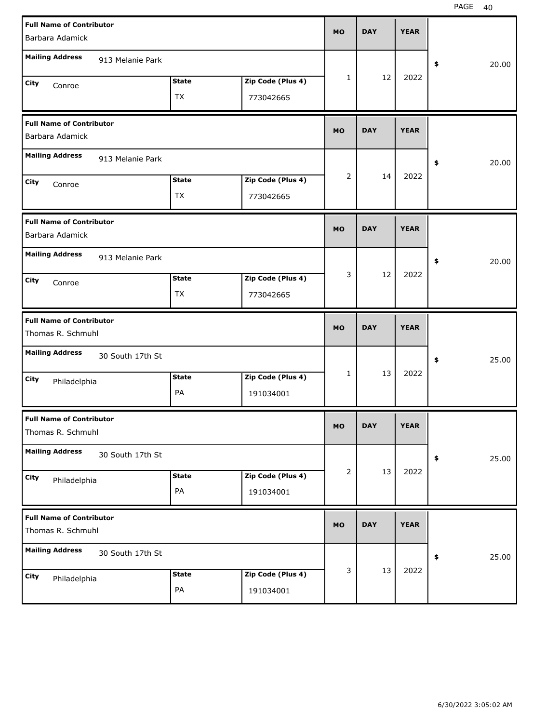| <b>Full Name of Contributor</b><br>Barbara Adamick   |                  |              |                   | <b>MO</b>      | <b>DAY</b> | <b>YEAR</b> |             |
|------------------------------------------------------|------------------|--------------|-------------------|----------------|------------|-------------|-------------|
|                                                      |                  |              |                   |                |            |             |             |
| <b>Mailing Address</b>                               | 913 Melanie Park |              |                   |                |            |             | \$<br>20.00 |
| City<br>Conroe                                       |                  | <b>State</b> | Zip Code (Plus 4) | 1              | 12         | 2022        |             |
|                                                      |                  | TX           | 773042665         |                |            |             |             |
| <b>Full Name of Contributor</b><br>Barbara Adamick   |                  |              |                   | <b>MO</b>      | <b>DAY</b> | <b>YEAR</b> |             |
| <b>Mailing Address</b>                               | 913 Melanie Park |              |                   |                |            |             | \$<br>20.00 |
| City<br>Conroe                                       |                  | <b>State</b> | Zip Code (Plus 4) | $\overline{2}$ | 14         | 2022        |             |
|                                                      |                  | <b>TX</b>    | 773042665         |                |            |             |             |
| <b>Full Name of Contributor</b><br>Barbara Adamick   |                  |              |                   | <b>MO</b>      | <b>DAY</b> | <b>YEAR</b> |             |
| <b>Mailing Address</b>                               | 913 Melanie Park |              |                   |                |            |             | \$<br>20.00 |
| City<br>Conroe                                       |                  | <b>State</b> | Zip Code (Plus 4) | 3              | 12         | 2022        |             |
|                                                      |                  | TX           | 773042665         |                |            |             |             |
|                                                      |                  |              |                   |                |            |             |             |
| <b>Full Name of Contributor</b><br>Thomas R. Schmuhl |                  |              |                   | <b>MO</b>      | <b>DAY</b> | <b>YEAR</b> |             |
| <b>Mailing Address</b>                               | 30 South 17th St |              |                   |                |            |             | \$<br>25.00 |
| City                                                 |                  | <b>State</b> | Zip Code (Plus 4) | 1              | 13         | 2022        |             |
| Philadelphia                                         |                  | PA           | 191034001         |                |            |             |             |
| <b>Full Name of Contributor</b><br>Thomas R. Schmuhl |                  |              |                   | <b>MO</b>      | <b>DAY</b> | <b>YEAR</b> |             |
| <b>Mailing Address</b>                               | 30 South 17th St |              |                   |                |            |             | \$<br>25.00 |
| City                                                 |                  | <b>State</b> | Zip Code (Plus 4) | $\overline{2}$ | 13         | 2022        |             |
| Philadelphia                                         |                  | PA           | 191034001         |                |            |             |             |
| <b>Full Name of Contributor</b><br>Thomas R. Schmuhl |                  |              |                   | <b>MO</b>      | <b>DAY</b> | <b>YEAR</b> |             |
| <b>Mailing Address</b>                               | 30 South 17th St |              |                   |                |            |             | \$<br>25.00 |
| City<br>Philadelphia                                 |                  | <b>State</b> | Zip Code (Plus 4) | 3              | 13         | 2022        |             |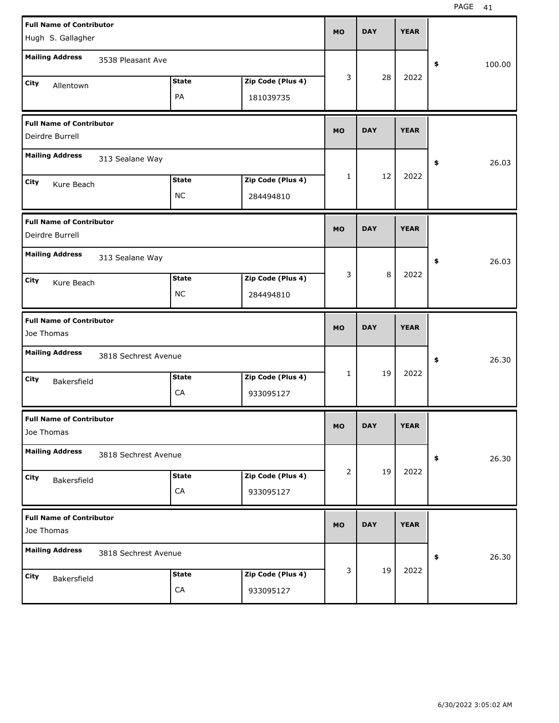| <b>Full Name of Contributor</b><br>Hugh S. Gallagher |                      |                            |                                | <b>MO</b> | <b>DAY</b> | <b>YEAR</b> |              |
|------------------------------------------------------|----------------------|----------------------------|--------------------------------|-----------|------------|-------------|--------------|
| <b>Mailing Address</b>                               | 3538 Pleasant Ave    |                            |                                |           |            |             | \$<br>100.00 |
| City<br>Allentown                                    |                      | <b>State</b><br>PA         | Zip Code (Plus 4)<br>181039735 | 3         | 28         | 2022        |              |
| <b>Full Name of Contributor</b><br>Deirdre Burrell   |                      |                            |                                | <b>MO</b> | <b>DAY</b> | <b>YEAR</b> |              |
| <b>Mailing Address</b>                               | 313 Sealane Way      |                            |                                |           |            |             | 26.03<br>\$  |
| City<br>Kure Beach                                   |                      | <b>State</b><br><b>NC</b>  | Zip Code (Plus 4)<br>284494810 | 1         | 12         | 2022        |              |
| <b>Full Name of Contributor</b><br>Deirdre Burrell   |                      |                            |                                | <b>MO</b> | <b>DAY</b> | <b>YEAR</b> |              |
| <b>Mailing Address</b>                               | 313 Sealane Way      |                            |                                |           |            |             | 26.03<br>\$  |
| City<br>Kure Beach                                   |                      | <b>State</b><br><b>NC</b>  | Zip Code (Plus 4)<br>284494810 | 3         | 8          | 2022        |              |
|                                                      |                      |                            |                                |           |            |             |              |
| <b>Full Name of Contributor</b><br>Joe Thomas        |                      |                            |                                | <b>MO</b> | <b>DAY</b> | <b>YEAR</b> |              |
| <b>Mailing Address</b>                               | 3818 Sechrest Avenue |                            |                                |           |            |             | 26.30<br>\$  |
| City<br>Bakersfield                                  |                      | <b>State</b><br>CA         | Zip Code (Plus 4)<br>933095127 | 1         | 19         | 2022        |              |
| <b>Full Name of Contributor</b><br>Joe Thomas        |                      |                            |                                | <b>MO</b> | <b>DAY</b> | <b>YEAR</b> |              |
| <b>Mailing Address</b>                               | 3818 Sechrest Avenue |                            |                                |           |            |             | 26.30<br>\$  |
| City<br>Bakersfield                                  |                      | <b>State</b><br>${\sf CA}$ | Zip Code (Plus 4)<br>933095127 | 2         | 19         | 2022        |              |
| <b>Full Name of Contributor</b><br>Joe Thomas        |                      |                            |                                | <b>MO</b> | <b>DAY</b> | <b>YEAR</b> |              |
| <b>Mailing Address</b>                               | 3818 Sechrest Avenue |                            |                                |           |            | 2022        | 26.30<br>\$  |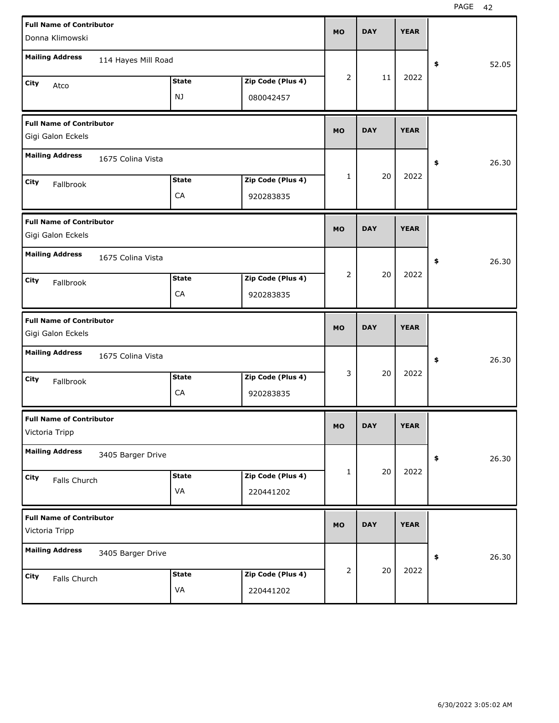| <b>Full Name of Contributor</b><br>Donna Klimowski   |                     |              |                   | <b>MO</b>      | <b>DAY</b> | <b>YEAR</b> |             |
|------------------------------------------------------|---------------------|--------------|-------------------|----------------|------------|-------------|-------------|
|                                                      |                     |              |                   |                |            |             |             |
| <b>Mailing Address</b>                               | 114 Hayes Mill Road |              |                   |                |            |             | \$<br>52.05 |
| City<br>Atco                                         |                     | <b>State</b> | Zip Code (Plus 4) | 2              | 11         | 2022        |             |
|                                                      |                     | NJ           | 080042457         |                |            |             |             |
| <b>Full Name of Contributor</b><br>Gigi Galon Eckels |                     |              |                   | <b>MO</b>      | <b>DAY</b> | <b>YEAR</b> |             |
| <b>Mailing Address</b>                               | 1675 Colina Vista   |              |                   |                |            |             | \$<br>26.30 |
| City<br>Fallbrook                                    |                     | <b>State</b> | Zip Code (Plus 4) | 1              | 20         | 2022        |             |
|                                                      |                     | CA           | 920283835         |                |            |             |             |
| <b>Full Name of Contributor</b><br>Gigi Galon Eckels |                     |              |                   | <b>MO</b>      | <b>DAY</b> | <b>YEAR</b> |             |
| <b>Mailing Address</b>                               | 1675 Colina Vista   |              |                   |                |            |             | \$<br>26.30 |
| City<br>Fallbrook                                    |                     | <b>State</b> | Zip Code (Plus 4) | $\overline{2}$ | 20         | 2022        |             |
|                                                      |                     | CA           | 920283835         |                |            |             |             |
|                                                      |                     |              |                   |                |            |             |             |
| <b>Full Name of Contributor</b><br>Gigi Galon Eckels |                     |              |                   | <b>MO</b>      | <b>DAY</b> | <b>YEAR</b> |             |
| <b>Mailing Address</b>                               | 1675 Colina Vista   |              |                   |                |            |             | \$<br>26.30 |
| City                                                 |                     | <b>State</b> | Zip Code (Plus 4) | 3              | 20         | 2022        |             |
| Fallbrook                                            |                     | CA           | 920283835         |                |            |             |             |
| <b>Full Name of Contributor</b><br>Victoria Tripp    |                     |              |                   | <b>MO</b>      | <b>DAY</b> | <b>YEAR</b> |             |
| <b>Mailing Address</b>                               | 3405 Barger Drive   |              |                   |                |            |             | \$<br>26.30 |
| City                                                 |                     | <b>State</b> | Zip Code (Plus 4) | 1              | 20         | 2022        |             |
| Falls Church                                         |                     | VA           | 220441202         |                |            |             |             |
| <b>Full Name of Contributor</b><br>Victoria Tripp    |                     |              |                   | <b>MO</b>      | <b>DAY</b> | <b>YEAR</b> |             |
| <b>Mailing Address</b>                               | 3405 Barger Drive   |              |                   |                |            |             | \$<br>26.30 |
| City<br>Falls Church                                 |                     | <b>State</b> | Zip Code (Plus 4) | 2              | 20         | 2022        |             |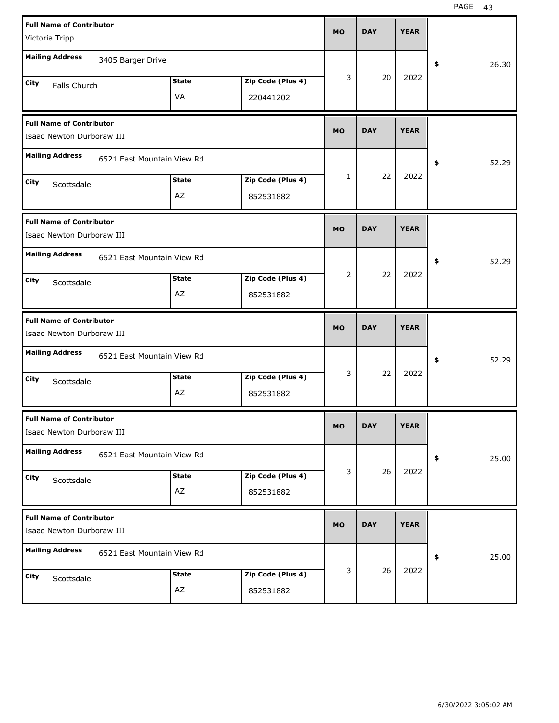| <b>Full Name of Contributor</b>                              |                            |              |                   | <b>MO</b> | <b>DAY</b> | <b>YEAR</b> |             |
|--------------------------------------------------------------|----------------------------|--------------|-------------------|-----------|------------|-------------|-------------|
| Victoria Tripp                                               |                            |              |                   |           |            |             |             |
| <b>Mailing Address</b>                                       | 3405 Barger Drive          |              |                   |           |            |             | \$<br>26.30 |
| City<br>Falls Church                                         |                            | <b>State</b> | Zip Code (Plus 4) | 3         | 20         | 2022        |             |
|                                                              |                            | VA           | 220441202         |           |            |             |             |
| <b>Full Name of Contributor</b><br>Isaac Newton Durboraw III |                            |              |                   | <b>MO</b> | <b>DAY</b> | <b>YEAR</b> |             |
| <b>Mailing Address</b>                                       | 6521 East Mountain View Rd |              |                   |           |            |             | \$<br>52.29 |
| City<br>Scottsdale                                           |                            | <b>State</b> | Zip Code (Plus 4) | 1         | 22         | 2022        |             |
|                                                              |                            | AZ           | 852531882         |           |            |             |             |
| <b>Full Name of Contributor</b><br>Isaac Newton Durboraw III |                            |              |                   | <b>MO</b> | <b>DAY</b> | <b>YEAR</b> |             |
| <b>Mailing Address</b>                                       | 6521 East Mountain View Rd |              |                   |           |            |             | \$<br>52.29 |
| City<br>Scottsdale                                           |                            | <b>State</b> | Zip Code (Plus 4) | 2         | 22         | 2022        |             |
|                                                              |                            | AZ           | 852531882         |           |            |             |             |
|                                                              |                            |              |                   |           |            |             |             |
| <b>Full Name of Contributor</b><br>Isaac Newton Durboraw III |                            |              |                   | <b>MO</b> | <b>DAY</b> | <b>YEAR</b> |             |
| <b>Mailing Address</b>                                       | 6521 East Mountain View Rd |              |                   |           |            |             | \$<br>52.29 |
| City<br>Scottsdale                                           |                            | <b>State</b> | Zip Code (Plus 4) | 3         | 22         | 2022        |             |
|                                                              |                            | AZ           | 852531882         |           |            |             |             |
| <b>Full Name of Contributor</b><br>Isaac Newton Durboraw III |                            |              |                   | МO        | <b>DAY</b> | <b>YEAR</b> |             |
| <b>Mailing Address</b>                                       | 6521 East Mountain View Rd |              |                   |           |            |             | \$<br>25.00 |
| <b>City</b><br>Scottsdale                                    |                            | <b>State</b> | Zip Code (Plus 4) | 3         | 26         | 2022        |             |
|                                                              |                            | AZ           | 852531882         |           |            |             |             |
| <b>Full Name of Contributor</b><br>Isaac Newton Durboraw III |                            |              |                   | <b>MO</b> | <b>DAY</b> | <b>YEAR</b> |             |
| <b>Mailing Address</b>                                       | 6521 East Mountain View Rd |              |                   |           |            |             | \$<br>25.00 |
| <b>City</b><br>Scottsdale                                    |                            | <b>State</b> | Zip Code (Plus 4) | 3         | 26         | 2022        |             |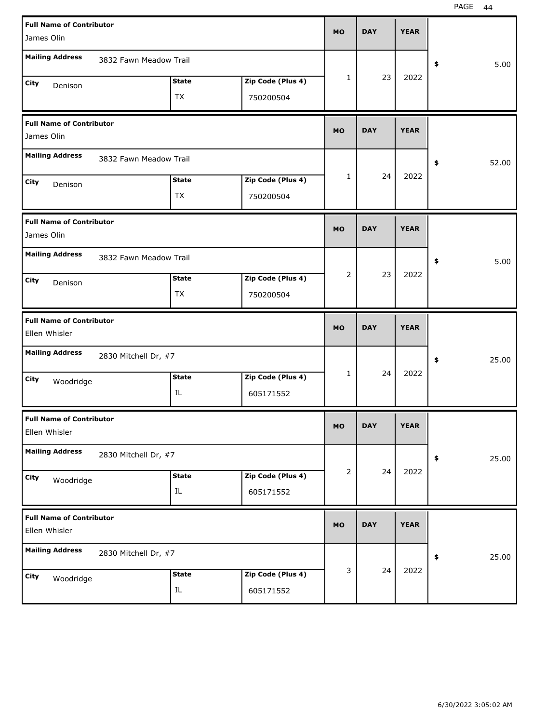| <b>Full Name of Contributor</b>                  |                        |              |                   | <b>MO</b>    | <b>DAY</b> | <b>YEAR</b> |             |
|--------------------------------------------------|------------------------|--------------|-------------------|--------------|------------|-------------|-------------|
| James Olin                                       |                        |              |                   |              |            |             |             |
| <b>Mailing Address</b>                           | 3832 Fawn Meadow Trail |              |                   |              |            |             | \$<br>5.00  |
| City<br>Denison                                  |                        | <b>State</b> | Zip Code (Plus 4) | $\mathbf{1}$ | 23         | 2022        |             |
|                                                  |                        | TX           | 750200504         |              |            |             |             |
| <b>Full Name of Contributor</b><br>James Olin    |                        |              |                   | <b>MO</b>    | <b>DAY</b> | <b>YEAR</b> |             |
| <b>Mailing Address</b>                           | 3832 Fawn Meadow Trail |              |                   |              |            |             | \$<br>52.00 |
| City<br>Denison                                  |                        | <b>State</b> | Zip Code (Plus 4) | 1            | 24         | 2022        |             |
|                                                  |                        | TX           | 750200504         |              |            |             |             |
| <b>Full Name of Contributor</b><br>James Olin    |                        |              |                   | <b>MO</b>    | <b>DAY</b> | <b>YEAR</b> |             |
| <b>Mailing Address</b>                           | 3832 Fawn Meadow Trail |              |                   |              |            |             | \$<br>5.00  |
| City<br>Denison                                  |                        | <b>State</b> | Zip Code (Plus 4) | 2            | 23         | 2022        |             |
|                                                  |                        | TX           | 750200504         |              |            |             |             |
|                                                  |                        |              |                   |              |            |             |             |
| <b>Full Name of Contributor</b><br>Ellen Whisler |                        |              |                   | <b>MO</b>    | <b>DAY</b> | <b>YEAR</b> |             |
| <b>Mailing Address</b>                           | 2830 Mitchell Dr, #7   |              |                   |              |            |             | \$<br>25.00 |
| City                                             |                        | <b>State</b> | Zip Code (Plus 4) | $\mathbf{1}$ | 24         | 2022        |             |
| Woodridge                                        |                        | IL           | 605171552         |              |            |             |             |
| <b>Full Name of Contributor</b><br>Ellen Whisler |                        |              |                   | <b>MO</b>    | <b>DAY</b> | <b>YEAR</b> |             |
| <b>Mailing Address</b>                           | 2830 Mitchell Dr, #7   |              |                   |              |            |             | \$<br>25.00 |
| City                                             |                        | <b>State</b> | Zip Code (Plus 4) | 2            | 24         | 2022        |             |
| Woodridge                                        |                        | $\rm IL$     | 605171552         |              |            |             |             |
| <b>Full Name of Contributor</b><br>Ellen Whisler |                        |              |                   | <b>MO</b>    | <b>DAY</b> | <b>YEAR</b> |             |
| <b>Mailing Address</b>                           | 2830 Mitchell Dr, #7   |              |                   |              |            |             | \$<br>25.00 |
| City<br>Woodridge                                |                        | <b>State</b> | Zip Code (Plus 4) | 3            | 24         | 2022        |             |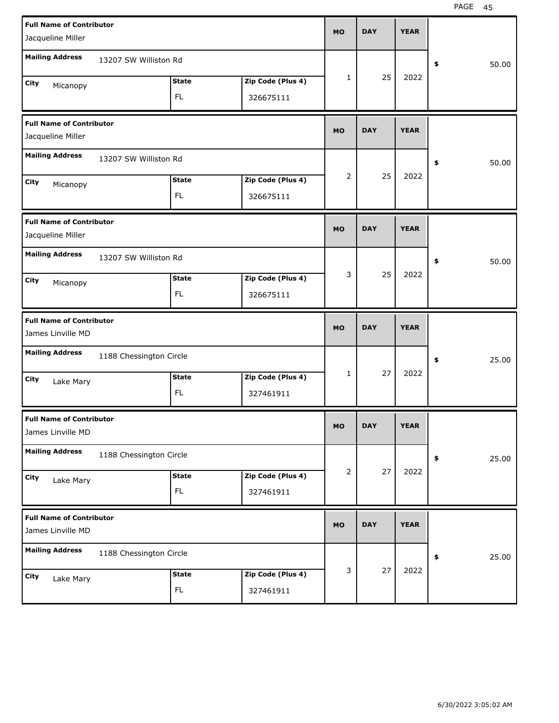| <b>Full Name of Contributor</b><br>Jacqueline Miller |                         |              |                   | <b>MO</b> | <b>DAY</b> | <b>YEAR</b> |             |
|------------------------------------------------------|-------------------------|--------------|-------------------|-----------|------------|-------------|-------------|
| <b>Mailing Address</b>                               |                         |              |                   |           |            |             |             |
|                                                      | 13207 SW Williston Rd   |              |                   |           |            |             | \$<br>50.00 |
| City<br>Micanopy                                     |                         | <b>State</b> | Zip Code (Plus 4) | 1         | 25         | 2022        |             |
|                                                      |                         | FL.          | 326675111         |           |            |             |             |
| <b>Full Name of Contributor</b><br>Jacqueline Miller |                         |              |                   | <b>MO</b> | <b>DAY</b> | <b>YEAR</b> |             |
| <b>Mailing Address</b>                               | 13207 SW Williston Rd   |              |                   |           |            |             | \$<br>50.00 |
| City<br>Micanopy                                     |                         | <b>State</b> | Zip Code (Plus 4) | 2         | 25         | 2022        |             |
|                                                      |                         | FL.          | 326675111         |           |            |             |             |
| <b>Full Name of Contributor</b><br>Jacqueline Miller |                         |              |                   | <b>MO</b> | <b>DAY</b> | <b>YEAR</b> |             |
| <b>Mailing Address</b>                               | 13207 SW Williston Rd   |              |                   |           |            |             | \$<br>50.00 |
| City<br>Micanopy                                     |                         | <b>State</b> | Zip Code (Plus 4) | 3         | 25         | 2022        |             |
|                                                      |                         | FL.          | 326675111         |           |            |             |             |
|                                                      |                         |              |                   |           |            |             |             |
| <b>Full Name of Contributor</b><br>James Linville MD |                         |              |                   | <b>MO</b> | <b>DAY</b> | <b>YEAR</b> |             |
| <b>Mailing Address</b>                               | 1188 Chessington Circle |              |                   |           |            |             | \$<br>25.00 |
| City                                                 |                         | <b>State</b> | Zip Code (Plus 4) | 1         | 27         | 2022        |             |
| Lake Mary                                            |                         | FL.          | 327461911         |           |            |             |             |
| <b>Full Name of Contributor</b><br>James Linville MD |                         |              |                   | <b>MO</b> | <b>DAY</b> | <b>YEAR</b> |             |
| <b>Mailing Address</b>                               | 1188 Chessington Circle |              |                   |           |            |             | \$<br>25.00 |
| City                                                 |                         | <b>State</b> | Zip Code (Plus 4) | 2         | 27         | 2022        |             |
| Lake Mary                                            |                         | FL.          | 327461911         |           |            |             |             |
| <b>Full Name of Contributor</b><br>James Linville MD |                         |              |                   | <b>MO</b> | <b>DAY</b> | <b>YEAR</b> |             |
| <b>Mailing Address</b>                               | 1188 Chessington Circle |              |                   |           |            |             | \$<br>25.00 |
| City<br>Lake Mary                                    |                         | <b>State</b> | Zip Code (Plus 4) | 3         | 27         | 2022        |             |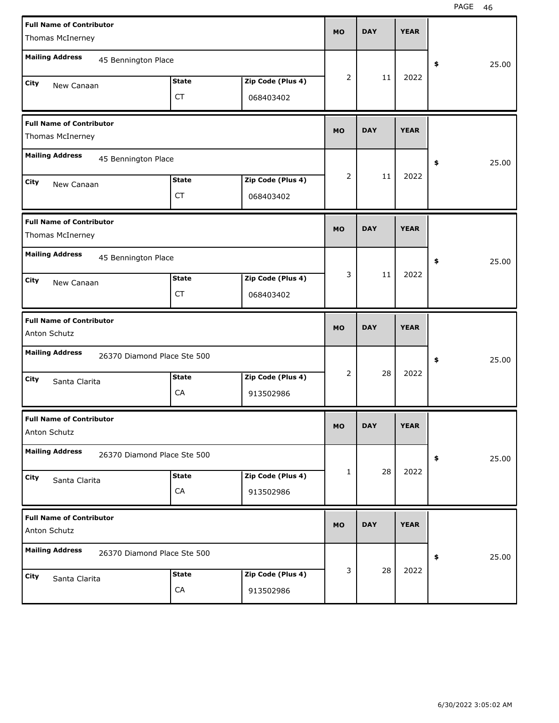| <b>Full Name of Contributor</b><br>Thomas McInerney   |                           |                                | <b>MO</b> | <b>DAY</b> | <b>YEAR</b> |             |
|-------------------------------------------------------|---------------------------|--------------------------------|-----------|------------|-------------|-------------|
| <b>Mailing Address</b><br>45 Bennington Place         |                           |                                |           |            |             | 25.00<br>\$ |
| <b>City</b><br>New Canaan                             | <b>State</b><br><b>CT</b> | Zip Code (Plus 4)<br>068403402 | 2         | 11         | 2022        |             |
| <b>Full Name of Contributor</b><br>Thomas McInerney   |                           |                                | <b>MO</b> | <b>DAY</b> | <b>YEAR</b> |             |
| <b>Mailing Address</b><br>45 Bennington Place         |                           |                                |           |            |             | 25.00<br>\$ |
| City<br>New Canaan                                    | <b>State</b><br><b>CT</b> | Zip Code (Plus 4)<br>068403402 | 2         | 11         | 2022        |             |
| <b>Full Name of Contributor</b><br>Thomas McInerney   |                           |                                | <b>MO</b> | <b>DAY</b> | <b>YEAR</b> |             |
| <b>Mailing Address</b><br>45 Bennington Place         |                           |                                |           |            |             | 25.00<br>\$ |
| City<br>New Canaan                                    | <b>State</b><br><b>CT</b> | Zip Code (Plus 4)<br>068403402 | 3         | 11         | 2022        |             |
|                                                       |                           |                                |           |            |             |             |
| <b>Full Name of Contributor</b><br>Anton Schutz       |                           |                                | <b>MO</b> | <b>DAY</b> | <b>YEAR</b> |             |
| <b>Mailing Address</b><br>26370 Diamond Place Ste 500 |                           |                                |           |            |             | 25.00<br>\$ |
| City<br>Santa Clarita                                 | <b>State</b><br>CA        | Zip Code (Plus 4)<br>913502986 | 2         | 28         | 2022        |             |
| <b>Full Name of Contributor</b><br>Anton Schutz       |                           |                                | MO        | <b>DAY</b> | <b>YEAR</b> |             |
| <b>Mailing Address</b><br>26370 Diamond Place Ste 500 |                           |                                |           |            |             | 25.00<br>\$ |
| City<br>Santa Clarita                                 | <b>State</b><br>CA        | Zip Code (Plus 4)<br>913502986 | 1         | 28         | 2022        |             |
| <b>Full Name of Contributor</b><br>Anton Schutz       |                           |                                | <b>MO</b> | <b>DAY</b> | <b>YEAR</b> |             |
| <b>Mailing Address</b><br>26370 Diamond Place Ste 500 |                           |                                | 3         | 28         | 2022        | 25.00<br>\$ |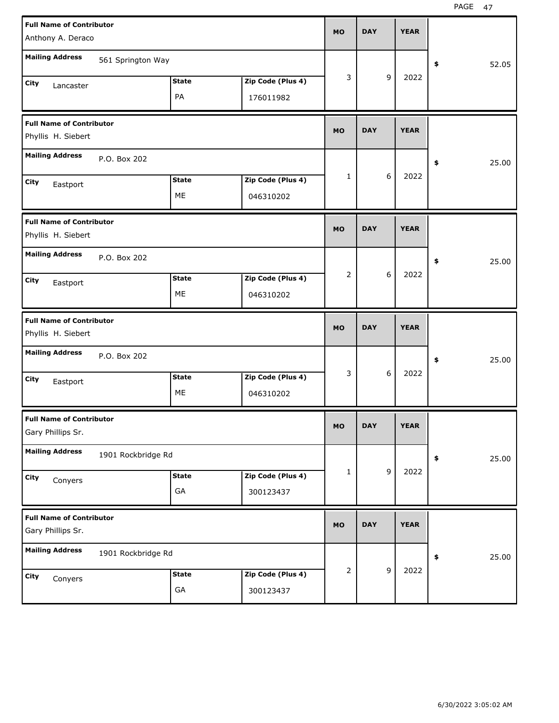| <b>Full Name of Contributor</b>                       |                    |              |                   | <b>MO</b> | <b>DAY</b> |   | <b>YEAR</b> |             |
|-------------------------------------------------------|--------------------|--------------|-------------------|-----------|------------|---|-------------|-------------|
| Anthony A. Deraco                                     |                    |              |                   |           |            |   |             |             |
| <b>Mailing Address</b>                                | 561 Springton Way  |              |                   |           |            |   |             | \$<br>52.05 |
| City<br>Lancaster                                     |                    | <b>State</b> | Zip Code (Plus 4) | 3         |            | 9 | 2022        |             |
|                                                       |                    | PA           | 176011982         |           |            |   |             |             |
| <b>Full Name of Contributor</b><br>Phyllis H. Siebert |                    |              |                   | <b>MO</b> | <b>DAY</b> |   | <b>YEAR</b> |             |
| <b>Mailing Address</b>                                | P.O. Box 202       |              |                   |           |            |   |             | \$<br>25.00 |
| City<br>Eastport                                      |                    | <b>State</b> | Zip Code (Plus 4) | 1         |            | 6 | 2022        |             |
|                                                       |                    | ME           | 046310202         |           |            |   |             |             |
| <b>Full Name of Contributor</b><br>Phyllis H. Siebert |                    |              |                   | <b>MO</b> | <b>DAY</b> |   | <b>YEAR</b> |             |
| <b>Mailing Address</b>                                | P.O. Box 202       |              |                   |           |            |   |             | \$<br>25.00 |
| City<br>Eastport                                      |                    | <b>State</b> | Zip Code (Plus 4) | 2         |            | 6 | 2022        |             |
|                                                       |                    | ME           | 046310202         |           |            |   |             |             |
|                                                       |                    |              |                   |           |            |   |             |             |
| <b>Full Name of Contributor</b><br>Phyllis H. Siebert |                    |              |                   | <b>MO</b> | <b>DAY</b> |   | <b>YEAR</b> |             |
| <b>Mailing Address</b>                                | P.O. Box 202       |              |                   |           |            |   |             | \$<br>25.00 |
| City                                                  |                    | <b>State</b> | Zip Code (Plus 4) | 3         |            | 6 | 2022        |             |
| Eastport                                              |                    | ME           | 046310202         |           |            |   |             |             |
| <b>Full Name of Contributor</b><br>Gary Phillips Sr.  |                    |              |                   | <b>MO</b> | <b>DAY</b> |   | <b>YEAR</b> |             |
| <b>Mailing Address</b>                                | 1901 Rockbridge Rd |              |                   |           |            |   |             | \$<br>25.00 |
| City                                                  |                    | <b>State</b> | Zip Code (Plus 4) | 1         |            | 9 | 2022        |             |
| Conyers                                               |                    | GA           | 300123437         |           |            |   |             |             |
| <b>Full Name of Contributor</b><br>Gary Phillips Sr.  |                    |              |                   | <b>MO</b> | <b>DAY</b> |   | <b>YEAR</b> |             |
| <b>Mailing Address</b>                                | 1901 Rockbridge Rd |              |                   |           |            |   |             | \$<br>25.00 |
| City<br>Conyers                                       |                    | <b>State</b> | Zip Code (Plus 4) | 2         |            | 9 | 2022        |             |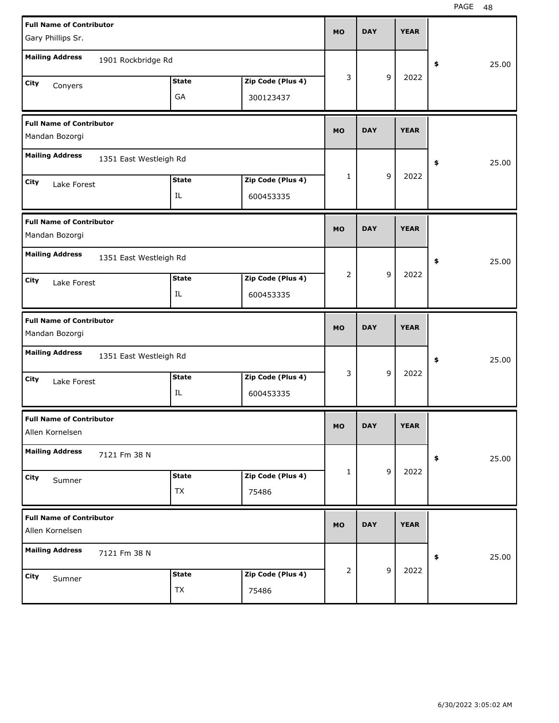| <b>Full Name of Contributor</b><br>Gary Phillips Sr. |                        |              |                   | <b>MO</b> | <b>DAY</b> |   | <b>YEAR</b> |             |       |
|------------------------------------------------------|------------------------|--------------|-------------------|-----------|------------|---|-------------|-------------|-------|
|                                                      |                        |              |                   |           |            |   |             |             |       |
| <b>Mailing Address</b>                               | 1901 Rockbridge Rd     |              |                   |           |            |   |             | \$          | 25.00 |
| City<br>Conyers                                      |                        | <b>State</b> | Zip Code (Plus 4) | 3         |            | 9 | 2022        |             |       |
|                                                      |                        | GA           | 300123437         |           |            |   |             |             |       |
| <b>Full Name of Contributor</b>                      |                        |              |                   | <b>MO</b> | <b>DAY</b> |   | <b>YEAR</b> |             |       |
| Mandan Bozorgi                                       |                        |              |                   |           |            |   |             |             |       |
| <b>Mailing Address</b>                               | 1351 East Westleigh Rd |              |                   |           |            |   |             | \$          | 25.00 |
| City<br>Lake Forest                                  |                        | <b>State</b> | Zip Code (Plus 4) | 1         |            | 9 | 2022        |             |       |
|                                                      |                        | IL           | 600453335         |           |            |   |             |             |       |
| <b>Full Name of Contributor</b>                      |                        |              |                   | <b>MO</b> | <b>DAY</b> |   | <b>YEAR</b> |             |       |
| Mandan Bozorgi                                       |                        |              |                   |           |            |   |             |             |       |
| <b>Mailing Address</b>                               | 1351 East Westleigh Rd |              |                   |           |            |   |             | \$          | 25.00 |
| City<br>Lake Forest                                  |                        | <b>State</b> | Zip Code (Plus 4) | 2         |            | 9 | 2022        |             |       |
|                                                      |                        | IL           | 600453335         |           |            |   |             |             |       |
|                                                      |                        |              |                   |           |            |   |             |             |       |
| <b>Full Name of Contributor</b>                      |                        |              |                   |           | <b>DAY</b> |   | <b>YEAR</b> |             |       |
| Mandan Bozorgi                                       |                        |              |                   | <b>MO</b> |            |   |             |             |       |
| <b>Mailing Address</b>                               | 1351 East Westleigh Rd |              |                   |           |            |   |             | \$          | 25.00 |
| City<br>Lake Forest                                  |                        | <b>State</b> | Zip Code (Plus 4) | 3         |            | 9 | 2022        |             |       |
|                                                      |                        | IL           | 600453335         |           |            |   |             |             |       |
| <b>Full Name of Contributor</b>                      |                        |              |                   |           |            |   |             |             |       |
| Allen Kornelsen                                      |                        |              |                   | МO        | <b>DAY</b> |   | <b>YEAR</b> |             |       |
| <b>Mailing Address</b>                               | 7121 Fm 38 N           |              |                   |           |            |   |             | $\clubsuit$ | 25.00 |
| City<br>Sumner                                       |                        | <b>State</b> | Zip Code (Plus 4) | 1         |            | 9 | 2022        |             |       |
|                                                      |                        | TX           | 75486             |           |            |   |             |             |       |
| <b>Full Name of Contributor</b>                      |                        |              |                   |           | <b>DAY</b> |   |             |             |       |
| Allen Kornelsen                                      |                        |              |                   | <b>MO</b> |            |   | <b>YEAR</b> |             |       |
| <b>Mailing Address</b>                               | 7121 Fm 38 N           |              |                   |           |            |   |             | $\clubsuit$ | 25.00 |
| City<br>Sumner                                       |                        | <b>State</b> | Zip Code (Plus 4) | 2         |            | 9 | 2022        |             |       |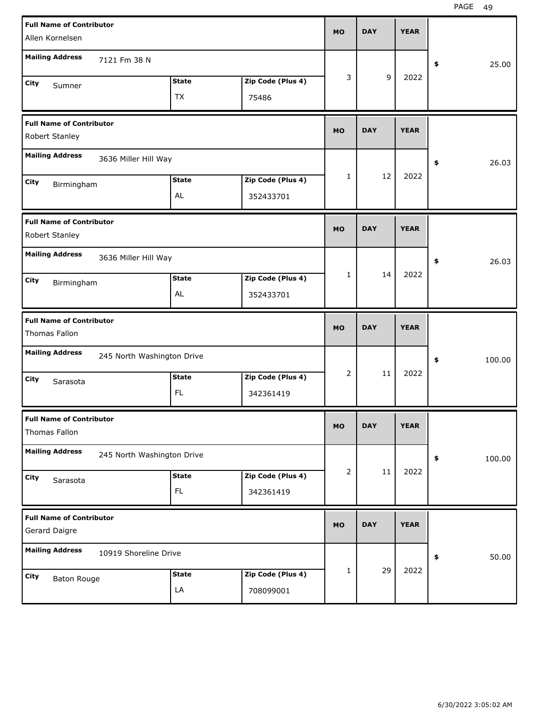| <b>Full Name of Contributor</b><br>Allen Kornelsen |                            |                           |                                | <b>MO</b>    | <b>DAY</b> | <b>YEAR</b> |              |
|----------------------------------------------------|----------------------------|---------------------------|--------------------------------|--------------|------------|-------------|--------------|
| <b>Mailing Address</b>                             | 7121 Fm 38 N               |                           |                                |              |            |             | 25.00<br>\$  |
| City<br>Sumner                                     |                            | <b>State</b><br><b>TX</b> | Zip Code (Plus 4)<br>75486     | 3            | 9          | 2022        |              |
| <b>Full Name of Contributor</b><br>Robert Stanley  |                            |                           |                                | <b>MO</b>    | <b>DAY</b> | <b>YEAR</b> |              |
| <b>Mailing Address</b>                             | 3636 Miller Hill Way       |                           |                                |              |            |             | 26.03<br>\$  |
| City<br>Birmingham                                 |                            | <b>State</b><br>AL        | Zip Code (Plus 4)<br>352433701 | $\mathbf{1}$ | 12         | 2022        |              |
| <b>Full Name of Contributor</b><br>Robert Stanley  |                            |                           |                                | <b>MO</b>    | <b>DAY</b> | <b>YEAR</b> |              |
| <b>Mailing Address</b>                             | 3636 Miller Hill Way       |                           |                                |              |            |             | 26.03<br>\$  |
| City<br>Birmingham                                 |                            | <b>State</b><br>AL        | Zip Code (Plus 4)<br>352433701 | $\mathbf{1}$ | 14         | 2022        |              |
|                                                    |                            |                           |                                |              |            |             |              |
| <b>Full Name of Contributor</b><br>Thomas Fallon   |                            |                           |                                | <b>MO</b>    | <b>DAY</b> | <b>YEAR</b> |              |
| <b>Mailing Address</b>                             | 245 North Washington Drive |                           |                                |              |            |             | 100.00<br>\$ |
| City<br>Sarasota                                   |                            | <b>State</b><br><b>FL</b> | Zip Code (Plus 4)<br>342361419 | 2            | 11         | 2022        |              |
| <b>Full Name of Contributor</b><br>Thomas Fallon   |                            |                           |                                | <b>MO</b>    | <b>DAY</b> | <b>YEAR</b> |              |
| <b>Mailing Address</b>                             | 245 North Washington Drive |                           |                                |              |            |             | 100.00<br>\$ |
| City<br>Sarasota                                   |                            | <b>State</b><br>FL.       | Zip Code (Plus 4)<br>342361419 | 2            | $11\,$     | 2022        |              |
| <b>Full Name of Contributor</b><br>Gerard Daigre   |                            |                           |                                | <b>MO</b>    | <b>DAY</b> | <b>YEAR</b> |              |
| <b>Mailing Address</b>                             | 10919 Shoreline Drive      |                           |                                |              | 29         | 2022        | 50.00<br>\$  |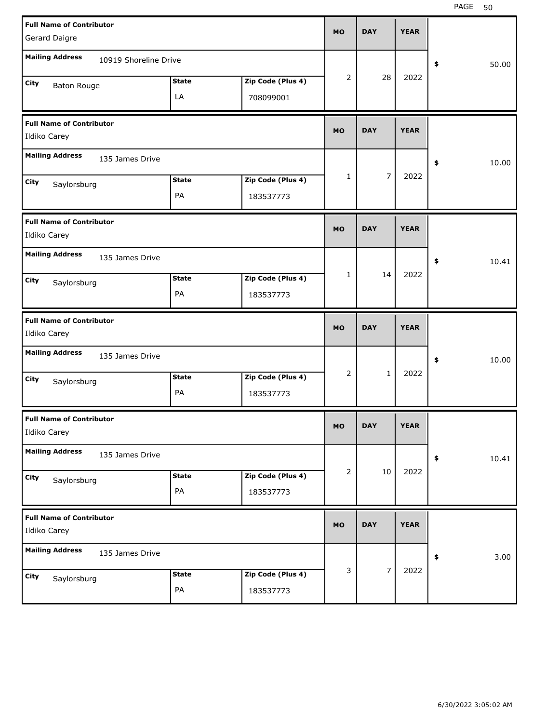| <b>Full Name of Contributor</b><br>Gerard Daigre |                    |                                | <b>MO</b> | <b>DAY</b>     | <b>YEAR</b> |             |
|--------------------------------------------------|--------------------|--------------------------------|-----------|----------------|-------------|-------------|
| <b>Mailing Address</b><br>10919 Shoreline Drive  |                    |                                |           |                |             | \$<br>50.00 |
| City<br><b>Baton Rouge</b>                       | <b>State</b><br>LA | Zip Code (Plus 4)<br>708099001 | 2         | 28             | 2022        |             |
| <b>Full Name of Contributor</b><br>Ildiko Carey  |                    |                                | <b>MO</b> | <b>DAY</b>     | <b>YEAR</b> |             |
| <b>Mailing Address</b><br>135 James Drive        |                    |                                |           |                |             | \$<br>10.00 |
| City<br>Saylorsburg                              | <b>State</b><br>PA | Zip Code (Plus 4)<br>183537773 | 1         | 7              | 2022        |             |
| <b>Full Name of Contributor</b><br>Ildiko Carey  |                    |                                | <b>MO</b> | <b>DAY</b>     | <b>YEAR</b> |             |
| <b>Mailing Address</b><br>135 James Drive        |                    |                                |           |                |             | \$<br>10.41 |
| City<br>Saylorsburg                              | <b>State</b><br>PA | Zip Code (Plus 4)<br>183537773 | 1         | 14             | 2022        |             |
|                                                  |                    |                                |           |                |             |             |
| <b>Full Name of Contributor</b><br>Ildiko Carey  |                    |                                | <b>MO</b> | <b>DAY</b>     | <b>YEAR</b> |             |
| <b>Mailing Address</b><br>135 James Drive        |                    |                                |           |                |             | \$<br>10.00 |
| City<br>Saylorsburg                              | <b>State</b><br>PA | Zip Code (Plus 4)<br>183537773 | 2         | $\mathbf{1}$   | 2022        |             |
| <b>Full Name of Contributor</b><br>Ildiko Carey  |                    |                                | <b>MO</b> | <b>DAY</b>     | <b>YEAR</b> |             |
| <b>Mailing Address</b><br>135 James Drive        |                    |                                |           |                |             | 10.41<br>\$ |
| City<br>Saylorsburg                              | <b>State</b><br>PA | Zip Code (Plus 4)<br>183537773 | 2         | 10             | 2022        |             |
| <b>Full Name of Contributor</b><br>Ildiko Carey  |                    |                                | <b>MO</b> | <b>DAY</b>     | <b>YEAR</b> |             |
| <b>Mailing Address</b><br>135 James Drive        |                    |                                |           | $\overline{7}$ | 2022        | 3.00<br>\$  |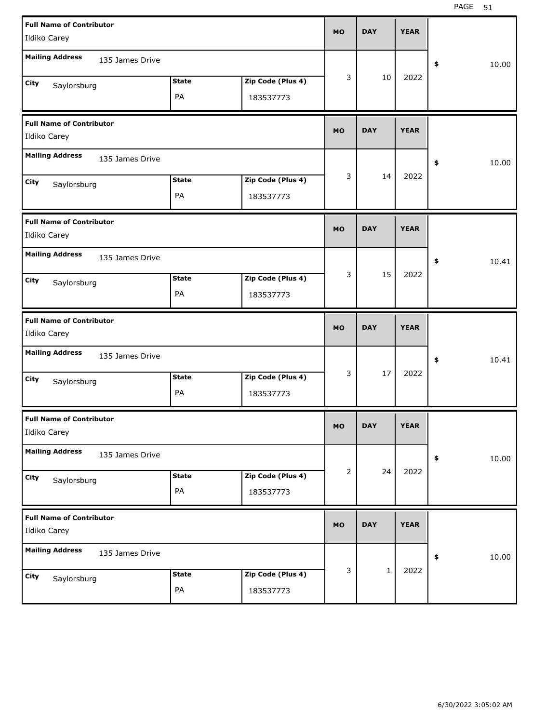| <b>Full Name of Contributor</b><br>Ildiko Carey |                    |                                | <b>MO</b> | <b>DAY</b> | <b>YEAR</b> |             |  |
|-------------------------------------------------|--------------------|--------------------------------|-----------|------------|-------------|-------------|--|
| <b>Mailing Address</b><br>135 James Drive       |                    |                                |           |            |             | 10.00<br>\$ |  |
| City<br>Saylorsburg                             | <b>State</b><br>PA | Zip Code (Plus 4)<br>183537773 | 3         | 10         | 2022        |             |  |
| <b>Full Name of Contributor</b><br>Ildiko Carey |                    |                                | <b>MO</b> | <b>DAY</b> | <b>YEAR</b> |             |  |
| <b>Mailing Address</b><br>135 James Drive       |                    |                                |           |            |             | 10.00<br>\$ |  |
| City<br>Saylorsburg                             | <b>State</b><br>PA | Zip Code (Plus 4)<br>183537773 | 3         | 14         | 2022        |             |  |
| <b>Full Name of Contributor</b><br>Ildiko Carey |                    |                                | <b>MO</b> | <b>DAY</b> | <b>YEAR</b> |             |  |
| <b>Mailing Address</b><br>135 James Drive       |                    |                                |           |            |             | 10.41<br>\$ |  |
| City<br>Saylorsburg                             | <b>State</b><br>PA | Zip Code (Plus 4)<br>183537773 | 3         | 15         | 2022        |             |  |
|                                                 |                    |                                |           |            |             |             |  |
| <b>Full Name of Contributor</b><br>Ildiko Carey |                    |                                | <b>MO</b> | <b>DAY</b> | <b>YEAR</b> |             |  |
| <b>Mailing Address</b><br>135 James Drive       |                    |                                |           |            |             | 10.41<br>\$ |  |
| City<br>Saylorsburg                             | <b>State</b><br>PA | Zip Code (Plus 4)<br>183537773 | 3         | 17         | 2022        |             |  |
| <b>Full Name of Contributor</b><br>Ildiko Carey |                    |                                | <b>MO</b> | <b>DAY</b> | <b>YEAR</b> |             |  |
| <b>Mailing Address</b><br>135 James Drive       |                    |                                |           |            |             | 10.00<br>\$ |  |
| City<br>Saylorsburg                             | <b>State</b><br>PA | Zip Code (Plus 4)<br>183537773 | 2         | 24         | 2022        |             |  |
| <b>Full Name of Contributor</b><br>Ildiko Carey |                    |                                | <b>MO</b> | <b>DAY</b> | <b>YEAR</b> |             |  |
| <b>Mailing Address</b><br>135 James Drive       |                    |                                | 3         |            | 2022        | 10.00<br>\$ |  |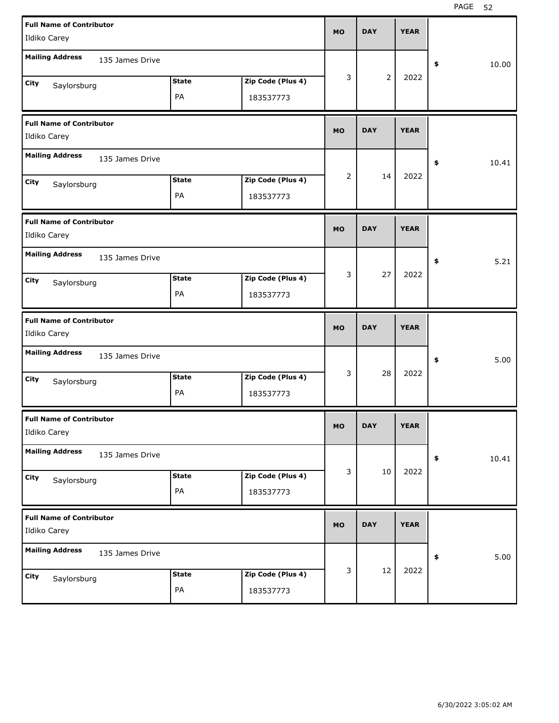| <b>Full Name of Contributor</b><br>Ildiko Carey |                    |                                | <b>MO</b>      | <b>DAY</b>     | <b>YEAR</b> |             |
|-------------------------------------------------|--------------------|--------------------------------|----------------|----------------|-------------|-------------|
| <b>Mailing Address</b>                          | 135 James Drive    |                                |                |                |             | 10.00<br>\$ |
| City<br>Saylorsburg                             | <b>State</b><br>PA | Zip Code (Plus 4)<br>183537773 | 3              | $\overline{2}$ | 2022        |             |
| <b>Full Name of Contributor</b><br>Ildiko Carey |                    |                                | <b>MO</b>      | <b>DAY</b>     | <b>YEAR</b> |             |
| <b>Mailing Address</b>                          | 135 James Drive    |                                |                |                |             | 10.41<br>\$ |
| City<br>Saylorsburg                             | <b>State</b><br>PA | Zip Code (Plus 4)<br>183537773 | $\overline{2}$ | 14             | 2022        |             |
| <b>Full Name of Contributor</b><br>Ildiko Carey |                    |                                | <b>MO</b>      | <b>DAY</b>     | <b>YEAR</b> |             |
| <b>Mailing Address</b>                          | 135 James Drive    |                                |                |                |             | 5.21<br>\$  |
| City<br>Saylorsburg                             | <b>State</b><br>PA | Zip Code (Plus 4)<br>183537773 | 3              | 27             | 2022        |             |
|                                                 |                    |                                |                |                |             |             |
| <b>Full Name of Contributor</b><br>Ildiko Carey |                    |                                | <b>MO</b>      | <b>DAY</b>     | <b>YEAR</b> |             |
| <b>Mailing Address</b>                          | 135 James Drive    |                                |                |                |             | 5.00<br>\$  |
| City<br>Saylorsburg                             | <b>State</b><br>PA | Zip Code (Plus 4)<br>183537773 | 3              | 28             | 2022        |             |
| <b>Full Name of Contributor</b><br>Ildiko Carey |                    |                                | MO             | <b>DAY</b>     | <b>YEAR</b> |             |
| <b>Mailing Address</b>                          | 135 James Drive    |                                |                |                |             | 10.41<br>\$ |
| City<br>Saylorsburg                             | <b>State</b><br>PA | Zip Code (Plus 4)<br>183537773 | 3              | 10             | 2022        |             |
| <b>Full Name of Contributor</b><br>Ildiko Carey |                    |                                | <b>MO</b>      | <b>DAY</b>     | <b>YEAR</b> |             |
| <b>Mailing Address</b>                          | 135 James Drive    |                                |                | 12             | 2022        | 5.00<br>\$  |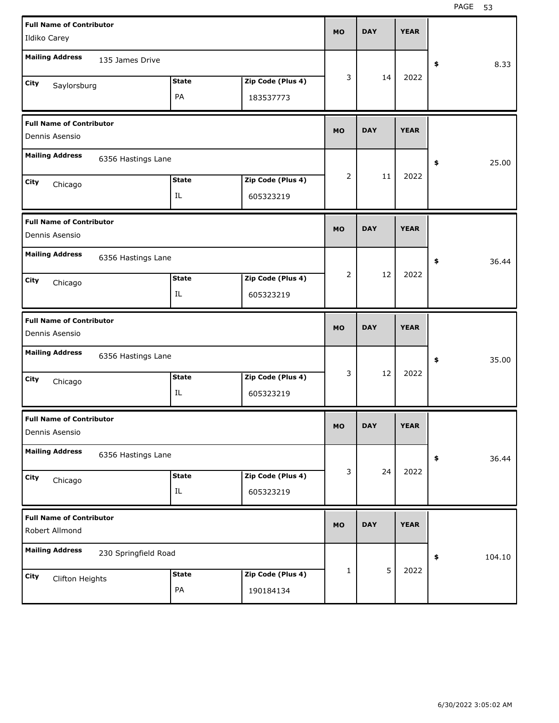| <b>Full Name of Contributor</b>                   |                      |                            |                   | <b>MO</b> | <b>DAY</b> | <b>YEAR</b> |              |
|---------------------------------------------------|----------------------|----------------------------|-------------------|-----------|------------|-------------|--------------|
| Ildiko Carey                                      |                      |                            |                   |           |            |             |              |
| <b>Mailing Address</b>                            | 135 James Drive      |                            |                   |           |            |             | \$<br>8.33   |
| City<br>Saylorsburg                               |                      | <b>State</b>               | Zip Code (Plus 4) | 3         | 14         | 2022        |              |
|                                                   |                      | PA                         | 183537773         |           |            |             |              |
| <b>Full Name of Contributor</b><br>Dennis Asensio |                      |                            |                   | <b>MO</b> | <b>DAY</b> | <b>YEAR</b> |              |
| <b>Mailing Address</b>                            | 6356 Hastings Lane   |                            |                   |           |            |             | \$<br>25.00  |
| City<br>Chicago                                   |                      | <b>State</b>               | Zip Code (Plus 4) | 2         | 11         | 2022        |              |
|                                                   |                      | IL                         | 605323219         |           |            |             |              |
| <b>Full Name of Contributor</b><br>Dennis Asensio |                      |                            |                   | <b>MO</b> | <b>DAY</b> | <b>YEAR</b> |              |
| <b>Mailing Address</b>                            | 6356 Hastings Lane   |                            |                   |           |            |             | \$<br>36.44  |
| City<br>Chicago                                   |                      | <b>State</b>               | Zip Code (Plus 4) | 2         | 12         | 2022        |              |
|                                                   |                      | IL                         | 605323219         |           |            |             |              |
|                                                   |                      |                            |                   |           |            |             |              |
| <b>Full Name of Contributor</b><br>Dennis Asensio |                      |                            |                   | <b>MO</b> | <b>DAY</b> | <b>YEAR</b> |              |
| <b>Mailing Address</b>                            | 6356 Hastings Lane   |                            |                   |           |            |             | \$<br>35.00  |
| City                                              |                      | <b>State</b>               | Zip Code (Plus 4) | 3         | 12         | 2022        |              |
| Chicago                                           |                      | IL                         | 605323219         |           |            |             |              |
| <b>Full Name of Contributor</b><br>Dennis Asensio |                      |                            |                   | <b>MO</b> | <b>DAY</b> | <b>YEAR</b> |              |
| <b>Mailing Address</b>                            | 6356 Hastings Lane   |                            |                   |           |            |             | \$<br>36.44  |
| City                                              |                      | <b>State</b>               | Zip Code (Plus 4) | 3         | 24         | 2022        |              |
| Chicago                                           |                      | $\mathop{\rm IL}\nolimits$ | 605323219         |           |            |             |              |
| <b>Full Name of Contributor</b><br>Robert Allmond |                      |                            |                   | <b>MO</b> | <b>DAY</b> | <b>YEAR</b> |              |
| <b>Mailing Address</b>                            | 230 Springfield Road |                            |                   |           |            |             | \$<br>104.10 |
| City<br>Clifton Heights                           |                      | <b>State</b>               | Zip Code (Plus 4) | 1         | 5          | 2022        |              |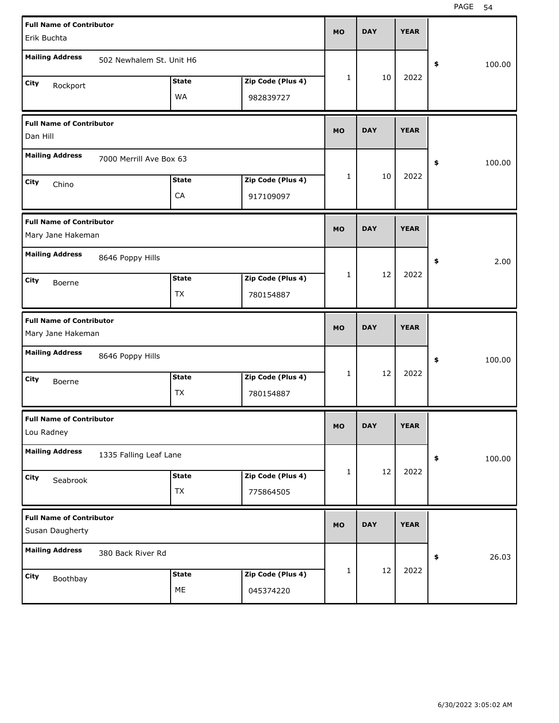| <b>Full Name of Contributor</b><br>Erik Buchta       |                          |                           |                                | <b>MO</b> | <b>DAY</b> | <b>YEAR</b> |              |
|------------------------------------------------------|--------------------------|---------------------------|--------------------------------|-----------|------------|-------------|--------------|
| <b>Mailing Address</b>                               | 502 Newhalem St. Unit H6 |                           |                                |           |            |             | \$<br>100.00 |
| City<br>Rockport                                     |                          | <b>State</b><br><b>WA</b> | Zip Code (Plus 4)<br>982839727 | 1         | 10         | 2022        |              |
| <b>Full Name of Contributor</b><br>Dan Hill          |                          |                           |                                | <b>MO</b> | <b>DAY</b> | <b>YEAR</b> |              |
| <b>Mailing Address</b>                               | 7000 Merrill Ave Box 63  |                           |                                |           |            |             | \$<br>100.00 |
| City<br>Chino                                        |                          | <b>State</b><br>CA        | Zip Code (Plus 4)<br>917109097 | 1         | 10         | 2022        |              |
| <b>Full Name of Contributor</b><br>Mary Jane Hakeman |                          |                           |                                | <b>MO</b> | <b>DAY</b> | <b>YEAR</b> |              |
| <b>Mailing Address</b>                               | 8646 Poppy Hills         |                           |                                |           |            |             | 2.00<br>\$   |
| City<br>Boerne                                       |                          | <b>State</b><br><b>TX</b> | Zip Code (Plus 4)<br>780154887 | 1         | 12         | 2022        |              |
|                                                      |                          |                           |                                |           |            |             |              |
| <b>Full Name of Contributor</b><br>Mary Jane Hakeman |                          |                           |                                | <b>MO</b> | <b>DAY</b> | <b>YEAR</b> |              |
| <b>Mailing Address</b>                               | 8646 Poppy Hills         |                           |                                |           |            |             | \$<br>100.00 |
| City<br>Boerne                                       |                          | <b>State</b><br>ТX        | Zip Code (Plus 4)<br>780154887 | 1         | 12         | 2022        |              |
| <b>Full Name of Contributor</b><br>Lou Radney        |                          |                           |                                | <b>MO</b> | <b>DAY</b> | <b>YEAR</b> |              |
| <b>Mailing Address</b>                               | 1335 Falling Leaf Lane   |                           |                                |           |            |             | \$<br>100.00 |
| City<br>Seabrook                                     |                          | <b>State</b><br>TX        | Zip Code (Plus 4)<br>775864505 | 1         | 12         | 2022        |              |
| <b>Full Name of Contributor</b><br>Susan Daugherty   |                          |                           |                                | <b>MO</b> | <b>DAY</b> | <b>YEAR</b> |              |
| <b>Mailing Address</b>                               | 380 Back River Rd        |                           |                                |           |            |             | 26.03<br>\$  |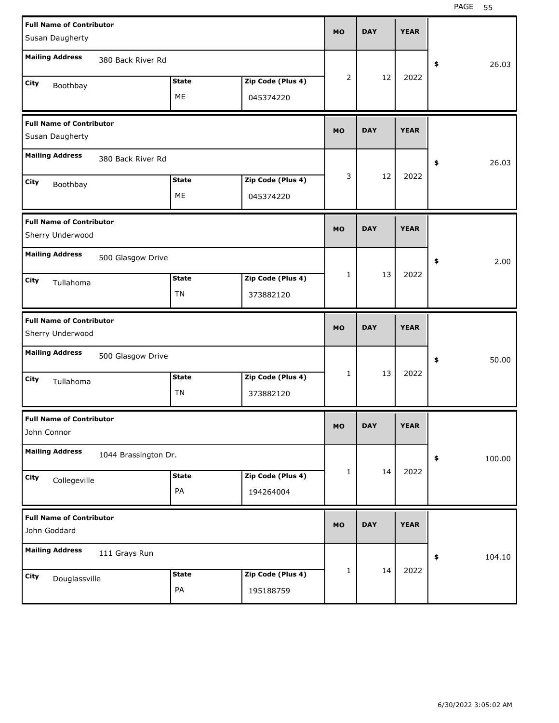| <b>Full Name of Contributor</b>                     |                      |              |                                |           |            |             |              |
|-----------------------------------------------------|----------------------|--------------|--------------------------------|-----------|------------|-------------|--------------|
| Susan Daugherty                                     |                      |              |                                | <b>MO</b> | <b>DAY</b> | <b>YEAR</b> |              |
| <b>Mailing Address</b>                              |                      |              |                                |           |            |             |              |
|                                                     | 380 Back River Rd    |              |                                |           |            |             | \$<br>26.03  |
| City<br>Boothbay                                    |                      | <b>State</b> | Zip Code (Plus 4)              | 2         | 12         | 2022        |              |
|                                                     |                      | ME           | 045374220                      |           |            |             |              |
|                                                     |                      |              |                                |           |            |             |              |
| <b>Full Name of Contributor</b>                     |                      |              |                                | <b>MO</b> | <b>DAY</b> | <b>YEAR</b> |              |
| Susan Daugherty                                     |                      |              |                                |           |            |             |              |
| <b>Mailing Address</b>                              | 380 Back River Rd    |              |                                |           |            |             |              |
|                                                     |                      |              |                                |           |            |             | \$<br>26.03  |
| City<br>Boothbay                                    |                      | <b>State</b> | Zip Code (Plus 4)              | 3         | 12         | 2022        |              |
|                                                     |                      | ME           | 045374220                      |           |            |             |              |
|                                                     |                      |              |                                |           |            |             |              |
| <b>Full Name of Contributor</b><br>Sherry Underwood |                      |              |                                | <b>MO</b> | <b>DAY</b> | <b>YEAR</b> |              |
|                                                     |                      |              |                                |           |            |             |              |
| <b>Mailing Address</b>                              | 500 Glasgow Drive    |              |                                |           |            |             | \$<br>2.00   |
| City                                                |                      | <b>State</b> | Zip Code (Plus 4)              | 1         | 13         | 2022        |              |
| Tullahoma                                           |                      | TN           |                                |           |            |             |              |
|                                                     |                      |              | 373882120                      |           |            |             |              |
|                                                     |                      |              |                                |           |            |             |              |
| <b>Full Name of Contributor</b>                     |                      |              |                                |           |            |             |              |
| Sherry Underwood                                    |                      |              |                                | <b>MO</b> | <b>DAY</b> | <b>YEAR</b> |              |
|                                                     |                      |              |                                |           |            |             |              |
| <b>Mailing Address</b>                              | 500 Glasgow Drive    |              |                                |           |            |             | \$<br>50.00  |
| City                                                |                      | <b>State</b> | Zip Code (Plus 4)              | 1         | 13         | 2022        |              |
| Tullahoma                                           |                      | TN           | 373882120                      |           |            |             |              |
|                                                     |                      |              |                                |           |            |             |              |
| <b>Full Name of Contributor</b>                     |                      |              |                                | <b>MO</b> | <b>DAY</b> | <b>YEAR</b> |              |
| John Connor                                         |                      |              |                                |           |            |             |              |
| <b>Mailing Address</b>                              | 1044 Brassington Dr. |              |                                |           |            |             |              |
|                                                     |                      |              |                                |           |            |             | \$<br>100.00 |
| City<br>Collegeville                                |                      | <b>State</b> | Zip Code (Plus 4)              | 1         | 14         | 2022        |              |
|                                                     |                      | PA           | 194264004                      |           |            |             |              |
|                                                     |                      |              |                                |           |            |             |              |
| <b>Full Name of Contributor</b><br>John Goddard     |                      |              |                                | <b>MO</b> | <b>DAY</b> | <b>YEAR</b> |              |
|                                                     |                      |              |                                |           |            |             |              |
| <b>Mailing Address</b>                              | 111 Grays Run        |              |                                |           |            |             | \$<br>104.10 |
|                                                     |                      | <b>State</b> |                                | 1         | 14         | 2022        |              |
| City<br>Douglassville                               |                      | PA           | Zip Code (Plus 4)<br>195188759 |           |            |             |              |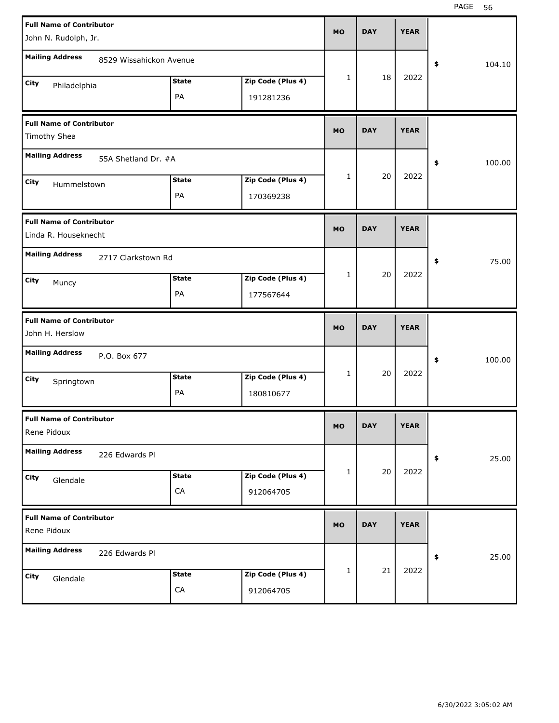| <b>Full Name of Contributor</b><br>John N. Rudolph, Jr. |                         |              |                   | <b>MO</b> | <b>DAY</b> | <b>YEAR</b> |            |        |
|---------------------------------------------------------|-------------------------|--------------|-------------------|-----------|------------|-------------|------------|--------|
|                                                         |                         |              |                   |           |            |             |            |        |
| <b>Mailing Address</b>                                  | 8529 Wissahickon Avenue |              |                   |           |            |             | \$         | 104.10 |
| City<br>Philadelphia                                    |                         | <b>State</b> | Zip Code (Plus 4) | 1         | 18         | 2022        |            |        |
|                                                         |                         | PA           | 191281236         |           |            |             |            |        |
| <b>Full Name of Contributor</b><br>Timothy Shea         |                         |              |                   | <b>MO</b> | <b>DAY</b> | <b>YEAR</b> |            |        |
| <b>Mailing Address</b>                                  | 55A Shetland Dr. #A     |              |                   |           |            |             | \$         | 100.00 |
| City<br>Hummelstown                                     |                         | <b>State</b> | Zip Code (Plus 4) | 1         | 20         | 2022        |            |        |
|                                                         |                         | PA           | 170369238         |           |            |             |            |        |
| <b>Full Name of Contributor</b><br>Linda R. Houseknecht |                         |              |                   | <b>MO</b> | <b>DAY</b> | <b>YEAR</b> |            |        |
| <b>Mailing Address</b>                                  | 2717 Clarkstown Rd      |              |                   |           |            |             | \$         | 75.00  |
| City<br>Muncy                                           |                         | <b>State</b> | Zip Code (Plus 4) | 1         | 20         | 2022        |            |        |
|                                                         |                         | PA           | 177567644         |           |            |             |            |        |
|                                                         |                         |              |                   |           |            |             |            |        |
| <b>Full Name of Contributor</b><br>John H. Herslow      |                         |              |                   | <b>MO</b> | <b>DAY</b> | <b>YEAR</b> |            |        |
| <b>Mailing Address</b>                                  | P.O. Box 677            |              |                   |           |            |             | \$         | 100.00 |
| City                                                    |                         | <b>State</b> | Zip Code (Plus 4) | 1         | 20         | 2022        |            |        |
| Springtown                                              |                         | PA           | 180810677         |           |            |             |            |        |
| <b>Full Name of Contributor</b><br>Rene Pidoux          |                         |              |                   | МO        | <b>DAY</b> | <b>YEAR</b> |            |        |
| <b>Mailing Address</b>                                  | 226 Edwards Pl          |              |                   |           |            |             | $\pmb{\$}$ | 25.00  |
| City                                                    |                         | <b>State</b> | Zip Code (Plus 4) | 1         | 20         | 2022        |            |        |
| Glendale                                                |                         | CA           | 912064705         |           |            |             |            |        |
| <b>Full Name of Contributor</b><br>Rene Pidoux          |                         |              |                   | <b>MO</b> | <b>DAY</b> | <b>YEAR</b> |            |        |
| <b>Mailing Address</b>                                  | 226 Edwards Pl          |              |                   |           |            |             | \$         | 25.00  |
| City<br>Glendale                                        |                         | <b>State</b> | Zip Code (Plus 4) | 1         | 21         | 2022        |            |        |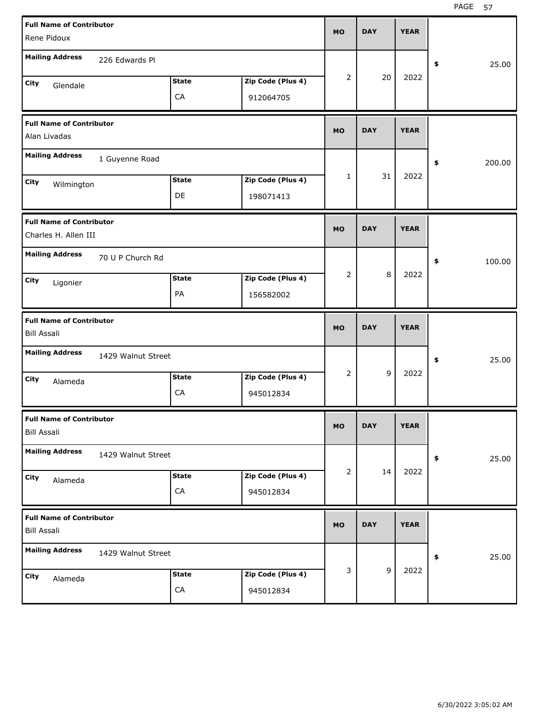| <b>Full Name of Contributor</b>                         |                    |              |                   | <b>MO</b>      | <b>DAY</b>  | <b>YEAR</b> |              |       |
|---------------------------------------------------------|--------------------|--------------|-------------------|----------------|-------------|-------------|--------------|-------|
| Rene Pidoux                                             |                    |              |                   |                |             |             |              |       |
| <b>Mailing Address</b>                                  | 226 Edwards Pl     |              |                   |                |             |             | \$           | 25.00 |
| City<br>Glendale                                        |                    | <b>State</b> | Zip Code (Plus 4) | 2              | 20          | 2022        |              |       |
|                                                         |                    | CA           | 912064705         |                |             |             |              |       |
| <b>Full Name of Contributor</b>                         |                    |              |                   | <b>MO</b>      | <b>DAY</b>  | <b>YEAR</b> |              |       |
| Alan Livadas                                            |                    |              |                   |                |             |             |              |       |
| <b>Mailing Address</b>                                  | 1 Guyenne Road     |              |                   |                |             |             | 200.00<br>\$ |       |
| City<br>Wilmington                                      |                    | <b>State</b> | Zip Code (Plus 4) | $\mathbf{1}$   | 31          | 2022        |              |       |
|                                                         |                    | DE           | 198071413         |                |             |             |              |       |
| <b>Full Name of Contributor</b><br>Charles H. Allen III |                    |              |                   | <b>MO</b>      | <b>DAY</b>  | <b>YEAR</b> |              |       |
| <b>Mailing Address</b>                                  | 70 U P Church Rd   |              |                   |                |             |             | \$<br>100.00 |       |
| City<br>Ligonier                                        |                    | <b>State</b> | Zip Code (Plus 4) | $\overline{2}$ | 8           | 2022        |              |       |
|                                                         |                    | PA           | 156582002         |                |             |             |              |       |
|                                                         |                    |              |                   |                |             |             |              |       |
| <b>Full Name of Contributor</b><br><b>Bill Assali</b>   |                    |              |                   | <b>MO</b>      | <b>DAY</b>  | <b>YEAR</b> |              |       |
| <b>Mailing Address</b>                                  | 1429 Walnut Street |              |                   |                |             |             | \$           | 25.00 |
| City                                                    |                    | <b>State</b> | Zip Code (Plus 4) | $\overline{2}$ | 9           | 2022        |              |       |
| Alameda                                                 |                    | CA           | 945012834         |                |             |             |              |       |
| <b>Full Name of Contributor</b><br><b>Bill Assali</b>   |                    |              |                   | MO             | <b>DAY</b>  | <b>YEAR</b> |              |       |
| <b>Mailing Address</b>                                  | 1429 Walnut Street |              |                   |                |             |             | \$           | 25.00 |
| City                                                    |                    | <b>State</b> | Zip Code (Plus 4) | $\overline{2}$ | 14          | 2022        |              |       |
| Alameda                                                 |                    | ${\sf CA}$   | 945012834         |                |             |             |              |       |
| <b>Full Name of Contributor</b><br><b>Bill Assali</b>   |                    |              |                   | <b>MO</b>      | <b>DAY</b>  | <b>YEAR</b> |              |       |
| <b>Mailing Address</b>                                  | 1429 Walnut Street |              |                   |                |             |             | \$           | 25.00 |
| City<br>Alameda                                         |                    | <b>State</b> | Zip Code (Plus 4) | 3              | $\mathsf g$ | 2022        |              |       |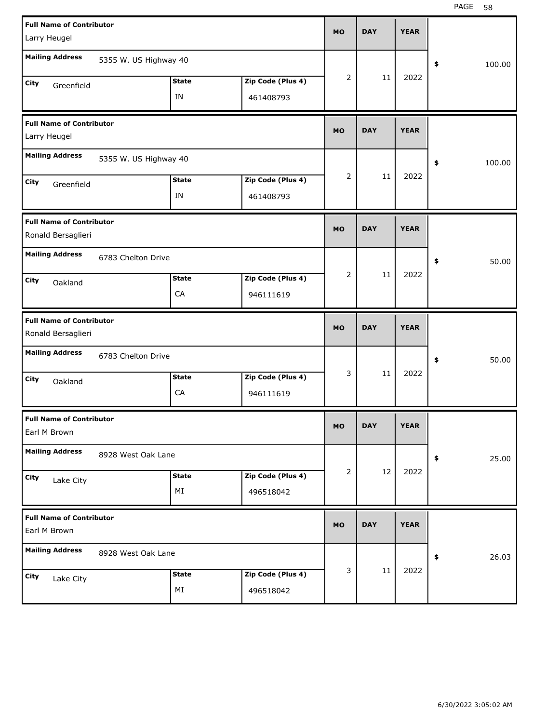| <b>Full Name of Contributor</b>                       |                       |              |                   |           |            |             |              |
|-------------------------------------------------------|-----------------------|--------------|-------------------|-----------|------------|-------------|--------------|
| Larry Heugel                                          |                       |              |                   | <b>MO</b> | <b>DAY</b> | <b>YEAR</b> |              |
| <b>Mailing Address</b>                                | 5355 W. US Highway 40 |              |                   |           |            |             | 100.00<br>\$ |
| City                                                  |                       | <b>State</b> | Zip Code (Plus 4) | 2         | 11         | 2022        |              |
| Greenfield                                            |                       | IN           | 461408793         |           |            |             |              |
| <b>Full Name of Contributor</b>                       |                       |              |                   |           |            |             |              |
| Larry Heugel                                          |                       |              |                   | <b>MO</b> | <b>DAY</b> | <b>YEAR</b> |              |
| <b>Mailing Address</b>                                | 5355 W. US Highway 40 |              |                   |           |            |             | 100.00<br>\$ |
| City<br>Greenfield                                    |                       | <b>State</b> | Zip Code (Plus 4) | 2         | 11         | 2022        |              |
|                                                       |                       | IN           | 461408793         |           |            |             |              |
| <b>Full Name of Contributor</b><br>Ronald Bersaglieri |                       |              |                   | <b>MO</b> | <b>DAY</b> | <b>YEAR</b> |              |
| <b>Mailing Address</b>                                | 6783 Chelton Drive    |              |                   |           |            |             | 50.00<br>\$  |
| City<br>Oakland                                       |                       | <b>State</b> | Zip Code (Plus 4) | 2         | 11         | 2022        |              |
|                                                       |                       | CA           | 946111619         |           |            |             |              |
|                                                       |                       |              |                   |           |            |             |              |
| <b>Full Name of Contributor</b><br>Ronald Bersaglieri |                       |              |                   | <b>MO</b> | <b>DAY</b> | <b>YEAR</b> |              |
| <b>Mailing Address</b>                                | 6783 Chelton Drive    |              |                   |           |            |             | \$<br>50.00  |
| City<br>Oakland                                       |                       | <b>State</b> | Zip Code (Plus 4) | 3         | 11         | 2022        |              |
|                                                       |                       | CA           | 946111619         |           |            |             |              |
| <b>Full Name of Contributor</b><br>Earl M Brown       |                       |              |                   | <b>MO</b> | <b>DAY</b> | <b>YEAR</b> |              |
| <b>Mailing Address</b>                                | 8928 West Oak Lane    |              |                   |           |            |             | 25.00<br>\$  |
| City                                                  |                       | <b>State</b> | Zip Code (Plus 4) | 2         | 12         | 2022        |              |
| Lake City                                             |                       | ΜI           | 496518042         |           |            |             |              |
| <b>Full Name of Contributor</b><br>Earl M Brown       |                       |              |                   | <b>MO</b> | <b>DAY</b> | <b>YEAR</b> |              |
| <b>Mailing Address</b>                                | 8928 West Oak Lane    |              |                   |           |            |             | 26.03<br>\$  |
| City<br>Lake City                                     |                       | <b>State</b> | Zip Code (Plus 4) | 3         | 11         | 2022        |              |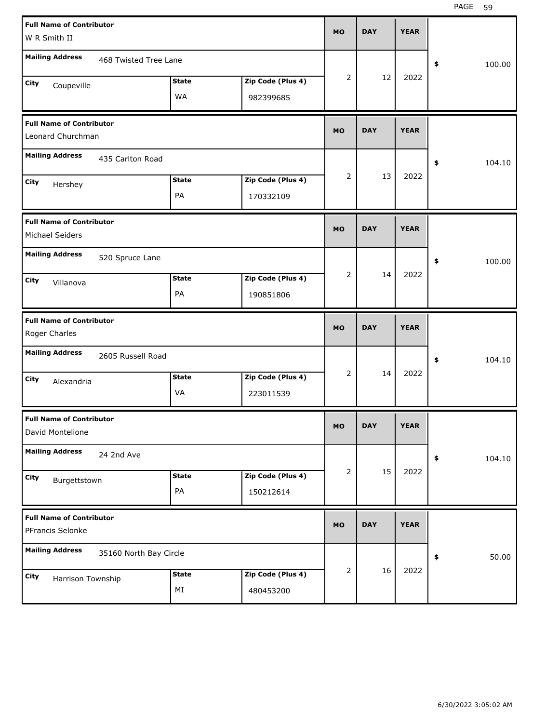| <b>Full Name of Contributor</b><br>W R Smith II      |                        |                           |                                | <b>MO</b>      | <b>DAY</b> | <b>YEAR</b> |              |
|------------------------------------------------------|------------------------|---------------------------|--------------------------------|----------------|------------|-------------|--------------|
| <b>Mailing Address</b>                               | 468 Twisted Tree Lane  |                           |                                |                |            |             | \$<br>100.00 |
| City<br>Coupeville                                   |                        | <b>State</b><br><b>WA</b> | Zip Code (Plus 4)<br>982399685 | 2              | 12         | 2022        |              |
| <b>Full Name of Contributor</b><br>Leonard Churchman |                        |                           |                                | <b>MO</b>      | <b>DAY</b> | <b>YEAR</b> |              |
| <b>Mailing Address</b>                               | 435 Carlton Road       |                           |                                |                |            |             | \$<br>104.10 |
| City<br>Hershey                                      |                        | <b>State</b><br>PA        | Zip Code (Plus 4)<br>170332109 | 2              | 13         | 2022        |              |
| <b>Full Name of Contributor</b><br>Michael Seiders   |                        |                           |                                | <b>MO</b>      | <b>DAY</b> | <b>YEAR</b> |              |
| <b>Mailing Address</b>                               | 520 Spruce Lane        |                           |                                |                |            |             | \$<br>100.00 |
| City<br>Villanova                                    |                        | <b>State</b><br>PA        | Zip Code (Plus 4)<br>190851806 | $\overline{2}$ | 14         | 2022        |              |
|                                                      |                        |                           |                                |                |            |             |              |
| <b>Full Name of Contributor</b><br>Roger Charles     |                        |                           |                                | <b>MO</b>      | <b>DAY</b> | <b>YEAR</b> |              |
| <b>Mailing Address</b>                               | 2605 Russell Road      |                           |                                |                |            |             | \$<br>104.10 |
| City<br>Alexandria                                   |                        | <b>State</b><br>VA        | Zip Code (Plus 4)<br>223011539 | 2              | 14         | 2022        |              |
| <b>Full Name of Contributor</b><br>David Montelione  |                        |                           |                                | <b>MO</b>      | <b>DAY</b> | <b>YEAR</b> |              |
| <b>Mailing Address</b>                               | 24 2nd Ave             |                           |                                |                |            |             | \$<br>104.10 |
| City<br>Burgettstown                                 |                        | <b>State</b><br>PA        | Zip Code (Plus 4)<br>150212614 | $\overline{2}$ | 15         | 2022        |              |
| <b>Full Name of Contributor</b><br>PFrancis Selonke  |                        |                           |                                | <b>MO</b>      | <b>DAY</b> | <b>YEAR</b> |              |
| <b>Mailing Address</b>                               | 35160 North Bay Circle |                           |                                | 2              | 16         | 2022        | 50.00<br>\$  |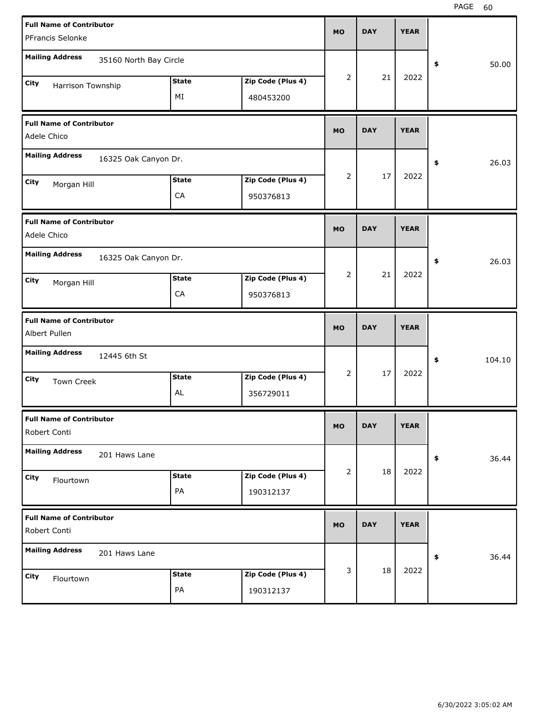| <b>Full Name of Contributor</b>                  |                        |              |                   |           |            |             |              |
|--------------------------------------------------|------------------------|--------------|-------------------|-----------|------------|-------------|--------------|
| PFrancis Selonke                                 |                        |              |                   | <b>MO</b> | <b>DAY</b> | <b>YEAR</b> |              |
| <b>Mailing Address</b>                           | 35160 North Bay Circle |              |                   |           |            |             | 50.00<br>\$  |
| City<br>Harrison Township                        |                        | <b>State</b> | Zip Code (Plus 4) | 2         | 21         | 2022        |              |
|                                                  |                        | ΜI           | 480453200         |           |            |             |              |
| <b>Full Name of Contributor</b><br>Adele Chico   |                        |              |                   | <b>MO</b> | <b>DAY</b> | <b>YEAR</b> |              |
| <b>Mailing Address</b>                           | 16325 Oak Canyon Dr.   |              |                   |           |            |             | 26.03<br>\$  |
| City<br>Morgan Hill                              |                        | <b>State</b> | Zip Code (Plus 4) | 2         | 17         | 2022        |              |
|                                                  |                        | CA           | 950376813         |           |            |             |              |
| <b>Full Name of Contributor</b><br>Adele Chico   |                        |              |                   | <b>MO</b> | <b>DAY</b> | <b>YEAR</b> |              |
| <b>Mailing Address</b>                           | 16325 Oak Canyon Dr.   |              |                   |           |            |             | \$<br>26.03  |
| City<br>Morgan Hill                              |                        | <b>State</b> | Zip Code (Plus 4) | 2         | 21         | 2022        |              |
|                                                  |                        | CA           | 950376813         |           |            |             |              |
|                                                  |                        |              |                   |           |            |             |              |
| <b>Full Name of Contributor</b><br>Albert Pullen |                        |              |                   | <b>MO</b> | <b>DAY</b> | <b>YEAR</b> |              |
| <b>Mailing Address</b>                           | 12445 6th St           |              |                   |           |            |             | \$<br>104.10 |
| City<br>Town Creek                               |                        | <b>State</b> | Zip Code (Plus 4) | 2         | 17         | 2022        |              |
|                                                  |                        | AL           | 356729011         |           |            |             |              |
| <b>Full Name of Contributor</b><br>Robert Conti  |                        |              |                   | <b>MO</b> | <b>DAY</b> | <b>YEAR</b> |              |
| <b>Mailing Address</b>                           | 201 Haws Lane          |              |                   |           |            |             | 36.44<br>\$  |
| City                                             |                        | <b>State</b> | Zip Code (Plus 4) | 2         | 18         | 2022        |              |
| Flourtown                                        |                        | PA           | 190312137         |           |            |             |              |
| <b>Full Name of Contributor</b><br>Robert Conti  |                        |              |                   | <b>MO</b> | <b>DAY</b> | <b>YEAR</b> |              |
| <b>Mailing Address</b>                           | 201 Haws Lane          |              |                   |           |            |             | 36.44<br>\$  |
| City<br>Flourtown                                |                        | <b>State</b> | Zip Code (Plus 4) | 3         | 18         | 2022        |              |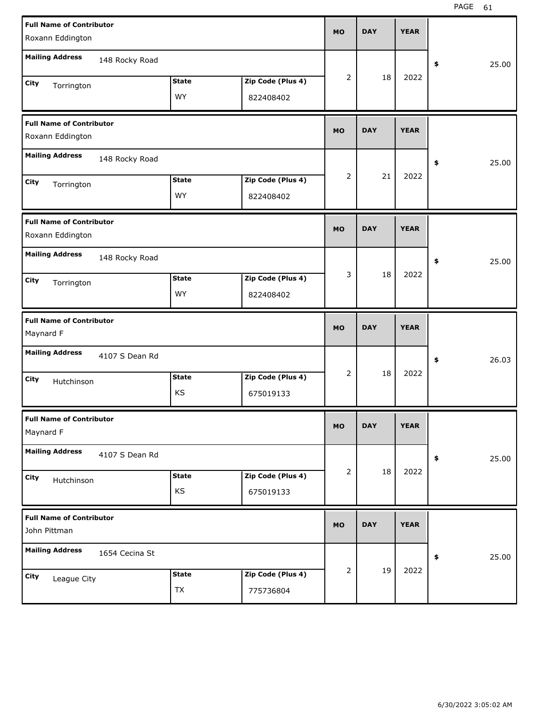| <b>Full Name of Contributor</b>                 |                |              |                   | <b>MO</b> | <b>DAY</b> | <b>YEAR</b> |             |
|-------------------------------------------------|----------------|--------------|-------------------|-----------|------------|-------------|-------------|
| Roxann Eddington                                |                |              |                   |           |            |             |             |
| <b>Mailing Address</b>                          | 148 Rocky Road |              |                   |           |            |             | \$<br>25.00 |
| City<br>Torrington                              |                | <b>State</b> | Zip Code (Plus 4) | 2         | 18         | 2022        |             |
|                                                 |                | <b>WY</b>    | 822408402         |           |            |             |             |
| <b>Full Name of Contributor</b>                 |                |              |                   | <b>MO</b> | <b>DAY</b> | <b>YEAR</b> |             |
| Roxann Eddington                                |                |              |                   |           |            |             |             |
| <b>Mailing Address</b>                          | 148 Rocky Road |              |                   |           |            |             | \$<br>25.00 |
| City<br>Torrington                              |                | <b>State</b> | Zip Code (Plus 4) | 2         | 21         | 2022        |             |
|                                                 |                | <b>WY</b>    | 822408402         |           |            |             |             |
| <b>Full Name of Contributor</b>                 |                |              |                   | <b>MO</b> | <b>DAY</b> | <b>YEAR</b> |             |
| Roxann Eddington                                |                |              |                   |           |            |             |             |
| <b>Mailing Address</b>                          | 148 Rocky Road |              |                   |           |            |             | \$<br>25.00 |
| City<br>Torrington                              |                | <b>State</b> | Zip Code (Plus 4) | 3         | 18         | 2022        |             |
|                                                 |                | <b>WY</b>    | 822408402         |           |            |             |             |
|                                                 |                |              |                   |           |            |             |             |
| <b>Full Name of Contributor</b><br>Maynard F    |                |              |                   | <b>MO</b> | <b>DAY</b> | <b>YEAR</b> |             |
| <b>Mailing Address</b>                          | 4107 S Dean Rd |              |                   |           |            |             | \$<br>26.03 |
|                                                 |                | <b>State</b> | Zip Code (Plus 4) | 2         | 18         | 2022        |             |
| City<br>Hutchinson                              |                | KS           | 675019133         |           |            |             |             |
| <b>Full Name of Contributor</b><br>Maynard F    |                |              |                   | <b>MO</b> | <b>DAY</b> | <b>YEAR</b> |             |
| <b>Mailing Address</b>                          | 4107 S Dean Rd |              |                   |           |            |             | \$<br>25.00 |
| City                                            |                | <b>State</b> | Zip Code (Plus 4) | 2         | 18         | 2022        |             |
| Hutchinson                                      |                | KS           | 675019133         |           |            |             |             |
| <b>Full Name of Contributor</b><br>John Pittman |                |              |                   | <b>MO</b> | <b>DAY</b> | <b>YEAR</b> |             |
| <b>Mailing Address</b>                          | 1654 Cecina St |              |                   |           |            |             | \$<br>25.00 |
| City<br>League City                             |                | <b>State</b> | Zip Code (Plus 4) | 2         | 19         | 2022        |             |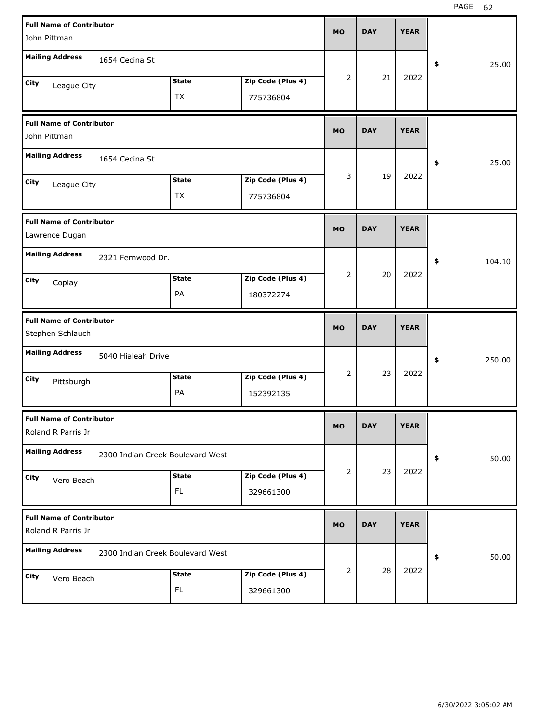| <b>Full Name of Contributor</b><br>John Pittman       |                                  |                           |                                | <b>MO</b> | <b>DAY</b> | <b>YEAR</b> |              |
|-------------------------------------------------------|----------------------------------|---------------------------|--------------------------------|-----------|------------|-------------|--------------|
| <b>Mailing Address</b>                                | 1654 Cecina St                   |                           |                                |           |            |             | 25.00<br>\$  |
| City<br>League City                                   |                                  | <b>State</b><br><b>TX</b> | Zip Code (Plus 4)<br>775736804 | 2         | 21         | 2022        |              |
| <b>Full Name of Contributor</b><br>John Pittman       |                                  |                           |                                | <b>MO</b> | <b>DAY</b> | <b>YEAR</b> |              |
| <b>Mailing Address</b>                                | 1654 Cecina St                   |                           |                                |           |            |             | 25.00<br>\$  |
| City<br>League City                                   |                                  | <b>State</b><br>ТX        | Zip Code (Plus 4)<br>775736804 | 3         | 19         | 2022        |              |
| <b>Full Name of Contributor</b><br>Lawrence Dugan     |                                  |                           |                                | <b>MO</b> | <b>DAY</b> | <b>YEAR</b> |              |
| <b>Mailing Address</b>                                | 2321 Fernwood Dr.                |                           |                                |           |            |             | \$<br>104.10 |
| City<br>Coplay                                        |                                  | <b>State</b><br>PA        | Zip Code (Plus 4)<br>180372274 | 2         | 20         | 2022        |              |
|                                                       |                                  |                           |                                |           |            |             |              |
| <b>Full Name of Contributor</b><br>Stephen Schlauch   |                                  |                           |                                | <b>MO</b> | <b>DAY</b> | <b>YEAR</b> |              |
| <b>Mailing Address</b>                                | 5040 Hialeah Drive               |                           |                                |           |            |             | 250.00<br>\$ |
| City<br>Pittsburgh                                    |                                  | <b>State</b><br>PA        | Zip Code (Plus 4)<br>152392135 | 2         | 23         | 2022        |              |
| <b>Full Name of Contributor</b><br>Roland R Parris Jr |                                  |                           |                                | <b>MO</b> | <b>DAY</b> | <b>YEAR</b> |              |
| <b>Mailing Address</b>                                | 2300 Indian Creek Boulevard West |                           |                                |           |            |             | 50.00<br>\$  |
| City<br>Vero Beach                                    |                                  | <b>State</b><br>FL.       | Zip Code (Plus 4)<br>329661300 | 2         | 23         | 2022        |              |
| <b>Full Name of Contributor</b><br>Roland R Parris Jr |                                  |                           |                                | <b>MO</b> | <b>DAY</b> | <b>YEAR</b> |              |
| <b>Mailing Address</b>                                | 2300 Indian Creek Boulevard West |                           |                                |           | 28         | 2022        | 50.00<br>\$  |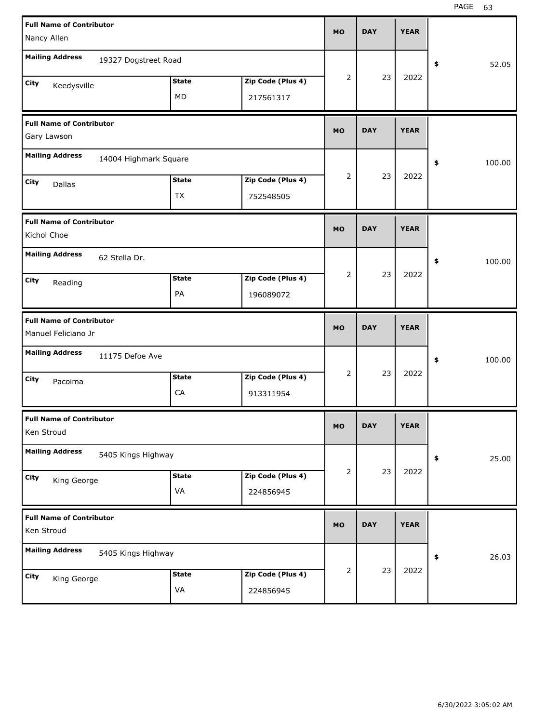| <b>Full Name of Contributor</b>                        |                       |              |                   |                |            |             |              |
|--------------------------------------------------------|-----------------------|--------------|-------------------|----------------|------------|-------------|--------------|
| Nancy Allen                                            |                       |              |                   | <b>MO</b>      | <b>DAY</b> | <b>YEAR</b> |              |
| <b>Mailing Address</b>                                 | 19327 Dogstreet Road  |              |                   |                |            |             | \$<br>52.05  |
| City<br>Keedysville                                    |                       | <b>State</b> | Zip Code (Plus 4) | $\overline{2}$ | 23         | 2022        |              |
|                                                        |                       | MD           | 217561317         |                |            |             |              |
| <b>Full Name of Contributor</b><br>Gary Lawson         |                       |              |                   | <b>MO</b>      | <b>DAY</b> | <b>YEAR</b> |              |
| <b>Mailing Address</b>                                 | 14004 Highmark Square |              |                   |                |            |             | \$<br>100.00 |
| City<br>Dallas                                         |                       | <b>State</b> | Zip Code (Plus 4) | $\overline{2}$ | 23         | 2022        |              |
|                                                        |                       | <b>TX</b>    | 752548505         |                |            |             |              |
| <b>Full Name of Contributor</b><br>Kichol Choe         |                       |              |                   | <b>MO</b>      | <b>DAY</b> | <b>YEAR</b> |              |
| <b>Mailing Address</b>                                 | 62 Stella Dr.         |              |                   |                |            |             | \$<br>100.00 |
| City<br>Reading                                        |                       | <b>State</b> | Zip Code (Plus 4) | $\overline{2}$ | 23         | 2022        |              |
|                                                        |                       | PA           | 196089072         |                |            |             |              |
|                                                        |                       |              |                   |                |            |             |              |
| <b>Full Name of Contributor</b><br>Manuel Feliciano Jr |                       |              |                   | <b>MO</b>      | <b>DAY</b> | <b>YEAR</b> |              |
| <b>Mailing Address</b>                                 | 11175 Defoe Ave       |              |                   |                |            |             | \$<br>100.00 |
| City<br>Pacoima                                        |                       | <b>State</b> | Zip Code (Plus 4) | $\overline{2}$ | 23         | 2022        |              |
|                                                        |                       | CA           | 913311954         |                |            |             |              |
| <b>Full Name of Contributor</b><br>Ken Stroud          |                       |              |                   | MO             | <b>DAY</b> | <b>YEAR</b> |              |
| <b>Mailing Address</b>                                 | 5405 Kings Highway    |              |                   |                |            |             | \$<br>25.00  |
| City                                                   |                       | <b>State</b> | Zip Code (Plus 4) | 2              | 23         | 2022        |              |
| King George                                            |                       | VA           | 224856945         |                |            |             |              |
| <b>Full Name of Contributor</b><br>Ken Stroud          |                       |              |                   | <b>MO</b>      | <b>DAY</b> | <b>YEAR</b> |              |
| <b>Mailing Address</b>                                 | 5405 Kings Highway    |              |                   |                |            |             | \$<br>26.03  |
| City<br>King George                                    |                       | <b>State</b> | Zip Code (Plus 4) | 2              | 23         | 2022        |              |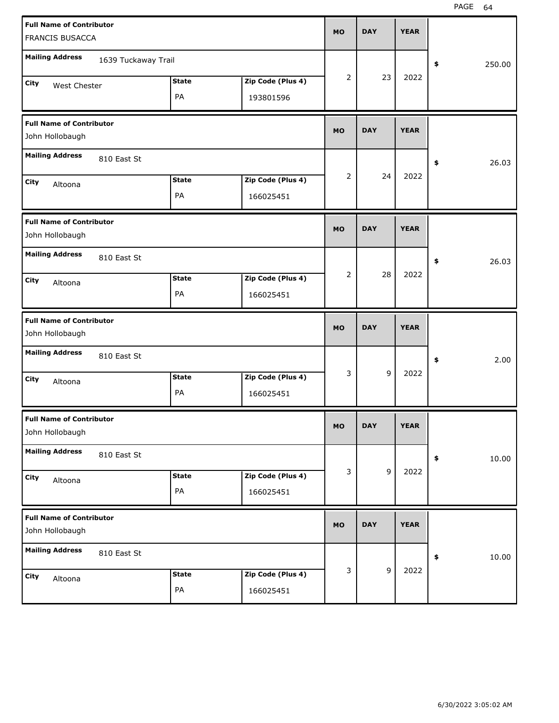| <b>Full Name of Contributor</b>                    |                     |              |                   | <b>MO</b> | <b>DAY</b> | <b>YEAR</b> |              |
|----------------------------------------------------|---------------------|--------------|-------------------|-----------|------------|-------------|--------------|
| FRANCIS BUSACCA                                    |                     |              |                   |           |            |             |              |
| <b>Mailing Address</b>                             | 1639 Tuckaway Trail |              |                   |           |            |             | 250.00<br>\$ |
| City<br>West Chester                               |                     | <b>State</b> | Zip Code (Plus 4) | 2         | 23         | 2022        |              |
|                                                    |                     | PA           | 193801596         |           |            |             |              |
| <b>Full Name of Contributor</b><br>John Hollobaugh |                     |              |                   | <b>MO</b> | <b>DAY</b> | <b>YEAR</b> |              |
| <b>Mailing Address</b>                             | 810 East St         |              |                   |           |            |             | 26.03<br>\$  |
| <b>City</b><br>Altoona                             |                     | <b>State</b> | Zip Code (Plus 4) | 2         | 24         | 2022        |              |
|                                                    |                     | PA           | 166025451         |           |            |             |              |
| <b>Full Name of Contributor</b><br>John Hollobaugh |                     |              |                   | <b>MO</b> | <b>DAY</b> | <b>YEAR</b> |              |
| <b>Mailing Address</b>                             | 810 East St         |              |                   |           |            |             | 26.03<br>\$  |
| City<br>Altoona                                    |                     | <b>State</b> | Zip Code (Plus 4) | 2         | 28         | 2022        |              |
|                                                    |                     | PA           | 166025451         |           |            |             |              |
|                                                    |                     |              |                   |           |            |             |              |
| <b>Full Name of Contributor</b><br>John Hollobaugh |                     |              |                   | <b>MO</b> | <b>DAY</b> | <b>YEAR</b> |              |
| <b>Mailing Address</b>                             | 810 East St         |              |                   |           |            |             | 2.00<br>\$   |
| City<br>Altoona                                    |                     | <b>State</b> | Zip Code (Plus 4) | 3         | 9          | 2022        |              |
|                                                    |                     | PA           | 166025451         |           |            |             |              |
| <b>Full Name of Contributor</b><br>John Hollobaugh |                     |              |                   | <b>MO</b> | <b>DAY</b> | <b>YEAR</b> |              |
| <b>Mailing Address</b>                             | 810 East St         |              |                   |           |            |             | 10.00<br>\$  |
| City<br>Altoona                                    |                     | <b>State</b> | Zip Code (Plus 4) | 3         | 9          | 2022        |              |
|                                                    |                     | PA           | 166025451         |           |            |             |              |
| <b>Full Name of Contributor</b><br>John Hollobaugh |                     |              |                   | <b>MO</b> | <b>DAY</b> | <b>YEAR</b> |              |
| <b>Mailing Address</b>                             | 810 East St         |              |                   |           |            |             | 10.00<br>\$  |
| <b>City</b><br>Altoona                             |                     | <b>State</b> | Zip Code (Plus 4) | 3         | 9          | 2022        |              |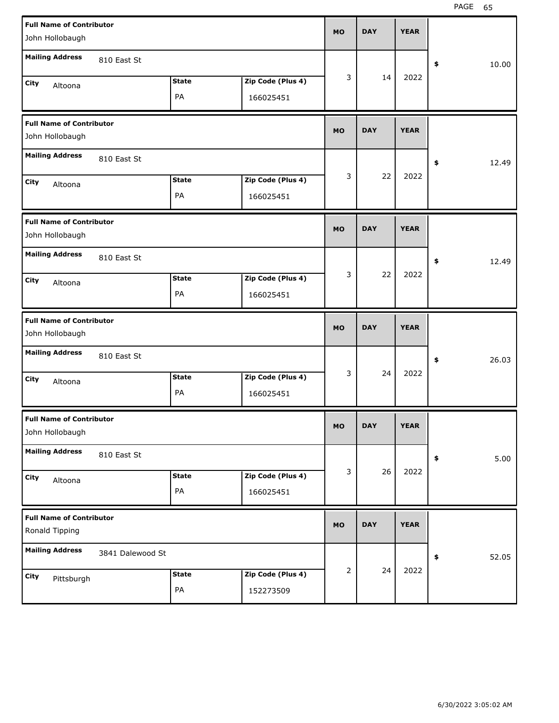| <b>Full Name of Contributor</b> |                  |                    |                                | <b>MO</b> | <b>DAY</b> | <b>YEAR</b> |             |
|---------------------------------|------------------|--------------------|--------------------------------|-----------|------------|-------------|-------------|
| John Hollobaugh                 |                  |                    |                                |           |            |             |             |
| <b>Mailing Address</b>          | 810 East St      |                    |                                |           |            |             |             |
|                                 |                  |                    |                                |           |            |             | \$<br>10.00 |
| City<br>Altoona                 |                  | <b>State</b>       | Zip Code (Plus 4)              | 3         | 14         | 2022        |             |
|                                 |                  | PA                 | 166025451                      |           |            |             |             |
| <b>Full Name of Contributor</b> |                  |                    |                                |           |            |             |             |
| John Hollobaugh                 |                  |                    |                                | <b>MO</b> | <b>DAY</b> | <b>YEAR</b> |             |
| <b>Mailing Address</b>          | 810 East St      |                    |                                |           |            |             | \$<br>12.49 |
| City                            |                  | <b>State</b>       | Zip Code (Plus 4)              | 3         | 22         | 2022        |             |
| Altoona                         |                  | PA                 | 166025451                      |           |            |             |             |
|                                 |                  |                    |                                |           |            |             |             |
| <b>Full Name of Contributor</b> |                  |                    |                                | <b>MO</b> | <b>DAY</b> | <b>YEAR</b> |             |
| John Hollobaugh                 |                  |                    |                                |           |            |             |             |
| <b>Mailing Address</b>          | 810 East St      |                    |                                |           |            |             | \$<br>12.49 |
|                                 |                  | <b>State</b>       |                                | 3         | 22         | 2022        |             |
| City<br>Altoona                 |                  |                    | Zip Code (Plus 4)              |           |            |             |             |
|                                 |                  | PA                 | 166025451                      |           |            |             |             |
|                                 |                  |                    |                                |           |            |             |             |
| <b>Full Name of Contributor</b> |                  |                    |                                |           |            |             |             |
| John Hollobaugh                 |                  |                    |                                | <b>MO</b> | <b>DAY</b> | <b>YEAR</b> |             |
| <b>Mailing Address</b>          |                  |                    |                                |           |            |             |             |
|                                 | 810 East St      |                    |                                |           |            |             | \$<br>26.03 |
| City<br>Altoona                 |                  | <b>State</b>       | Zip Code (Plus 4)              | 3         | 24         | 2022        |             |
|                                 |                  | PA                 | 166025451                      |           |            |             |             |
| <b>Full Name of Contributor</b> |                  |                    |                                |           |            |             |             |
| John Hollobaugh                 |                  |                    |                                | MO        | <b>DAY</b> | <b>YEAR</b> |             |
| <b>Mailing Address</b>          |                  |                    |                                |           |            |             |             |
|                                 | 810 East St      |                    |                                |           |            |             | \$<br>5.00  |
| City<br>Altoona                 |                  | <b>State</b>       | Zip Code (Plus 4)              | 3         | 26         | 2022        |             |
|                                 |                  | PA                 | 166025451                      |           |            |             |             |
| <b>Full Name of Contributor</b> |                  |                    |                                |           |            |             |             |
| Ronald Tipping                  |                  |                    |                                | MO        | <b>DAY</b> | <b>YEAR</b> |             |
| <b>Mailing Address</b>          |                  |                    |                                |           |            |             |             |
|                                 | 3841 Dalewood St |                    |                                |           |            |             | \$<br>52.05 |
| City<br>Pittsburgh              |                  | <b>State</b><br>PA | Zip Code (Plus 4)<br>152273509 | 2         | 24         | 2022        |             |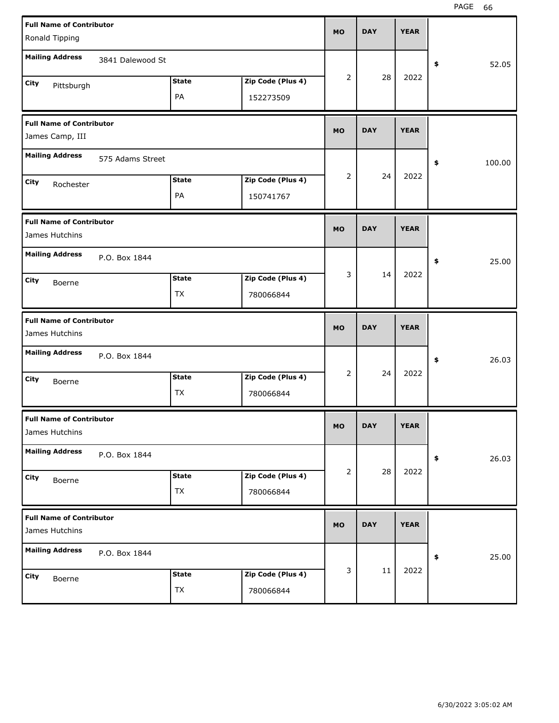| <b>Full Name of Contributor</b> |                  |              |                   | <b>MO</b>      | <b>DAY</b> | <b>YEAR</b> |              |  |
|---------------------------------|------------------|--------------|-------------------|----------------|------------|-------------|--------------|--|
| Ronald Tipping                  |                  |              |                   |                |            |             |              |  |
| <b>Mailing Address</b>          | 3841 Dalewood St |              |                   |                |            |             | \$<br>52.05  |  |
| City<br>Pittsburgh              |                  | <b>State</b> | Zip Code (Plus 4) | 2              | 28         | 2022        |              |  |
|                                 |                  | PA           | 152273509         |                |            |             |              |  |
| <b>Full Name of Contributor</b> |                  |              |                   | <b>MO</b>      | <b>DAY</b> | <b>YEAR</b> |              |  |
| James Camp, III                 |                  |              |                   |                |            |             |              |  |
| <b>Mailing Address</b>          | 575 Adams Street |              |                   |                |            |             | \$<br>100.00 |  |
| City<br>Rochester               |                  | <b>State</b> | Zip Code (Plus 4) | 2              | 24         | 2022        |              |  |
|                                 |                  | PA           | 150741767         |                |            |             |              |  |
| <b>Full Name of Contributor</b> |                  |              |                   |                | <b>DAY</b> | <b>YEAR</b> |              |  |
| James Hutchins                  |                  |              |                   | <b>MO</b>      |            |             |              |  |
| <b>Mailing Address</b>          | P.O. Box 1844    |              |                   |                |            |             | \$<br>25.00  |  |
| City<br>Boerne                  |                  | <b>State</b> | Zip Code (Plus 4) | 3              | 14         | 2022        |              |  |
|                                 |                  | <b>TX</b>    | 780066844         |                |            |             |              |  |
|                                 |                  |              |                   |                |            |             |              |  |
| <b>Full Name of Contributor</b> |                  |              |                   |                |            |             |              |  |
| James Hutchins                  |                  |              |                   | <b>MO</b>      | <b>DAY</b> | <b>YEAR</b> |              |  |
| <b>Mailing Address</b>          | P.O. Box 1844    |              |                   |                |            |             | \$<br>26.03  |  |
| City<br>Boerne                  |                  | <b>State</b> | Zip Code (Plus 4) | $\overline{2}$ | 24         | 2022        |              |  |
|                                 |                  | <b>TX</b>    | 780066844         |                |            |             |              |  |
| <b>Full Name of Contributor</b> |                  |              |                   |                |            |             |              |  |
| James Hutchins                  |                  |              |                   | МO             | <b>DAY</b> | <b>YEAR</b> |              |  |
| <b>Mailing Address</b>          | P.O. Box 1844    |              |                   |                |            |             | 26.03<br>\$  |  |
| City<br>Boerne                  |                  | <b>State</b> | Zip Code (Plus 4) | 2              | 28         | 2022        |              |  |
|                                 |                  | TX           | 780066844         |                |            |             |              |  |
| <b>Full Name of Contributor</b> |                  |              |                   |                |            |             |              |  |
| James Hutchins                  |                  |              |                   | <b>MO</b>      | <b>DAY</b> | <b>YEAR</b> |              |  |
| <b>Mailing Address</b>          | P.O. Box 1844    |              |                   |                |            |             | 25.00<br>\$  |  |
| City<br>Boerne                  |                  | <b>State</b> | Zip Code (Plus 4) | 3              | 11         | 2022        |              |  |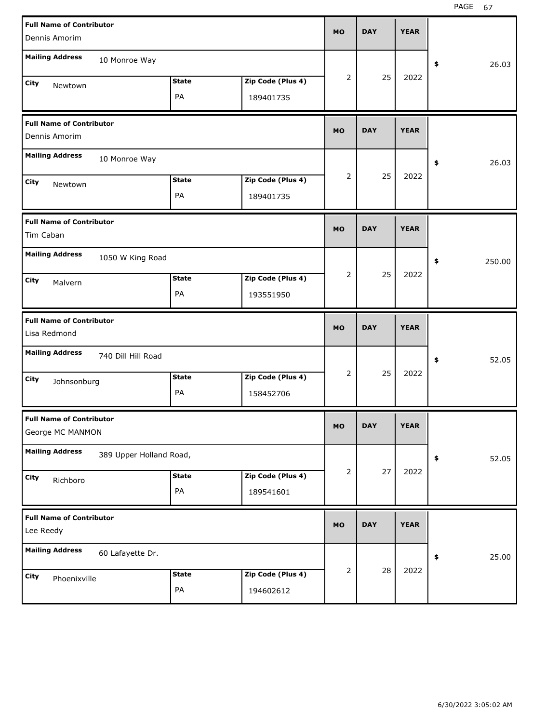| <b>Full Name of Contributor</b> |                         |              |                   |           |            |             |              |
|---------------------------------|-------------------------|--------------|-------------------|-----------|------------|-------------|--------------|
| Dennis Amorim                   |                         |              |                   | <b>MO</b> | <b>DAY</b> | <b>YEAR</b> |              |
| <b>Mailing Address</b>          | 10 Monroe Way           |              |                   |           |            |             |              |
|                                 |                         |              |                   | 2         | 25         | 2022        | \$<br>26.03  |
| City<br>Newtown                 |                         | <b>State</b> | Zip Code (Plus 4) |           |            |             |              |
|                                 |                         | PA           | 189401735         |           |            |             |              |
| <b>Full Name of Contributor</b> |                         |              |                   |           | <b>DAY</b> |             |              |
| Dennis Amorim                   |                         |              |                   | <b>MO</b> |            | <b>YEAR</b> |              |
| <b>Mailing Address</b>          | 10 Monroe Way           |              |                   |           |            |             | \$<br>26.03  |
| City<br>Newtown                 |                         | <b>State</b> | Zip Code (Plus 4) | 2         | 25         | 2022        |              |
|                                 |                         | PA           | 189401735         |           |            |             |              |
| <b>Full Name of Contributor</b> |                         |              |                   |           |            |             |              |
| Tim Caban                       |                         |              |                   | <b>MO</b> | <b>DAY</b> | <b>YEAR</b> |              |
| <b>Mailing Address</b>          | 1050 W King Road        |              |                   |           |            |             | \$<br>250.00 |
| City<br>Malvern                 |                         | <b>State</b> | Zip Code (Plus 4) | 2         | 25         | 2022        |              |
|                                 |                         | PA           | 193551950         |           |            |             |              |
|                                 |                         |              |                   |           |            |             |              |
| <b>Full Name of Contributor</b> |                         |              |                   |           |            |             |              |
| Lisa Redmond                    |                         |              |                   | <b>MO</b> | <b>DAY</b> | <b>YEAR</b> |              |
| <b>Mailing Address</b>          | 740 Dill Hill Road      |              |                   |           |            |             | \$<br>52.05  |
| City<br>Johnsonburg             |                         | <b>State</b> | Zip Code (Plus 4) | 2         | 25         | 2022        |              |
|                                 |                         | PA           | 158452706         |           |            |             |              |
| <b>Full Name of Contributor</b> |                         |              |                   |           |            |             |              |
| George MC MANMON                |                         |              |                   | MO        | <b>DAY</b> | <b>YEAR</b> |              |
| <b>Mailing Address</b>          | 389 Upper Holland Road, |              |                   |           |            |             | \$<br>52.05  |
| City<br>Richboro                |                         | <b>State</b> | Zip Code (Plus 4) | 2         | 27         | 2022        |              |
|                                 |                         | PA           | 189541601         |           |            |             |              |
| <b>Full Name of Contributor</b> |                         |              |                   | <b>MO</b> | <b>DAY</b> | <b>YEAR</b> |              |
| Lee Reedy                       |                         |              |                   |           |            |             |              |
| <b>Mailing Address</b>          | 60 Lafayette Dr.        |              |                   |           |            |             | \$<br>25.00  |
| City<br>Phoenixville            |                         | <b>State</b> | Zip Code (Plus 4) | 2         | 28         | 2022        |              |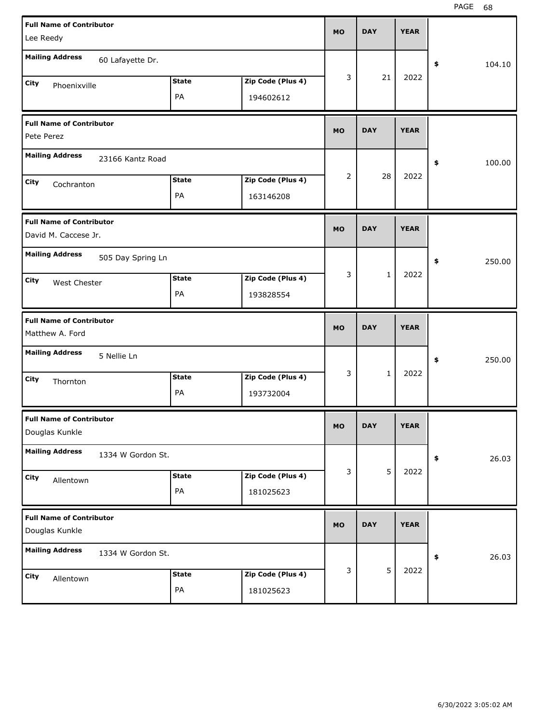| <b>Full Name of Contributor</b><br>Lee Reedy            |                    |                                | <b>MO</b> | <b>DAY</b>   | <b>YEAR</b> |              |
|---------------------------------------------------------|--------------------|--------------------------------|-----------|--------------|-------------|--------------|
| <b>Mailing Address</b><br>60 Lafayette Dr.              |                    |                                |           |              |             | \$<br>104.10 |
| City<br>Phoenixville                                    | <b>State</b><br>PA | Zip Code (Plus 4)<br>194602612 | 3         | 21           | 2022        |              |
| <b>Full Name of Contributor</b><br>Pete Perez           |                    |                                | <b>MO</b> | <b>DAY</b>   | <b>YEAR</b> |              |
| <b>Mailing Address</b><br>23166 Kantz Road              |                    |                                |           |              |             | \$<br>100.00 |
| City<br>Cochranton                                      | <b>State</b><br>PA | Zip Code (Plus 4)<br>163146208 | 2         | 28           | 2022        |              |
| <b>Full Name of Contributor</b><br>David M. Caccese Jr. |                    |                                | <b>MO</b> | <b>DAY</b>   | <b>YEAR</b> |              |
| <b>Mailing Address</b><br>505 Day Spring Ln             |                    |                                |           |              |             | 250.00<br>\$ |
| City<br>West Chester                                    | <b>State</b><br>PA | Zip Code (Plus 4)<br>193828554 | 3         | $\mathbf{1}$ | 2022        |              |
|                                                         |                    |                                |           |              |             |              |
| <b>Full Name of Contributor</b><br>Matthew A. Ford      |                    |                                | <b>MO</b> | <b>DAY</b>   | <b>YEAR</b> |              |
| <b>Mailing Address</b><br>5 Nellie Ln                   |                    |                                |           |              |             | 250.00<br>\$ |
| City<br>Thornton                                        | <b>State</b><br>PA | Zip Code (Plus 4)<br>193732004 | 3         | $\mathbf{1}$ | 2022        |              |
| <b>Full Name of Contributor</b><br>Douglas Kunkle       |                    |                                | MO        | <b>DAY</b>   | <b>YEAR</b> |              |
| <b>Mailing Address</b><br>1334 W Gordon St.             |                    |                                |           |              |             | 26.03<br>\$  |
| City<br>Allentown                                       | <b>State</b><br>PA | Zip Code (Plus 4)<br>181025623 | 3         | 5            | 2022        |              |
| <b>Full Name of Contributor</b><br>Douglas Kunkle       |                    |                                | <b>MO</b> | <b>DAY</b>   | <b>YEAR</b> |              |
| <b>Mailing Address</b><br>1334 W Gordon St.             |                    |                                | 3         | 5            | 2022        | 26.03<br>\$  |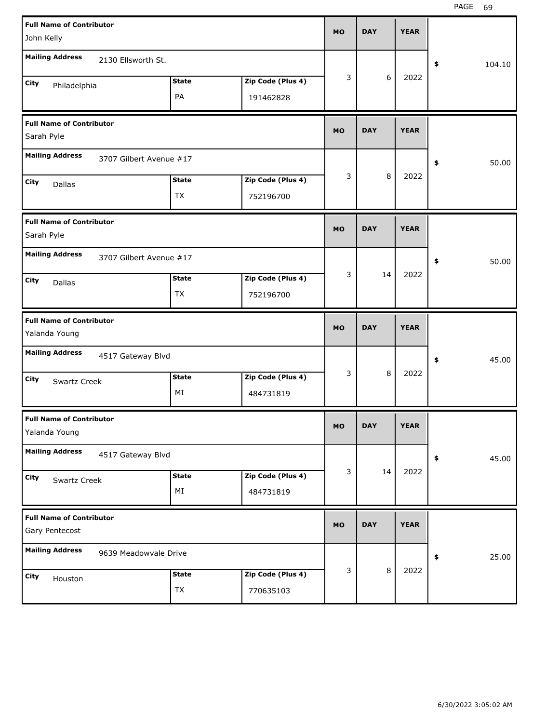| <b>Full Name of Contributor</b><br>John Kelly     |                           |                                | <b>MO</b> | <b>DAY</b> | <b>YEAR</b> |              |
|---------------------------------------------------|---------------------------|--------------------------------|-----------|------------|-------------|--------------|
| <b>Mailing Address</b><br>2130 Ellsworth St.      |                           |                                |           |            |             | \$<br>104.10 |
| City<br>Philadelphia                              | <b>State</b><br>PA        | Zip Code (Plus 4)<br>191462828 | 3         | 6          | 2022        |              |
| <b>Full Name of Contributor</b><br>Sarah Pyle     |                           |                                | <b>MO</b> | <b>DAY</b> | <b>YEAR</b> |              |
| <b>Mailing Address</b><br>3707 Gilbert Avenue #17 |                           |                                |           |            |             | 50.00<br>\$  |
| City<br>Dallas                                    | <b>State</b><br><b>TX</b> | Zip Code (Plus 4)<br>752196700 | 3         | 8          | 2022        |              |
| <b>Full Name of Contributor</b><br>Sarah Pyle     |                           |                                | <b>MO</b> | <b>DAY</b> | <b>YEAR</b> |              |
| <b>Mailing Address</b><br>3707 Gilbert Avenue #17 |                           |                                |           |            |             | 50.00<br>\$  |
| City<br>Dallas                                    | <b>State</b><br><b>TX</b> | Zip Code (Plus 4)<br>752196700 | 3         | 14         | 2022        |              |
|                                                   |                           |                                |           |            |             |              |
| <b>Full Name of Contributor</b><br>Yalanda Young  |                           |                                | <b>MO</b> | <b>DAY</b> | <b>YEAR</b> |              |
| <b>Mailing Address</b><br>4517 Gateway Blvd       |                           |                                |           |            |             | 45.00<br>\$  |
| <b>City</b><br>Swartz Creek                       | <b>State</b><br>MI        | Zip Code (Plus 4)<br>484731819 | 3         | 8          | 2022        |              |
| <b>Full Name of Contributor</b><br>Yalanda Young  |                           |                                | MO        | <b>DAY</b> | <b>YEAR</b> |              |
| <b>Mailing Address</b><br>4517 Gateway Blvd       |                           |                                |           |            |             | 45.00<br>\$  |
| City<br>Swartz Creek                              | <b>State</b><br>MI        | Zip Code (Plus 4)<br>484731819 | 3         | 14         | 2022        |              |
| <b>Full Name of Contributor</b><br>Gary Pentecost |                           |                                | <b>MO</b> | <b>DAY</b> | <b>YEAR</b> |              |
| <b>Mailing Address</b><br>9639 Meadowvale Drive   |                           |                                | 3         | $\,8\,$    | 2022        | 25.00<br>\$  |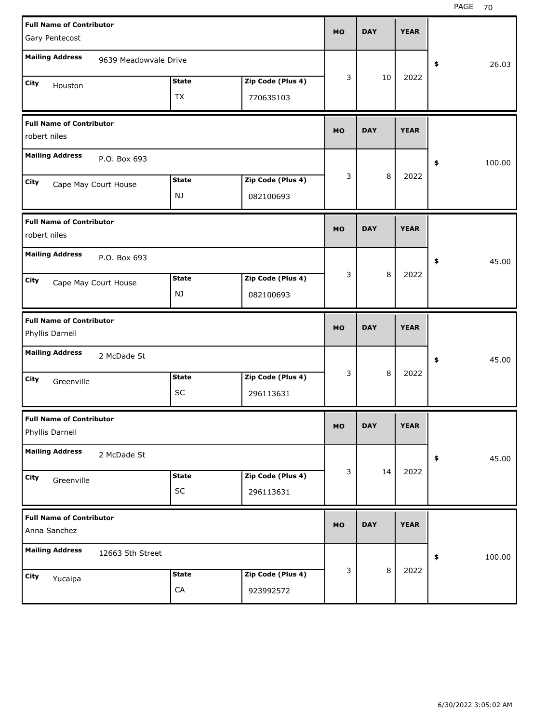| Gary Pentecost         | <b>Full Name of Contributor</b> |              |                   | <b>MO</b> | <b>DAY</b> | <b>YEAR</b> |              |
|------------------------|---------------------------------|--------------|-------------------|-----------|------------|-------------|--------------|
| <b>Mailing Address</b> | 9639 Meadowvale Drive           |              |                   |           |            |             |              |
|                        |                                 |              |                   | 3         | 10         | 2022        | \$<br>26.03  |
| <b>City</b>            | Houston                         | <b>State</b> | Zip Code (Plus 4) |           |            |             |              |
|                        |                                 | <b>TX</b>    | 770635103         |           |            |             |              |
| robert niles           | <b>Full Name of Contributor</b> |              |                   | <b>MO</b> | <b>DAY</b> | <b>YEAR</b> |              |
| <b>Mailing Address</b> | P.O. Box 693                    |              |                   |           |            |             | \$<br>100.00 |
| City                   | Cape May Court House            | <b>State</b> | Zip Code (Plus 4) | 3         | 8          | 2022        |              |
|                        |                                 | NJ           | 082100693         |           |            |             |              |
| robert niles           | <b>Full Name of Contributor</b> |              |                   | <b>MO</b> | <b>DAY</b> | <b>YEAR</b> |              |
| <b>Mailing Address</b> | P.O. Box 693                    |              |                   |           |            |             | \$<br>45.00  |
| City                   | Cape May Court House            | <b>State</b> | Zip Code (Plus 4) | 3         | 8          | 2022        |              |
|                        |                                 | NJ           | 082100693         |           |            |             |              |
|                        |                                 |              |                   |           |            |             |              |
| Phyllis Darnell        | <b>Full Name of Contributor</b> |              |                   | <b>MO</b> | <b>DAY</b> | <b>YEAR</b> |              |
| <b>Mailing Address</b> | 2 McDade St                     |              |                   |           |            |             | \$<br>45.00  |
| <b>City</b>            | Greenville                      | <b>State</b> | Zip Code (Plus 4) | 3         | 8          | 2022        |              |
|                        |                                 | <b>SC</b>    | 296113631         |           |            |             |              |
| Phyllis Darnell        | <b>Full Name of Contributor</b> |              |                   | <b>MO</b> | <b>DAY</b> | <b>YEAR</b> |              |
| <b>Mailing Address</b> | 2 McDade St                     |              |                   |           |            |             | \$<br>45.00  |
| City                   |                                 | <b>State</b> | Zip Code (Plus 4) | 3         | 14         | 2022        |              |
|                        | Greenville                      | SC           | 296113631         |           |            |             |              |
| Anna Sanchez           | <b>Full Name of Contributor</b> |              |                   | <b>MO</b> | <b>DAY</b> | <b>YEAR</b> |              |
| <b>Mailing Address</b> | 12663 5th Street                |              |                   |           |            |             | \$<br>100.00 |
| City                   | Yucaipa                         | <b>State</b> | Zip Code (Plus 4) | 3         | 8          | 2022        |              |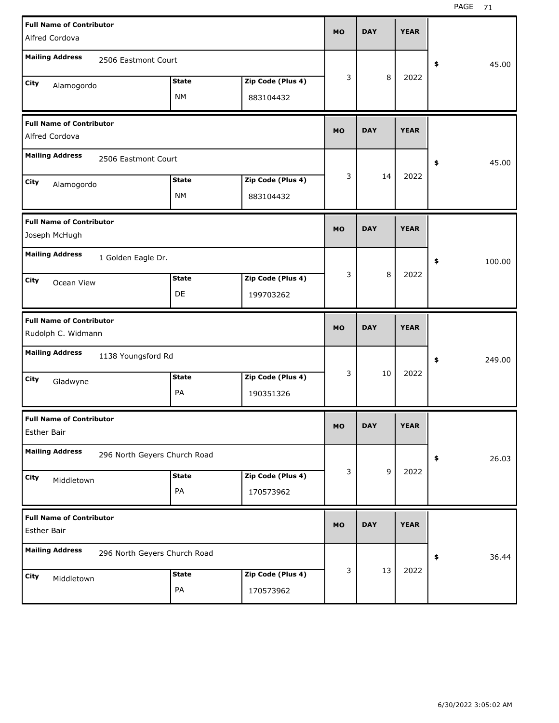| <b>Full Name of Contributor</b><br>Alfred Cordova     |                              |                           |                                | <b>MO</b> | <b>DAY</b> | <b>YEAR</b> |              |
|-------------------------------------------------------|------------------------------|---------------------------|--------------------------------|-----------|------------|-------------|--------------|
| <b>Mailing Address</b>                                | 2506 Eastmont Court          |                           |                                |           |            |             | \$<br>45.00  |
| City<br>Alamogordo                                    |                              | <b>State</b><br><b>NM</b> | Zip Code (Plus 4)<br>883104432 | 3         | 8          | 2022        |              |
| <b>Full Name of Contributor</b><br>Alfred Cordova     |                              |                           |                                | <b>MO</b> | <b>DAY</b> | <b>YEAR</b> |              |
| <b>Mailing Address</b>                                | 2506 Eastmont Court          |                           |                                |           |            |             | \$<br>45.00  |
| City<br>Alamogordo                                    |                              | <b>State</b><br><b>NM</b> | Zip Code (Plus 4)<br>883104432 | 3         | 14         | 2022        |              |
| <b>Full Name of Contributor</b><br>Joseph McHugh      |                              |                           |                                | <b>MO</b> | <b>DAY</b> | <b>YEAR</b> |              |
| <b>Mailing Address</b>                                | 1 Golden Eagle Dr.           |                           |                                |           |            |             | \$<br>100.00 |
| City<br>Ocean View                                    |                              | <b>State</b><br>DE        | Zip Code (Plus 4)<br>199703262 | 3         | 8          | 2022        |              |
|                                                       |                              |                           |                                |           |            |             |              |
| <b>Full Name of Contributor</b><br>Rudolph C. Widmann |                              |                           |                                | <b>MO</b> | <b>DAY</b> | <b>YEAR</b> |              |
| <b>Mailing Address</b>                                | 1138 Youngsford Rd           |                           |                                |           |            |             | \$<br>249.00 |
| City<br>Gladwyne                                      |                              | <b>State</b><br>PA        | Zip Code (Plus 4)<br>190351326 | 3         | 10         | 2022        |              |
| <b>Full Name of Contributor</b><br><b>Esther Bair</b> |                              |                           |                                | <b>MO</b> | <b>DAY</b> | YEAK        |              |
| <b>Mailing Address</b>                                | 296 North Geyers Church Road |                           |                                |           |            |             | 26.03<br>\$  |
| City<br>Middletown                                    |                              | <b>State</b><br>PA        | Zip Code (Plus 4)<br>170573962 | 3         | 9          | 2022        |              |
| <b>Full Name of Contributor</b><br><b>Esther Bair</b> |                              |                           |                                | <b>MO</b> | <b>DAY</b> | <b>YEAR</b> |              |
| <b>Mailing Address</b>                                | 296 North Geyers Church Road |                           |                                | 3         | 13         | 2022        | 36.44<br>\$  |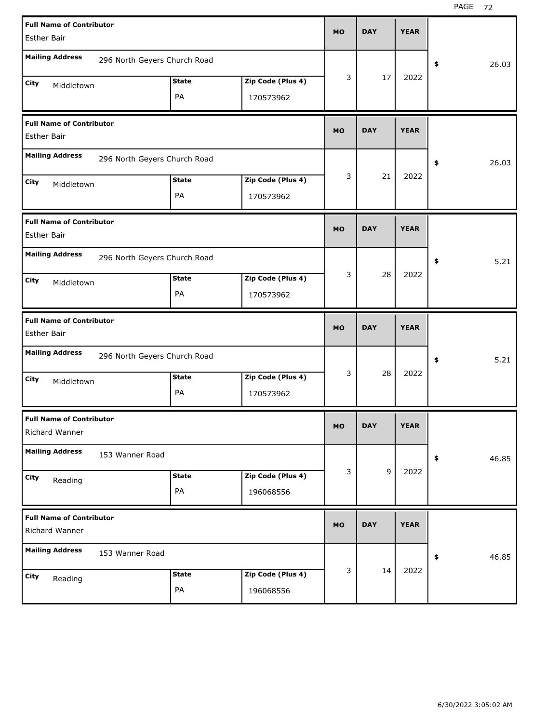| <b>DAY</b><br><b>YEAR</b><br><b>MO</b><br><b>Esther Bair</b><br><b>Mailing Address</b><br>296 North Geyers Church Road<br>26.03<br>\$<br>3<br>17<br>2022<br><b>State</b><br>Zip Code (Plus 4)<br>City<br>Middletown<br>PA |
|---------------------------------------------------------------------------------------------------------------------------------------------------------------------------------------------------------------------------|
|                                                                                                                                                                                                                           |
|                                                                                                                                                                                                                           |
|                                                                                                                                                                                                                           |
|                                                                                                                                                                                                                           |
| 170573962                                                                                                                                                                                                                 |
| <b>Full Name of Contributor</b>                                                                                                                                                                                           |
| <b>DAY</b><br><b>YEAR</b><br><b>MO</b><br><b>Esther Bair</b>                                                                                                                                                              |
| <b>Mailing Address</b><br>296 North Geyers Church Road<br>26.03<br>\$                                                                                                                                                     |
| 3<br>2022<br>21<br><b>State</b><br>Zip Code (Plus 4)<br>City<br>Middletown                                                                                                                                                |
| PA<br>170573962                                                                                                                                                                                                           |
| <b>Full Name of Contributor</b>                                                                                                                                                                                           |
| <b>DAY</b><br><b>YEAR</b><br><b>MO</b><br><b>Esther Bair</b>                                                                                                                                                              |
| <b>Mailing Address</b><br>296 North Geyers Church Road<br>5.21<br>\$                                                                                                                                                      |
|                                                                                                                                                                                                                           |
| 3<br>2022<br>28                                                                                                                                                                                                           |
| <b>State</b><br>Zip Code (Plus 4)<br>City<br>Middletown                                                                                                                                                                   |
| PA<br>170573962                                                                                                                                                                                                           |
| <b>Full Name of Contributor</b><br><b>DAY</b><br><b>YEAR</b><br><b>MO</b><br><b>Esther Bair</b>                                                                                                                           |
|                                                                                                                                                                                                                           |
| <b>Mailing Address</b><br>296 North Geyers Church Road<br>5.21<br>\$                                                                                                                                                      |
| 3<br>2022<br>28<br><b>State</b><br>Zip Code (Plus 4)<br>City<br>Middletown                                                                                                                                                |
| PA<br>170573962                                                                                                                                                                                                           |
| <b>Full Name of Contributor</b>                                                                                                                                                                                           |
| <b>MO</b><br><b>DAY</b><br><b>YEAR</b><br>Richard Wanner                                                                                                                                                                  |
| <b>Mailing Address</b><br>153 Wanner Road                                                                                                                                                                                 |
| 46.85<br>\$<br>9<br>3<br>2022<br><b>State</b>                                                                                                                                                                             |
| Zip Code (Plus 4)<br>City<br>Reading<br>PA<br>196068556                                                                                                                                                                   |
|                                                                                                                                                                                                                           |
| <b>Full Name of Contributor</b><br><b>DAY</b><br><b>YEAR</b><br><b>MO</b><br>Richard Wanner                                                                                                                               |
| <b>Mailing Address</b><br>153 Wanner Road<br>46.85<br>\$                                                                                                                                                                  |
| 2022<br>3<br>14<br>Zip Code (Plus 4)<br><b>State</b><br><b>City</b><br>Reading                                                                                                                                            |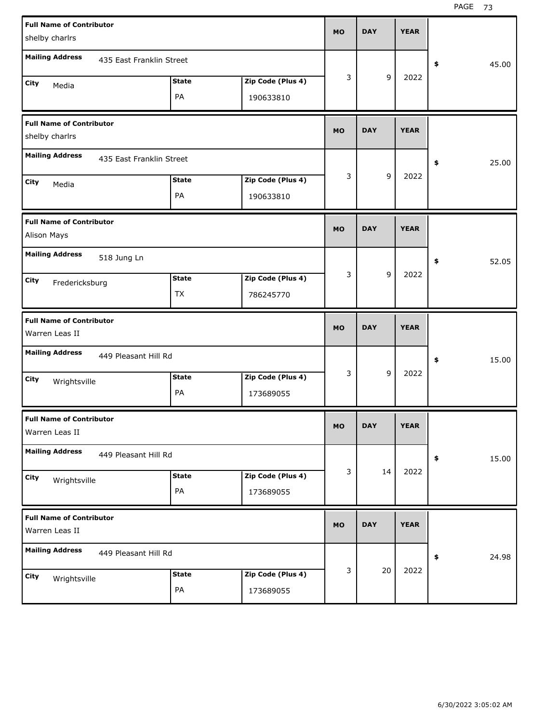| <b>Full Name of Contributor</b>                    |              |                   | <b>MO</b> | <b>DAY</b> | <b>YEAR</b> |             |
|----------------------------------------------------|--------------|-------------------|-----------|------------|-------------|-------------|
| shelby charlrs                                     |              |                   |           |            |             |             |
| <b>Mailing Address</b><br>435 East Franklin Street |              |                   |           |            |             | \$<br>45.00 |
| City<br>Media                                      | <b>State</b> | Zip Code (Plus 4) | 3         | 9          | 2022        |             |
|                                                    | PA           | 190633810         |           |            |             |             |
| <b>Full Name of Contributor</b>                    |              |                   | <b>MO</b> | <b>DAY</b> | <b>YEAR</b> |             |
| shelby charlrs                                     |              |                   |           |            |             |             |
| <b>Mailing Address</b><br>435 East Franklin Street |              |                   |           |            |             | \$<br>25.00 |
| City<br>Media                                      | <b>State</b> | Zip Code (Plus 4) | 3         | 9          | 2022        |             |
|                                                    | PA           | 190633810         |           |            |             |             |
| <b>Full Name of Contributor</b>                    |              |                   | <b>MO</b> | <b>DAY</b> | <b>YEAR</b> |             |
| Alison Mays                                        |              |                   |           |            |             |             |
| <b>Mailing Address</b><br>518 Jung Ln              |              |                   |           |            |             | \$<br>52.05 |
| City<br>Fredericksburg                             | <b>State</b> | Zip Code (Plus 4) | 3         | 9          | 2022        |             |
|                                                    | TX           | 786245770         |           |            |             |             |
|                                                    |              |                   |           |            |             |             |
| <b>Full Name of Contributor</b>                    |              |                   | <b>MO</b> | <b>DAY</b> | <b>YEAR</b> |             |
| Warren Leas II                                     |              |                   |           |            |             |             |
| <b>Mailing Address</b><br>449 Pleasant Hill Rd     |              |                   |           |            |             | \$<br>15.00 |
| City<br>Wrightsville                               | <b>State</b> | Zip Code (Plus 4) | 3         | 9          | 2022        |             |
|                                                    | PA           | 173689055         |           |            |             |             |
| <b>Full Name of Contributor</b>                    |              |                   | <b>MO</b> | <b>DAY</b> | <b>YEAR</b> |             |
| Warren Leas II                                     |              |                   |           |            |             |             |
| <b>Mailing Address</b><br>449 Pleasant Hill Rd     |              |                   |           |            |             | 15.00<br>\$ |
| City<br>Wrightsville                               | <b>State</b> | Zip Code (Plus 4) | 3         | 14         | 2022        |             |
|                                                    | PA           | 173689055         |           |            |             |             |
| <b>Full Name of Contributor</b><br>Warren Leas II  |              |                   | MO        | <b>DAY</b> | <b>YEAR</b> |             |
| <b>Mailing Address</b><br>449 Pleasant Hill Rd     |              |                   |           |            |             | 24.98       |
| City<br>Wrightsville                               | <b>State</b> | Zip Code (Plus 4) | 3         | 20         | 2022        | \$          |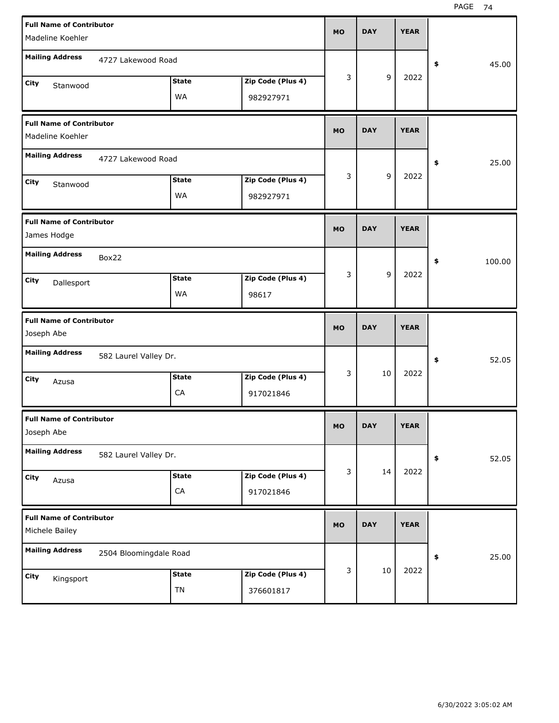| <b>Full Name of Contributor</b>                   |                        |              |                   | <b>MO</b> | <b>DAY</b> | <b>YEAR</b> |              |
|---------------------------------------------------|------------------------|--------------|-------------------|-----------|------------|-------------|--------------|
| Madeline Koehler                                  |                        |              |                   |           |            |             |              |
| <b>Mailing Address</b>                            | 4727 Lakewood Road     |              |                   |           |            |             | 45.00<br>\$  |
| City                                              |                        | <b>State</b> | Zip Code (Plus 4) | 3         | 9          | 2022        |              |
| Stanwood                                          |                        | WA           | 982927971         |           |            |             |              |
| <b>Full Name of Contributor</b>                   |                        |              |                   |           |            |             |              |
| Madeline Koehler                                  |                        |              |                   | <b>MO</b> | <b>DAY</b> | <b>YEAR</b> |              |
| <b>Mailing Address</b>                            | 4727 Lakewood Road     |              |                   |           |            |             | 25.00<br>\$  |
| City<br>Stanwood                                  |                        | <b>State</b> | Zip Code (Plus 4) | 3         | 9          | 2022        |              |
|                                                   |                        | WA           | 982927971         |           |            |             |              |
| <b>Full Name of Contributor</b>                   |                        |              |                   | <b>MO</b> | <b>DAY</b> | <b>YEAR</b> |              |
| James Hodge                                       |                        |              |                   |           |            |             |              |
| <b>Mailing Address</b>                            | Box22                  |              |                   |           |            |             | \$<br>100.00 |
| City<br>Dallesport                                |                        | <b>State</b> | Zip Code (Plus 4) | 3         | 9          | 2022        |              |
|                                                   |                        | WA           | 98617             |           |            |             |              |
|                                                   |                        |              |                   |           |            |             |              |
| <b>Full Name of Contributor</b>                   |                        |              |                   | <b>MO</b> | <b>DAY</b> | <b>YEAR</b> |              |
| Joseph Abe                                        |                        |              |                   |           |            |             |              |
| <b>Mailing Address</b>                            | 582 Laurel Valley Dr.  |              |                   |           |            |             | 52.05<br>\$  |
| City<br>Azusa                                     |                        | <b>State</b> | Zip Code (Plus 4) | 3         | 10         | 2022        |              |
|                                                   |                        | CA           | 917021846         |           |            |             |              |
| <b>Full Name of Contributor</b>                   |                        |              |                   | <b>MO</b> | <b>DAY</b> | <b>YEAR</b> |              |
| Joseph Abe                                        |                        |              |                   |           |            |             |              |
| <b>Mailing Address</b>                            | 582 Laurel Valley Dr.  |              |                   |           |            |             | 52.05<br>\$  |
| City<br>Azusa                                     |                        | <b>State</b> | Zip Code (Plus 4) | 3         | 14         | 2022        |              |
|                                                   |                        | CA           | 917021846         |           |            |             |              |
| <b>Full Name of Contributor</b><br>Michele Bailey |                        |              |                   | <b>MO</b> | <b>DAY</b> | <b>YEAR</b> |              |
| <b>Mailing Address</b>                            | 2504 Bloomingdale Road |              |                   |           |            |             | 25.00<br>\$  |
| <b>City</b>                                       |                        | <b>State</b> | Zip Code (Plus 4) | 3         | 10         | 2022        |              |
| Kingsport                                         |                        | TN           | 376601817         |           |            |             |              |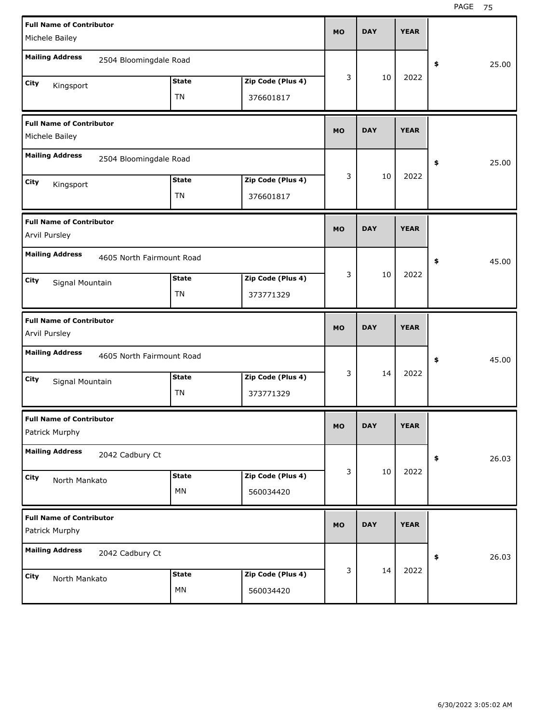| <b>Full Name of Contributor</b>                   |                           |                   | <b>MO</b> | <b>DAY</b> | <b>YEAR</b> |             |
|---------------------------------------------------|---------------------------|-------------------|-----------|------------|-------------|-------------|
| Michele Bailey                                    |                           |                   |           |            |             |             |
| <b>Mailing Address</b><br>2504 Bloomingdale Road  |                           |                   |           |            |             | \$<br>25.00 |
| City<br>Kingsport                                 | <b>State</b>              | Zip Code (Plus 4) | 3         | 10         | 2022        |             |
|                                                   | <b>TN</b>                 | 376601817         |           |            |             |             |
| <b>Full Name of Contributor</b><br>Michele Bailey |                           |                   | <b>MO</b> | <b>DAY</b> | <b>YEAR</b> |             |
| <b>Mailing Address</b><br>2504 Bloomingdale Road  |                           |                   |           |            |             | \$<br>25.00 |
| City<br>Kingsport                                 | <b>State</b>              | Zip Code (Plus 4) | 3         | 10         | 2022        |             |
|                                                   | <b>TN</b>                 | 376601817         |           |            |             |             |
| <b>Full Name of Contributor</b><br>Arvil Pursley  |                           |                   | <b>MO</b> | <b>DAY</b> | <b>YEAR</b> |             |
| <b>Mailing Address</b>                            | 4605 North Fairmount Road |                   |           |            |             | \$<br>45.00 |
| City<br>Signal Mountain                           | <b>State</b>              | Zip Code (Plus 4) | 3         | 10         | 2022        |             |
|                                                   | <b>TN</b>                 | 373771329         |           |            |             |             |
|                                                   |                           |                   |           |            |             |             |
| <b>Full Name of Contributor</b><br>Arvil Pursley  |                           |                   | <b>MO</b> | <b>DAY</b> | <b>YEAR</b> |             |
| <b>Mailing Address</b>                            | 4605 North Fairmount Road |                   |           |            |             | \$<br>45.00 |
| City                                              | <b>State</b>              | Zip Code (Plus 4) | 3         | 14         | 2022        |             |
| Signal Mountain                                   | <b>TN</b>                 | 373771329         |           |            |             |             |
| <b>Full Name of Contributor</b><br>Patrick Murphy |                           |                   | MO        | <b>DAY</b> | <b>YEAR</b> |             |
| <b>Mailing Address</b><br>2042 Cadbury Ct         |                           |                   |           |            |             | \$<br>26.03 |
| City                                              | <b>State</b>              | Zip Code (Plus 4) | 3         | 10         | 2022        |             |
| North Mankato                                     | MN                        | 560034420         |           |            |             |             |
| <b>Full Name of Contributor</b><br>Patrick Murphy |                           |                   | <b>MO</b> | <b>DAY</b> | <b>YEAR</b> |             |
| <b>Mailing Address</b><br>2042 Cadbury Ct         |                           |                   |           |            |             | \$<br>26.03 |
| City<br>North Mankato                             | <b>State</b>              | Zip Code (Plus 4) | 3         | 14         | 2022        |             |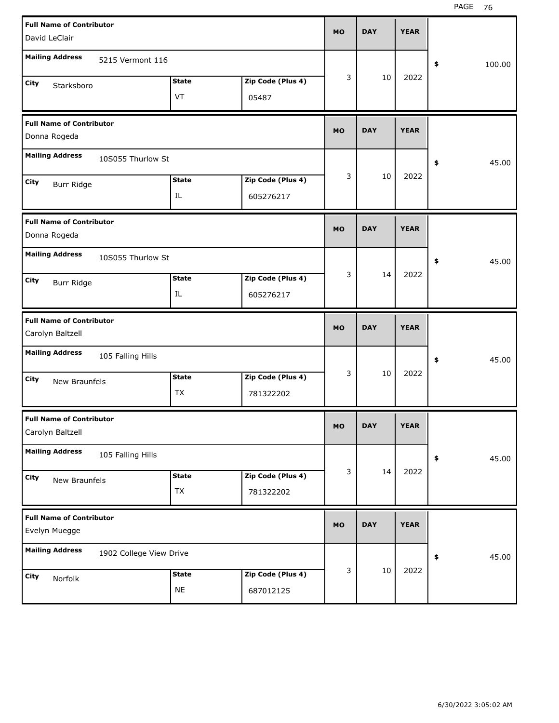| <b>Full Name of Contributor</b><br>David LeClair    |                           |                                | <b>MO</b> | <b>DAY</b> | <b>YEAR</b> |              |
|-----------------------------------------------------|---------------------------|--------------------------------|-----------|------------|-------------|--------------|
| <b>Mailing Address</b><br>5215 Vermont 116          |                           |                                |           |            |             | \$<br>100.00 |
| City<br>Starksboro                                  | <b>State</b><br>VT        | Zip Code (Plus 4)<br>05487     | 3         | 10         | 2022        |              |
| <b>Full Name of Contributor</b><br>Donna Rogeda     |                           |                                | <b>MO</b> | <b>DAY</b> | <b>YEAR</b> |              |
| <b>Mailing Address</b><br>10S055 Thurlow St         |                           |                                |           |            |             | \$<br>45.00  |
| City<br>Burr Ridge                                  | <b>State</b><br>IL        | Zip Code (Plus 4)<br>605276217 | 3         | 10         | 2022        |              |
| <b>Full Name of Contributor</b><br>Donna Rogeda     |                           |                                | <b>MO</b> | <b>DAY</b> | <b>YEAR</b> |              |
| <b>Mailing Address</b><br>10S055 Thurlow St         |                           |                                |           |            |             | \$<br>45.00  |
| City<br>Burr Ridge                                  | <b>State</b><br>IL        | Zip Code (Plus 4)<br>605276217 | 3         | 14         | 2022        |              |
|                                                     |                           |                                |           |            |             |              |
| <b>Full Name of Contributor</b><br>Carolyn Baltzell |                           |                                | <b>MO</b> | <b>DAY</b> | <b>YEAR</b> |              |
| <b>Mailing Address</b><br>105 Falling Hills         |                           |                                |           |            |             | \$<br>45.00  |
| City<br><b>New Braunfels</b>                        | <b>State</b><br><b>TX</b> | Zip Code (Plus 4)<br>781322202 | 3         | 10         | 2022        |              |
| <b>Full Name of Contributor</b><br>Carolyn Baltzell |                           |                                | МO        | <b>DAY</b> | <b>YEAR</b> |              |
| <b>Mailing Address</b><br>105 Falling Hills         |                           |                                |           |            |             | 45.00<br>\$  |
| City<br>New Braunfels                               | <b>State</b><br>TX        | Zip Code (Plus 4)<br>781322202 | 3         | 14         | 2022        |              |
| <b>Full Name of Contributor</b><br>Evelyn Muegge    |                           |                                | <b>MO</b> | <b>DAY</b> | <b>YEAR</b> |              |
| <b>Mailing Address</b><br>1902 College View Drive   |                           |                                | 3         | 10         | 2022        | 45.00<br>\$  |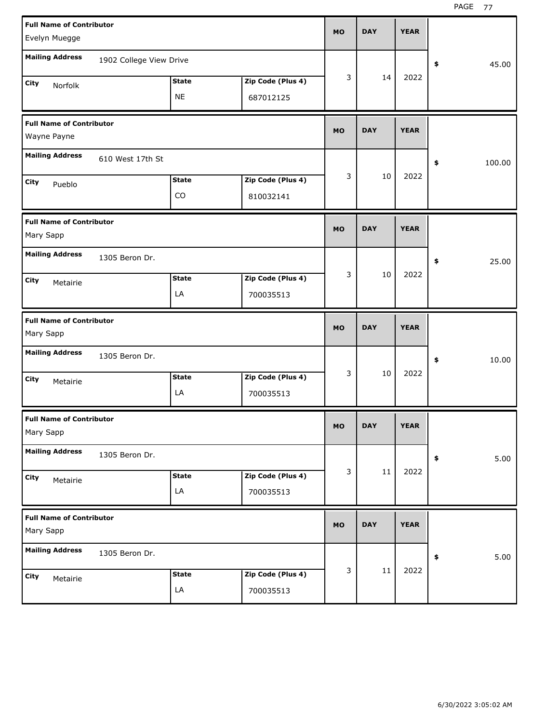| <b>Full Name of Contributor</b> |                         |              |                   |           |            |             |              |
|---------------------------------|-------------------------|--------------|-------------------|-----------|------------|-------------|--------------|
| Evelyn Muegge                   |                         |              |                   | <b>MO</b> | <b>DAY</b> | <b>YEAR</b> |              |
|                                 |                         |              |                   |           |            |             |              |
| <b>Mailing Address</b>          | 1902 College View Drive |              |                   |           |            |             | \$<br>45.00  |
| City<br>Norfolk                 |                         | <b>State</b> | Zip Code (Plus 4) | 3         | 14         | 2022        |              |
|                                 |                         | <b>NE</b>    | 687012125         |           |            |             |              |
| <b>Full Name of Contributor</b> |                         |              |                   |           |            |             |              |
| Wayne Payne                     |                         |              |                   | <b>MO</b> | <b>DAY</b> | <b>YEAR</b> |              |
| <b>Mailing Address</b>          | 610 West 17th St        |              |                   |           |            |             | \$<br>100.00 |
| City<br>Pueblo                  |                         | <b>State</b> | Zip Code (Plus 4) | 3         | 10         | 2022        |              |
|                                 |                         | CO           | 810032141         |           |            |             |              |
| <b>Full Name of Contributor</b> |                         |              |                   |           |            |             |              |
| Mary Sapp                       |                         |              |                   | <b>MO</b> | <b>DAY</b> | <b>YEAR</b> |              |
| <b>Mailing Address</b>          | 1305 Beron Dr.          |              |                   |           |            |             | \$<br>25.00  |
| City<br>Metairie                |                         | <b>State</b> | Zip Code (Plus 4) | 3         | 10         | 2022        |              |
|                                 |                         | LA           | 700035513         |           |            |             |              |
|                                 |                         |              |                   |           |            |             |              |
| <b>Full Name of Contributor</b> |                         |              |                   | <b>MO</b> | <b>DAY</b> | <b>YEAR</b> |              |
| Mary Sapp                       |                         |              |                   |           |            |             |              |
| <b>Mailing Address</b>          | 1305 Beron Dr.          |              |                   |           |            |             | \$<br>10.00  |
| City                            |                         | <b>State</b> | Zip Code (Plus 4) | 3         | 10         | 2022        |              |
| Metairie                        |                         | LA           | 700035513         |           |            |             |              |
| <b>Full Name of Contributor</b> |                         |              |                   |           |            |             |              |
| Mary Sapp                       |                         |              |                   | MO        | <b>DAY</b> | <b>YEAR</b> |              |
| <b>Mailing Address</b>          | 1305 Beron Dr.          |              |                   |           |            |             | \$<br>5.00   |
| City                            |                         | <b>State</b> | Zip Code (Plus 4) | 3         | $11\,$     | 2022        |              |
| Metairie                        |                         | LA           | 700035513         |           |            |             |              |
| <b>Full Name of Contributor</b> |                         |              |                   |           |            |             |              |
| Mary Sapp                       |                         |              |                   | MO        | <b>DAY</b> | <b>YEAR</b> |              |
| <b>Mailing Address</b>          | 1305 Beron Dr.          |              |                   |           |            |             | \$<br>5.00   |
| City<br>Metairie                |                         | <b>State</b> | Zip Code (Plus 4) | 3         | $11\,$     | 2022        |              |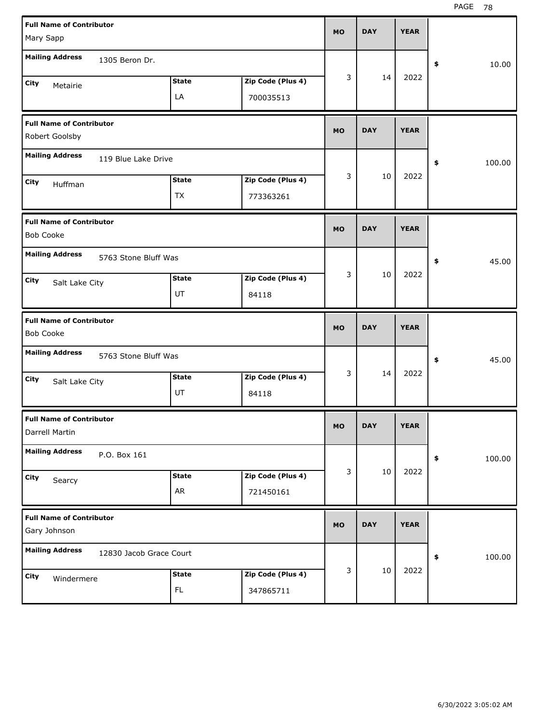| <b>Full Name of Contributor</b><br>Mary Sapp        |                    |                                | <b>MO</b> | <b>DAY</b> | <b>YEAR</b> |              |
|-----------------------------------------------------|--------------------|--------------------------------|-----------|------------|-------------|--------------|
| <b>Mailing Address</b><br>1305 Beron Dr.            |                    |                                |           |            |             | \$<br>10.00  |
| City<br>Metairie                                    | <b>State</b><br>LA | Zip Code (Plus 4)<br>700035513 | 3         | 14         | 2022        |              |
| <b>Full Name of Contributor</b><br>Robert Goolsby   |                    |                                | <b>MO</b> | <b>DAY</b> | <b>YEAR</b> |              |
| <b>Mailing Address</b><br>119 Blue Lake Drive       |                    |                                |           |            |             | \$<br>100.00 |
| City<br>Huffman                                     | <b>State</b><br>TX | Zip Code (Plus 4)<br>773363261 | 3         | 10         | 2022        |              |
| <b>Full Name of Contributor</b><br><b>Bob Cooke</b> |                    |                                | <b>MO</b> | <b>DAY</b> | <b>YEAR</b> |              |
| <b>Mailing Address</b><br>5763 Stone Bluff Was      |                    |                                |           |            |             | \$<br>45.00  |
| City<br>Salt Lake City                              | <b>State</b><br>UT | Zip Code (Plus 4)<br>84118     | 3         | 10         | 2022        |              |
|                                                     |                    |                                |           |            |             |              |
| <b>Full Name of Contributor</b><br><b>Bob Cooke</b> |                    |                                | <b>MO</b> | <b>DAY</b> | <b>YEAR</b> |              |
| <b>Mailing Address</b><br>5763 Stone Bluff Was      |                    |                                |           |            |             | \$<br>45.00  |
| City<br>Salt Lake City                              | <b>State</b><br>UT | Zip Code (Plus 4)<br>84118     | 3         | 14         | 2022        |              |
| <b>Full Name of Contributor</b><br>Darrell Martin   |                    |                                | <b>MO</b> | <b>DAY</b> | <b>YEAR</b> |              |
| <b>Mailing Address</b><br>P.O. Box 161              |                    |                                |           |            |             | 100.00<br>\$ |
| City<br>Searcy                                      | <b>State</b><br>AR | Zip Code (Plus 4)<br>721450161 | 3         | 10         | 2022        |              |
| <b>Full Name of Contributor</b><br>Gary Johnson     |                    |                                | <b>MO</b> | <b>DAY</b> | <b>YEAR</b> |              |
| <b>Mailing Address</b><br>12830 Jacob Grace Court   |                    |                                |           | 10         | 2022        | 100.00<br>\$ |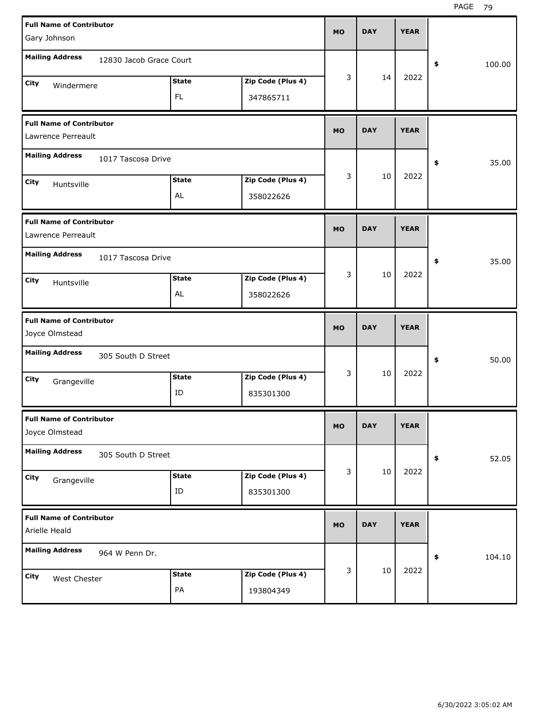| <b>Full Name of Contributor</b><br>Gary Johnson       |                         |                     |                                | <b>MO</b> | <b>DAY</b> | <b>YEAR</b> |              |
|-------------------------------------------------------|-------------------------|---------------------|--------------------------------|-----------|------------|-------------|--------------|
| <b>Mailing Address</b>                                | 12830 Jacob Grace Court |                     |                                |           |            |             | \$<br>100.00 |
| City<br>Windermere                                    |                         | <b>State</b><br>FL. | Zip Code (Plus 4)<br>347865711 | 3         | 14         | 2022        |              |
| <b>Full Name of Contributor</b><br>Lawrence Perreault |                         |                     |                                | <b>MO</b> | <b>DAY</b> | <b>YEAR</b> |              |
| <b>Mailing Address</b>                                | 1017 Tascosa Drive      |                     |                                |           |            |             | \$<br>35.00  |
| City<br>Huntsville                                    |                         | <b>State</b><br>AL  | Zip Code (Plus 4)<br>358022626 | 3         | 10         | 2022        |              |
| <b>Full Name of Contributor</b><br>Lawrence Perreault |                         |                     |                                | <b>MO</b> | <b>DAY</b> | <b>YEAR</b> |              |
| <b>Mailing Address</b>                                | 1017 Tascosa Drive      |                     |                                |           |            |             | \$<br>35.00  |
| City<br>Huntsville                                    |                         | <b>State</b><br>AL  | Zip Code (Plus 4)<br>358022626 | 3         | 10         | 2022        |              |
|                                                       |                         |                     |                                |           |            |             |              |
| <b>Full Name of Contributor</b><br>Joyce Olmstead     |                         |                     |                                | <b>MO</b> | <b>DAY</b> | <b>YEAR</b> |              |
| <b>Mailing Address</b>                                | 305 South D Street      |                     |                                |           |            |             | \$<br>50.00  |
| City<br>Grangeville                                   |                         | <b>State</b><br>ID  | Zip Code (Plus 4)<br>835301300 | 3         | 10         | 2022        |              |
| <b>Full Name of Contributor</b><br>Joyce Olmstead     |                         |                     |                                | MO        | <b>DAY</b> | <b>YEAR</b> |              |
| <b>Mailing Address</b>                                | 305 South D Street      |                     |                                |           |            |             | \$<br>52.05  |
| City<br>Grangeville                                   |                         | <b>State</b><br>ID  | Zip Code (Plus 4)<br>835301300 | 3         | 10         | 2022        |              |
| <b>Full Name of Contributor</b><br>Arielle Heald      |                         |                     |                                | <b>MO</b> | <b>DAY</b> | <b>YEAR</b> |              |
| <b>Mailing Address</b>                                | 964 W Penn Dr.          |                     |                                | 3         | 10         | 2022        | \$<br>104.10 |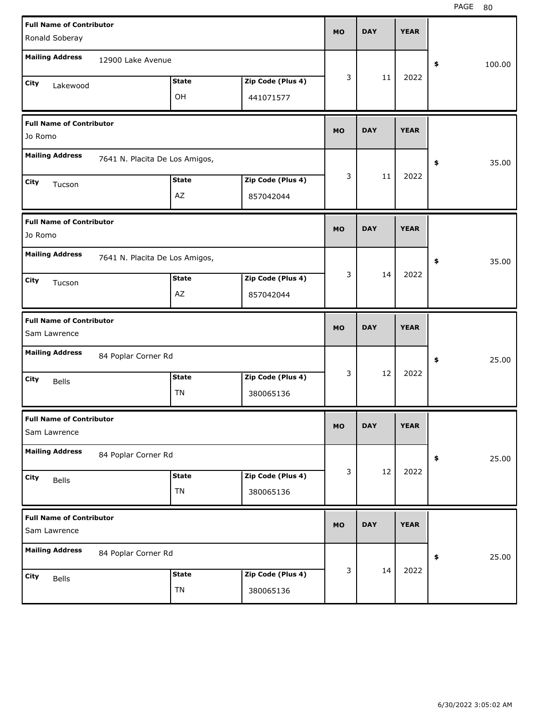| <b>Full Name of Contributor</b>                 |                                |              |                   | <b>MO</b> | <b>DAY</b> | <b>YEAR</b> |              |
|-------------------------------------------------|--------------------------------|--------------|-------------------|-----------|------------|-------------|--------------|
| Ronald Soberay                                  |                                |              |                   |           |            |             |              |
| <b>Mailing Address</b>                          | 12900 Lake Avenue              |              |                   |           |            |             | \$<br>100.00 |
| City<br>Lakewood                                |                                | <b>State</b> | Zip Code (Plus 4) | 3         | 11         | 2022        |              |
|                                                 |                                | OH           | 441071577         |           |            |             |              |
| <b>Full Name of Contributor</b><br>Jo Romo      |                                |              |                   | <b>MO</b> | <b>DAY</b> | <b>YEAR</b> |              |
| <b>Mailing Address</b>                          | 7641 N. Placita De Los Amigos, |              |                   |           |            |             | \$<br>35.00  |
| City<br>Tucson                                  |                                | <b>State</b> | Zip Code (Plus 4) | 3         | 11         | 2022        |              |
|                                                 |                                | AZ           | 857042044         |           |            |             |              |
| <b>Full Name of Contributor</b><br>Jo Romo      |                                |              |                   | <b>MO</b> | <b>DAY</b> | <b>YEAR</b> |              |
| <b>Mailing Address</b>                          | 7641 N. Placita De Los Amigos, |              |                   |           |            |             | \$<br>35.00  |
| City<br>Tucson                                  |                                | <b>State</b> | Zip Code (Plus 4) | 3         | 14         | 2022        |              |
|                                                 |                                | AZ           | 857042044         |           |            |             |              |
|                                                 |                                |              |                   |           |            |             |              |
| <b>Full Name of Contributor</b><br>Sam Lawrence |                                |              |                   | <b>MO</b> | <b>DAY</b> | <b>YEAR</b> |              |
| <b>Mailing Address</b>                          | 84 Poplar Corner Rd            |              |                   |           |            |             | \$<br>25.00  |
| City<br><b>Bells</b>                            |                                | <b>State</b> | Zip Code (Plus 4) | 3         | 12         | 2022        |              |
|                                                 |                                | TN           | 380065136         |           |            |             |              |
| <b>Full Name of Contributor</b><br>Sam Lawrence |                                |              |                   | MO        | <b>DAY</b> | <b>YEAR</b> |              |
| <b>Mailing Address</b>                          | 84 Poplar Corner Rd            |              |                   |           |            |             | \$<br>25.00  |
| City<br><b>Bells</b>                            |                                | <b>State</b> | Zip Code (Plus 4) | 3         | 12         | 2022        |              |
|                                                 |                                | TN           | 380065136         |           |            |             |              |
| <b>Full Name of Contributor</b><br>Sam Lawrence |                                |              |                   | <b>MO</b> | <b>DAY</b> | <b>YEAR</b> |              |
| <b>Mailing Address</b>                          | 84 Poplar Corner Rd            |              |                   |           |            |             | \$<br>25.00  |
| City<br>Bells                                   |                                | <b>State</b> | Zip Code (Plus 4) | 3         | 14         | 2022        |              |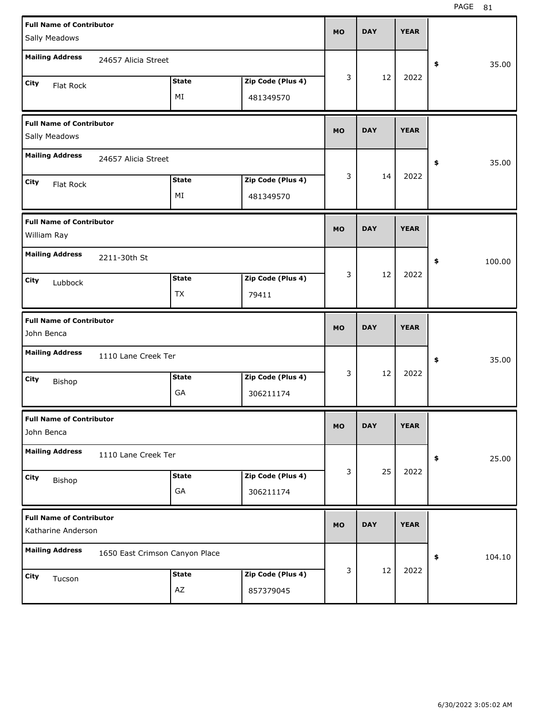| <b>Full Name of Contributor</b>                       |                                |              |                   | <b>MO</b> | <b>DAY</b> | <b>YEAR</b> |              |
|-------------------------------------------------------|--------------------------------|--------------|-------------------|-----------|------------|-------------|--------------|
| Sally Meadows                                         |                                |              |                   |           |            |             |              |
| <b>Mailing Address</b>                                | 24657 Alicia Street            |              |                   |           |            |             | \$<br>35.00  |
| City<br>Flat Rock                                     |                                | <b>State</b> | Zip Code (Plus 4) | 3         | 12         | 2022        |              |
|                                                       |                                | ΜI           | 481349570         |           |            |             |              |
| <b>Full Name of Contributor</b>                       |                                |              |                   | <b>MO</b> | <b>DAY</b> | <b>YEAR</b> |              |
| Sally Meadows                                         |                                |              |                   |           |            |             |              |
| <b>Mailing Address</b>                                | 24657 Alicia Street            |              |                   |           |            |             | \$<br>35.00  |
| City<br>Flat Rock                                     |                                | State        | Zip Code (Plus 4) | 3         | 14         | 2022        |              |
|                                                       |                                | ΜI           | 481349570         |           |            |             |              |
| <b>Full Name of Contributor</b><br>William Ray        |                                |              |                   | <b>MO</b> | <b>DAY</b> | <b>YEAR</b> |              |
| <b>Mailing Address</b>                                | 2211-30th St                   |              |                   |           |            |             | \$<br>100.00 |
| City<br>Lubbock                                       |                                | <b>State</b> | Zip Code (Plus 4) | 3         | 12         | 2022        |              |
|                                                       |                                | TX           | 79411             |           |            |             |              |
|                                                       |                                |              |                   |           |            |             |              |
| <b>Full Name of Contributor</b><br>John Benca         |                                |              |                   | <b>MO</b> | <b>DAY</b> | <b>YEAR</b> |              |
| <b>Mailing Address</b>                                | 1110 Lane Creek Ter            |              |                   |           |            |             | \$<br>35.00  |
| City                                                  |                                | <b>State</b> | Zip Code (Plus 4) | 3         | 12         | 2022        |              |
| Bishop                                                |                                | GA           | 306211174         |           |            |             |              |
| <b>Full Name of Contributor</b><br>John Benca         |                                |              |                   | <b>MO</b> | <b>DAY</b> | <b>YEAR</b> |              |
| <b>Mailing Address</b>                                | 1110 Lane Creek Ter            |              |                   |           |            |             | \$<br>25.00  |
| City                                                  |                                | <b>State</b> | Zip Code (Plus 4) | 3         | 25         | 2022        |              |
| Bishop                                                |                                | GA           | 306211174         |           |            |             |              |
| <b>Full Name of Contributor</b><br>Katharine Anderson |                                |              |                   | <b>MO</b> | <b>DAY</b> | <b>YEAR</b> |              |
| <b>Mailing Address</b>                                | 1650 East Crimson Canyon Place |              |                   |           |            |             | \$<br>104.10 |
| City<br>Tucson                                        |                                | <b>State</b> | Zip Code (Plus 4) | 3         | 12         | 2022        |              |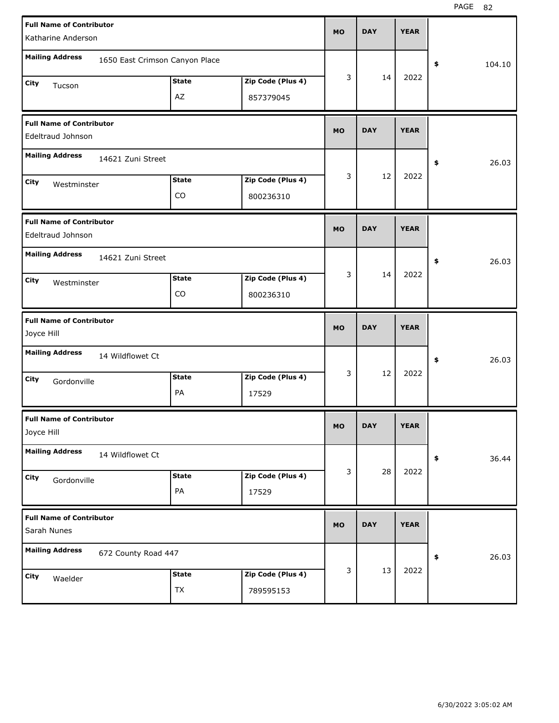| <b>Full Name of Contributor</b><br>Katharine Anderson    |               |                   | <b>MO</b> | <b>DAY</b> | <b>YEAR</b> |              |       |
|----------------------------------------------------------|---------------|-------------------|-----------|------------|-------------|--------------|-------|
|                                                          |               |                   |           |            |             |              |       |
| <b>Mailing Address</b><br>1650 East Crimson Canyon Place |               |                   |           |            |             | \$<br>104.10 |       |
| City<br>Tucson                                           | <b>State</b>  | Zip Code (Plus 4) | 3         | 14         | 2022        |              |       |
|                                                          | AZ            | 857379045         |           |            |             |              |       |
| <b>Full Name of Contributor</b>                          |               |                   |           |            |             |              |       |
| Edeltraud Johnson                                        |               |                   | <b>MO</b> | <b>DAY</b> | <b>YEAR</b> |              |       |
| <b>Mailing Address</b><br>14621 Zuni Street              |               |                   |           |            |             | \$           | 26.03 |
| City<br>Westminster                                      | <b>State</b>  | Zip Code (Plus 4) | 3         | 12         | 2022        |              |       |
|                                                          | CO            | 800236310         |           |            |             |              |       |
| <b>Full Name of Contributor</b>                          |               |                   |           |            |             |              |       |
| Edeltraud Johnson                                        |               |                   | <b>MO</b> | <b>DAY</b> | <b>YEAR</b> |              |       |
| <b>Mailing Address</b><br>14621 Zuni Street              |               |                   |           |            |             | \$           | 26.03 |
| City<br>Westminster                                      | <b>State</b>  | Zip Code (Plus 4) | 3         | 14         | 2022        |              |       |
|                                                          | CO            | 800236310         |           |            |             |              |       |
|                                                          |               |                   |           |            |             |              |       |
| <b>Full Name of Contributor</b>                          |               |                   |           |            |             |              |       |
| Joyce Hill                                               |               |                   | <b>MO</b> | <b>DAY</b> | <b>YEAR</b> |              |       |
| <b>Mailing Address</b><br>14 Wildflowet Ct               |               |                   |           |            |             | \$           | 26.03 |
| City<br>Gordonville                                      | <b>State</b>  | Zip Code (Plus 4) | 3         | 12         | 2022        |              |       |
|                                                          | PA            | 17529             |           |            |             |              |       |
| <b>Full Name of Contributor</b>                          |               |                   |           |            |             |              |       |
| Joyce Hill                                               |               |                   | MO.       | DAY        | YEAK        |              |       |
| <b>Mailing Address</b><br>14 Wildflowet Ct               |               |                   |           |            |             | $\pmb{\$}$   | 36.44 |
| City<br>Gordonville                                      | <b>State</b>  | Zip Code (Plus 4) | 3         | 28         | 2022        |              |       |
|                                                          | $\mathsf{PA}$ | 17529             |           |            |             |              |       |
| <b>Full Name of Contributor</b>                          |               |                   |           |            |             |              |       |
| Sarah Nunes                                              |               |                   | <b>MO</b> | <b>DAY</b> | <b>YEAR</b> |              |       |
| <b>Mailing Address</b><br>672 County Road 447            |               |                   |           |            |             | \$           | 26.03 |
| City<br>Waelder                                          | <b>State</b>  | Zip Code (Plus 4) | 3         | 13         | 2022        |              |       |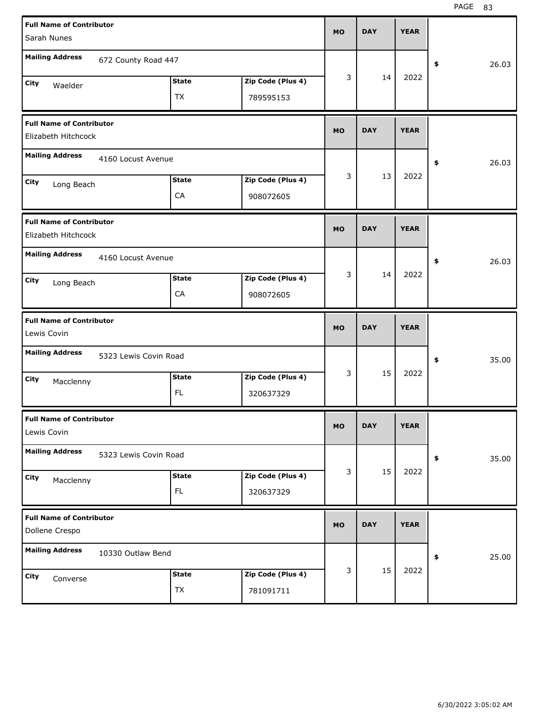| <b>Full Name of Contributor</b><br>Sarah Nunes         |                       |                            |                                | <b>MO</b> | <b>DAY</b> | <b>YEAR</b> |             |  |
|--------------------------------------------------------|-----------------------|----------------------------|--------------------------------|-----------|------------|-------------|-------------|--|
| <b>Mailing Address</b>                                 | 672 County Road 447   |                            |                                |           |            |             | 26.03<br>\$ |  |
| City<br>Waelder                                        |                       | <b>State</b><br><b>TX</b>  | Zip Code (Plus 4)<br>789595153 | 3         | 14         | 2022        |             |  |
| <b>Full Name of Contributor</b><br>Elizabeth Hitchcock |                       |                            |                                | <b>MO</b> | <b>DAY</b> | <b>YEAR</b> |             |  |
| <b>Mailing Address</b>                                 | 4160 Locust Avenue    |                            |                                |           |            |             | 26.03<br>\$ |  |
| City<br>Long Beach                                     |                       | <b>State</b><br>CA         | Zip Code (Plus 4)<br>908072605 | 3         | 13         | 2022        |             |  |
| <b>Full Name of Contributor</b><br>Elizabeth Hitchcock |                       |                            |                                | <b>MO</b> | <b>DAY</b> | <b>YEAR</b> |             |  |
| <b>Mailing Address</b>                                 | 4160 Locust Avenue    |                            |                                |           |            |             | 26.03<br>\$ |  |
| City<br>Long Beach                                     |                       | <b>State</b><br>${\sf CA}$ | Zip Code (Plus 4)<br>908072605 | 3         | 14         | 2022        |             |  |
|                                                        |                       |                            |                                |           |            |             |             |  |
| <b>Full Name of Contributor</b><br>Lewis Covin         |                       |                            |                                | <b>MO</b> | <b>DAY</b> | <b>YEAR</b> |             |  |
| <b>Mailing Address</b>                                 | 5323 Lewis Covin Road |                            |                                |           |            |             | 35.00<br>\$ |  |
| City<br>Macclenny                                      |                       | <b>State</b><br>FL.        | Zip Code (Plus 4)<br>320637329 | 3         | 15         | 2022        |             |  |
| <b>Full Name of Contributor</b><br>Lewis Covin         |                       |                            |                                | <b>MO</b> | <b>DAY</b> | <b>YEAR</b> |             |  |
| <b>Mailing Address</b>                                 | 5323 Lewis Covin Road |                            |                                |           |            |             | 35.00<br>\$ |  |
| City<br>Macclenny                                      |                       | <b>State</b><br>FL.        | Zip Code (Plus 4)<br>320637329 | 3         | 15         | 2022        |             |  |
| <b>Full Name of Contributor</b><br>Dollene Crespo      |                       |                            |                                | <b>MO</b> | <b>DAY</b> | <b>YEAR</b> |             |  |
| <b>Mailing Address</b>                                 | 10330 Outlaw Bend     |                            |                                |           | 15         | 2022        | 25.00<br>\$ |  |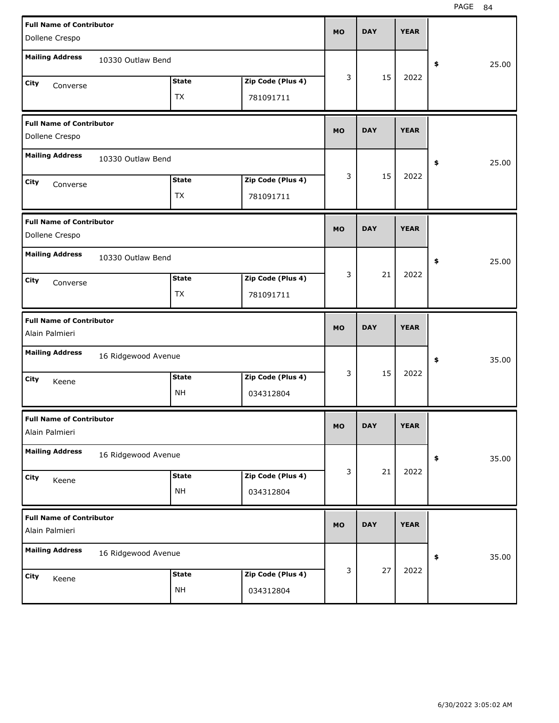| <b>Full Name of Contributor</b><br>Dollene Crespo |                     |                           |                                | <b>MO</b> | <b>DAY</b> | <b>YEAR</b> |             |
|---------------------------------------------------|---------------------|---------------------------|--------------------------------|-----------|------------|-------------|-------------|
| <b>Mailing Address</b>                            | 10330 Outlaw Bend   |                           |                                |           |            |             | \$<br>25.00 |
| City<br>Converse                                  |                     | <b>State</b><br><b>TX</b> | Zip Code (Plus 4)<br>781091711 | 3         | 15         | 2022        |             |
| <b>Full Name of Contributor</b><br>Dollene Crespo |                     |                           |                                | <b>MO</b> | <b>DAY</b> | <b>YEAR</b> |             |
| <b>Mailing Address</b>                            | 10330 Outlaw Bend   |                           |                                |           |            |             | \$<br>25.00 |
| City<br>Converse                                  |                     | <b>State</b><br><b>TX</b> | Zip Code (Plus 4)<br>781091711 | 3         | 15         | 2022        |             |
| <b>Full Name of Contributor</b><br>Dollene Crespo |                     |                           |                                | <b>MO</b> | <b>DAY</b> | <b>YEAR</b> |             |
| <b>Mailing Address</b>                            | 10330 Outlaw Bend   |                           |                                |           |            |             | \$<br>25.00 |
| City<br>Converse                                  |                     | <b>State</b><br>TX        | Zip Code (Plus 4)<br>781091711 | 3         | 21         | 2022        |             |
|                                                   |                     |                           |                                |           |            |             |             |
| <b>Full Name of Contributor</b><br>Alain Palmieri |                     |                           |                                | <b>MO</b> | <b>DAY</b> | <b>YEAR</b> |             |
| <b>Mailing Address</b>                            | 16 Ridgewood Avenue |                           |                                |           |            |             | \$<br>35.00 |
| City<br>Keene                                     |                     | <b>State</b><br><b>NH</b> | Zip Code (Plus 4)<br>034312804 | 3         | 15         | 2022        |             |
| <b>Full Name of Contributor</b><br>Alain Palmieri |                     |                           |                                | <b>MO</b> | <b>DAY</b> | <b>YEAR</b> |             |
| <b>Mailing Address</b>                            | 16 Ridgewood Avenue |                           |                                |           |            |             | \$<br>35.00 |
| City<br>Keene                                     |                     | <b>State</b><br><b>NH</b> | Zip Code (Plus 4)<br>034312804 | 3         | 21         | 2022        |             |
| <b>Full Name of Contributor</b><br>Alain Palmieri |                     |                           |                                | <b>MO</b> | <b>DAY</b> | <b>YEAR</b> |             |
| <b>Mailing Address</b>                            | 16 Ridgewood Avenue |                           |                                |           |            | 2022        | \$<br>35.00 |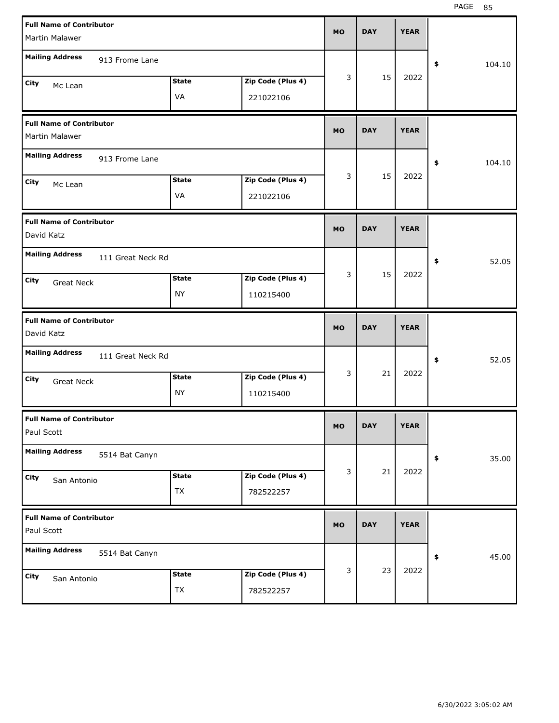| <b>Full Name of Contributor</b><br>Martin Malawer |              |                   | <b>MO</b> | <b>DAY</b> | <b>YEAR</b> |              |
|---------------------------------------------------|--------------|-------------------|-----------|------------|-------------|--------------|
| <b>Mailing Address</b>                            |              |                   |           |            |             |              |
| 913 Frome Lane                                    |              |                   | 3         | 15         | 2022        | \$<br>104.10 |
| City<br>Mc Lean                                   | <b>State</b> | Zip Code (Plus 4) |           |            |             |              |
|                                                   | VA           | 221022106         |           |            |             |              |
| <b>Full Name of Contributor</b><br>Martin Malawer |              |                   | <b>MO</b> | <b>DAY</b> | <b>YEAR</b> |              |
| <b>Mailing Address</b><br>913 Frome Lane          |              |                   |           |            |             | \$<br>104.10 |
| City<br>Mc Lean                                   | <b>State</b> | Zip Code (Plus 4) | 3         | 15         | 2022        |              |
|                                                   | VA           | 221022106         |           |            |             |              |
| <b>Full Name of Contributor</b><br>David Katz     |              |                   | <b>MO</b> | <b>DAY</b> | <b>YEAR</b> |              |
| <b>Mailing Address</b><br>111 Great Neck Rd       |              |                   |           |            |             | \$<br>52.05  |
| City<br><b>Great Neck</b>                         | <b>State</b> | Zip Code (Plus 4) | 3         | 15         | 2022        |              |
|                                                   | <b>NY</b>    | 110215400         |           |            |             |              |
|                                                   |              |                   |           |            |             |              |
| <b>Full Name of Contributor</b><br>David Katz     |              |                   | <b>MO</b> | <b>DAY</b> | <b>YEAR</b> |              |
| <b>Mailing Address</b><br>111 Great Neck Rd       |              |                   |           |            |             | \$<br>52.05  |
| City<br><b>Great Neck</b>                         | <b>State</b> | Zip Code (Plus 4) | 3         | 21         | 2022        |              |
|                                                   | <b>NY</b>    | 110215400         |           |            |             |              |
| <b>Full Name of Contributor</b><br>Paul Scott     |              |                   | MO.       | DAY        | YEAK        |              |
| <b>Mailing Address</b><br>5514 Bat Canyn          |              |                   |           |            |             | 35.00<br>\$  |
| City                                              | <b>State</b> | Zip Code (Plus 4) | 3         | 21         | 2022        |              |
| San Antonio                                       | <b>TX</b>    | 782522257         |           |            |             |              |
| <b>Full Name of Contributor</b><br>Paul Scott     |              |                   | <b>MO</b> | <b>DAY</b> | <b>YEAR</b> |              |
| <b>Mailing Address</b><br>5514 Bat Canyn          |              |                   |           |            |             | 45.00<br>\$  |
| City<br>San Antonio                               | <b>State</b> | Zip Code (Plus 4) | 3         | 23         | 2022        |              |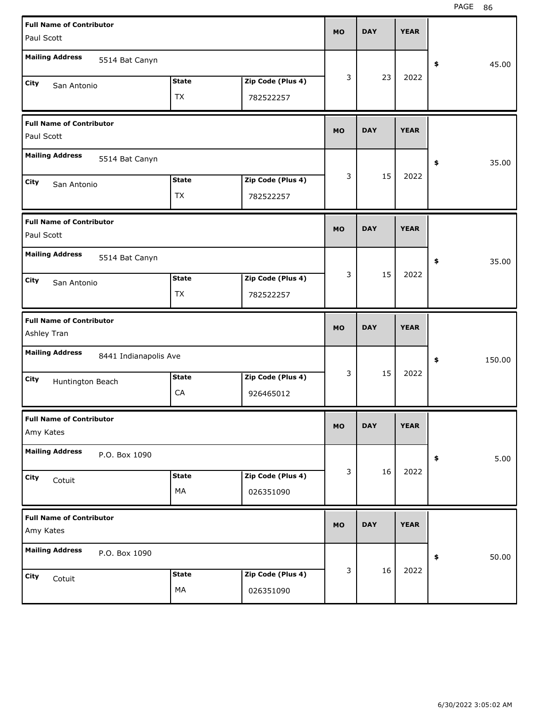| <b>Full Name of Contributor</b><br>Paul Scott  |                       |                    |                                | <b>MO</b> | <b>DAY</b> | <b>YEAR</b> |              |
|------------------------------------------------|-----------------------|--------------------|--------------------------------|-----------|------------|-------------|--------------|
| <b>Mailing Address</b>                         | 5514 Bat Canyn        |                    |                                |           |            |             | \$<br>45.00  |
| City<br>San Antonio                            |                       | <b>State</b><br>TX | Zip Code (Plus 4)<br>782522257 | 3         | 23         | 2022        |              |
| <b>Full Name of Contributor</b><br>Paul Scott  |                       |                    |                                | <b>MO</b> | <b>DAY</b> | <b>YEAR</b> |              |
| <b>Mailing Address</b>                         | 5514 Bat Canyn        |                    |                                |           |            |             | \$<br>35.00  |
| City<br>San Antonio                            |                       | <b>State</b><br>TX | Zip Code (Plus 4)<br>782522257 | 3         | 15         | 2022        |              |
| <b>Full Name of Contributor</b><br>Paul Scott  |                       |                    |                                | <b>MO</b> | <b>DAY</b> | <b>YEAR</b> |              |
| <b>Mailing Address</b>                         | 5514 Bat Canyn        |                    |                                |           |            |             | \$<br>35.00  |
| City<br>San Antonio                            |                       | <b>State</b><br>TX | Zip Code (Plus 4)<br>782522257 | 3         | 15         | 2022        |              |
|                                                |                       |                    |                                |           |            |             |              |
| <b>Full Name of Contributor</b><br>Ashley Tran |                       |                    |                                | <b>MO</b> | <b>DAY</b> | <b>YEAR</b> |              |
| <b>Mailing Address</b>                         | 8441 Indianapolis Ave |                    |                                |           |            |             | \$<br>150.00 |
| City<br>Huntington Beach                       |                       | <b>State</b><br>CA | Zip Code (Plus 4)<br>926465012 | 3         | 15         | 2022        |              |
| <b>Full Name of Contributor</b><br>Amy Kates   |                       |                    |                                | <b>MO</b> | <b>DAY</b> | <b>YEAR</b> |              |
| <b>Mailing Address</b>                         | P.O. Box 1090         |                    |                                |           |            |             | \$<br>5.00   |
| City<br>Cotuit                                 |                       | <b>State</b><br>MA | Zip Code (Plus 4)<br>026351090 | 3         | 16         | 2022        |              |
| <b>Full Name of Contributor</b><br>Amy Kates   |                       |                    |                                | <b>MO</b> | <b>DAY</b> | <b>YEAR</b> |              |
| <b>Mailing Address</b>                         | P.O. Box 1090         |                    |                                | 3         | 16         | 2022        | \$<br>50.00  |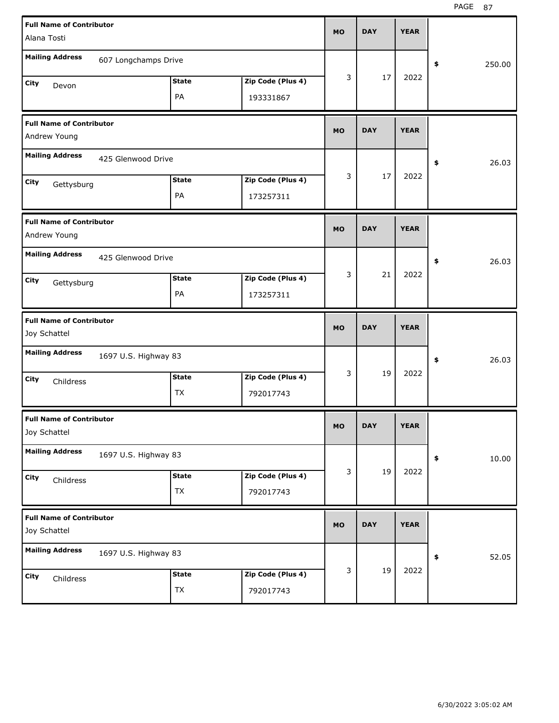| <b>Full Name of Contributor</b>                 |                      |              |                   | <b>MO</b> | <b>DAY</b> | <b>YEAR</b> |              |  |
|-------------------------------------------------|----------------------|--------------|-------------------|-----------|------------|-------------|--------------|--|
| Alana Tosti                                     |                      |              |                   |           |            |             |              |  |
| <b>Mailing Address</b>                          | 607 Longchamps Drive |              |                   |           |            |             | 250.00<br>\$ |  |
| City<br>Devon                                   |                      | <b>State</b> | Zip Code (Plus 4) | 3         | 17         | 2022        |              |  |
|                                                 |                      | PA           | 193331867         |           |            |             |              |  |
| <b>Full Name of Contributor</b><br>Andrew Young |                      |              |                   | <b>MO</b> | <b>DAY</b> | <b>YEAR</b> |              |  |
| <b>Mailing Address</b>                          | 425 Glenwood Drive   |              |                   |           |            |             | 26.03<br>\$  |  |
| City<br>Gettysburg                              |                      | <b>State</b> | Zip Code (Plus 4) | 3         | 17         | 2022        |              |  |
|                                                 |                      | PA           | 173257311         |           |            |             |              |  |
| <b>Full Name of Contributor</b><br>Andrew Young |                      |              |                   | <b>MO</b> | <b>DAY</b> | <b>YEAR</b> |              |  |
| <b>Mailing Address</b>                          | 425 Glenwood Drive   |              |                   |           |            |             | 26.03<br>\$  |  |
| City<br>Gettysburg                              |                      | <b>State</b> | Zip Code (Plus 4) | 3         | 21         | 2022        |              |  |
|                                                 |                      | PA           | 173257311         |           |            |             |              |  |
|                                                 |                      |              |                   |           |            |             |              |  |
| <b>Full Name of Contributor</b><br>Joy Schattel |                      |              |                   | <b>MO</b> | <b>DAY</b> | <b>YEAR</b> |              |  |
| <b>Mailing Address</b>                          | 1697 U.S. Highway 83 |              |                   |           |            |             | 26.03<br>\$  |  |
| City                                            |                      | <b>State</b> | Zip Code (Plus 4) | 3         | 19         | 2022        |              |  |
| Childress                                       |                      | ТX           | 792017743         |           |            |             |              |  |
| <b>Full Name of Contributor</b><br>Joy Schattel |                      |              |                   | <b>MO</b> | <b>DAY</b> | <b>YEAR</b> |              |  |
| <b>Mailing Address</b>                          | 1697 U.S. Highway 83 |              |                   |           |            |             | \$<br>10.00  |  |
| City<br>Childress                               |                      | <b>State</b> | Zip Code (Plus 4) | 3         | 19         | 2022        |              |  |
|                                                 |                      | TX           | 792017743         |           |            |             |              |  |
| <b>Full Name of Contributor</b><br>Joy Schattel |                      |              |                   | <b>MO</b> | <b>DAY</b> | <b>YEAR</b> |              |  |
| <b>Mailing Address</b>                          | 1697 U.S. Highway 83 |              |                   |           |            |             | 52.05<br>\$  |  |
| City<br>Childress                               |                      | <b>State</b> | Zip Code (Plus 4) | 3         | 19         | 2022        |              |  |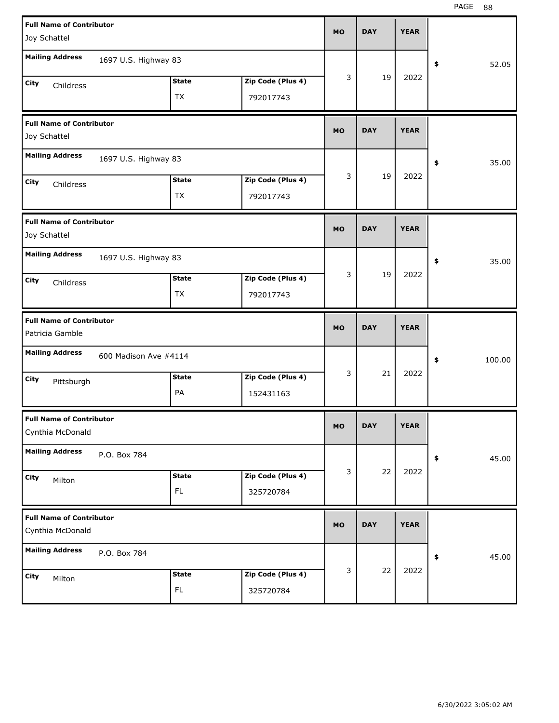PAGE 88

| <b>Full Name of Contributor</b>                     |                       |                     |                                | <b>MO</b> | <b>DAY</b> | <b>YEAR</b> |              |
|-----------------------------------------------------|-----------------------|---------------------|--------------------------------|-----------|------------|-------------|--------------|
| Joy Schattel                                        |                       |                     |                                |           |            |             |              |
| <b>Mailing Address</b>                              | 1697 U.S. Highway 83  |                     |                                |           |            |             | \$<br>52.05  |
|                                                     |                       | <b>State</b>        | Zip Code (Plus 4)              | 3         | 19         | 2022        |              |
| City<br>Childress                                   |                       |                     |                                |           |            |             |              |
|                                                     |                       | ТX                  | 792017743                      |           |            |             |              |
| <b>Full Name of Contributor</b>                     |                       |                     |                                |           |            |             |              |
| Joy Schattel                                        |                       |                     |                                | <b>MO</b> | <b>DAY</b> | <b>YEAR</b> |              |
| <b>Mailing Address</b>                              | 1697 U.S. Highway 83  |                     |                                |           |            |             | \$<br>35.00  |
| City                                                |                       | <b>State</b>        | Zip Code (Plus 4)              | 3         | 19         | 2022        |              |
| Childress                                           |                       | TX                  | 792017743                      |           |            |             |              |
|                                                     |                       |                     |                                |           |            |             |              |
| <b>Full Name of Contributor</b>                     |                       |                     |                                |           |            |             |              |
| Joy Schattel                                        |                       |                     |                                | <b>MO</b> | <b>DAY</b> | <b>YEAR</b> |              |
| <b>Mailing Address</b>                              |                       |                     |                                |           |            |             |              |
|                                                     | 1697 U.S. Highway 83  |                     |                                |           |            |             | \$<br>35.00  |
| City<br>Childress                                   |                       | <b>State</b>        | Zip Code (Plus 4)              | 3         | 19         | 2022        |              |
|                                                     |                       | <b>TX</b>           | 792017743                      |           |            |             |              |
|                                                     |                       |                     |                                |           |            |             |              |
|                                                     |                       |                     |                                |           |            |             |              |
| <b>Full Name of Contributor</b>                     |                       |                     |                                | <b>MO</b> | <b>DAY</b> | <b>YEAR</b> |              |
| Patricia Gamble                                     |                       |                     |                                |           |            |             |              |
| <b>Mailing Address</b>                              | 600 Madison Ave #4114 |                     |                                |           |            |             | \$<br>100.00 |
| City                                                |                       | <b>State</b>        | Zip Code (Plus 4)              | 3         | 21         | 2022        |              |
| Pittsburgh                                          |                       | PA                  | 152431163                      |           |            |             |              |
|                                                     |                       |                     |                                |           |            |             |              |
| <b>Full Name of Contributor</b><br>Cynthia McDonald |                       |                     |                                | <b>MO</b> | <b>DAY</b> | <b>YEAR</b> |              |
| <b>Mailing Address</b>                              | P.O. Box 784          |                     |                                |           |            |             | \$<br>45.00  |
|                                                     |                       |                     |                                | 3         | 22         | 2022        |              |
| City<br>Milton                                      |                       | <b>State</b>        | Zip Code (Plus 4)              |           |            |             |              |
|                                                     |                       | FL.                 | 325720784                      |           |            |             |              |
| <b>Full Name of Contributor</b>                     |                       |                     |                                |           |            |             |              |
| Cynthia McDonald                                    |                       |                     |                                | <b>MO</b> | <b>DAY</b> | <b>YEAR</b> |              |
| <b>Mailing Address</b>                              | P.O. Box 784          |                     |                                |           |            |             |              |
|                                                     |                       |                     |                                |           |            |             | \$<br>45.00  |
| City<br>Milton                                      |                       | <b>State</b><br>FL. | Zip Code (Plus 4)<br>325720784 | 3         | 22         | 2022        |              |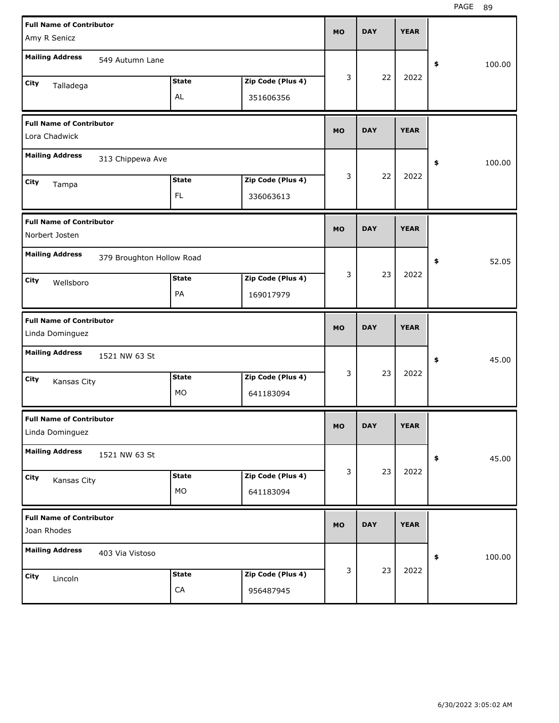| <b>Full Name of Contributor</b>                    |                           |              |                   | <b>MO</b> | <b>DAY</b> | <b>YEAR</b> |              |
|----------------------------------------------------|---------------------------|--------------|-------------------|-----------|------------|-------------|--------------|
| Amy R Senicz                                       |                           |              |                   |           |            |             |              |
| <b>Mailing Address</b>                             | 549 Autumn Lane           |              |                   |           |            |             | \$<br>100.00 |
| City<br>Talladega                                  |                           | <b>State</b> | Zip Code (Plus 4) | 3         | 22         | 2022        |              |
|                                                    |                           | AL           | 351606356         |           |            |             |              |
| <b>Full Name of Contributor</b>                    |                           |              |                   | <b>MO</b> | <b>DAY</b> | <b>YEAR</b> |              |
| Lora Chadwick                                      |                           |              |                   |           |            |             |              |
| <b>Mailing Address</b>                             | 313 Chippewa Ave          |              |                   |           |            |             | \$<br>100.00 |
| City<br>Tampa                                      |                           | <b>State</b> | Zip Code (Plus 4) | 3         | 22         | 2022        |              |
|                                                    |                           | <b>FL</b>    | 336063613         |           |            |             |              |
| <b>Full Name of Contributor</b>                    |                           |              |                   | <b>MO</b> | <b>DAY</b> | <b>YEAR</b> |              |
| Norbert Josten                                     |                           |              |                   |           |            |             |              |
| <b>Mailing Address</b>                             | 379 Broughton Hollow Road |              |                   |           |            |             | \$<br>52.05  |
| City<br>Wellsboro                                  |                           | <b>State</b> | Zip Code (Plus 4) | 3         | 23         | 2022        |              |
|                                                    |                           | PA           | 169017979         |           |            |             |              |
|                                                    |                           |              |                   |           |            |             |              |
| <b>Full Name of Contributor</b><br>Linda Dominguez |                           |              |                   | <b>MO</b> | <b>DAY</b> | <b>YEAR</b> |              |
| <b>Mailing Address</b>                             | 1521 NW 63 St             |              |                   |           |            |             | \$<br>45.00  |
| City                                               |                           | <b>State</b> | Zip Code (Plus 4) | 3         | 23         | 2022        |              |
| Kansas City                                        |                           | MO           | 641183094         |           |            |             |              |
| <b>Full Name of Contributor</b><br>Linda Dominguez |                           |              |                   | МO        | <b>DAY</b> | <b>YEAR</b> |              |
| <b>Mailing Address</b>                             | 1521 NW 63 St             |              |                   |           |            |             | \$<br>45.00  |
| City                                               |                           | <b>State</b> | Zip Code (Plus 4) | 3         | 23         | 2022        |              |
| Kansas City                                        |                           | МO           | 641183094         |           |            |             |              |
| <b>Full Name of Contributor</b><br>Joan Rhodes     |                           |              |                   | <b>MO</b> | <b>DAY</b> | <b>YEAR</b> |              |
| <b>Mailing Address</b>                             | 403 Via Vistoso           |              |                   |           |            |             | \$<br>100.00 |
| City<br>Lincoln                                    |                           | <b>State</b> | Zip Code (Plus 4) | 3         | 23         | 2022        |              |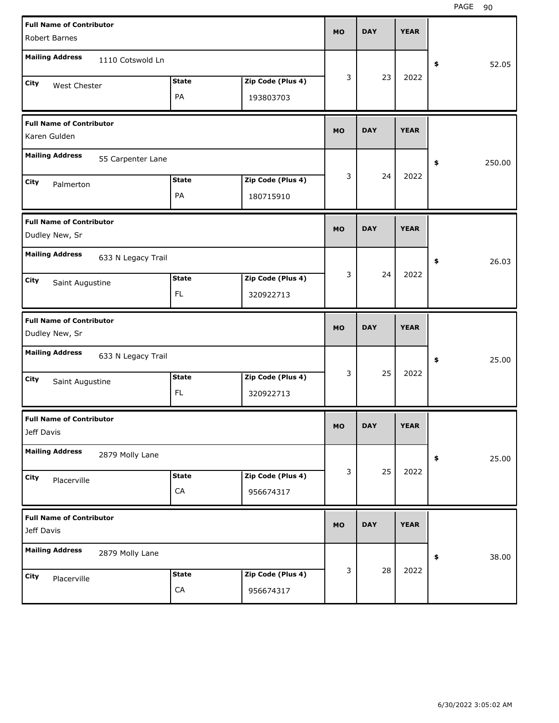PAGE 90

| <b>Full Name of Contributor</b>              |              |                   |           |            |             |              |
|----------------------------------------------|--------------|-------------------|-----------|------------|-------------|--------------|
| Robert Barnes                                |              |                   | <b>MO</b> | <b>DAY</b> | <b>YEAR</b> |              |
| <b>Mailing Address</b><br>1110 Cotswold Ln   |              |                   |           |            |             |              |
|                                              | <b>State</b> |                   | 3         | 23         | 2022        | 52.05<br>\$  |
| City<br>West Chester                         | PA           | Zip Code (Plus 4) |           |            |             |              |
|                                              |              | 193803703         |           |            |             |              |
| <b>Full Name of Contributor</b>              |              |                   | <b>MO</b> | <b>DAY</b> | <b>YEAR</b> |              |
| Karen Gulden                                 |              |                   |           |            |             |              |
| <b>Mailing Address</b><br>55 Carpenter Lane  |              |                   |           |            |             | 250.00<br>\$ |
| City<br>Palmerton                            | <b>State</b> | Zip Code (Plus 4) | 3         | 24         | 2022        |              |
|                                              | PA           | 180715910         |           |            |             |              |
| <b>Full Name of Contributor</b>              |              |                   |           |            |             |              |
| Dudley New, Sr                               |              |                   | <b>MO</b> | <b>DAY</b> | <b>YEAR</b> |              |
| <b>Mailing Address</b><br>633 N Legacy Trail |              |                   |           |            |             | 26.03<br>\$  |
| City<br>Saint Augustine                      | <b>State</b> | Zip Code (Plus 4) | 3         | 24         | 2022        |              |
|                                              | FL.          | 320922713         |           |            |             |              |
|                                              |              |                   |           |            |             |              |
| <b>Full Name of Contributor</b>              |              |                   |           |            |             |              |
| Dudley New, Sr                               |              |                   | <b>MO</b> | <b>DAY</b> | <b>YEAR</b> |              |
| <b>Mailing Address</b><br>633 N Legacy Trail |              |                   |           |            |             | 25.00<br>\$  |
| City                                         | <b>State</b> | Zip Code (Plus 4) | 3         | 25         | 2022        |              |
| Saint Augustine                              | FL           | 320922713         |           |            |             |              |
| <b>Full Name of Contributor</b>              |              |                   |           |            |             |              |
| Jeff Davis                                   |              |                   | <b>MO</b> | <b>DAY</b> | <b>YEAR</b> |              |
| <b>Mailing Address</b><br>2879 Molly Lane    |              |                   |           |            |             | 25.00<br>\$  |
| City<br>Placerville                          | <b>State</b> | Zip Code (Plus 4) | 3         | 25         | 2022        |              |
|                                              | ${\sf CA}$   | 956674317         |           |            |             |              |
| <b>Full Name of Contributor</b>              |              |                   |           |            |             |              |
| Jeff Davis                                   |              |                   | <b>MO</b> | <b>DAY</b> | <b>YEAR</b> |              |
| <b>Mailing Address</b><br>2879 Molly Lane    |              |                   |           |            |             | 38.00<br>\$  |
| City<br>Placerville                          | <b>State</b> | Zip Code (Plus 4) | 3         | 28         | 2022        |              |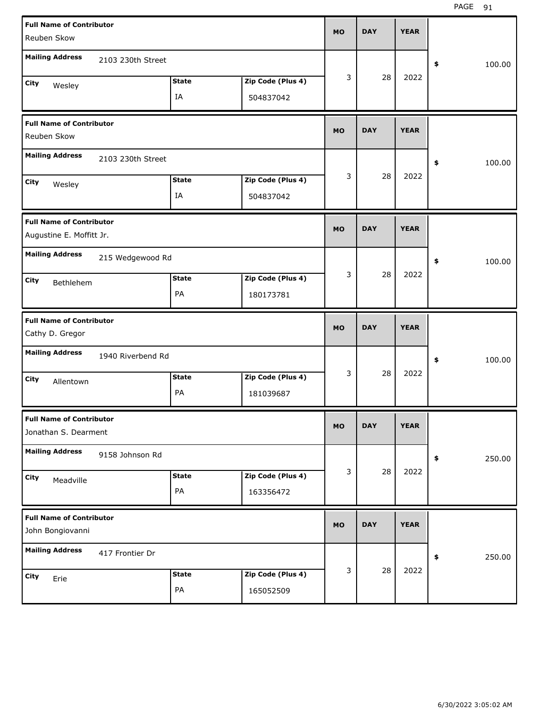| <b>Full Name of Contributor</b>                         |                   |              |                   | <b>MO</b> | <b>DAY</b> | <b>YEAR</b> |              |
|---------------------------------------------------------|-------------------|--------------|-------------------|-----------|------------|-------------|--------------|
| Reuben Skow                                             |                   |              |                   |           |            |             |              |
| <b>Mailing Address</b>                                  | 2103 230th Street |              |                   |           |            |             | \$<br>100.00 |
|                                                         |                   |              |                   | 3         | 28         | 2022        |              |
| City<br>Wesley                                          |                   | <b>State</b> | Zip Code (Plus 4) |           |            |             |              |
|                                                         |                   | IA           | 504837042         |           |            |             |              |
| <b>Full Name of Contributor</b>                         |                   |              |                   |           |            |             |              |
| Reuben Skow                                             |                   |              |                   | <b>MO</b> | <b>DAY</b> | <b>YEAR</b> |              |
| <b>Mailing Address</b>                                  | 2103 230th Street |              |                   |           |            |             | \$<br>100.00 |
| City                                                    |                   | <b>State</b> | Zip Code (Plus 4) | 3         | 28         | 2022        |              |
| Wesley                                                  |                   | IA           | 504837042         |           |            |             |              |
|                                                         |                   |              |                   |           |            |             |              |
| <b>Full Name of Contributor</b>                         |                   |              |                   | <b>MO</b> | <b>DAY</b> | <b>YEAR</b> |              |
| Augustine E. Moffitt Jr.                                |                   |              |                   |           |            |             |              |
| <b>Mailing Address</b>                                  | 215 Wedgewood Rd  |              |                   |           |            |             | \$<br>100.00 |
| City                                                    |                   | <b>State</b> | Zip Code (Plus 4) | 3         | 28         | 2022        |              |
| Bethlehem                                               |                   | PA           | 180173781         |           |            |             |              |
|                                                         |                   |              |                   |           |            |             |              |
|                                                         |                   |              |                   |           |            |             |              |
| <b>Full Name of Contributor</b>                         |                   |              |                   |           |            |             |              |
| Cathy D. Gregor                                         |                   |              |                   | <b>MO</b> | <b>DAY</b> | <b>YEAR</b> |              |
| <b>Mailing Address</b>                                  | 1940 Riverbend Rd |              |                   |           |            |             | \$<br>100.00 |
| City                                                    |                   | <b>State</b> | Zip Code (Plus 4) | 3         | 28         | 2022        |              |
| Allentown                                               |                   | PA           | 181039687         |           |            |             |              |
|                                                         |                   |              |                   |           |            |             |              |
| <b>Full Name of Contributor</b><br>Jonathan S. Dearment |                   |              |                   | MO        | <b>DAY</b> | <b>YEAR</b> |              |
| <b>Mailing Address</b>                                  | 9158 Johnson Rd   |              |                   |           |            |             | \$<br>250.00 |
| City                                                    |                   | <b>State</b> | Zip Code (Plus 4) | 3         | 28         | 2022        |              |
| Meadville                                               |                   | PA           | 163356472         |           |            |             |              |
|                                                         |                   |              |                   |           |            |             |              |
| <b>Full Name of Contributor</b><br>John Bongiovanni     |                   |              |                   | MO        | <b>DAY</b> | <b>YEAR</b> |              |
| <b>Mailing Address</b>                                  | 417 Frontier Dr   |              |                   |           |            |             | \$<br>250.00 |
| City                                                    |                   | <b>State</b> | Zip Code (Plus 4) | 3         | 28         | 2022        |              |
| Erie                                                    |                   | PA           | 165052509         |           |            |             |              |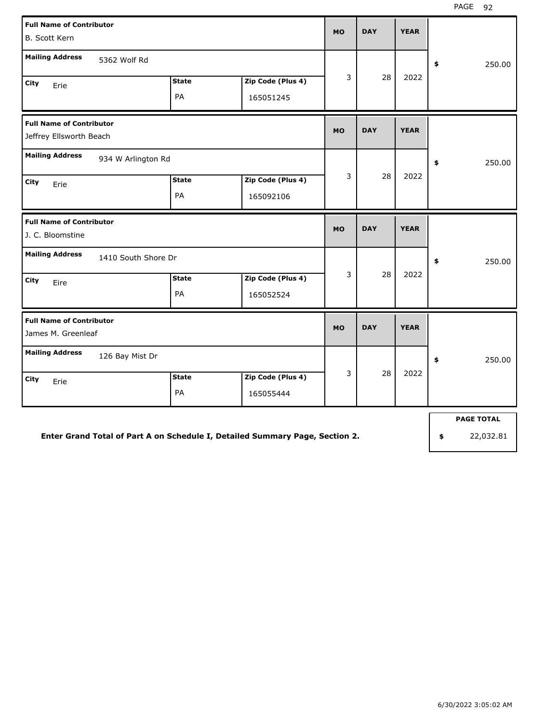| <b>Full Name of Contributor</b><br><b>B. Scott Kern</b>    |                    |                                | <b>MO</b> | <b>DAY</b> | <b>YEAR</b> |                   |
|------------------------------------------------------------|--------------------|--------------------------------|-----------|------------|-------------|-------------------|
| <b>Mailing Address</b><br>5362 Wolf Rd                     |                    |                                |           |            |             | \$<br>250.00      |
| City<br>Erie                                               | <b>State</b><br>PA | Zip Code (Plus 4)<br>165051245 | 3         | 28         | 2022        |                   |
| <b>Full Name of Contributor</b><br>Jeffrey Ellsworth Beach |                    |                                | <b>MO</b> | <b>DAY</b> | <b>YEAR</b> |                   |
| <b>Mailing Address</b><br>934 W Arlington Rd               |                    |                                |           |            |             | 250.00<br>\$      |
| City<br>Erie                                               | <b>State</b><br>PA | Zip Code (Plus 4)<br>165092106 | 3         | 28         | 2022        |                   |
| <b>Full Name of Contributor</b><br>J. C. Bloomstine        |                    |                                | <b>MO</b> | <b>DAY</b> | <b>YEAR</b> |                   |
| <b>Mailing Address</b><br>1410 South Shore Dr              |                    |                                |           |            |             | \$<br>250.00      |
| City<br>Eire                                               | <b>State</b><br>PA | Zip Code (Plus 4)<br>165052524 | 3         | 28         | 2022        |                   |
| <b>Full Name of Contributor</b><br>James M. Greenleaf      |                    |                                | <b>MO</b> | <b>DAY</b> | <b>YEAR</b> |                   |
| <b>Mailing Address</b><br>126 Bay Mist Dr                  |                    |                                |           |            |             | \$<br>250.00      |
| City<br>Erie                                               | <b>State</b><br>PA | Zip Code (Plus 4)<br>165055444 | 3         | 28         | 2022        |                   |
|                                                            |                    |                                |           |            |             | <b>PAGE TOTAL</b> |

**Enter Grand Total of Part A on Schedule I, Detailed Summary Page, Section 2.**

**PAGE TOTAL**

**\$** 22,032.81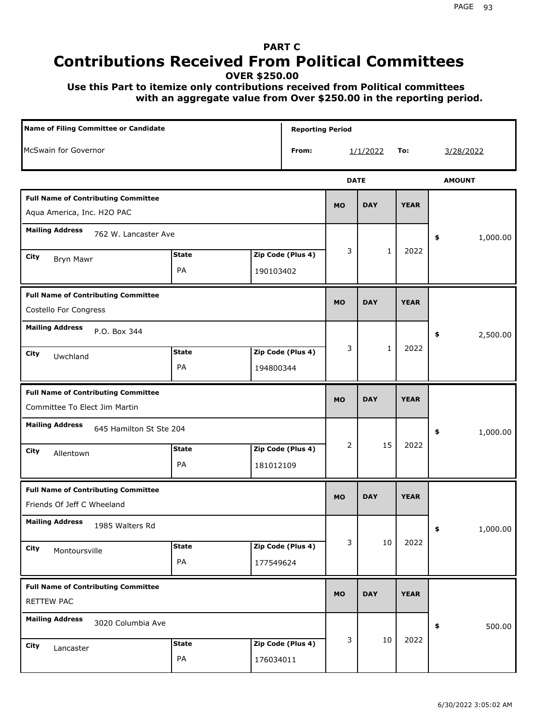## **PART C Contributions Received From Political Committees**

**OVER \$250.00**

 **Use this Part to itemize only contributions received from Political committees with an aggregate value from Over \$250.00 in the reporting period.**

| Name of Filing Committee or Candidate                                       |                    |           | <b>Reporting Period</b> |             |              |             |                |
|-----------------------------------------------------------------------------|--------------------|-----------|-------------------------|-------------|--------------|-------------|----------------|
| McSwain for Governor                                                        |                    |           | From:                   |             | 1/1/2022     | To:         | 3/28/2022      |
|                                                                             |                    |           |                         | <b>DATE</b> |              |             | <b>AMOUNT</b>  |
| <b>Full Name of Contributing Committee</b><br>Aqua America, Inc. H2O PAC    |                    |           |                         | <b>MO</b>   | <b>DAY</b>   | <b>YEAR</b> |                |
| <b>Mailing Address</b><br>762 W. Lancaster Ave                              |                    |           |                         |             |              |             | \$<br>1,000.00 |
| City<br>Bryn Mawr                                                           | <b>State</b><br>PA | 190103402 | Zip Code (Plus 4)       | 3           | $\mathbf{1}$ | 2022        |                |
| <b>Full Name of Contributing Committee</b><br>Costello For Congress         |                    |           |                         | <b>MO</b>   | <b>DAY</b>   | <b>YEAR</b> |                |
| <b>Mailing Address</b><br>P.O. Box 344<br>City<br>Uwchland                  | <b>State</b><br>PA | 194800344 | Zip Code (Plus 4)       | 3           | $\mathbf{1}$ | 2022        | \$<br>2,500.00 |
| <b>Full Name of Contributing Committee</b><br>Committee To Elect Jim Martin |                    |           |                         | <b>MO</b>   | <b>DAY</b>   | <b>YEAR</b> |                |
| <b>Mailing Address</b><br>645 Hamilton St Ste 204<br>City<br>Allentown      | <b>State</b><br>PA | 181012109 | Zip Code (Plus 4)       | 2           | 15           | 2022        | \$<br>1,000.00 |
| <b>Full Name of Contributing Committee</b><br>Friends Of Jeff C Wheeland    |                    |           |                         | <b>MO</b>   | <b>DAY</b>   | <b>YEAR</b> |                |
| <b>Mailing Address</b><br>1985 Walters Rd<br>City<br>Montoursville          | <b>State</b><br>PA | 177549624 | Zip Code (Plus 4)       | 3           | 10           | 2022        | 1,000.00<br>÷, |
| <b>Full Name of Contributing Committee</b><br>RETTEW PAC                    |                    |           |                         | <b>MO</b>   | <b>DAY</b>   | <b>YEAR</b> |                |
| <b>Mailing Address</b><br>3020 Columbia Ave<br>City<br>Lancaster            | <b>State</b><br>PA | 176034011 | Zip Code (Plus 4)       | 3           | 10           | 2022        | 500.00<br>\$   |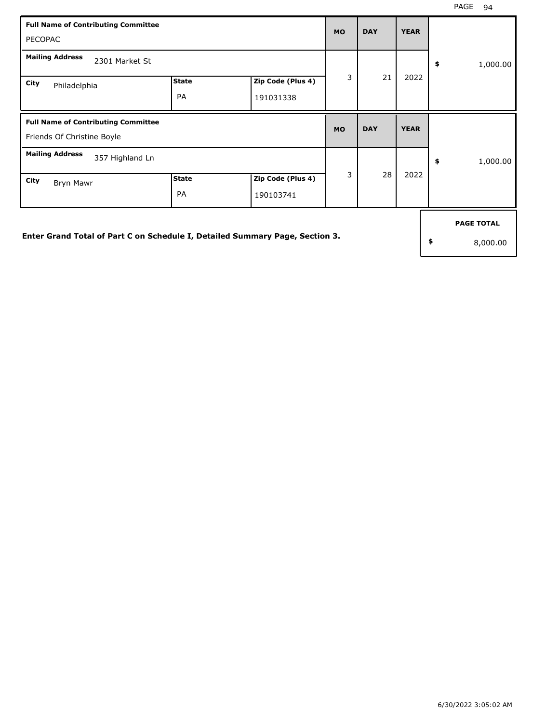| <b>Full Name of Contributing Committee</b><br><b>PECOPAC</b>                 |                    |                                | <b>MO</b> | <b>DAY</b> | <b>YEAR</b> |                                     |
|------------------------------------------------------------------------------|--------------------|--------------------------------|-----------|------------|-------------|-------------------------------------|
| <b>Mailing Address</b><br>2301 Market St                                     |                    |                                |           |            |             | \$<br>1,000.00                      |
| City<br>Philadelphia                                                         | <b>State</b><br>PA | Zip Code (Plus 4)<br>191031338 | 3         | 21         | 2022        |                                     |
| <b>Full Name of Contributing Committee</b><br>Friends Of Christine Boyle     |                    |                                | <b>MO</b> | <b>DAY</b> | <b>YEAR</b> |                                     |
| <b>Mailing Address</b><br>357 Highland Ln                                    |                    |                                |           |            |             | \$<br>1,000.00                      |
| City<br>Bryn Mawr                                                            | <b>State</b><br>PA | Zip Code (Plus 4)<br>190103741 | 3         | 28         | 2022        |                                     |
| Enter Grand Total of Part C on Schedule I, Detailed Summary Page, Section 3. |                    |                                |           |            |             | \$<br><b>PAGE TOTAL</b><br>8,000.00 |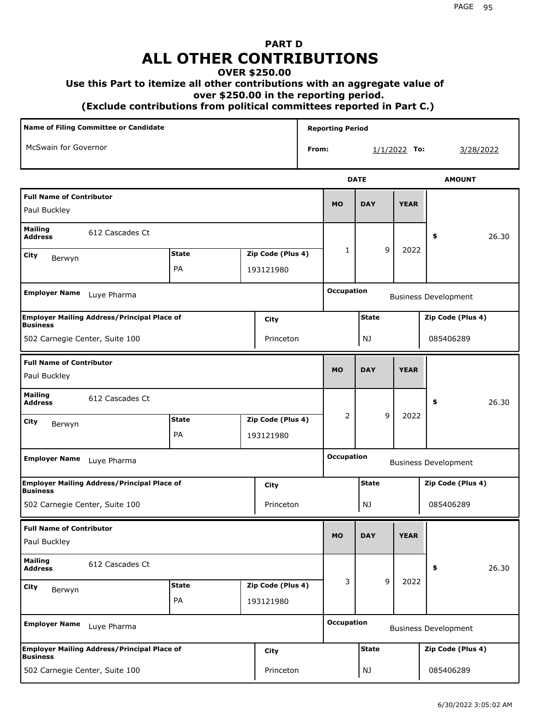## **PART D ALL OTHER CONTRIBUTIONS**

## **OVER \$250.00**

## **Use this Part to itemize all other contributions with an aggregate value of**

 **over \$250.00 in the reporting period.**

 **(Exclude contributions from political committees reported in Part C.)** 

| <b>Name of Filing Committee or Candidate</b>                          |              |                   |       | <b>Reporting Period</b> |              |                |                             |
|-----------------------------------------------------------------------|--------------|-------------------|-------|-------------------------|--------------|----------------|-----------------------------|
| McSwain for Governor                                                  |              |                   | From: |                         |              | $1/1/2022$ To: | 3/28/2022                   |
|                                                                       |              |                   |       |                         | <b>DATE</b>  |                | <b>AMOUNT</b>               |
| <b>Full Name of Contributor</b><br>Paul Buckley                       |              |                   |       | <b>MO</b>               | <b>DAY</b>   | <b>YEAR</b>    |                             |
| <b>Mailing</b><br>612 Cascades Ct<br><b>Address</b>                   |              |                   |       |                         |              |                | 26.30<br>\$                 |
| City<br>Berwyn                                                        | <b>State</b> | Zip Code (Plus 4) |       | 1                       | 9            | 2022           |                             |
|                                                                       | PA           | 193121980         |       | <b>Occupation</b>       |              |                |                             |
| <b>Employer Name</b><br>Luye Pharma                                   |              |                   |       |                         |              |                | <b>Business Development</b> |
| <b>Employer Mailing Address/Principal Place of</b><br><b>Business</b> |              | City              |       |                         | <b>State</b> |                | Zip Code (Plus 4)           |
| 502 Carnegie Center, Suite 100                                        |              | Princeton         |       |                         | NJ           |                | 085406289                   |
| <b>Full Name of Contributor</b><br>Paul Buckley                       |              |                   |       | <b>MO</b>               | <b>DAY</b>   | <b>YEAR</b>    |                             |
| Mailing<br>612 Cascades Ct<br>Address                                 |              |                   |       |                         |              |                | 26.30<br>\$                 |
| City<br>Berwyn                                                        | <b>State</b> | Zip Code (Plus 4) |       | $\overline{2}$          | 9            | 2022           |                             |
|                                                                       | PA           | 193121980         |       |                         |              |                |                             |
| <b>Employer Name</b><br>Luye Pharma                                   |              |                   |       | <b>Occupation</b>       |              |                | <b>Business Development</b> |
| <b>Employer Mailing Address/Principal Place of</b><br><b>Business</b> |              | City              |       |                         | <b>State</b> |                | Zip Code (Plus 4)           |
| 502 Carnegie Center, Suite 100                                        |              | Princeton         |       |                         | NJ           |                | 085406289                   |
| <b>Full Name of Contributor</b><br>Paul Buckley                       |              |                   |       | <b>MO</b>               | <b>DAY</b>   | <b>YEAR</b>    |                             |
| <b>Mailing</b><br>612 Cascades Ct<br><b>Address</b>                   |              |                   |       |                         |              |                | 26.30<br>\$                 |
| <b>City</b><br>Berwyn                                                 | <b>State</b> | Zip Code (Plus 4) |       | 3                       | 9            | 2022           |                             |
|                                                                       | PA           | 193121980         |       |                         |              |                |                             |
| <b>Employer Name</b><br>Luye Pharma                                   |              |                   |       | <b>Occupation</b>       |              |                | <b>Business Development</b> |
| <b>Employer Mailing Address/Principal Place of</b><br><b>Business</b> |              | City              |       |                         | <b>State</b> |                | Zip Code (Plus 4)           |
| 502 Carnegie Center, Suite 100                                        |              | Princeton         |       |                         | NJ           |                | 085406289                   |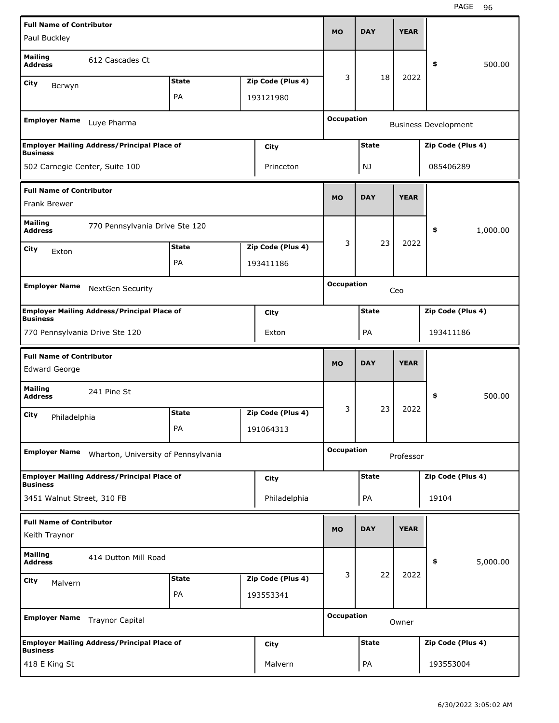| <b>Full Name of Contributor</b>  |                                                    |              |                   | <b>MO</b>         | <b>DAY</b>   | <b>YEAR</b> |                             |          |
|----------------------------------|----------------------------------------------------|--------------|-------------------|-------------------|--------------|-------------|-----------------------------|----------|
| Paul Buckley                     |                                                    |              |                   |                   |              |             |                             |          |
| <b>Mailing</b><br><b>Address</b> | 612 Cascades Ct                                    |              |                   |                   |              |             | \$                          | 500.00   |
| City<br>Berwyn                   |                                                    | <b>State</b> | Zip Code (Plus 4) | 3                 | 18           | 2022        |                             |          |
|                                  |                                                    | PA           | 193121980         |                   |              |             |                             |          |
| <b>Employer Name</b>             | Luye Pharma                                        |              |                   | <b>Occupation</b> |              |             | <b>Business Development</b> |          |
| <b>Business</b>                  | <b>Employer Mailing Address/Principal Place of</b> |              | City              |                   | <b>State</b> |             | Zip Code (Plus 4)           |          |
| 502 Carnegie Center, Suite 100   |                                                    |              | Princeton         |                   | NJ           |             | 085406289                   |          |
| <b>Full Name of Contributor</b>  |                                                    |              |                   |                   |              |             |                             |          |
| <b>Frank Brewer</b>              |                                                    |              |                   | <b>MO</b>         | <b>DAY</b>   | <b>YEAR</b> |                             |          |
| <b>Mailing</b><br><b>Address</b> | 770 Pennsylvania Drive Ste 120                     |              |                   |                   |              |             | \$                          | 1,000.00 |
| City<br>Exton                    |                                                    | <b>State</b> | Zip Code (Plus 4) | 3                 | 23           | 2022        |                             |          |
|                                  |                                                    | PA           | 193411186         |                   |              |             |                             |          |
| <b>Employer Name</b>             |                                                    |              |                   | <b>Occupation</b> |              |             |                             |          |
|                                  | NextGen Security                                   |              |                   |                   |              | Ceo         |                             |          |
| <b>Business</b>                  | <b>Employer Mailing Address/Principal Place of</b> |              | City              |                   | <b>State</b> |             | Zip Code (Plus 4)           |          |
| 770 Pennsylvania Drive Ste 120   |                                                    |              | Exton             |                   | PA           |             | 193411186                   |          |
|                                  |                                                    |              |                   |                   |              |             |                             |          |
| <b>Full Name of Contributor</b>  |                                                    |              |                   |                   |              |             |                             |          |
| <b>Edward George</b>             |                                                    |              |                   | <b>MO</b>         | <b>DAY</b>   | <b>YEAR</b> |                             |          |
| <b>Mailing</b><br><b>Address</b> | 241 Pine St                                        |              |                   |                   |              |             | \$                          | 500.00   |
|                                  |                                                    | <b>State</b> | Zip Code (Plus 4) | 3                 | 23           | 2022        |                             |          |
| City<br>Philadelphia             |                                                    | PА           | 191064313         |                   |              |             |                             |          |
| <b>Employer Name</b>             |                                                    |              |                   | <b>Occupation</b> |              |             |                             |          |
|                                  | Wharton, University of Pennsylvania                |              |                   |                   |              | Professor   |                             |          |
| <b>Business</b>                  | <b>Employer Mailing Address/Principal Place of</b> |              | City              |                   | <b>State</b> |             | Zip Code (Plus 4)           |          |
| 3451 Walnut Street, 310 FB       |                                                    |              | Philadelphia      |                   | PA           |             | 19104                       |          |
| <b>Full Name of Contributor</b>  |                                                    |              |                   |                   |              |             |                             |          |
| Keith Traynor                    |                                                    |              |                   | <b>MO</b>         | <b>DAY</b>   | <b>YEAR</b> |                             |          |
| <b>Mailing</b><br><b>Address</b> | 414 Dutton Mill Road                               |              |                   |                   |              |             | \$                          | 5,000.00 |
| City<br>Malvern                  |                                                    | <b>State</b> | Zip Code (Plus 4) | 3                 | 22           | 2022        |                             |          |
|                                  |                                                    | PA           | 193553341         |                   |              |             |                             |          |
| <b>Employer Name</b>             | <b>Traynor Capital</b>                             |              |                   | <b>Occupation</b> |              | Owner       |                             |          |
| <b>Business</b>                  | <b>Employer Mailing Address/Principal Place of</b> |              | City              |                   | <b>State</b> |             | Zip Code (Plus 4)           |          |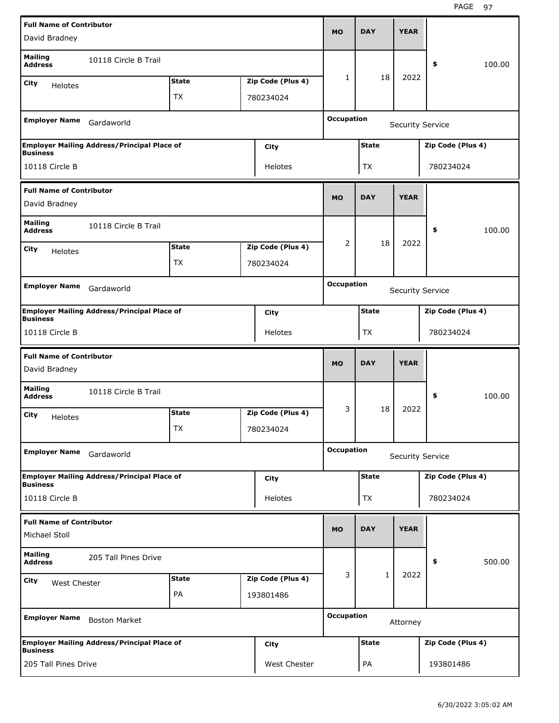| <b>Full Name of Contributor</b>  |                                                    |              |                   |                   |              |                         |                   |        |
|----------------------------------|----------------------------------------------------|--------------|-------------------|-------------------|--------------|-------------------------|-------------------|--------|
| David Bradney                    |                                                    |              |                   | <b>MO</b>         | <b>DAY</b>   | <b>YEAR</b>             |                   |        |
| <b>Mailing</b><br><b>Address</b> | 10118 Circle B Trail                               |              |                   |                   |              |                         | \$                | 100.00 |
| City<br><b>Helotes</b>           |                                                    | <b>State</b> | Zip Code (Plus 4) | 1                 | 18           | 2022                    |                   |        |
|                                  |                                                    | <b>TX</b>    | 780234024         |                   |              |                         |                   |        |
|                                  |                                                    |              |                   |                   |              |                         |                   |        |
| <b>Employer Name</b>             | Gardaworld                                         |              |                   | <b>Occupation</b> |              | <b>Security Service</b> |                   |        |
| <b>Business</b>                  | <b>Employer Mailing Address/Principal Place of</b> |              | City              |                   | <b>State</b> |                         | Zip Code (Plus 4) |        |
| 10118 Circle B                   |                                                    |              | Helotes           |                   | <b>TX</b>    |                         | 780234024         |        |
| <b>Full Name of Contributor</b>  |                                                    |              |                   |                   |              |                         |                   |        |
| David Bradney                    |                                                    |              |                   | <b>MO</b>         | <b>DAY</b>   | <b>YEAR</b>             |                   |        |
| <b>Mailing</b><br><b>Address</b> | 10118 Circle B Trail                               |              |                   |                   |              |                         | \$                | 100.00 |
| City                             |                                                    | <b>State</b> | Zip Code (Plus 4) | 2                 | 18           | 2022                    |                   |        |
| <b>Helotes</b>                   |                                                    | <b>TX</b>    | 780234024         |                   |              |                         |                   |        |
|                                  |                                                    |              |                   |                   |              |                         |                   |        |
| <b>Employer Name</b>             | Gardaworld                                         |              |                   | <b>Occupation</b> |              | <b>Security Service</b> |                   |        |
| <b>Business</b>                  | <b>Employer Mailing Address/Principal Place of</b> |              | City              |                   | <b>State</b> |                         | Zip Code (Plus 4) |        |
| 10118 Circle B                   |                                                    |              | Helotes           |                   | <b>TX</b>    |                         | 780234024         |        |
|                                  |                                                    |              |                   |                   |              |                         |                   |        |
| <b>Full Name of Contributor</b>  |                                                    |              |                   |                   |              |                         |                   |        |
| David Bradney                    |                                                    |              |                   | <b>MO</b>         | <b>DAY</b>   | <b>YEAR</b>             |                   |        |
| <b>Mailing</b><br><b>Address</b> | 10118 Circle B Trail                               |              |                   |                   |              |                         | \$                | 100.00 |
| City                             |                                                    | <b>State</b> | Zip Code (Plus 4) | 3                 | 18           | 2022                    |                   |        |
| <b>Helotes</b>                   |                                                    | TX           | 780234024         |                   |              |                         |                   |        |
| <b>Employer Name</b>             | Gardaworld                                         |              |                   | <b>Occupation</b> |              | <b>Security Service</b> |                   |        |
|                                  |                                                    |              |                   |                   | <b>State</b> |                         |                   |        |
| <b>Business</b>                  | <b>Employer Mailing Address/Principal Place of</b> |              | <b>City</b>       |                   |              |                         | Zip Code (Plus 4) |        |
| 10118 Circle B                   |                                                    |              | Helotes           |                   | TX           |                         | 780234024         |        |
| <b>Full Name of Contributor</b>  |                                                    |              |                   | <b>MO</b>         | <b>DAY</b>   | <b>YEAR</b>             |                   |        |
| Michael Stoll                    |                                                    |              |                   |                   |              |                         |                   |        |
| <b>Mailing</b><br><b>Address</b> | 205 Tall Pines Drive                               |              |                   |                   |              |                         | \$                | 500.00 |
| City<br>West Chester             |                                                    | <b>State</b> | Zip Code (Plus 4) | 3                 | $\mathbf{1}$ | 2022                    |                   |        |
|                                  |                                                    | PA           | 193801486         |                   |              |                         |                   |        |
| <b>Employer Name</b>             | <b>Boston Market</b>                               |              |                   | <b>Occupation</b> |              | Attorney                |                   |        |
| <b>Business</b>                  | <b>Employer Mailing Address/Principal Place of</b> |              | <b>City</b>       |                   | <b>State</b> |                         | Zip Code (Plus 4) |        |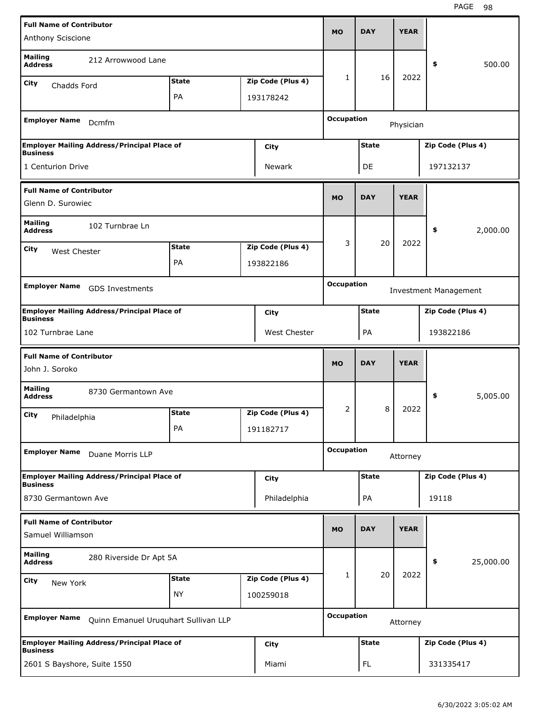| <b>Full Name of Contributor</b>                                       |                                      |                   |                   | <b>DAY</b>   | <b>YEAR</b> |                              |
|-----------------------------------------------------------------------|--------------------------------------|-------------------|-------------------|--------------|-------------|------------------------------|
| Anthony Sciscione                                                     |                                      |                   | <b>MO</b>         |              |             |                              |
| <b>Mailing</b><br><b>Address</b>                                      | 212 Arrowwood Lane                   |                   |                   |              |             | 500.00<br>\$                 |
| City<br>Chadds Ford                                                   | <b>State</b>                         | Zip Code (Plus 4) | $\mathbf{1}$      | 16           | 2022        |                              |
|                                                                       | PA                                   | 193178242         |                   |              |             |                              |
| <b>Employer Name</b><br>Dcmfm                                         |                                      |                   | <b>Occupation</b> |              | Physician   |                              |
| <b>Employer Mailing Address/Principal Place of</b><br><b>Business</b> |                                      | City              |                   | <b>State</b> |             | Zip Code (Plus 4)            |
| 1 Centurion Drive                                                     |                                      | Newark            |                   | DE           |             | 197132137                    |
| <b>Full Name of Contributor</b><br>Glenn D. Surowiec                  |                                      |                   | <b>MO</b>         | <b>DAY</b>   | <b>YEAR</b> |                              |
| <b>Mailing</b><br>102 Turnbrae Ln<br><b>Address</b>                   |                                      |                   |                   |              |             | \$<br>2,000.00               |
| City                                                                  | <b>State</b>                         | Zip Code (Plus 4) | 3                 | 20           | 2022        |                              |
| West Chester                                                          | PA                                   | 193822186         |                   |              |             |                              |
|                                                                       |                                      |                   |                   |              |             |                              |
| <b>Employer Name</b><br>GDS Investments                               |                                      |                   | <b>Occupation</b> |              |             | <b>Investment Management</b> |
| <b>Employer Mailing Address/Principal Place of</b><br><b>Business</b> |                                      | <b>City</b>       |                   | <b>State</b> |             | Zip Code (Plus 4)            |
| 102 Turnbrae Lane                                                     |                                      | West Chester      |                   | PA           |             | 193822186                    |
|                                                                       |                                      |                   |                   |              |             |                              |
| <b>Full Name of Contributor</b><br>John J. Soroko                     |                                      |                   | <b>MO</b>         | <b>DAY</b>   | <b>YEAR</b> |                              |
| <b>Mailing</b><br><b>Address</b>                                      | 8730 Germantown Ave                  |                   |                   |              |             | \$<br>5,005.00               |
| City                                                                  | <b>State</b>                         | Zip Code (Plus 4) | 2                 | 8            | 2022        |                              |
| Philadelphia                                                          | PA                                   | 191182717         |                   |              |             |                              |
| <b>Employer Name</b><br>Duane Morris LLP                              |                                      |                   | <b>Occupation</b> |              | Attorney    |                              |
| <b>Employer Mailing Address/Principal Place of</b>                    |                                      | <b>City</b>       |                   | <b>State</b> |             | Zip Code (Plus 4)            |
| <b>Business</b><br>8730 Germantown Ave                                |                                      | Philadelphia      |                   | PA           |             | 19118                        |
| <b>Full Name of Contributor</b><br>Samuel Williamson                  |                                      |                   | <b>MO</b>         | <b>DAY</b>   | <b>YEAR</b> |                              |
| <b>Mailing</b><br><b>Address</b>                                      | 280 Riverside Dr Apt 5A              |                   |                   |              |             | 25,000.00<br>\$              |
|                                                                       | <b>State</b>                         | Zip Code (Plus 4) | 1                 | 20           | 2022        |                              |
| City<br>New York                                                      | <b>NY</b>                            | 100259018         |                   |              |             |                              |
| <b>Employer Name</b>                                                  | Quinn Emanuel Uruquhart Sullivan LLP |                   | <b>Occupation</b> |              | Attorney    |                              |
| <b>Employer Mailing Address/Principal Place of</b><br><b>Business</b> |                                      | <b>City</b>       |                   | <b>State</b> |             | Zip Code (Plus 4)            |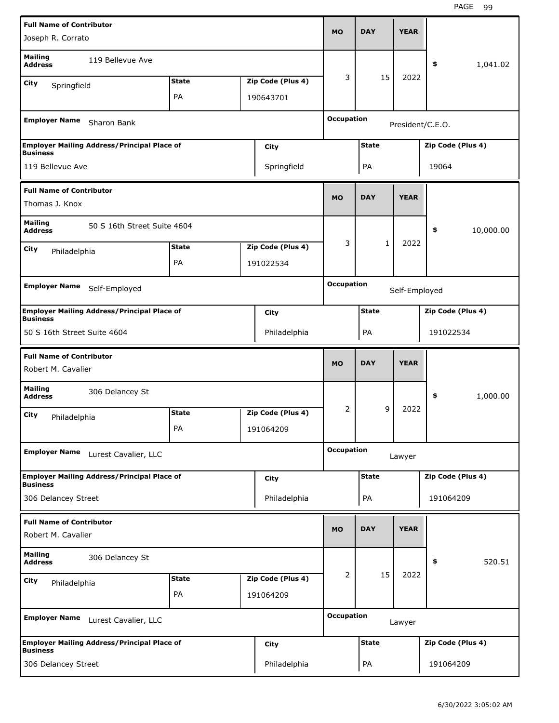| <b>Full Name of Contributor</b>                                       |              |                   |                   |              |               |                   |           |
|-----------------------------------------------------------------------|--------------|-------------------|-------------------|--------------|---------------|-------------------|-----------|
| Joseph R. Corrato                                                     |              |                   | <b>MO</b>         | <b>DAY</b>   | <b>YEAR</b>   |                   |           |
| <b>Mailing</b><br>119 Bellevue Ave<br><b>Address</b>                  |              |                   |                   |              |               | \$                | 1,041.02  |
| City<br>Springfield                                                   | <b>State</b> | Zip Code (Plus 4) | 3                 | 15           | 2022          |                   |           |
|                                                                       | PA           | 190643701         |                   |              |               |                   |           |
| <b>Employer Name</b><br>Sharon Bank                                   |              |                   | <b>Occupation</b> |              |               | President/C.E.O.  |           |
| <b>Employer Mailing Address/Principal Place of</b><br><b>Business</b> |              | City              |                   | <b>State</b> |               | Zip Code (Plus 4) |           |
| 119 Bellevue Ave                                                      |              | Springfield       |                   | PA           |               | 19064             |           |
| <b>Full Name of Contributor</b>                                       |              |                   |                   |              |               |                   |           |
| Thomas J. Knox                                                        |              |                   | <b>MO</b>         | <b>DAY</b>   | <b>YEAR</b>   |                   |           |
| <b>Mailing</b><br>50 S 16th Street Suite 4604<br><b>Address</b>       |              |                   |                   |              |               | \$                | 10,000.00 |
| City<br>Philadelphia                                                  | <b>State</b> | Zip Code (Plus 4) | 3                 | 1            | 2022          |                   |           |
|                                                                       | PA           | 191022534         |                   |              |               |                   |           |
| <b>Employer Name</b>                                                  |              |                   | <b>Occupation</b> |              |               |                   |           |
| Self-Employed                                                         |              |                   |                   |              | Self-Employed |                   |           |
| <b>Employer Mailing Address/Principal Place of</b><br><b>Business</b> |              | City              |                   | <b>State</b> |               | Zip Code (Plus 4) |           |
| 50 S 16th Street Suite 4604                                           |              | Philadelphia      |                   | PA           |               | 191022534         |           |
|                                                                       |              |                   |                   |              |               |                   |           |
| <b>Full Name of Contributor</b>                                       |              |                   | <b>MO</b>         | <b>DAY</b>   | <b>YEAR</b>   |                   |           |
| Robert M. Cavalier                                                    |              |                   |                   |              |               |                   |           |
| <b>Mailing</b><br>306 Delancey St<br><b>Address</b>                   |              |                   |                   |              |               | \$                | 1,000.00  |
| City<br>Philadelphia                                                  | <b>State</b> | Zip Code (Plus 4) | 2                 | 9            | 2022          |                   |           |
|                                                                       | PA           | 191064209         |                   |              |               |                   |           |
| <b>Employer Name</b><br>Lurest Cavalier, LLC                          |              |                   | <b>Occupation</b> |              | Lawyer        |                   |           |
| <b>Employer Mailing Address/Principal Place of</b>                    |              | City              |                   | <b>State</b> |               | Zip Code (Plus 4) |           |
| <b>Business</b><br>306 Delancey Street                                |              | Philadelphia      |                   | PA           |               | 191064209         |           |
| <b>Full Name of Contributor</b>                                       |              |                   |                   |              |               |                   |           |
| Robert M. Cavalier                                                    |              |                   | <b>MO</b>         | <b>DAY</b>   | <b>YEAR</b>   |                   |           |
| <b>Mailing</b><br>306 Delancey St<br><b>Address</b>                   |              |                   |                   |              |               | \$                | 520.51    |
| <b>City</b>                                                           | <b>State</b> | Zip Code (Plus 4) | 2                 | 15           | 2022          |                   |           |
| Philadelphia                                                          | PA           | 191064209         |                   |              |               |                   |           |
| <b>Employer Name</b><br>Lurest Cavalier, LLC                          |              |                   | <b>Occupation</b> |              | Lawyer        |                   |           |
| <b>Employer Mailing Address/Principal Place of</b><br><b>Business</b> |              | City              |                   | <b>State</b> |               | Zip Code (Plus 4) |           |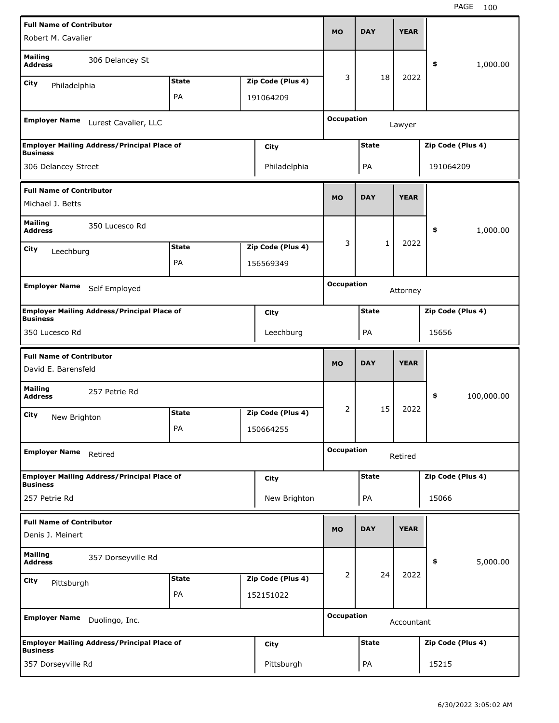| <b>Full Name of Contributor</b>                        |                                                    |              |                   |                   |              |             |                   |            |
|--------------------------------------------------------|----------------------------------------------------|--------------|-------------------|-------------------|--------------|-------------|-------------------|------------|
| Robert M. Cavalier                                     |                                                    |              |                   | <b>MO</b>         | <b>DAY</b>   | <b>YEAR</b> |                   |            |
| <b>Mailing</b><br><b>Address</b>                       | 306 Delancey St                                    |              |                   |                   |              |             | \$                | 1,000.00   |
| City<br>Philadelphia                                   |                                                    | <b>State</b> | Zip Code (Plus 4) | 3                 | 18           | 2022        |                   |            |
|                                                        |                                                    | PA           | 191064209         |                   |              |             |                   |            |
| <b>Employer Name</b>                                   | Lurest Cavalier, LLC                               |              |                   | <b>Occupation</b> |              | Lawyer      |                   |            |
|                                                        | <b>Employer Mailing Address/Principal Place of</b> |              | City              |                   | <b>State</b> |             | Zip Code (Plus 4) |            |
| <b>Business</b><br>306 Delancey Street                 |                                                    |              | Philadelphia      |                   | PA           |             | 191064209         |            |
|                                                        |                                                    |              |                   |                   |              |             |                   |            |
| <b>Full Name of Contributor</b><br>Michael J. Betts    |                                                    |              |                   | <b>MO</b>         | <b>DAY</b>   | <b>YEAR</b> |                   |            |
| <b>Mailing</b><br><b>Address</b>                       | 350 Lucesco Rd                                     |              |                   |                   |              |             | \$                | 1,000.00   |
| <b>City</b><br>Leechburg                               |                                                    | <b>State</b> | Zip Code (Plus 4) | 3                 | $\mathbf{1}$ | 2022        |                   |            |
|                                                        |                                                    | PA           | 156569349         |                   |              |             |                   |            |
|                                                        |                                                    |              |                   | <b>Occupation</b> |              |             |                   |            |
| <b>Employer Name</b>                                   | Self Employed                                      |              |                   |                   |              | Attorney    |                   |            |
| <b>Business</b>                                        | <b>Employer Mailing Address/Principal Place of</b> |              | <b>City</b>       |                   | <b>State</b> |             | Zip Code (Plus 4) |            |
| 350 Lucesco Rd                                         |                                                    |              | Leechburg         |                   | PA           |             | 15656             |            |
|                                                        |                                                    |              |                   |                   |              |             |                   |            |
|                                                        |                                                    |              |                   |                   |              |             |                   |            |
| <b>Full Name of Contributor</b><br>David E. Barensfeld |                                                    |              |                   | <b>MO</b>         | <b>DAY</b>   | <b>YEAR</b> |                   |            |
| <b>Mailing</b><br><b>Address</b>                       | 257 Petrie Rd                                      |              |                   |                   |              |             | \$                | 100,000.00 |
| City<br>New Brighton                                   |                                                    | <b>State</b> | Zip Code (Plus 4) | 2                 | 15           | 2022        |                   |            |
|                                                        |                                                    | PA           | 150664255         |                   |              |             |                   |            |
| <b>Employer Name</b>                                   | Retired                                            |              |                   | <b>Occupation</b> |              | Retired     |                   |            |
|                                                        | <b>Employer Mailing Address/Principal Place of</b> |              | City              |                   | <b>State</b> |             | Zip Code (Plus 4) |            |
| <b>Business</b><br>257 Petrie Rd                       |                                                    |              | New Brighton      |                   | PA           |             | 15066             |            |
|                                                        |                                                    |              |                   |                   |              |             |                   |            |
| <b>Full Name of Contributor</b><br>Denis J. Meinert    |                                                    |              |                   | <b>MO</b>         | <b>DAY</b>   | <b>YEAR</b> |                   |            |
| <b>Mailing</b><br><b>Address</b>                       | 357 Dorseyville Rd                                 |              |                   |                   |              |             | \$                | 5,000.00   |
| City<br>Pittsburgh                                     |                                                    | <b>State</b> | Zip Code (Plus 4) | 2                 | 24           | 2022        |                   |            |
|                                                        |                                                    | PA           | 152151022         |                   |              |             |                   |            |
| <b>Employer Name</b>                                   | Duolingo, Inc.                                     |              |                   | <b>Occupation</b> |              | Accountant  |                   |            |
| <b>Business</b>                                        | <b>Employer Mailing Address/Principal Place of</b> |              | City              |                   | <b>State</b> |             | Zip Code (Plus 4) |            |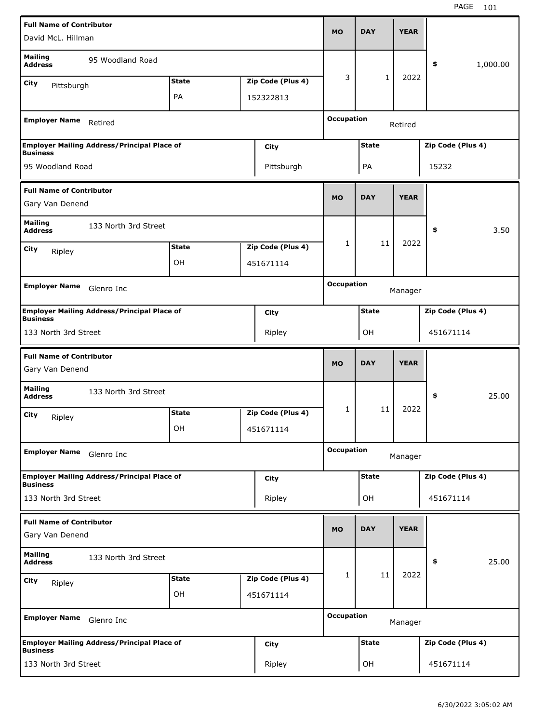| <b>Full Name of Contributor</b>                    |                                                    |              |                   |                   |              | <b>YEAR</b> |                   |          |
|----------------------------------------------------|----------------------------------------------------|--------------|-------------------|-------------------|--------------|-------------|-------------------|----------|
| David McL. Hillman                                 |                                                    |              |                   | <b>MO</b>         | <b>DAY</b>   |             |                   |          |
| <b>Mailing</b><br><b>Address</b>                   | 95 Woodland Road                                   |              |                   |                   |              |             | \$                | 1,000.00 |
| City<br>Pittsburgh                                 |                                                    | <b>State</b> | Zip Code (Plus 4) | 3                 | $\mathbf{1}$ | 2022        |                   |          |
|                                                    |                                                    | PA           | 152322813         |                   |              |             |                   |          |
| <b>Employer Name</b>                               | Retired                                            |              |                   | <b>Occupation</b> |              | Retired     |                   |          |
|                                                    | <b>Employer Mailing Address/Principal Place of</b> |              | City              |                   | <b>State</b> |             | Zip Code (Plus 4) |          |
| <b>Business</b><br>95 Woodland Road                |                                                    |              | Pittsburgh        |                   | PA           |             | 15232             |          |
| <b>Full Name of Contributor</b>                    |                                                    |              |                   |                   |              |             |                   |          |
| Gary Van Denend                                    |                                                    |              |                   | <b>MO</b>         | <b>DAY</b>   | <b>YEAR</b> |                   |          |
| <b>Mailing</b><br><b>Address</b>                   | 133 North 3rd Street                               |              |                   |                   |              |             | \$                | 3.50     |
| City<br>Ripley                                     |                                                    | <b>State</b> | Zip Code (Plus 4) | $\mathbf{1}$      | 11           | 2022        |                   |          |
|                                                    |                                                    | OН           | 451671114         |                   |              |             |                   |          |
| <b>Employer Name</b>                               |                                                    |              |                   | <b>Occupation</b> |              |             |                   |          |
|                                                    | Glenro Inc                                         |              |                   |                   |              | Manager     |                   |          |
| <b>Business</b>                                    | <b>Employer Mailing Address/Principal Place of</b> |              | <b>City</b>       |                   | <b>State</b> |             | Zip Code (Plus 4) |          |
| 133 North 3rd Street                               |                                                    |              | Ripley            |                   | OH           |             | 451671114         |          |
|                                                    |                                                    |              |                   |                   |              |             |                   |          |
| <b>Full Name of Contributor</b><br>Gary Van Denend |                                                    |              |                   | <b>MO</b>         | <b>DAY</b>   | <b>YEAR</b> |                   |          |
| <b>Mailing</b><br><b>Address</b>                   | 133 North 3rd Street                               |              |                   |                   |              |             | \$                | 25.00    |
| City                                               |                                                    | <b>State</b> | Zip Code (Plus 4) | 1                 | 11           | 2022        |                   |          |
| Ripley                                             |                                                    | OН           | 451671114         |                   |              |             |                   |          |
| <b>Employer Name</b>                               | Glenro Inc                                         |              |                   | <b>Occupation</b> |              | Manager     |                   |          |
|                                                    | <b>Employer Mailing Address/Principal Place of</b> |              | <b>City</b>       |                   | <b>State</b> |             | Zip Code (Plus 4) |          |
| <b>Business</b><br>133 North 3rd Street            |                                                    |              | Ripley            |                   | OH           |             | 451671114         |          |
| <b>Full Name of Contributor</b>                    |                                                    |              |                   |                   |              |             |                   |          |
| Gary Van Denend                                    |                                                    |              |                   | <b>MO</b>         | <b>DAY</b>   | <b>YEAR</b> |                   |          |
| <b>Mailing</b><br><b>Address</b>                   | 133 North 3rd Street                               |              |                   |                   |              |             | \$                | 25.00    |
| <b>City</b><br>Ripley                              |                                                    | <b>State</b> | Zip Code (Plus 4) | 1                 | 11           | 2022        |                   |          |
|                                                    |                                                    | OН           | 451671114         |                   |              |             |                   |          |
| <b>Employer Name</b>                               | Glenro Inc                                         |              |                   | <b>Occupation</b> |              | Manager     |                   |          |
| <b>Business</b>                                    | <b>Employer Mailing Address/Principal Place of</b> |              | <b>City</b>       |                   | <b>State</b> |             | Zip Code (Plus 4) |          |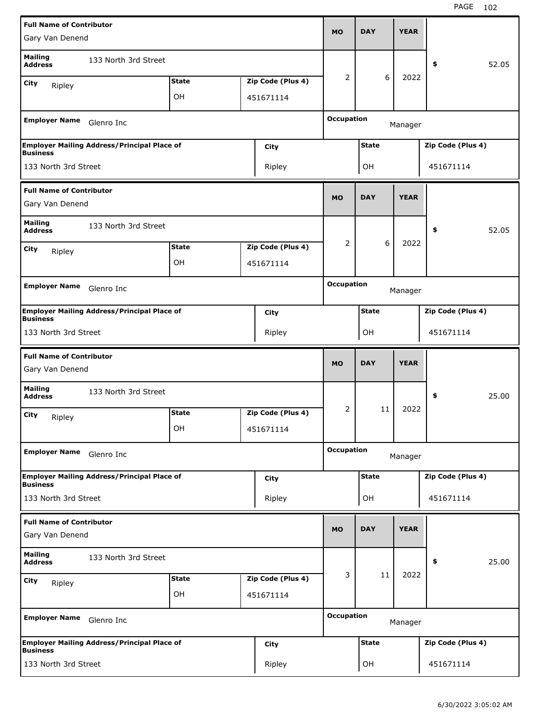| <b>Full Name of Contributor</b>                    |                                                    |              |                   |                   |              |             |                   |       |
|----------------------------------------------------|----------------------------------------------------|--------------|-------------------|-------------------|--------------|-------------|-------------------|-------|
| Gary Van Denend                                    |                                                    |              |                   | <b>MO</b>         | <b>DAY</b>   | <b>YEAR</b> |                   |       |
| <b>Mailing</b><br><b>Address</b>                   | 133 North 3rd Street                               |              |                   |                   |              |             | \$                | 52.05 |
| City<br>Ripley                                     |                                                    | <b>State</b> | Zip Code (Plus 4) | 2                 | 6            | 2022        |                   |       |
|                                                    |                                                    | OH           | 451671114         |                   |              |             |                   |       |
| <b>Employer Name</b>                               | Glenro Inc                                         |              |                   | <b>Occupation</b> |              | Manager     |                   |       |
| <b>Business</b>                                    | <b>Employer Mailing Address/Principal Place of</b> |              | City              |                   | <b>State</b> |             | Zip Code (Plus 4) |       |
| 133 North 3rd Street                               |                                                    |              | Ripley            |                   | OH           |             | 451671114         |       |
| <b>Full Name of Contributor</b>                    |                                                    |              |                   |                   |              |             |                   |       |
| Gary Van Denend                                    |                                                    |              |                   | <b>MO</b>         | <b>DAY</b>   | <b>YEAR</b> |                   |       |
| <b>Mailing</b><br><b>Address</b>                   | 133 North 3rd Street                               |              |                   |                   |              |             | \$                | 52.05 |
| City<br>Ripley                                     |                                                    | <b>State</b> | Zip Code (Plus 4) | 2                 | 6            | 2022        |                   |       |
|                                                    |                                                    | OH           | 451671114         |                   |              |             |                   |       |
| <b>Employer Name</b>                               |                                                    |              |                   | <b>Occupation</b> |              |             |                   |       |
|                                                    | Glenro Inc                                         |              |                   |                   |              | Manager     |                   |       |
| <b>Business</b>                                    | <b>Employer Mailing Address/Principal Place of</b> |              | City              |                   | <b>State</b> |             | Zip Code (Plus 4) |       |
| 133 North 3rd Street                               |                                                    |              | Ripley            |                   | OH           |             | 451671114         |       |
|                                                    |                                                    |              |                   |                   |              |             |                   |       |
| <b>Full Name of Contributor</b><br>Gary Van Denend |                                                    |              |                   | <b>MO</b>         | <b>DAY</b>   | <b>YEAR</b> |                   |       |
| <b>Mailing</b><br><b>Address</b>                   | 133 North 3rd Street                               |              |                   |                   |              |             | \$                | 25.00 |
| City                                               |                                                    | <b>State</b> | Zip Code (Plus 4) | 2                 | 11           | 2022        |                   |       |
| Ripley                                             |                                                    | OН           | 451671114         |                   |              |             |                   |       |
| <b>Employer Name</b>                               | Glenro Inc                                         |              |                   | <b>Occupation</b> |              | Manager     |                   |       |
|                                                    | <b>Employer Mailing Address/Principal Place of</b> |              | City              |                   | <b>State</b> |             | Zip Code (Plus 4) |       |
| <b>Business</b><br>133 North 3rd Street            |                                                    |              | Ripley            |                   | OH           |             | 451671114         |       |
| <b>Full Name of Contributor</b>                    |                                                    |              |                   |                   |              |             |                   |       |
| Gary Van Denend                                    |                                                    |              |                   | <b>MO</b>         | <b>DAY</b>   | <b>YEAR</b> |                   |       |
| <b>Mailing</b><br><b>Address</b>                   | 133 North 3rd Street                               |              |                   |                   |              |             | \$                | 25.00 |
| <b>City</b>                                        |                                                    | <b>State</b> | Zip Code (Plus 4) | 3                 | 11           | 2022        |                   |       |
| Ripley                                             |                                                    | OН           | 451671114         |                   |              |             |                   |       |
| <b>Employer Name</b>                               | Glenro Inc                                         |              |                   | <b>Occupation</b> |              | Manager     |                   |       |
| <b>Business</b>                                    | <b>Employer Mailing Address/Principal Place of</b> |              | City              |                   | <b>State</b> |             | Zip Code (Plus 4) |       |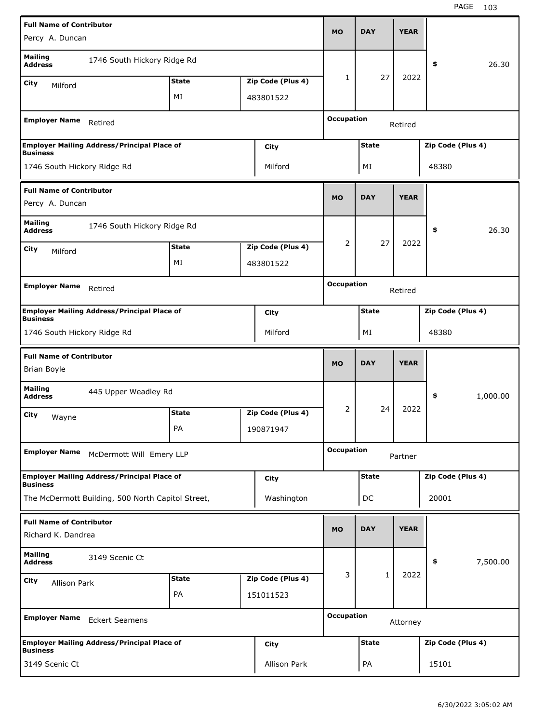| <b>Full Name of Contributor</b>                                       |              |                   | <b>MO</b>         | <b>DAY</b>   | <b>YEAR</b> |                   |          |
|-----------------------------------------------------------------------|--------------|-------------------|-------------------|--------------|-------------|-------------------|----------|
| Percy A. Duncan                                                       |              |                   |                   |              |             |                   |          |
| Mailing<br>1746 South Hickory Ridge Rd<br>Address                     |              |                   |                   |              |             | \$                | 26.30    |
| City<br>Milford                                                       | <b>State</b> | Zip Code (Plus 4) | 1                 | 27           | 2022        |                   |          |
|                                                                       | МI           | 483801522         |                   |              |             |                   |          |
| <b>Employer Name</b><br>Retired                                       |              |                   | <b>Occupation</b> |              | Retired     |                   |          |
| <b>Employer Mailing Address/Principal Place of</b><br><b>Business</b> |              | City              |                   | <b>State</b> |             | Zip Code (Plus 4) |          |
| 1746 South Hickory Ridge Rd                                           |              | Milford           |                   | ΜI           |             | 48380             |          |
| <b>Full Name of Contributor</b><br>Percy A. Duncan                    |              |                   | <b>MO</b>         | <b>DAY</b>   | <b>YEAR</b> |                   |          |
| <b>Mailing</b><br>1746 South Hickory Ridge Rd                         |              |                   |                   |              |             |                   |          |
| <b>Address</b>                                                        |              |                   | 2                 | 27           | 2022        | \$                | 26.30    |
| City<br>Milford                                                       | <b>State</b> | Zip Code (Plus 4) |                   |              |             |                   |          |
|                                                                       | МI           | 483801522         |                   |              |             |                   |          |
| <b>Employer Name</b><br>Retired                                       |              |                   | <b>Occupation</b> |              | Retired     |                   |          |
| <b>Employer Mailing Address/Principal Place of</b><br><b>Business</b> |              | City              |                   | <b>State</b> |             | Zip Code (Plus 4) |          |
| 1746 South Hickory Ridge Rd                                           |              | Milford           |                   | ΜI           |             | 48380             |          |
|                                                                       |              |                   |                   |              |             |                   |          |
|                                                                       |              |                   |                   |              |             |                   |          |
| <b>Full Name of Contributor</b><br><b>Brian Boyle</b>                 |              |                   | <b>MO</b>         | <b>DAY</b>   | <b>YEAR</b> |                   |          |
| <b>Mailing</b><br>445 Upper Weadley Rd<br><b>Address</b>              |              |                   |                   |              |             | \$                | 1,000.00 |
| City                                                                  | <b>State</b> | Zip Code (Plus 4) | 2                 | 24           | 2022        |                   |          |
| Wayne                                                                 | PА           | 190871947         |                   |              |             |                   |          |
| <b>Employer Name</b><br>McDermott Will Emery LLP                      |              |                   | <b>Occupation</b> |              | Partner     |                   |          |
| <b>Employer Mailing Address/Principal Place of</b>                    |              | City              |                   | <b>State</b> |             | Zip Code (Plus 4) |          |
| <b>Business</b><br>The McDermott Building, 500 North Capitol Street,  |              | Washington        |                   | DC           |             | 20001             |          |
| <b>Full Name of Contributor</b>                                       |              |                   |                   |              |             |                   |          |
| Richard K. Dandrea                                                    |              |                   | <b>MO</b>         | <b>DAY</b>   | <b>YEAR</b> |                   |          |
| <b>Mailing</b><br>3149 Scenic Ct<br><b>Address</b>                    |              |                   |                   |              |             | \$                | 7,500.00 |
| City<br><b>Allison Park</b>                                           | <b>State</b> | Zip Code (Plus 4) | 3                 | $\mathbf{1}$ | 2022        |                   |          |
|                                                                       | PA           | 151011523         |                   |              |             |                   |          |
| <b>Employer Name</b><br><b>Eckert Seamens</b>                         |              |                   | <b>Occupation</b> |              | Attorney    |                   |          |
| <b>Employer Mailing Address/Principal Place of</b><br><b>Business</b> |              | City              |                   | <b>State</b> |             | Zip Code (Plus 4) |          |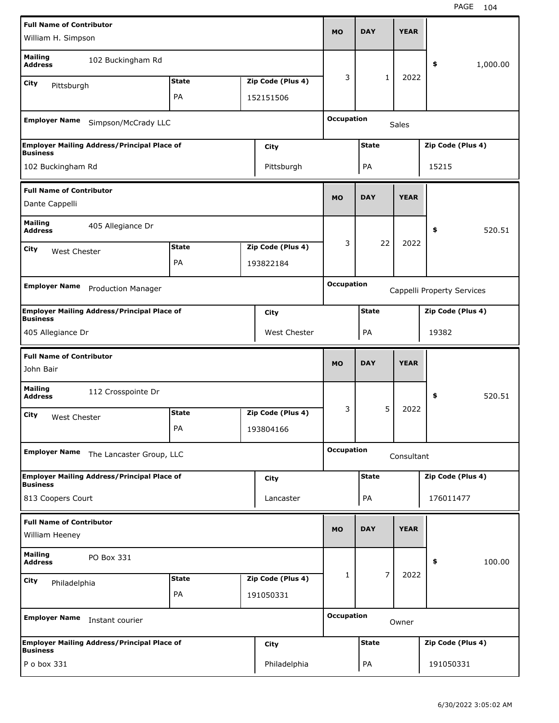| <b>Full Name of Contributor</b>                   |                                                    |              |                   | <b>MO</b>         | <b>DAY</b>     | <b>YEAR</b>  |                            |          |
|---------------------------------------------------|----------------------------------------------------|--------------|-------------------|-------------------|----------------|--------------|----------------------------|----------|
| William H. Simpson                                |                                                    |              |                   |                   |                |              |                            |          |
| <b>Mailing</b><br><b>Address</b>                  | 102 Buckingham Rd                                  |              |                   |                   |                |              | \$                         | 1,000.00 |
| City<br>Pittsburgh                                |                                                    | <b>State</b> | Zip Code (Plus 4) | 3                 | 1              | 2022         |                            |          |
|                                                   |                                                    | PA           | 152151506         |                   |                |              |                            |          |
| <b>Employer Name</b>                              | Simpson/McCrady LLC                                |              |                   | <b>Occupation</b> |                | <b>Sales</b> |                            |          |
|                                                   | <b>Employer Mailing Address/Principal Place of</b> |              | City              |                   | <b>State</b>   |              | Zip Code (Plus 4)          |          |
| <b>Business</b><br>102 Buckingham Rd              |                                                    |              | Pittsburgh        |                   | PA             |              | 15215                      |          |
| <b>Full Name of Contributor</b><br>Dante Cappelli |                                                    |              |                   | <b>MO</b>         | <b>DAY</b>     | <b>YEAR</b>  |                            |          |
| <b>Mailing</b>                                    |                                                    |              |                   |                   |                |              |                            |          |
| <b>Address</b>                                    | 405 Allegiance Dr                                  |              |                   |                   |                |              | \$                         | 520.51   |
| City<br>West Chester                              |                                                    | <b>State</b> | Zip Code (Plus 4) | 3                 | 22             | 2022         |                            |          |
|                                                   |                                                    | PA           | 193822184         |                   |                |              |                            |          |
| <b>Employer Name</b>                              | <b>Production Manager</b>                          |              |                   | <b>Occupation</b> |                |              | Cappelli Property Services |          |
| <b>Business</b>                                   | <b>Employer Mailing Address/Principal Place of</b> |              | City              |                   | <b>State</b>   |              | Zip Code (Plus 4)          |          |
| 405 Allegiance Dr                                 |                                                    |              | West Chester      |                   | PA             |              | 19382                      |          |
|                                                   |                                                    |              |                   |                   |                |              |                            |          |
| <b>Full Name of Contributor</b><br>John Bair      |                                                    |              |                   | <b>MO</b>         | <b>DAY</b>     | <b>YEAR</b>  |                            |          |
| <b>Mailing</b><br><b>Address</b>                  | 112 Crosspointe Dr                                 |              |                   |                   |                |              | \$                         | 520.51   |
| City<br>West Chester                              |                                                    | <b>State</b> | Zip Code (Plus 4) | 3                 | 5              | 2022         |                            |          |
|                                                   |                                                    | PA           | 193804166         |                   |                |              |                            |          |
| <b>Employer Name</b>                              | The Lancaster Group, LLC                           |              |                   | <b>Occupation</b> |                | Consultant   |                            |          |
| <b>Business</b>                                   | <b>Employer Mailing Address/Principal Place of</b> |              | <b>City</b>       |                   | <b>State</b>   |              | Zip Code (Plus 4)          |          |
| 813 Coopers Court                                 |                                                    |              | Lancaster         |                   | PA             |              | 176011477                  |          |
| <b>Full Name of Contributor</b><br>William Heeney |                                                    |              |                   | <b>MO</b>         | <b>DAY</b>     | <b>YEAR</b>  |                            |          |
| <b>Mailing</b><br><b>Address</b>                  | PO Box 331                                         |              |                   |                   |                |              | \$                         | 100.00   |
| <b>City</b>                                       |                                                    | <b>State</b> | Zip Code (Plus 4) | 1                 | $\overline{7}$ | 2022         |                            |          |
| Philadelphia                                      |                                                    | PA           | 191050331         |                   |                |              |                            |          |
| <b>Employer Name</b>                              | Instant courier                                    |              |                   | <b>Occupation</b> |                | Owner        |                            |          |
| <b>Business</b>                                   | <b>Employer Mailing Address/Principal Place of</b> |              | City              |                   | <b>State</b>   |              | Zip Code (Plus 4)          |          |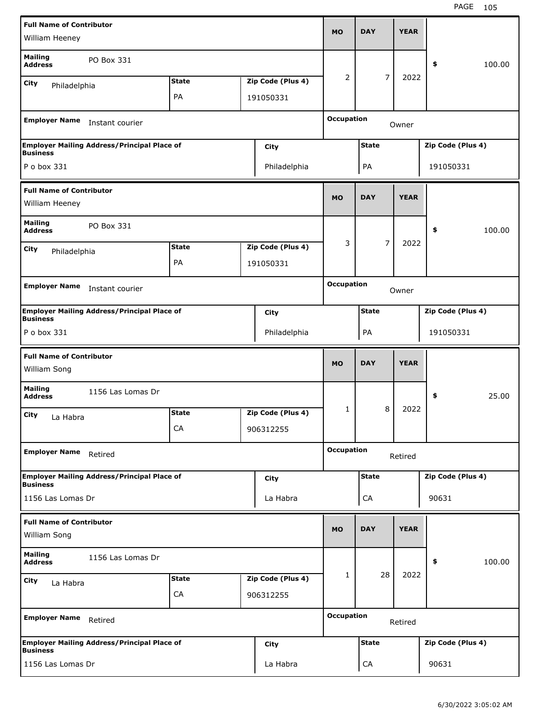| <b>Full Name of Contributor</b>  |                                                    |              |                   |                   |                |             |                   |        |
|----------------------------------|----------------------------------------------------|--------------|-------------------|-------------------|----------------|-------------|-------------------|--------|
| William Heeney                   |                                                    |              |                   | <b>MO</b>         | <b>DAY</b>     | <b>YEAR</b> |                   |        |
| <b>Mailing</b><br><b>Address</b> | PO Box 331                                         |              |                   |                   |                |             | \$                | 100.00 |
| <b>City</b><br>Philadelphia      |                                                    | <b>State</b> | Zip Code (Plus 4) | 2                 | $\overline{7}$ | 2022        |                   |        |
|                                  |                                                    | PA           | 191050331         |                   |                |             |                   |        |
| <b>Employer Name</b>             | Instant courier                                    |              |                   | <b>Occupation</b> |                | Owner       |                   |        |
|                                  |                                                    |              |                   |                   |                |             |                   |        |
| <b>Business</b>                  | <b>Employer Mailing Address/Principal Place of</b> |              | <b>City</b>       |                   | <b>State</b>   |             | Zip Code (Plus 4) |        |
| P o box 331                      |                                                    |              | Philadelphia      |                   | PA             |             | 191050331         |        |
| <b>Full Name of Contributor</b>  |                                                    |              |                   |                   |                |             |                   |        |
| William Heeney                   |                                                    |              |                   | <b>MO</b>         | <b>DAY</b>     | <b>YEAR</b> |                   |        |
| <b>Mailing</b><br><b>Address</b> | PO Box 331                                         |              |                   |                   |                |             | \$                | 100.00 |
| <b>City</b>                      |                                                    | <b>State</b> | Zip Code (Plus 4) | 3                 | 7              | 2022        |                   |        |
| Philadelphia                     |                                                    | PA           | 191050331         |                   |                |             |                   |        |
|                                  |                                                    |              |                   |                   |                |             |                   |        |
| <b>Employer Name</b>             | Instant courier                                    |              |                   | <b>Occupation</b> |                | Owner       |                   |        |
| <b>Business</b>                  | <b>Employer Mailing Address/Principal Place of</b> |              | <b>City</b>       |                   | <b>State</b>   |             | Zip Code (Plus 4) |        |
| P o box 331                      |                                                    |              | Philadelphia      |                   | PA             |             | 191050331         |        |
|                                  |                                                    |              |                   |                   |                |             |                   |        |
| <b>Full Name of Contributor</b>  |                                                    |              |                   |                   |                |             |                   |        |
| William Song                     |                                                    |              |                   | <b>MO</b>         | <b>DAY</b>     | <b>YEAR</b> |                   |        |
| <b>Mailing</b><br><b>Address</b> | 1156 Las Lomas Dr                                  |              |                   |                   |                |             | \$                | 25.00  |
|                                  |                                                    | <b>State</b> | Zip Code (Plus 4) | 1                 | 8              | 2022        |                   |        |
| City<br>La Habra                 |                                                    | CA           | 906312255         |                   |                |             |                   |        |
| <b>Employer Name</b>             | Retired                                            |              |                   | <b>Occupation</b> |                | Retired     |                   |        |
|                                  |                                                    |              |                   |                   |                |             |                   |        |
| <b>Business</b>                  | <b>Employer Mailing Address/Principal Place of</b> |              | <b>City</b>       |                   | <b>State</b>   |             | Zip Code (Plus 4) |        |
| 1156 Las Lomas Dr                |                                                    |              | La Habra          |                   | CA             |             | 90631             |        |
| <b>Full Name of Contributor</b>  |                                                    |              |                   |                   |                |             |                   |        |
| William Song                     |                                                    |              |                   | <b>MO</b>         | <b>DAY</b>     | <b>YEAR</b> |                   |        |
| <b>Mailing</b><br><b>Address</b> | 1156 Las Lomas Dr                                  |              |                   |                   |                |             | \$                | 100.00 |
| <b>City</b>                      |                                                    | <b>State</b> | Zip Code (Plus 4) | 1                 | 28             | 2022        |                   |        |
| La Habra                         |                                                    | CA           | 906312255         |                   |                |             |                   |        |
| <b>Employer Name</b>             | Retired                                            |              |                   | <b>Occupation</b> |                | Retired     |                   |        |
| <b>Business</b>                  | <b>Employer Mailing Address/Principal Place of</b> |              | <b>City</b>       |                   | <b>State</b>   |             | Zip Code (Plus 4) |        |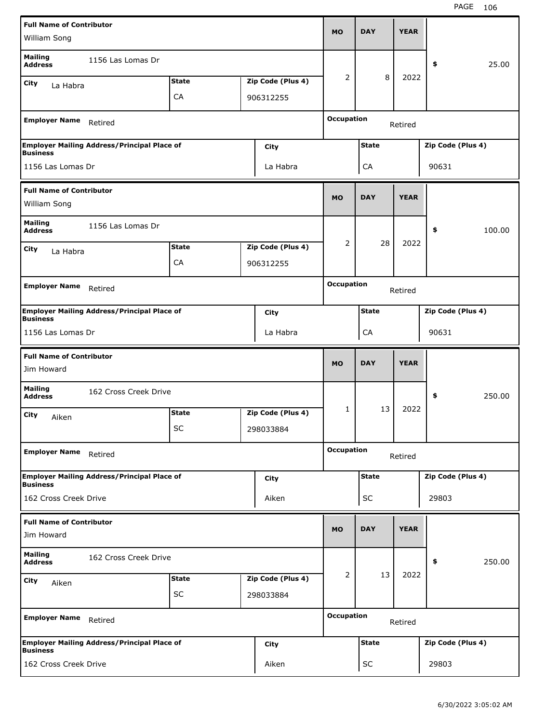| <b>Full Name of Contributor</b>          |                                                    |              |                   | <b>MO</b>         | <b>DAY</b>   | <b>YEAR</b> |                   |        |
|------------------------------------------|----------------------------------------------------|--------------|-------------------|-------------------|--------------|-------------|-------------------|--------|
| William Song                             |                                                    |              |                   |                   |              |             |                   |        |
| <b>Mailing</b><br><b>Address</b>         | 1156 Las Lomas Dr                                  |              |                   |                   |              |             | \$                | 25.00  |
| City<br>La Habra                         |                                                    | <b>State</b> | Zip Code (Plus 4) | 2                 | 8            | 2022        |                   |        |
|                                          |                                                    | CA           | 906312255         |                   |              |             |                   |        |
| <b>Employer Name</b>                     | Retired                                            |              |                   | <b>Occupation</b> |              | Retired     |                   |        |
| <b>Business</b>                          | <b>Employer Mailing Address/Principal Place of</b> |              | City              |                   | <b>State</b> |             | Zip Code (Plus 4) |        |
| 1156 Las Lomas Dr                        |                                                    |              | La Habra          |                   | CA           |             | 90631             |        |
| <b>Full Name of Contributor</b>          |                                                    |              |                   |                   |              |             |                   |        |
| William Song                             |                                                    |              |                   | <b>MO</b>         | <b>DAY</b>   | <b>YEAR</b> |                   |        |
| <b>Mailing</b><br><b>Address</b>         | 1156 Las Lomas Dr                                  |              |                   |                   |              |             | \$                | 100.00 |
| City<br>La Habra                         |                                                    | <b>State</b> | Zip Code (Plus 4) | 2                 | 28           | 2022        |                   |        |
|                                          |                                                    | CA           | 906312255         |                   |              |             |                   |        |
|                                          |                                                    |              |                   | <b>Occupation</b> |              |             |                   |        |
| <b>Employer Name</b>                     | Retired                                            |              |                   |                   |              | Retired     |                   |        |
| <b>Business</b>                          | <b>Employer Mailing Address/Principal Place of</b> |              | City              |                   | <b>State</b> |             | Zip Code (Plus 4) |        |
| 1156 Las Lomas Dr                        |                                                    |              | La Habra          |                   | CA           |             | 90631             |        |
|                                          |                                                    |              |                   |                   |              |             |                   |        |
| <b>Full Name of Contributor</b>          |                                                    |              |                   | <b>MO</b>         | <b>DAY</b>   | <b>YEAR</b> |                   |        |
| Jim Howard                               |                                                    |              |                   |                   |              |             |                   |        |
| <b>Mailing</b><br><b>Address</b>         | 162 Cross Creek Drive                              |              |                   |                   |              |             | \$                | 250.00 |
| City<br>Aiken                            |                                                    | <b>State</b> | Zip Code (Plus 4) | 1                 | 13           | 2022        |                   |        |
|                                          |                                                    | SC           | 298033884         |                   |              |             |                   |        |
| <b>Employer Name</b>                     | Retired                                            |              |                   | <b>Occupation</b> |              | Retired     |                   |        |
|                                          | <b>Employer Mailing Address/Principal Place of</b> |              | <b>City</b>       |                   | <b>State</b> |             | Zip Code (Plus 4) |        |
| <b>Business</b><br>162 Cross Creek Drive |                                                    |              | Aiken             |                   | SC           |             | 29803             |        |
| <b>Full Name of Contributor</b>          |                                                    |              |                   |                   |              |             |                   |        |
| Jim Howard                               |                                                    |              |                   | <b>MO</b>         | <b>DAY</b>   | <b>YEAR</b> |                   |        |
| <b>Mailing</b><br><b>Address</b>         | 162 Cross Creek Drive                              |              |                   |                   |              |             | \$                | 250.00 |
| <b>City</b>                              |                                                    | <b>State</b> | Zip Code (Plus 4) | $\overline{2}$    | 13           | 2022        |                   |        |
| Aiken                                    |                                                    | <b>SC</b>    | 298033884         |                   |              |             |                   |        |
| <b>Employer Name</b> Retired             |                                                    |              |                   | <b>Occupation</b> |              | Retired     |                   |        |
| <b>Business</b>                          | <b>Employer Mailing Address/Principal Place of</b> |              | <b>City</b>       |                   | <b>State</b> |             | Zip Code (Plus 4) |        |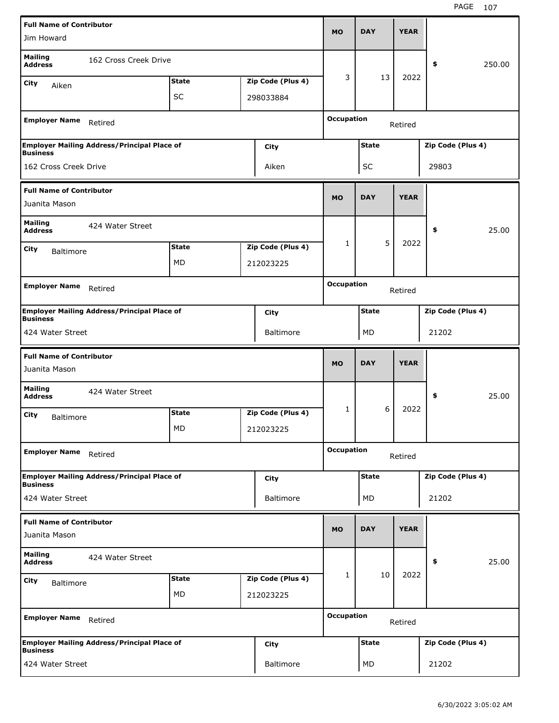| <b>Full Name of Contributor</b>     |                                                    |              |                   |                   |              |             |                   |        |
|-------------------------------------|----------------------------------------------------|--------------|-------------------|-------------------|--------------|-------------|-------------------|--------|
| Jim Howard                          |                                                    |              |                   | <b>MO</b>         | <b>DAY</b>   | <b>YEAR</b> |                   |        |
| <b>Mailing</b><br><b>Address</b>    | 162 Cross Creek Drive                              |              |                   |                   |              |             | \$                | 250.00 |
| <b>City</b><br>Aiken                |                                                    | <b>State</b> | Zip Code (Plus 4) | 3                 | 13           | 2022        |                   |        |
|                                     |                                                    | <b>SC</b>    | 298033884         |                   |              |             |                   |        |
| <b>Employer Name</b>                | Retired                                            |              |                   | <b>Occupation</b> |              | Retired     |                   |        |
| <b>Business</b>                     | <b>Employer Mailing Address/Principal Place of</b> |              | City              |                   | <b>State</b> |             | Zip Code (Plus 4) |        |
| 162 Cross Creek Drive               |                                                    |              | Aiken             |                   | SC           |             | 29803             |        |
| <b>Full Name of Contributor</b>     |                                                    |              |                   |                   | <b>DAY</b>   | <b>YEAR</b> |                   |        |
| Juanita Mason                       |                                                    |              |                   | <b>MO</b>         |              |             |                   |        |
| <b>Mailing</b><br><b>Address</b>    | 424 Water Street                                   |              |                   |                   |              |             | \$                | 25.00  |
| <b>City</b><br><b>Baltimore</b>     |                                                    | <b>State</b> | Zip Code (Plus 4) | $\mathbf{1}$      | 5            | 2022        |                   |        |
|                                     |                                                    | MD           | 212023225         |                   |              |             |                   |        |
| <b>Employer Name</b>                |                                                    |              |                   | <b>Occupation</b> |              |             |                   |        |
|                                     | Retired                                            |              |                   |                   |              | Retired     |                   |        |
| <b>Business</b>                     | <b>Employer Mailing Address/Principal Place of</b> |              | <b>City</b>       |                   | <b>State</b> |             | Zip Code (Plus 4) |        |
| 424 Water Street                    |                                                    |              | <b>Baltimore</b>  |                   | MD           |             | 21202             |        |
|                                     |                                                    |              |                   |                   |              |             |                   |        |
| <b>Full Name of Contributor</b>     |                                                    |              |                   |                   |              |             |                   |        |
| Juanita Mason                       |                                                    |              |                   | <b>MO</b>         | <b>DAY</b>   | <b>YEAR</b> |                   |        |
| <b>Mailing</b><br><b>Address</b>    | 424 Water Street                                   |              |                   |                   |              |             | \$                | 25.00  |
| City<br><b>Baltimore</b>            |                                                    | <b>State</b> | Zip Code (Plus 4) | 1                 | 6            | 2022        |                   |        |
|                                     |                                                    | MD           | 212023225         |                   |              |             |                   |        |
| <b>Employer Name</b>                | Retired                                            |              |                   | <b>Occupation</b> |              | Retired     |                   |        |
|                                     | <b>Employer Mailing Address/Principal Place of</b> |              | <b>City</b>       |                   | <b>State</b> |             | Zip Code (Plus 4) |        |
| <b>Business</b><br>424 Water Street |                                                    |              | <b>Baltimore</b>  |                   | MD           |             | 21202             |        |
| <b>Full Name of Contributor</b>     |                                                    |              |                   | <b>MO</b>         | <b>DAY</b>   | <b>YEAR</b> |                   |        |
| Juanita Mason                       |                                                    |              |                   |                   |              |             |                   |        |
| <b>Mailing</b><br><b>Address</b>    | 424 Water Street                                   |              |                   |                   |              |             | \$                | 25.00  |
| <b>City</b><br><b>Baltimore</b>     |                                                    | <b>State</b> | Zip Code (Plus 4) | $\mathbf{1}$      | 10           | 2022        |                   |        |
|                                     |                                                    | MD           | 212023225         |                   |              |             |                   |        |
| <b>Employer Name</b>                | Retired                                            |              |                   | <b>Occupation</b> |              | Retired     |                   |        |
| <b>Business</b>                     | <b>Employer Mailing Address/Principal Place of</b> |              | <b>City</b>       |                   | <b>State</b> |             | Zip Code (Plus 4) |        |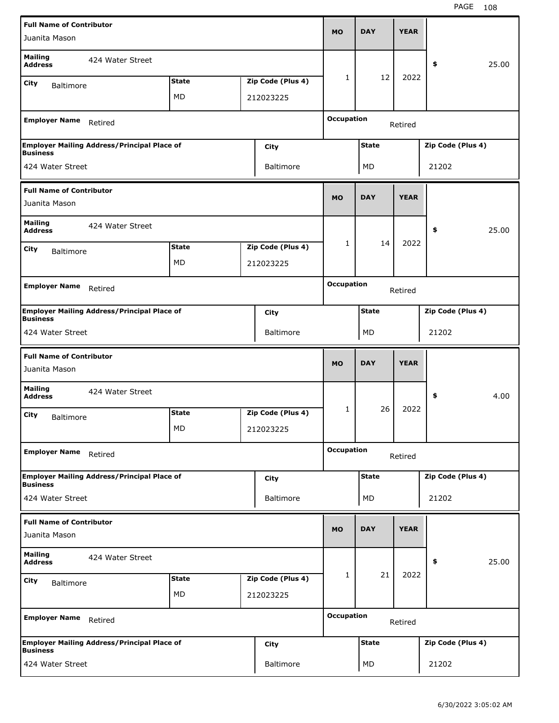| <b>Full Name of Contributor</b>                                       |              |                   |                   |              |             |                   |       |
|-----------------------------------------------------------------------|--------------|-------------------|-------------------|--------------|-------------|-------------------|-------|
| Juanita Mason                                                         |              |                   | <b>MO</b>         | <b>DAY</b>   | <b>YEAR</b> |                   |       |
| <b>Mailing</b><br>424 Water Street<br><b>Address</b>                  |              |                   |                   |              |             | \$                | 25.00 |
| <b>City</b><br><b>Baltimore</b>                                       | <b>State</b> | Zip Code (Plus 4) | 1                 | 12           | 2022        |                   |       |
|                                                                       | MD           | 212023225         |                   |              |             |                   |       |
|                                                                       |              |                   |                   |              |             |                   |       |
| <b>Employer Name</b><br>Retired                                       |              |                   | <b>Occupation</b> |              | Retired     |                   |       |
| <b>Employer Mailing Address/Principal Place of</b><br><b>Business</b> |              | <b>City</b>       |                   | <b>State</b> |             | Zip Code (Plus 4) |       |
| 424 Water Street                                                      |              | <b>Baltimore</b>  |                   | MD           |             | 21202             |       |
| <b>Full Name of Contributor</b>                                       |              |                   |                   |              |             |                   |       |
| Juanita Mason                                                         |              |                   | <b>MO</b>         | <b>DAY</b>   | <b>YEAR</b> |                   |       |
| <b>Mailing</b><br>424 Water Street<br><b>Address</b>                  |              |                   |                   |              |             | \$                | 25.00 |
| <b>City</b><br><b>Baltimore</b>                                       | <b>State</b> | Zip Code (Plus 4) | $\mathbf{1}$      | 14           | 2022        |                   |       |
|                                                                       | MD           | 212023225         |                   |              |             |                   |       |
|                                                                       |              |                   |                   |              |             |                   |       |
| <b>Employer Name</b><br>Retired                                       |              |                   | <b>Occupation</b> |              | Retired     |                   |       |
| <b>Employer Mailing Address/Principal Place of</b><br><b>Business</b> |              | <b>City</b>       |                   | <b>State</b> |             | Zip Code (Plus 4) |       |
| 424 Water Street                                                      |              | <b>Baltimore</b>  |                   | MD           |             | 21202             |       |
| <b>Full Name of Contributor</b>                                       |              |                   |                   |              |             |                   |       |
|                                                                       |              |                   |                   |              |             |                   |       |
| Juanita Mason                                                         |              |                   | <b>MO</b>         | <b>DAY</b>   | <b>YEAR</b> |                   |       |
| <b>Mailing</b><br>424 Water Street<br><b>Address</b>                  |              |                   |                   |              |             | \$                | 4.00  |
| City<br><b>Baltimore</b>                                              | <b>State</b> | Zip Code (Plus 4) | 1                 | 26           | 2022        |                   |       |
|                                                                       | MD           | 212023225         |                   |              |             |                   |       |
| <b>Employer Name</b><br>Retired                                       |              |                   | <b>Occupation</b> |              | Retired     |                   |       |
|                                                                       |              |                   |                   |              |             |                   |       |
| <b>Employer Mailing Address/Principal Place of</b><br><b>Business</b> |              | <b>City</b>       |                   | <b>State</b> |             | Zip Code (Plus 4) |       |
| 424 Water Street                                                      |              | <b>Baltimore</b>  |                   | MD           |             | 21202             |       |
| <b>Full Name of Contributor</b>                                       |              |                   |                   |              |             |                   |       |
| Juanita Mason                                                         |              |                   | <b>MO</b>         | <b>DAY</b>   | <b>YEAR</b> |                   |       |
| <b>Mailing</b><br>424 Water Street<br><b>Address</b>                  |              |                   |                   |              |             | \$                | 25.00 |
|                                                                       | <b>State</b> | Zip Code (Plus 4) | 1                 | 21           | 2022        |                   |       |
| <b>City</b><br><b>Baltimore</b>                                       | MD           | 212023225         |                   |              |             |                   |       |
| <b>Employer Name</b><br>Retired                                       |              |                   | <b>Occupation</b> |              | Retired     |                   |       |
| <b>Employer Mailing Address/Principal Place of</b><br><b>Business</b> |              | <b>City</b>       |                   | <b>State</b> |             | Zip Code (Plus 4) |       |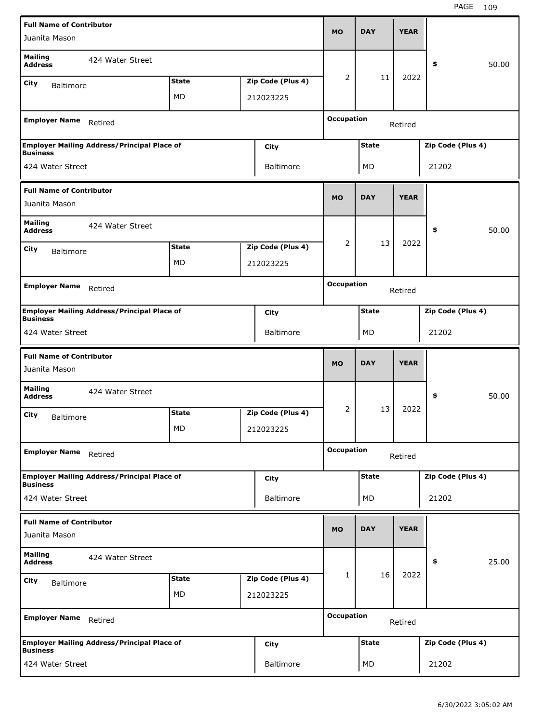| <b>Full Name of Contributor</b>                                       |              |                   |                   | <b>DAY</b>   | <b>YEAR</b> |                   |
|-----------------------------------------------------------------------|--------------|-------------------|-------------------|--------------|-------------|-------------------|
| Juanita Mason                                                         |              |                   | <b>MO</b>         |              |             |                   |
| <b>Mailing</b><br>424 Water Street<br><b>Address</b>                  |              |                   |                   |              |             | 50.00<br>\$       |
| City<br><b>Baltimore</b>                                              | <b>State</b> | Zip Code (Plus 4) | 2                 | 11           | 2022        |                   |
|                                                                       | <b>MD</b>    | 212023225         |                   |              |             |                   |
| <b>Employer Name</b><br>Retired                                       |              |                   | <b>Occupation</b> |              | Retired     |                   |
| <b>Employer Mailing Address/Principal Place of</b><br><b>Business</b> |              | City              |                   | <b>State</b> |             | Zip Code (Plus 4) |
| 424 Water Street                                                      |              | <b>Baltimore</b>  |                   | MD           |             | 21202             |
| <b>Full Name of Contributor</b><br>Juanita Mason                      |              |                   | <b>MO</b>         | <b>DAY</b>   | <b>YEAR</b> |                   |
| <b>Mailing</b><br>424 Water Street<br><b>Address</b>                  |              |                   |                   |              |             | \$<br>50.00       |
| City<br><b>Baltimore</b>                                              | <b>State</b> | Zip Code (Plus 4) | 2                 | 13           | 2022        |                   |
|                                                                       | MD           | 212023225         |                   |              |             |                   |
|                                                                       |              |                   |                   |              |             |                   |
| <b>Employer Name</b><br>Retired                                       |              |                   | <b>Occupation</b> |              | Retired     |                   |
| <b>Employer Mailing Address/Principal Place of</b><br><b>Business</b> |              | City              |                   | <b>State</b> |             | Zip Code (Plus 4) |
| 424 Water Street                                                      |              | <b>Baltimore</b>  |                   | MD           |             | 21202             |
|                                                                       |              |                   |                   |              |             |                   |
| <b>Full Name of Contributor</b><br>Juanita Mason                      |              |                   | <b>MO</b>         | <b>DAY</b>   | <b>YEAR</b> |                   |
| <b>Mailing</b><br>424 Water Street<br><b>Address</b>                  |              |                   |                   |              |             | \$<br>50.00       |
| City                                                                  | <b>State</b> | Zip Code (Plus 4) | 2                 | 13           | 2022        |                   |
| <b>Baltimore</b>                                                      | MD.          | 212023225         |                   |              |             |                   |
| <b>Employer Name</b><br>Retired                                       |              |                   | <b>Occupation</b> |              | Retired     |                   |
| <b>Employer Mailing Address/Principal Place of</b>                    |              | City              |                   | <b>State</b> |             | Zip Code (Plus 4) |
| <b>Business</b><br>424 Water Street                                   |              | Baltimore         |                   | MD           |             | 21202             |
| <b>Full Name of Contributor</b>                                       |              |                   | <b>MO</b>         | <b>DAY</b>   | <b>YEAR</b> |                   |
| Juanita Mason                                                         |              |                   |                   |              |             |                   |
| <b>Mailing</b><br>424 Water Street<br><b>Address</b>                  |              |                   |                   |              |             | 25.00<br>\$       |
| City                                                                  | <b>State</b> | Zip Code (Plus 4) | 1                 | 16           | 2022        |                   |
| <b>Baltimore</b>                                                      | MD           | 212023225         |                   |              |             |                   |
| <b>Employer Name</b><br>Retired                                       |              |                   | <b>Occupation</b> |              | Retired     |                   |
| <b>Employer Mailing Address/Principal Place of</b><br><b>Business</b> |              | <b>City</b>       |                   | <b>State</b> |             | Zip Code (Plus 4) |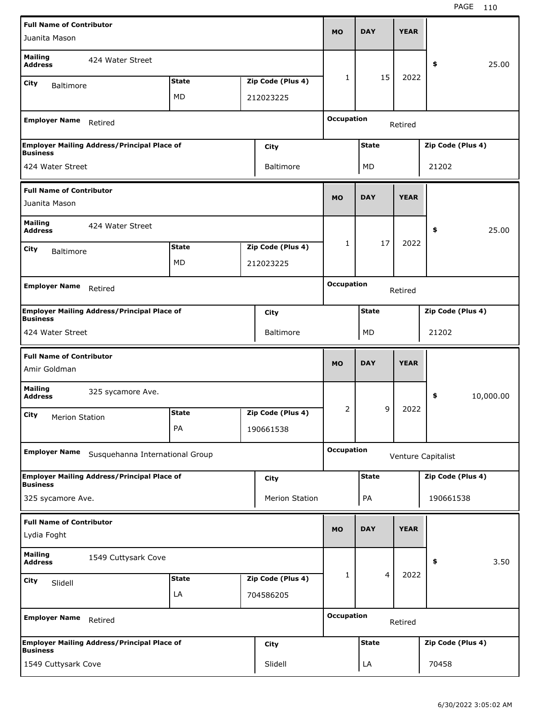| <b>Full Name of Contributor</b>                 |                                                    |              |                   |                   |              |             |                    |           |
|-------------------------------------------------|----------------------------------------------------|--------------|-------------------|-------------------|--------------|-------------|--------------------|-----------|
| Juanita Mason                                   |                                                    |              |                   | <b>MO</b>         | <b>DAY</b>   | <b>YEAR</b> |                    |           |
| <b>Mailing</b><br><b>Address</b>                | 424 Water Street                                   |              |                   |                   |              |             | \$                 | 25.00     |
| City<br><b>Baltimore</b>                        |                                                    | <b>State</b> | Zip Code (Plus 4) | 1                 | 15           | 2022        |                    |           |
|                                                 |                                                    | MD           | 212023225         |                   |              |             |                    |           |
| <b>Employer Name</b>                            | Retired                                            |              |                   | <b>Occupation</b> |              | Retired     |                    |           |
|                                                 | <b>Employer Mailing Address/Principal Place of</b> |              | City              |                   | <b>State</b> |             | Zip Code (Plus 4)  |           |
| <b>Business</b><br>424 Water Street             |                                                    |              | Baltimore         |                   | MD           |             | 21202              |           |
| <b>Full Name of Contributor</b>                 |                                                    |              |                   |                   |              |             |                    |           |
| Juanita Mason                                   |                                                    |              |                   | <b>MO</b>         | <b>DAY</b>   | <b>YEAR</b> |                    |           |
| <b>Mailing</b><br><b>Address</b>                | 424 Water Street                                   |              |                   |                   |              |             | \$                 | 25.00     |
| City<br><b>Baltimore</b>                        |                                                    | <b>State</b> | Zip Code (Plus 4) | 1                 | 17           | 2022        |                    |           |
|                                                 |                                                    | MD           | 212023225         |                   |              |             |                    |           |
|                                                 |                                                    |              |                   | <b>Occupation</b> |              |             |                    |           |
| <b>Employer Name</b>                            | Retired                                            |              |                   |                   |              | Retired     |                    |           |
| <b>Business</b>                                 | <b>Employer Mailing Address/Principal Place of</b> |              | City              |                   | <b>State</b> |             | Zip Code (Plus 4)  |           |
| 424 Water Street                                |                                                    |              | <b>Baltimore</b>  |                   | MD           |             | 21202              |           |
|                                                 |                                                    |              |                   |                   |              |             |                    |           |
|                                                 |                                                    |              |                   |                   |              |             |                    |           |
| <b>Full Name of Contributor</b><br>Amir Goldman |                                                    |              |                   | <b>MO</b>         | <b>DAY</b>   | <b>YEAR</b> |                    |           |
| <b>Mailing</b><br><b>Address</b>                | 325 sycamore Ave.                                  |              |                   |                   |              |             | \$                 | 10,000.00 |
| City<br><b>Merion Station</b>                   |                                                    | <b>State</b> | Zip Code (Plus 4) | 2                 | 9            | 2022        |                    |           |
|                                                 |                                                    | PA           | 190661538         |                   |              |             |                    |           |
| <b>Employer Name</b>                            | Susquehanna International Group                    |              |                   | <b>Occupation</b> |              |             | Venture Capitalist |           |
|                                                 | <b>Employer Mailing Address/Principal Place of</b> |              | City              |                   | <b>State</b> |             | Zip Code (Plus 4)  |           |
| <b>Business</b><br>325 sycamore Ave.            |                                                    |              | Merion Station    |                   | PA           |             | 190661538          |           |
| <b>Full Name of Contributor</b>                 |                                                    |              |                   |                   |              |             |                    |           |
| Lydia Foght                                     |                                                    |              |                   | <b>MO</b>         | <b>DAY</b>   | <b>YEAR</b> |                    |           |
| <b>Mailing</b><br><b>Address</b>                | 1549 Cuttysark Cove                                |              |                   |                   |              |             | \$                 | 3.50      |
| <b>City</b><br>Slidell                          |                                                    | <b>State</b> | Zip Code (Plus 4) | 1                 | 4            | 2022        |                    |           |
|                                                 |                                                    | LA           | 704586205         |                   |              |             |                    |           |
| <b>Employer Name</b>                            | Retired                                            |              |                   | <b>Occupation</b> |              | Retired     |                    |           |
| <b>Business</b>                                 | <b>Employer Mailing Address/Principal Place of</b> |              | City              |                   | <b>State</b> |             | Zip Code (Plus 4)  |           |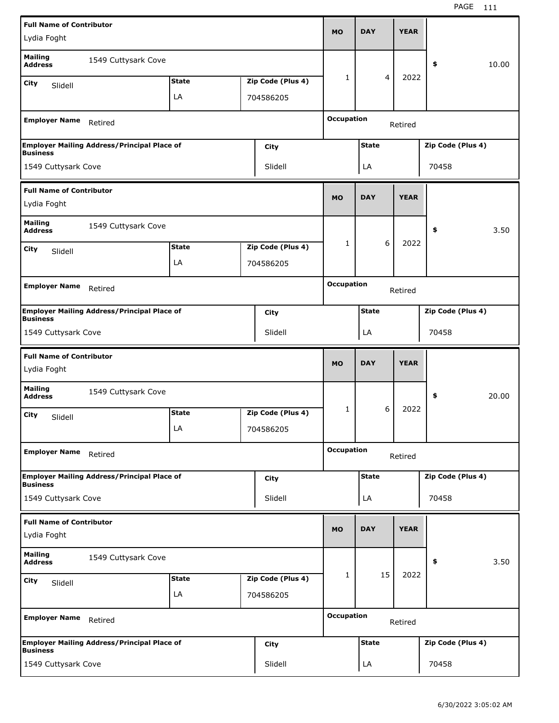| <b>Full Name of Contributor</b>                |                                                    |              |                   |                   |              |   |             |                   |       |
|------------------------------------------------|----------------------------------------------------|--------------|-------------------|-------------------|--------------|---|-------------|-------------------|-------|
| Lydia Foght                                    |                                                    |              |                   | <b>MO</b>         | <b>DAY</b>   |   | <b>YEAR</b> |                   |       |
| <b>Mailing</b><br><b>Address</b>               | 1549 Cuttysark Cove                                |              |                   |                   |              |   |             | \$                | 10.00 |
| City<br>Slidell                                |                                                    | <b>State</b> | Zip Code (Plus 4) | 1                 |              | 4 | 2022        |                   |       |
|                                                |                                                    | LA           | 704586205         |                   |              |   |             |                   |       |
|                                                |                                                    |              |                   |                   |              |   |             |                   |       |
| <b>Employer Name</b>                           | Retired                                            |              |                   | <b>Occupation</b> |              |   | Retired     |                   |       |
| <b>Business</b>                                | <b>Employer Mailing Address/Principal Place of</b> |              | City              |                   | <b>State</b> |   |             | Zip Code (Plus 4) |       |
| 1549 Cuttysark Cove                            |                                                    |              | Slidell           |                   | LA           |   |             | 70458             |       |
| <b>Full Name of Contributor</b>                |                                                    |              |                   |                   |              |   |             |                   |       |
| Lydia Foght                                    |                                                    |              |                   | <b>MO</b>         | <b>DAY</b>   |   | <b>YEAR</b> |                   |       |
| <b>Mailing</b><br><b>Address</b>               | 1549 Cuttysark Cove                                |              |                   |                   |              |   |             | \$                | 3.50  |
| City<br>Slidell                                |                                                    | <b>State</b> | Zip Code (Plus 4) | 1                 |              | 6 | 2022        |                   |       |
|                                                |                                                    | LA           | 704586205         |                   |              |   |             |                   |       |
|                                                |                                                    |              |                   | <b>Occupation</b> |              |   |             |                   |       |
| <b>Employer Name</b>                           | Retired                                            |              |                   |                   |              |   | Retired     |                   |       |
| <b>Business</b>                                | <b>Employer Mailing Address/Principal Place of</b> |              | City              |                   | <b>State</b> |   |             | Zip Code (Plus 4) |       |
| 1549 Cuttysark Cove                            |                                                    |              | Slidell           |                   | LA           |   |             | 70458             |       |
|                                                |                                                    |              |                   |                   |              |   |             |                   |       |
| <b>Full Name of Contributor</b>                |                                                    |              |                   |                   |              |   |             |                   |       |
| Lydia Foght                                    |                                                    |              |                   | <b>MO</b>         | <b>DAY</b>   |   | <b>YEAR</b> |                   |       |
| <b>Mailing</b><br><b>Address</b>               | 1549 Cuttysark Cove                                |              |                   |                   |              |   |             | \$                | 20.00 |
| City                                           |                                                    | <b>State</b> | Zip Code (Plus 4) | 1                 |              | 6 | 2022        |                   |       |
| Slidell                                        |                                                    | LA           | 704586205         |                   |              |   |             |                   |       |
| <b>Employer Name</b>                           | Retired                                            |              |                   | <b>Occupation</b> |              |   | Retired     |                   |       |
|                                                | <b>Employer Mailing Address/Principal Place of</b> |              | City              |                   | <b>State</b> |   |             | Zip Code (Plus 4) |       |
| <b>Business</b><br>1549 Cuttysark Cove         |                                                    |              | Slidell           |                   | LA           |   |             | 70458             |       |
|                                                |                                                    |              |                   |                   |              |   |             |                   |       |
| <b>Full Name of Contributor</b><br>Lydia Foght |                                                    |              |                   | <b>MO</b>         | <b>DAY</b>   |   | <b>YEAR</b> |                   |       |
| <b>Mailing</b><br><b>Address</b>               | 1549 Cuttysark Cove                                |              |                   |                   |              |   |             | \$                | 3.50  |
| City                                           |                                                    | <b>State</b> | Zip Code (Plus 4) | 1                 | 15           |   | 2022        |                   |       |
| Slidell                                        |                                                    | LA           | 704586205         |                   |              |   |             |                   |       |
| <b>Employer Name</b>                           | Retired                                            |              |                   | <b>Occupation</b> |              |   | Retired     |                   |       |
| <b>Business</b>                                | <b>Employer Mailing Address/Principal Place of</b> |              | City              |                   | <b>State</b> |   |             | Zip Code (Plus 4) |       |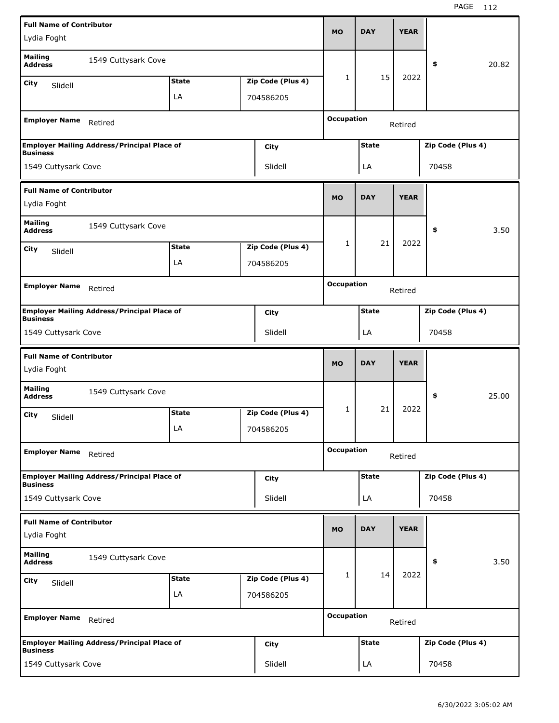| <b>Full Name of Contributor</b>                |                                                    |              |                   |                   |              |             |                   |       |
|------------------------------------------------|----------------------------------------------------|--------------|-------------------|-------------------|--------------|-------------|-------------------|-------|
| Lydia Foght                                    |                                                    |              |                   | <b>MO</b>         | <b>DAY</b>   | <b>YEAR</b> |                   |       |
| <b>Mailing</b><br><b>Address</b>               | 1549 Cuttysark Cove                                |              |                   |                   |              |             | \$                | 20.82 |
| City                                           |                                                    | <b>State</b> | Zip Code (Plus 4) | 1                 | 15           | 2022        |                   |       |
| Slidell                                        |                                                    | LA           | 704586205         |                   |              |             |                   |       |
|                                                |                                                    |              |                   |                   |              |             |                   |       |
| <b>Employer Name</b>                           | Retired                                            |              |                   | <b>Occupation</b> |              | Retired     |                   |       |
| <b>Business</b>                                | <b>Employer Mailing Address/Principal Place of</b> |              | City              |                   | <b>State</b> |             | Zip Code (Plus 4) |       |
| 1549 Cuttysark Cove                            |                                                    |              | Slidell           |                   | LA           |             | 70458             |       |
| <b>Full Name of Contributor</b>                |                                                    |              |                   |                   |              |             |                   |       |
| Lydia Foght                                    |                                                    |              |                   | <b>MO</b>         | <b>DAY</b>   | <b>YEAR</b> |                   |       |
| <b>Mailing</b><br><b>Address</b>               | 1549 Cuttysark Cove                                |              |                   |                   |              |             | \$                | 3.50  |
| City<br>Slidell                                |                                                    | <b>State</b> | Zip Code (Plus 4) | 1                 | 21           | 2022        |                   |       |
|                                                |                                                    | LA           | 704586205         |                   |              |             |                   |       |
|                                                |                                                    |              |                   | <b>Occupation</b> |              |             |                   |       |
| <b>Employer Name</b>                           | Retired                                            |              |                   |                   |              | Retired     |                   |       |
| <b>Business</b>                                | <b>Employer Mailing Address/Principal Place of</b> |              | City              |                   | <b>State</b> |             | Zip Code (Plus 4) |       |
| 1549 Cuttysark Cove                            |                                                    |              | Slidell           |                   | LA           |             | 70458             |       |
|                                                |                                                    |              |                   |                   |              |             |                   |       |
| <b>Full Name of Contributor</b>                |                                                    |              |                   |                   |              |             |                   |       |
| Lydia Foght                                    |                                                    |              |                   | <b>MO</b>         | <b>DAY</b>   | <b>YEAR</b> |                   |       |
| <b>Mailing</b><br><b>Address</b>               | 1549 Cuttysark Cove                                |              |                   |                   |              |             | \$                | 25.00 |
| City                                           |                                                    | <b>State</b> | Zip Code (Plus 4) | 1                 | 21           | 2022        |                   |       |
| Slidell                                        |                                                    | LA           | 704586205         |                   |              |             |                   |       |
| <b>Employer Name</b>                           | Retired                                            |              |                   | <b>Occupation</b> |              | Retired     |                   |       |
|                                                | <b>Employer Mailing Address/Principal Place of</b> |              | <b>City</b>       |                   | <b>State</b> |             | Zip Code (Plus 4) |       |
| <b>Business</b>                                |                                                    |              | Slidell           |                   |              |             | 70458             |       |
| 1549 Cuttysark Cove                            |                                                    |              |                   |                   | LA           |             |                   |       |
| <b>Full Name of Contributor</b><br>Lydia Foght |                                                    |              |                   | <b>MO</b>         | <b>DAY</b>   | <b>YEAR</b> |                   |       |
| <b>Mailing</b><br><b>Address</b>               | 1549 Cuttysark Cove                                |              |                   |                   |              |             | \$                | 3.50  |
| City                                           |                                                    | <b>State</b> | Zip Code (Plus 4) | 1                 | 14           | 2022        |                   |       |
| Slidell                                        |                                                    | LA           | 704586205         |                   |              |             |                   |       |
| <b>Employer Name</b>                           | Retired                                            |              |                   | <b>Occupation</b> |              | Retired     |                   |       |
| <b>Business</b>                                | <b>Employer Mailing Address/Principal Place of</b> |              | City              |                   | <b>State</b> |             | Zip Code (Plus 4) |       |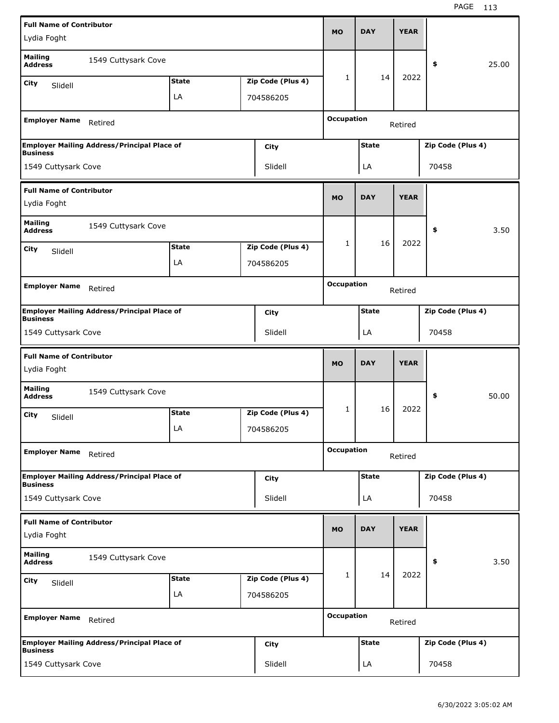| <b>Full Name of Contributor</b>                |                                                    |              |                   |                   |              |             |                   |       |
|------------------------------------------------|----------------------------------------------------|--------------|-------------------|-------------------|--------------|-------------|-------------------|-------|
| Lydia Foght                                    |                                                    |              |                   | MO                | <b>DAY</b>   | <b>YEAR</b> |                   |       |
| <b>Mailing</b><br><b>Address</b>               | 1549 Cuttysark Cove                                |              |                   |                   |              |             | \$                | 25.00 |
| City<br>Slidell                                |                                                    | <b>State</b> | Zip Code (Plus 4) | 1                 | 14           | 2022        |                   |       |
|                                                |                                                    | LA           | 704586205         |                   |              |             |                   |       |
| <b>Employer Name</b>                           | Retired                                            |              |                   | <b>Occupation</b> |              | Retired     |                   |       |
|                                                | <b>Employer Mailing Address/Principal Place of</b> |              | City              |                   | <b>State</b> |             | Zip Code (Plus 4) |       |
| <b>Business</b><br>1549 Cuttysark Cove         |                                                    |              | Slidell           |                   | LA           |             | 70458             |       |
|                                                |                                                    |              |                   |                   |              |             |                   |       |
| <b>Full Name of Contributor</b><br>Lydia Foght |                                                    |              |                   | <b>MO</b>         | <b>DAY</b>   | <b>YEAR</b> |                   |       |
| <b>Mailing</b><br><b>Address</b>               | 1549 Cuttysark Cove                                |              |                   |                   |              |             | \$                | 3.50  |
| City<br>Slidell                                |                                                    | <b>State</b> | Zip Code (Plus 4) | 1                 | 16           | 2022        |                   |       |
|                                                |                                                    | LA           | 704586205         |                   |              |             |                   |       |
|                                                |                                                    |              |                   | <b>Occupation</b> |              |             |                   |       |
| <b>Employer Name</b>                           | Retired                                            |              |                   |                   |              | Retired     |                   |       |
|                                                | <b>Employer Mailing Address/Principal Place of</b> |              | City              |                   | <b>State</b> |             | Zip Code (Plus 4) |       |
| <b>Business</b><br>1549 Cuttysark Cove         |                                                    |              | Slidell           |                   | LA           |             | 70458             |       |
|                                                |                                                    |              |                   |                   |              |             |                   |       |
|                                                |                                                    |              |                   |                   |              |             |                   |       |
| <b>Full Name of Contributor</b><br>Lydia Foght |                                                    |              |                   | <b>MO</b>         | <b>DAY</b>   | <b>YEAR</b> |                   |       |
| <b>Mailing</b><br><b>Address</b>               | 1549 Cuttysark Cove                                |              |                   |                   |              |             | \$                | 50.00 |
|                                                |                                                    | <b>State</b> | Zip Code (Plus 4) | 1                 | 16           | 2022        |                   |       |
| City<br>Slidell                                |                                                    | LA           | 704586205         |                   |              |             |                   |       |
|                                                |                                                    |              |                   |                   |              |             |                   |       |
| <b>Employer Name</b>                           | Retired                                            |              |                   | <b>Occupation</b> |              | Retired     |                   |       |
|                                                | <b>Employer Mailing Address/Principal Place of</b> |              | City              |                   | <b>State</b> |             | Zip Code (Plus 4) |       |
| <b>Business</b><br>1549 Cuttysark Cove         |                                                    |              | Slidell           |                   | LA           |             | 70458             |       |
|                                                |                                                    |              |                   |                   |              |             |                   |       |
| <b>Full Name of Contributor</b><br>Lydia Foght |                                                    |              |                   | <b>MO</b>         | <b>DAY</b>   | <b>YEAR</b> |                   |       |
| <b>Mailing</b><br><b>Address</b>               | 1549 Cuttysark Cove                                |              |                   |                   |              |             | \$                | 3.50  |
| City<br>Slidell                                |                                                    | <b>State</b> | Zip Code (Plus 4) | 1                 | 14           | 2022        |                   |       |
|                                                |                                                    | LA           | 704586205         |                   |              |             |                   |       |
| <b>Employer Name</b>                           | Retired                                            |              |                   | <b>Occupation</b> |              | Retired     |                   |       |
| <b>Business</b>                                | <b>Employer Mailing Address/Principal Place of</b> |              | City              |                   | <b>State</b> |             | Zip Code (Plus 4) |       |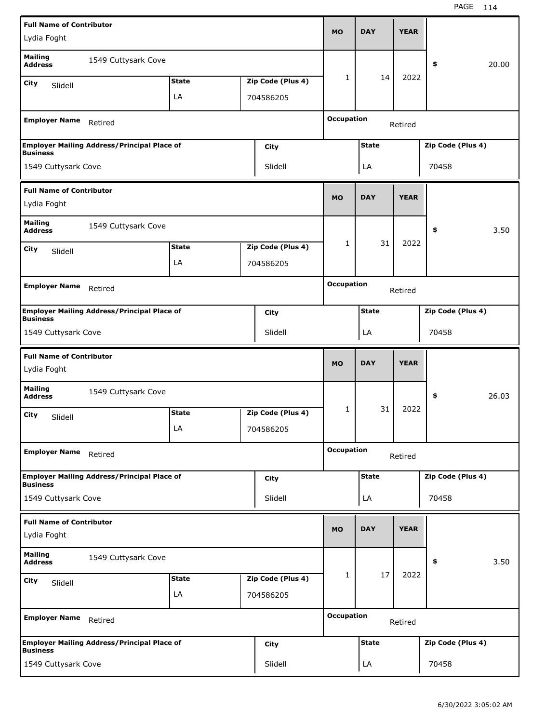| <b>Full Name of Contributor</b>                |                                                    |              |                   |                   |              |             |                   |       |
|------------------------------------------------|----------------------------------------------------|--------------|-------------------|-------------------|--------------|-------------|-------------------|-------|
| Lydia Foght                                    |                                                    |              |                   | MO                | <b>DAY</b>   | <b>YEAR</b> |                   |       |
| <b>Mailing</b><br><b>Address</b>               | 1549 Cuttysark Cove                                |              |                   |                   |              |             | \$                | 20.00 |
| City<br>Slidell                                |                                                    | <b>State</b> | Zip Code (Plus 4) | 1                 | 14           | 2022        |                   |       |
|                                                |                                                    | LA           | 704586205         |                   |              |             |                   |       |
| <b>Employer Name</b>                           | Retired                                            |              |                   | <b>Occupation</b> |              | Retired     |                   |       |
|                                                | <b>Employer Mailing Address/Principal Place of</b> |              | City              |                   | <b>State</b> |             | Zip Code (Plus 4) |       |
| <b>Business</b>                                |                                                    |              | Slidell           |                   |              |             | 70458             |       |
| 1549 Cuttysark Cove                            |                                                    |              |                   |                   | LA           |             |                   |       |
| <b>Full Name of Contributor</b><br>Lydia Foght |                                                    |              |                   | <b>MO</b>         | <b>DAY</b>   | <b>YEAR</b> |                   |       |
| <b>Mailing</b><br><b>Address</b>               | 1549 Cuttysark Cove                                |              |                   |                   |              |             | \$                | 3.50  |
| City<br>Slidell                                |                                                    | <b>State</b> | Zip Code (Plus 4) | 1                 | 31           | 2022        |                   |       |
|                                                |                                                    | LA           | 704586205         |                   |              |             |                   |       |
|                                                |                                                    |              |                   | <b>Occupation</b> |              |             |                   |       |
| <b>Employer Name</b>                           | Retired                                            |              |                   |                   |              | Retired     |                   |       |
|                                                | <b>Employer Mailing Address/Principal Place of</b> |              | City              |                   | <b>State</b> |             | Zip Code (Plus 4) |       |
| <b>Business</b><br>1549 Cuttysark Cove         |                                                    |              | Slidell           |                   | LA           |             | 70458             |       |
|                                                |                                                    |              |                   |                   |              |             |                   |       |
|                                                |                                                    |              |                   |                   |              |             |                   |       |
| <b>Full Name of Contributor</b><br>Lydia Foght |                                                    |              |                   | <b>MO</b>         | <b>DAY</b>   | <b>YEAR</b> |                   |       |
| <b>Mailing</b><br><b>Address</b>               | 1549 Cuttysark Cove                                |              |                   |                   |              |             | \$                | 26.03 |
| City<br>Slidell                                |                                                    | <b>State</b> | Zip Code (Plus 4) | 1                 | 31           | 2022        |                   |       |
|                                                |                                                    | LA           | 704586205         |                   |              |             |                   |       |
| <b>Employer Name</b>                           | Retired                                            |              |                   | <b>Occupation</b> |              | Retired     |                   |       |
|                                                | <b>Employer Mailing Address/Principal Place of</b> |              | City              |                   | <b>State</b> |             | Zip Code (Plus 4) |       |
| <b>Business</b><br>1549 Cuttysark Cove         |                                                    |              | Slidell           |                   | LA           |             | 70458             |       |
|                                                |                                                    |              |                   |                   |              |             |                   |       |
| <b>Full Name of Contributor</b><br>Lydia Foght |                                                    |              |                   | <b>MO</b>         | <b>DAY</b>   | <b>YEAR</b> |                   |       |
| <b>Mailing</b><br><b>Address</b>               | 1549 Cuttysark Cove                                |              |                   |                   |              |             | \$                | 3.50  |
| City<br>Slidell                                |                                                    | <b>State</b> | Zip Code (Plus 4) | 1                 | 17           | 2022        |                   |       |
|                                                |                                                    | LA           | 704586205         |                   |              |             |                   |       |
| <b>Employer Name</b>                           | Retired                                            |              |                   | <b>Occupation</b> |              | Retired     |                   |       |
| <b>Business</b>                                | <b>Employer Mailing Address/Principal Place of</b> |              | City              |                   | <b>State</b> |             | Zip Code (Plus 4) |       |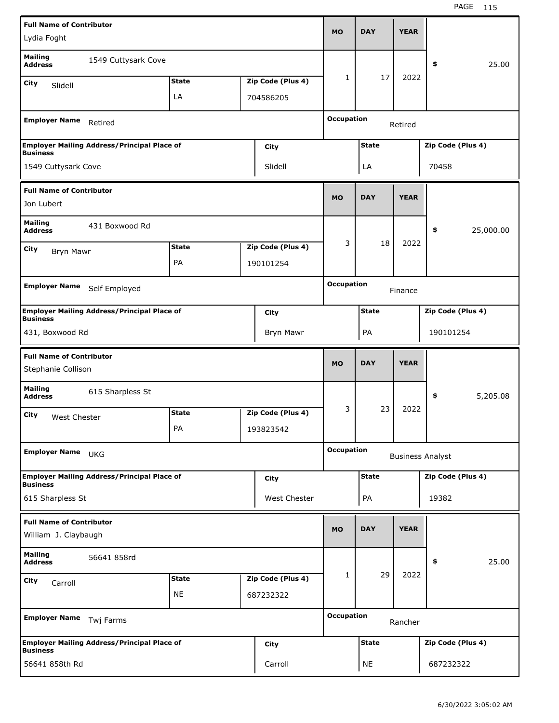| <b>Full Name of Contributor</b>  |                                                    |              |                   |                   |              |             |                         |
|----------------------------------|----------------------------------------------------|--------------|-------------------|-------------------|--------------|-------------|-------------------------|
| Lydia Foght                      |                                                    |              |                   | <b>MO</b>         | <b>DAY</b>   | <b>YEAR</b> |                         |
| <b>Mailing</b><br><b>Address</b> | 1549 Cuttysark Cove                                |              |                   |                   |              |             | 25.00<br>\$             |
| City<br>Slidell                  |                                                    | <b>State</b> | Zip Code (Plus 4) | 1                 | 17           | 2022        |                         |
|                                  |                                                    | LA           | 704586205         |                   |              |             |                         |
|                                  |                                                    |              |                   |                   |              |             |                         |
| <b>Employer Name</b>             | Retired                                            |              |                   | <b>Occupation</b> |              | Retired     |                         |
| <b>Business</b>                  | <b>Employer Mailing Address/Principal Place of</b> |              | City              |                   | <b>State</b> |             | Zip Code (Plus 4)       |
| 1549 Cuttysark Cove              |                                                    |              | Slidell           |                   | LA           |             | 70458                   |
| <b>Full Name of Contributor</b>  |                                                    |              |                   |                   |              |             |                         |
| Jon Lubert                       |                                                    |              |                   | <b>MO</b>         | <b>DAY</b>   | <b>YEAR</b> |                         |
| <b>Mailing</b><br><b>Address</b> | 431 Boxwood Rd                                     |              |                   |                   |              |             | \$<br>25,000.00         |
| City<br>Bryn Mawr                |                                                    | <b>State</b> | Zip Code (Plus 4) | 3                 | 18           | 2022        |                         |
|                                  |                                                    | PA           | 190101254         |                   |              |             |                         |
|                                  |                                                    |              |                   |                   |              |             |                         |
| <b>Employer Name</b>             | Self Employed                                      |              |                   | <b>Occupation</b> |              | Finance     |                         |
| <b>Business</b>                  | <b>Employer Mailing Address/Principal Place of</b> |              | City              |                   | <b>State</b> |             | Zip Code (Plus 4)       |
| 431, Boxwood Rd                  |                                                    |              | Bryn Mawr         |                   | PA           |             | 190101254               |
|                                  |                                                    |              |                   |                   |              |             |                         |
| <b>Full Name of Contributor</b>  |                                                    |              |                   |                   |              |             |                         |
| Stephanie Collison               |                                                    |              |                   | <b>MO</b>         | <b>DAY</b>   | <b>YEAR</b> |                         |
| <b>Mailing</b><br><b>Address</b> | 615 Sharpless St                                   |              |                   |                   |              |             | \$<br>5,205.08          |
| City                             |                                                    | <b>State</b> | Zip Code (Plus 4) | 3                 | 23           | 2022        |                         |
| West Chester                     |                                                    | PA           | 193823542         |                   |              |             |                         |
| <b>Employer Name</b>             | <b>UKG</b>                                         |              |                   | <b>Occupation</b> |              |             | <b>Business Analyst</b> |
|                                  |                                                    |              |                   |                   |              |             |                         |
| <b>Business</b>                  | <b>Employer Mailing Address/Principal Place of</b> |              | <b>City</b>       |                   | <b>State</b> |             | Zip Code (Plus 4)       |
| 615 Sharpless St                 |                                                    |              | West Chester      |                   | PA           |             | 19382                   |
| <b>Full Name of Contributor</b>  |                                                    |              |                   |                   |              |             |                         |
| William J. Claybaugh             |                                                    |              |                   | <b>MO</b>         | <b>DAY</b>   | <b>YEAR</b> |                         |
| <b>Mailing</b><br><b>Address</b> | 56641 858rd                                        |              |                   |                   |              |             | 25.00<br>\$             |
|                                  |                                                    | <b>State</b> | Zip Code (Plus 4) | 1                 | 29           | 2022        |                         |
| City<br>Carroll                  |                                                    | <b>NE</b>    | 687232322         |                   |              |             |                         |
| <b>Employer Name</b>             | Twj Farms                                          |              |                   | <b>Occupation</b> |              | Rancher     |                         |
| <b>Business</b>                  | <b>Employer Mailing Address/Principal Place of</b> |              | <b>City</b>       |                   | <b>State</b> |             | Zip Code (Plus 4)       |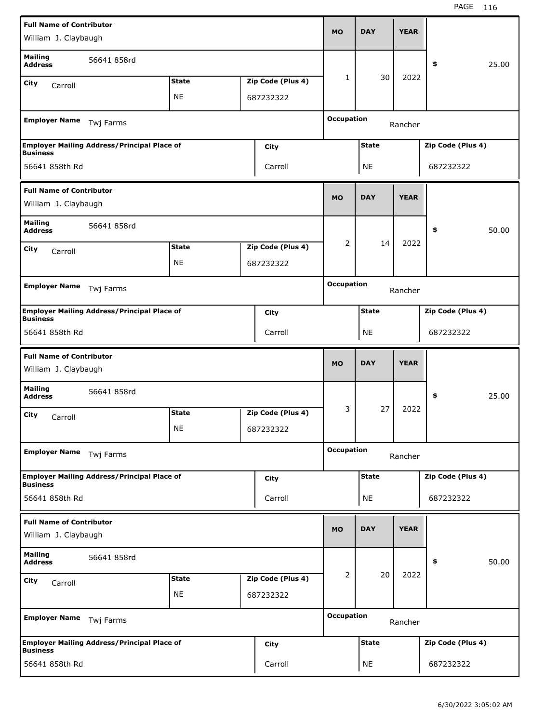| <b>Full Name of Contributor</b><br>William J. Claybaugh |                                                    |              |                   | <b>MO</b>         | <b>DAY</b>   | <b>YEAR</b> |                   |       |
|---------------------------------------------------------|----------------------------------------------------|--------------|-------------------|-------------------|--------------|-------------|-------------------|-------|
| <b>Mailing</b><br><b>Address</b>                        | 56641 858rd                                        |              |                   |                   | 30           | 2022        | \$                | 25.00 |
| City<br>Carroll                                         |                                                    | <b>State</b> | Zip Code (Plus 4) | 1                 |              |             |                   |       |
|                                                         |                                                    | <b>NE</b>    | 687232322         |                   |              |             |                   |       |
| <b>Employer Name</b>                                    | Twj Farms                                          |              |                   | <b>Occupation</b> |              | Rancher     |                   |       |
|                                                         | <b>Employer Mailing Address/Principal Place of</b> |              | City              |                   | <b>State</b> |             | Zip Code (Plus 4) |       |
| <b>Business</b><br>56641 858th Rd                       |                                                    |              | Carroll           |                   | <b>NE</b>    |             | 687232322         |       |
| <b>Full Name of Contributor</b>                         |                                                    |              |                   |                   |              |             |                   |       |
| William J. Claybaugh                                    |                                                    |              |                   | <b>MO</b>         | <b>DAY</b>   | <b>YEAR</b> |                   |       |
| <b>Mailing</b><br><b>Address</b>                        | 56641 858rd                                        |              |                   |                   |              |             | \$                | 50.00 |
| City                                                    |                                                    | <b>State</b> | Zip Code (Plus 4) | 2                 | 14           | 2022        |                   |       |
| Carroll                                                 |                                                    | <b>NE</b>    | 687232322         |                   |              |             |                   |       |
|                                                         |                                                    |              |                   |                   |              |             |                   |       |
| <b>Employer Name</b>                                    | Twj Farms                                          |              |                   | <b>Occupation</b> |              | Rancher     |                   |       |
| <b>Business</b>                                         | <b>Employer Mailing Address/Principal Place of</b> |              | City              |                   | <b>State</b> |             | Zip Code (Plus 4) |       |
| 56641 858th Rd                                          |                                                    |              | Carroll           |                   | <b>NE</b>    |             | 687232322         |       |
|                                                         |                                                    |              |                   |                   |              |             |                   |       |
| <b>Full Name of Contributor</b><br>William J. Claybaugh |                                                    |              |                   | <b>MO</b>         | <b>DAY</b>   | <b>YEAR</b> |                   |       |
| <b>Mailing</b><br><b>Address</b>                        | 56641 858rd                                        |              |                   |                   |              |             | \$                | 25.00 |
| City<br>Carroll                                         |                                                    | <b>State</b> | Zip Code (Plus 4) | 3                 | 27           | 2022        |                   |       |
|                                                         |                                                    | ΝE           | 687232322         |                   |              |             |                   |       |
| <b>Employer Name</b>                                    | Twj Farms                                          |              |                   | <b>Occupation</b> |              | Rancher     |                   |       |
|                                                         | <b>Employer Mailing Address/Principal Place of</b> |              | City              |                   | <b>State</b> |             | Zip Code (Plus 4) |       |
| <b>Business</b><br>56641 858th Rd                       |                                                    |              | Carroll           |                   | NE           |             | 687232322         |       |
|                                                         |                                                    |              |                   |                   |              |             |                   |       |
| <b>Full Name of Contributor</b><br>William J. Claybaugh |                                                    |              |                   | <b>MO</b>         | <b>DAY</b>   | <b>YEAR</b> |                   |       |
| <b>Mailing</b><br><b>Address</b>                        | 56641 858rd                                        |              |                   |                   |              |             | \$                | 50.00 |
| City<br>Carroll                                         |                                                    | <b>State</b> | Zip Code (Plus 4) | $\overline{2}$    | 20           | 2022        |                   |       |
|                                                         |                                                    | <b>NE</b>    | 687232322         |                   |              |             |                   |       |
| <b>Employer Name</b>                                    | Twj Farms                                          |              |                   | <b>Occupation</b> |              | Rancher     |                   |       |
| <b>Business</b>                                         | <b>Employer Mailing Address/Principal Place of</b> |              | <b>City</b>       |                   | <b>State</b> |             | Zip Code (Plus 4) |       |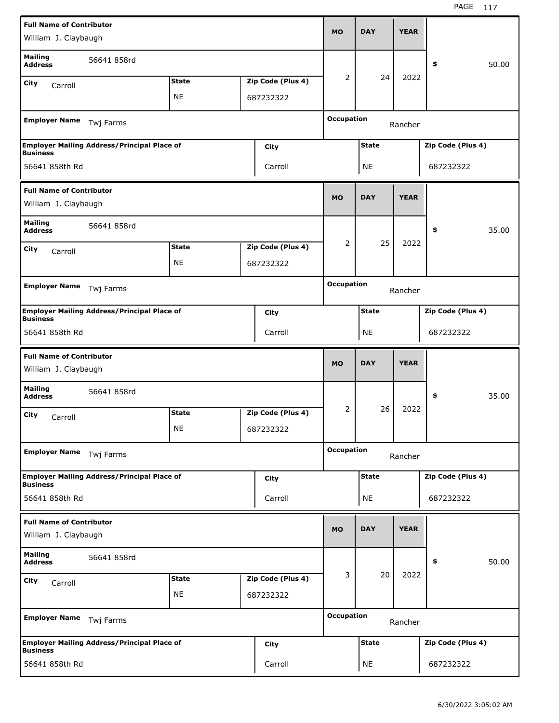| <b>Full Name of Contributor</b><br>William J. Claybaugh |                                                    |              |                   | <b>MO</b>         | <b>DAY</b>   | <b>YEAR</b> |                   |       |
|---------------------------------------------------------|----------------------------------------------------|--------------|-------------------|-------------------|--------------|-------------|-------------------|-------|
| <b>Mailing</b><br><b>Address</b>                        | 56641 858rd                                        |              |                   |                   |              |             | \$                | 50.00 |
| City<br>Carroll                                         |                                                    | <b>State</b> | Zip Code (Plus 4) | 2                 | 24           | 2022        |                   |       |
|                                                         |                                                    | <b>NE</b>    | 687232322         |                   |              |             |                   |       |
| <b>Employer Name</b>                                    | Twj Farms                                          |              |                   | <b>Occupation</b> |              | Rancher     |                   |       |
| <b>Business</b>                                         | <b>Employer Mailing Address/Principal Place of</b> |              | City              |                   | <b>State</b> |             | Zip Code (Plus 4) |       |
| 56641 858th Rd                                          |                                                    |              | Carroll           |                   | NE           |             | 687232322         |       |
| <b>Full Name of Contributor</b>                         |                                                    |              |                   |                   |              |             |                   |       |
| William J. Claybaugh                                    |                                                    |              |                   | <b>MO</b>         | <b>DAY</b>   | <b>YEAR</b> |                   |       |
| <b>Mailing</b><br><b>Address</b>                        | 56641 858rd                                        |              |                   |                   |              |             | \$                | 35.00 |
| City<br>Carroll                                         |                                                    | <b>State</b> | Zip Code (Plus 4) | 2                 | 25           | 2022        |                   |       |
|                                                         |                                                    | <b>NE</b>    | 687232322         |                   |              |             |                   |       |
|                                                         |                                                    |              |                   |                   |              |             |                   |       |
| <b>Employer Name</b>                                    | Twj Farms                                          |              |                   | <b>Occupation</b> |              | Rancher     |                   |       |
| <b>Business</b>                                         | <b>Employer Mailing Address/Principal Place of</b> |              | City              |                   | <b>State</b> |             | Zip Code (Plus 4) |       |
| 56641 858th Rd                                          |                                                    |              | Carroll           |                   | <b>NE</b>    |             | 687232322         |       |
|                                                         |                                                    |              |                   |                   |              |             |                   |       |
| <b>Full Name of Contributor</b><br>William J. Claybaugh |                                                    |              |                   | <b>MO</b>         | <b>DAY</b>   | <b>YEAR</b> |                   |       |
| <b>Mailing</b><br><b>Address</b>                        | 56641 858rd                                        |              |                   |                   |              |             | \$                | 35.00 |
| City                                                    |                                                    | <b>State</b> | Zip Code (Plus 4) | 2                 | 26           | 2022        |                   |       |
| Carroll                                                 |                                                    | NE           | 687232322         |                   |              |             |                   |       |
| <b>Employer Name</b>                                    | Twj Farms                                          |              |                   | <b>Occupation</b> |              | Rancher     |                   |       |
|                                                         | <b>Employer Mailing Address/Principal Place of</b> |              | <b>City</b>       |                   | <b>State</b> |             | Zip Code (Plus 4) |       |
| <b>Business</b><br>56641 858th Rd                       |                                                    |              | Carroll           |                   | NE           |             | 687232322         |       |
| <b>Full Name of Contributor</b>                         |                                                    |              |                   |                   |              |             |                   |       |
| William J. Claybaugh                                    |                                                    |              |                   | <b>MO</b>         | <b>DAY</b>   | <b>YEAR</b> |                   |       |
| <b>Mailing</b><br><b>Address</b>                        | 56641 858rd                                        |              |                   |                   |              |             | \$                | 50.00 |
| City                                                    |                                                    | <b>State</b> | Zip Code (Plus 4) | 3                 | 20           | 2022        |                   |       |
| Carroll                                                 |                                                    | <b>NE</b>    | 687232322         |                   |              |             |                   |       |
| <b>Employer Name</b>                                    | Twj Farms                                          |              |                   | <b>Occupation</b> |              | Rancher     |                   |       |
| <b>Business</b>                                         | <b>Employer Mailing Address/Principal Place of</b> |              | City              |                   | <b>State</b> |             | Zip Code (Plus 4) |       |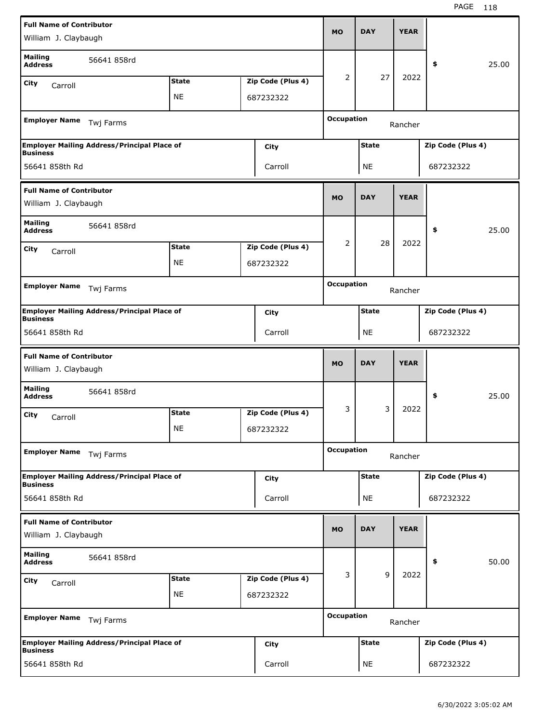| <b>Full Name of Contributor</b><br>William J. Claybaugh |                                                    |              |                   | <b>MO</b>         | <b>DAY</b>   | <b>YEAR</b> |                   |       |
|---------------------------------------------------------|----------------------------------------------------|--------------|-------------------|-------------------|--------------|-------------|-------------------|-------|
| <b>Mailing</b><br><b>Address</b>                        | 56641 858rd                                        |              |                   | 2                 | 27           | 2022        | \$                | 25.00 |
| City<br>Carroll                                         |                                                    | <b>State</b> | Zip Code (Plus 4) |                   |              |             |                   |       |
|                                                         |                                                    | <b>NE</b>    | 687232322         |                   |              |             |                   |       |
| <b>Employer Name</b>                                    | Twj Farms                                          |              |                   | <b>Occupation</b> |              | Rancher     |                   |       |
| <b>Business</b>                                         | <b>Employer Mailing Address/Principal Place of</b> |              | City              |                   | <b>State</b> |             | Zip Code (Plus 4) |       |
| 56641 858th Rd                                          |                                                    |              | Carroll           |                   | <b>NE</b>    |             | 687232322         |       |
| <b>Full Name of Contributor</b>                         |                                                    |              |                   |                   |              |             |                   |       |
| William J. Claybaugh                                    |                                                    |              |                   | <b>MO</b>         | <b>DAY</b>   | <b>YEAR</b> |                   |       |
| <b>Mailing</b><br><b>Address</b>                        | 56641 858rd                                        |              |                   |                   |              |             | \$                | 25.00 |
| City<br>Carroll                                         |                                                    | <b>State</b> | Zip Code (Plus 4) | 2                 | 28           | 2022        |                   |       |
|                                                         |                                                    | <b>NE</b>    | 687232322         |                   |              |             |                   |       |
|                                                         |                                                    |              |                   |                   |              |             |                   |       |
| <b>Employer Name</b>                                    | Twj Farms                                          |              |                   | <b>Occupation</b> |              | Rancher     |                   |       |
|                                                         | <b>Employer Mailing Address/Principal Place of</b> |              | City              |                   | <b>State</b> |             | Zip Code (Plus 4) |       |
| <b>Business</b><br>56641 858th Rd                       |                                                    |              | Carroll           |                   | <b>NE</b>    |             | 687232322         |       |
|                                                         |                                                    |              |                   |                   |              |             |                   |       |
|                                                         |                                                    |              |                   |                   |              |             |                   |       |
| <b>Full Name of Contributor</b><br>William J. Claybaugh |                                                    |              |                   | <b>MO</b>         | <b>DAY</b>   | <b>YEAR</b> |                   |       |
| <b>Mailing</b><br><b>Address</b>                        | 56641 858rd                                        |              |                   |                   |              |             | \$                | 25.00 |
| City<br>Carroll                                         |                                                    | <b>State</b> | Zip Code (Plus 4) | 3                 | 3            | 2022        |                   |       |
|                                                         |                                                    | NE           | 687232322         |                   |              |             |                   |       |
| <b>Employer Name</b>                                    | Twj Farms                                          |              |                   | <b>Occupation</b> |              | Rancher     |                   |       |
|                                                         | <b>Employer Mailing Address/Principal Place of</b> |              | <b>City</b>       |                   | <b>State</b> |             | Zip Code (Plus 4) |       |
| <b>Business</b><br>56641 858th Rd                       |                                                    |              | Carroll           |                   | NE           |             | 687232322         |       |
| <b>Full Name of Contributor</b>                         |                                                    |              |                   |                   |              |             |                   |       |
| William J. Claybaugh                                    |                                                    |              |                   | <b>MO</b>         | <b>DAY</b>   | <b>YEAR</b> |                   |       |
| <b>Mailing</b><br><b>Address</b>                        | 56641 858rd                                        |              |                   |                   |              |             | \$                | 50.00 |
| City<br>Carroll                                         |                                                    | <b>State</b> | Zip Code (Plus 4) | 3                 | 9            | 2022        |                   |       |
|                                                         |                                                    | <b>NE</b>    | 687232322         |                   |              |             |                   |       |
| <b>Employer Name</b>                                    | Twj Farms                                          |              |                   | <b>Occupation</b> |              | Rancher     |                   |       |
| <b>Business</b>                                         | <b>Employer Mailing Address/Principal Place of</b> |              | City              |                   | <b>State</b> |             | Zip Code (Plus 4) |       |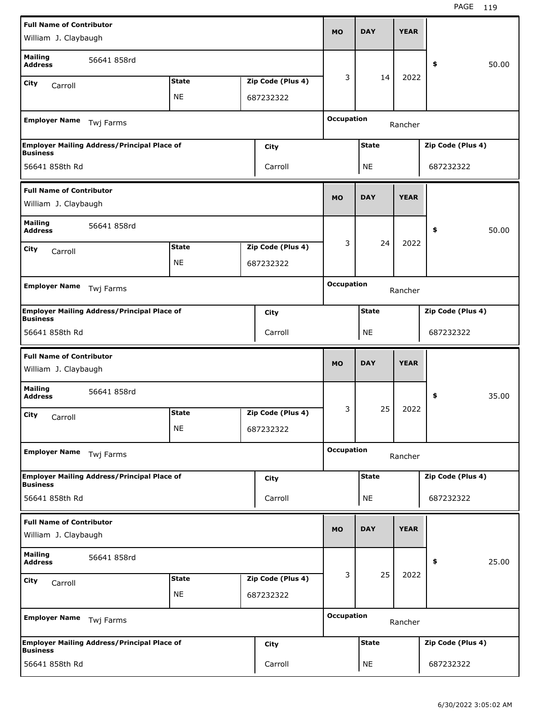| <b>Full Name of Contributor</b><br>William J. Claybaugh |                                                    |              |                   | <b>MO</b>         | <b>DAY</b>   | <b>YEAR</b> |                   |       |
|---------------------------------------------------------|----------------------------------------------------|--------------|-------------------|-------------------|--------------|-------------|-------------------|-------|
| <b>Mailing</b><br><b>Address</b>                        | 56641 858rd                                        |              |                   |                   |              |             | \$                | 50.00 |
| City<br>Carroll                                         |                                                    | <b>State</b> | Zip Code (Plus 4) | 3                 | 14           | 2022        |                   |       |
|                                                         |                                                    | <b>NE</b>    | 687232322         |                   |              |             |                   |       |
| <b>Employer Name</b>                                    | Twj Farms                                          |              |                   | <b>Occupation</b> |              | Rancher     |                   |       |
| <b>Business</b>                                         | <b>Employer Mailing Address/Principal Place of</b> |              | City              |                   | <b>State</b> |             | Zip Code (Plus 4) |       |
| 56641 858th Rd                                          |                                                    |              | Carroll           |                   | NE           |             | 687232322         |       |
| <b>Full Name of Contributor</b>                         |                                                    |              |                   |                   |              |             |                   |       |
| William J. Claybaugh                                    |                                                    |              |                   | <b>MO</b>         | <b>DAY</b>   | <b>YEAR</b> |                   |       |
| <b>Mailing</b><br><b>Address</b>                        | 56641 858rd                                        |              |                   |                   |              |             | \$                | 50.00 |
| City<br>Carroll                                         |                                                    | <b>State</b> | Zip Code (Plus 4) | 3                 | 24           | 2022        |                   |       |
|                                                         |                                                    | <b>NE</b>    | 687232322         |                   |              |             |                   |       |
|                                                         |                                                    |              |                   |                   |              |             |                   |       |
| <b>Employer Name</b>                                    | Twj Farms                                          |              |                   | <b>Occupation</b> |              | Rancher     |                   |       |
| <b>Business</b>                                         | <b>Employer Mailing Address/Principal Place of</b> |              | City              |                   | <b>State</b> |             | Zip Code (Plus 4) |       |
| 56641 858th Rd                                          |                                                    |              | Carroll           |                   | <b>NE</b>    |             | 687232322         |       |
|                                                         |                                                    |              |                   |                   |              |             |                   |       |
| <b>Full Name of Contributor</b><br>William J. Claybaugh |                                                    |              |                   | <b>MO</b>         | <b>DAY</b>   | <b>YEAR</b> |                   |       |
| <b>Mailing</b><br><b>Address</b>                        | 56641 858rd                                        |              |                   |                   |              |             | \$                | 35.00 |
| City                                                    |                                                    | <b>State</b> | Zip Code (Plus 4) | 3                 | 25           | 2022        |                   |       |
| Carroll                                                 |                                                    | NE           | 687232322         |                   |              |             |                   |       |
| <b>Employer Name</b>                                    | Twj Farms                                          |              |                   | <b>Occupation</b> |              | Rancher     |                   |       |
|                                                         | <b>Employer Mailing Address/Principal Place of</b> |              | <b>City</b>       |                   | <b>State</b> |             | Zip Code (Plus 4) |       |
| <b>Business</b><br>56641 858th Rd                       |                                                    |              | Carroll           |                   | NE           |             | 687232322         |       |
| <b>Full Name of Contributor</b>                         |                                                    |              |                   |                   |              |             |                   |       |
| William J. Claybaugh                                    |                                                    |              |                   | <b>MO</b>         | <b>DAY</b>   | <b>YEAR</b> |                   |       |
| <b>Mailing</b><br><b>Address</b>                        | 56641 858rd                                        |              |                   |                   |              |             | \$                | 25.00 |
| City<br>Carroll                                         |                                                    | <b>State</b> | Zip Code (Plus 4) | 3                 | 25           | 2022        |                   |       |
|                                                         |                                                    | <b>NE</b>    | 687232322         |                   |              |             |                   |       |
| <b>Employer Name</b>                                    | Twj Farms                                          |              |                   | <b>Occupation</b> |              | Rancher     |                   |       |
| <b>Business</b>                                         | <b>Employer Mailing Address/Principal Place of</b> |              | City              |                   | <b>State</b> |             | Zip Code (Plus 4) |       |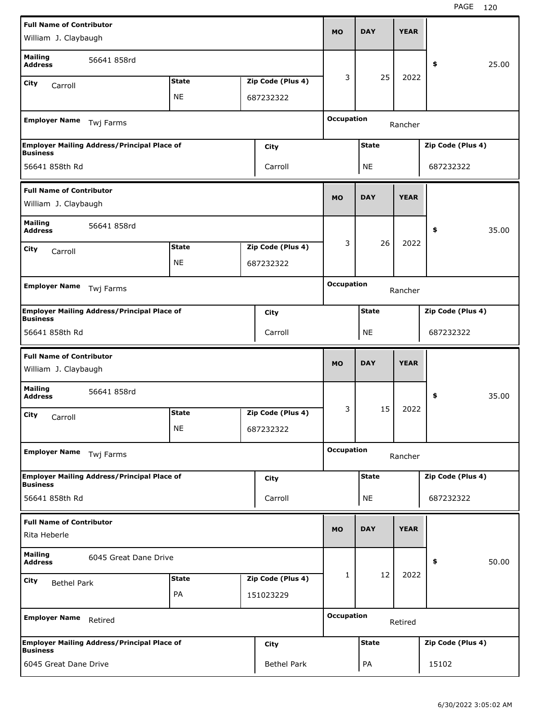| <b>Full Name of Contributor</b><br>William J. Claybaugh |                                                    |              |                   | <b>MO</b>         | <b>DAY</b>   | <b>YEAR</b> |                   |       |
|---------------------------------------------------------|----------------------------------------------------|--------------|-------------------|-------------------|--------------|-------------|-------------------|-------|
| <b>Mailing</b><br><b>Address</b>                        | 56641 858rd                                        |              |                   | 3                 | 25           | 2022        | \$                | 25.00 |
| City<br>Carroll                                         |                                                    | <b>State</b> | Zip Code (Plus 4) |                   |              |             |                   |       |
|                                                         |                                                    | <b>NE</b>    | 687232322         |                   |              |             |                   |       |
| <b>Employer Name</b>                                    | Twj Farms                                          |              |                   | <b>Occupation</b> |              | Rancher     |                   |       |
| <b>Business</b>                                         | <b>Employer Mailing Address/Principal Place of</b> |              | City              |                   | <b>State</b> |             | Zip Code (Plus 4) |       |
| 56641 858th Rd                                          |                                                    |              | Carroll           |                   | <b>NE</b>    |             | 687232322         |       |
| <b>Full Name of Contributor</b>                         |                                                    |              |                   |                   |              |             |                   |       |
| William J. Claybaugh                                    |                                                    |              |                   | <b>MO</b>         | <b>DAY</b>   | <b>YEAR</b> |                   |       |
| <b>Mailing</b><br><b>Address</b>                        | 56641 858rd                                        |              |                   |                   |              |             | \$                | 35.00 |
| City<br>Carroll                                         |                                                    | <b>State</b> | Zip Code (Plus 4) | 3                 | 26           | 2022        |                   |       |
|                                                         |                                                    | NE           | 687232322         |                   |              |             |                   |       |
|                                                         |                                                    |              |                   | <b>Occupation</b> |              |             |                   |       |
| <b>Employer Name</b>                                    | Twj Farms                                          |              |                   |                   |              | Rancher     |                   |       |
| <b>Business</b>                                         | <b>Employer Mailing Address/Principal Place of</b> |              | City              |                   | <b>State</b> |             | Zip Code (Plus 4) |       |
| 56641 858th Rd                                          |                                                    |              | Carroll           |                   | <b>NE</b>    |             | 687232322         |       |
|                                                         |                                                    |              |                   |                   |              |             |                   |       |
| <b>Full Name of Contributor</b><br>William J. Claybaugh |                                                    |              |                   | <b>MO</b>         | <b>DAY</b>   | <b>YEAR</b> |                   |       |
| <b>Mailing</b><br><b>Address</b>                        | 56641 858rd                                        |              |                   |                   |              |             | \$                | 35.00 |
| City                                                    |                                                    | <b>State</b> | Zip Code (Plus 4) | 3                 | 15           | 2022        |                   |       |
| Carroll                                                 |                                                    | <b>NE</b>    | 687232322         |                   |              |             |                   |       |
| <b>Employer Name</b>                                    | Twj Farms                                          |              |                   | <b>Occupation</b> |              | Rancher     |                   |       |
|                                                         | <b>Employer Mailing Address/Principal Place of</b> |              | City              |                   | <b>State</b> |             | Zip Code (Plus 4) |       |
| <b>Business</b><br>56641 858th Rd                       |                                                    |              | Carroll           |                   | <b>NE</b>    |             | 687232322         |       |
| <b>Full Name of Contributor</b>                         |                                                    |              |                   |                   |              |             |                   |       |
| Rita Heberle                                            |                                                    |              |                   | <b>MO</b>         | <b>DAY</b>   | <b>YEAR</b> |                   |       |
| <b>Mailing</b><br><b>Address</b>                        | 6045 Great Dane Drive                              |              |                   |                   |              |             | \$                | 50.00 |
| City<br><b>Bethel Park</b>                              |                                                    | <b>State</b> | Zip Code (Plus 4) | $\mathbf{1}$      | 12           | 2022        |                   |       |
|                                                         |                                                    | PA           | 151023229         |                   |              |             |                   |       |
| <b>Employer Name</b>                                    | Retired                                            |              |                   | <b>Occupation</b> |              | Retired     |                   |       |
| <b>Business</b>                                         | <b>Employer Mailing Address/Principal Place of</b> |              | City              |                   | <b>State</b> |             | Zip Code (Plus 4) |       |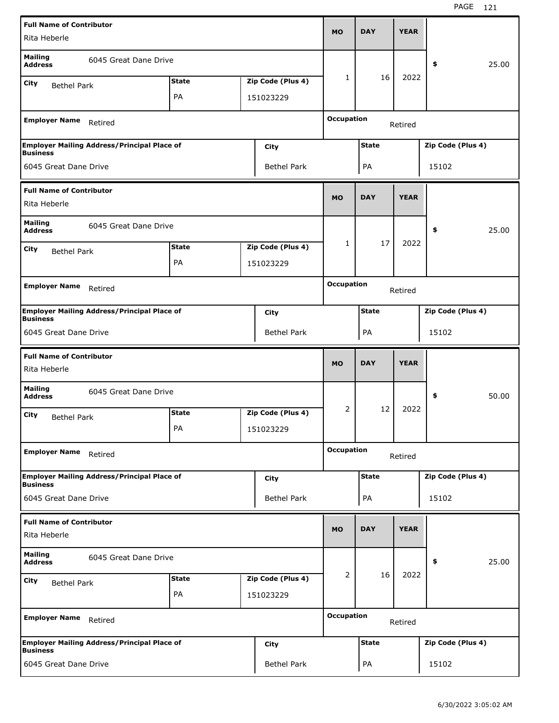| <b>Full Name of Contributor</b>                 |                                                    |              |                                |                   |              | <b>YEAR</b> |                   |       |
|-------------------------------------------------|----------------------------------------------------|--------------|--------------------------------|-------------------|--------------|-------------|-------------------|-------|
| Rita Heberle                                    |                                                    |              |                                | <b>MO</b>         | <b>DAY</b>   |             |                   |       |
| <b>Mailing</b><br><b>Address</b>                | 6045 Great Dane Drive                              |              |                                |                   |              |             | \$                | 25.00 |
| City<br><b>Bethel Park</b>                      |                                                    | <b>State</b> | Zip Code (Plus 4)              | 1                 | 16           | 2022        |                   |       |
|                                                 |                                                    | PA           | 151023229                      |                   |              |             |                   |       |
| <b>Employer Name</b>                            | Retired                                            |              |                                | <b>Occupation</b> |              | Retired     |                   |       |
| <b>Business</b>                                 | <b>Employer Mailing Address/Principal Place of</b> |              | City                           |                   | <b>State</b> |             | Zip Code (Plus 4) |       |
| 6045 Great Dane Drive                           |                                                    |              | <b>Bethel Park</b>             |                   | PA           |             | 15102             |       |
| <b>Full Name of Contributor</b><br>Rita Heberle |                                                    |              |                                | <b>MO</b>         | <b>DAY</b>   | <b>YEAR</b> |                   |       |
| <b>Mailing</b><br><b>Address</b>                | 6045 Great Dane Drive                              |              |                                |                   |              |             | \$                | 25.00 |
| City<br><b>Bethel Park</b>                      |                                                    | <b>State</b> | Zip Code (Plus 4)              | 1                 | 17           | 2022        |                   |       |
|                                                 |                                                    | PA           | 151023229                      |                   |              |             |                   |       |
| <b>Employer Name</b>                            | Retired                                            |              |                                | <b>Occupation</b> |              | Retired     |                   |       |
|                                                 | <b>Employer Mailing Address/Principal Place of</b> |              | City                           |                   | <b>State</b> |             | Zip Code (Plus 4) |       |
| <b>Business</b>                                 |                                                    |              |                                |                   |              |             |                   |       |
| 6045 Great Dane Drive                           |                                                    |              | <b>Bethel Park</b>             |                   | PA           |             | 15102             |       |
|                                                 |                                                    |              |                                |                   |              |             |                   |       |
| <b>Full Name of Contributor</b><br>Rita Heberle |                                                    |              |                                | <b>MO</b>         | <b>DAY</b>   | <b>YEAR</b> |                   |       |
| <b>Mailing</b><br><b>Address</b>                | 6045 Great Dane Drive                              |              |                                |                   |              |             | \$                | 50.00 |
| City<br><b>Bethel Park</b>                      |                                                    | <b>State</b> | Zip Code (Plus 4)              | 2                 | 12           | 2022        |                   |       |
|                                                 |                                                    | PA           | 151023229                      |                   |              |             |                   |       |
| <b>Employer Name</b>                            | Retired                                            |              |                                | <b>Occupation</b> |              | Retired     |                   |       |
|                                                 | <b>Employer Mailing Address/Principal Place of</b> |              | City                           |                   | <b>State</b> |             | Zip Code (Plus 4) |       |
| <b>Business</b><br>6045 Great Dane Drive        |                                                    |              | <b>Bethel Park</b>             |                   | PA           |             | 15102             |       |
| <b>Full Name of Contributor</b><br>Rita Heberle |                                                    |              |                                | <b>MO</b>         | <b>DAY</b>   | <b>YEAR</b> |                   |       |
| <b>Mailing</b><br><b>Address</b>                | 6045 Great Dane Drive                              |              |                                |                   |              |             | \$                | 25.00 |
|                                                 |                                                    | <b>State</b> |                                | 2                 | 16           | 2022        |                   |       |
| City<br><b>Bethel Park</b>                      |                                                    | PA           | Zip Code (Plus 4)<br>151023229 |                   |              |             |                   |       |
| <b>Employer Name</b>                            | Retired                                            |              |                                | <b>Occupation</b> |              | Retired     |                   |       |
| <b>Business</b>                                 | <b>Employer Mailing Address/Principal Place of</b> |              | City                           |                   | <b>State</b> |             | Zip Code (Plus 4) |       |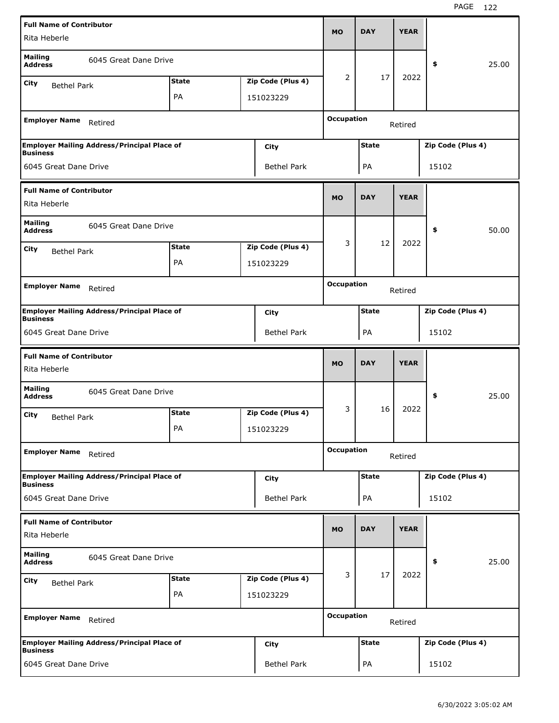| <b>Full Name of Contributor</b>                 |                                                    |              |                    |                   |              |             |                   |       |
|-------------------------------------------------|----------------------------------------------------|--------------|--------------------|-------------------|--------------|-------------|-------------------|-------|
| Rita Heberle                                    |                                                    |              |                    | <b>MO</b>         | <b>DAY</b>   | <b>YEAR</b> |                   |       |
| <b>Mailing</b><br><b>Address</b>                | 6045 Great Dane Drive                              |              |                    |                   |              |             | \$                | 25.00 |
| City<br><b>Bethel Park</b>                      |                                                    | <b>State</b> | Zip Code (Plus 4)  | 2                 | 17           | 2022        |                   |       |
|                                                 |                                                    | PA           | 151023229          |                   |              |             |                   |       |
| <b>Employer Name</b>                            | Retired                                            |              |                    | <b>Occupation</b> |              | Retired     |                   |       |
|                                                 | <b>Employer Mailing Address/Principal Place of</b> |              | City               |                   | <b>State</b> |             | Zip Code (Plus 4) |       |
| <b>Business</b><br>6045 Great Dane Drive        |                                                    |              | <b>Bethel Park</b> |                   | PA           |             | 15102             |       |
| <b>Full Name of Contributor</b>                 |                                                    |              |                    |                   |              |             |                   |       |
| Rita Heberle                                    |                                                    |              |                    | <b>MO</b>         | <b>DAY</b>   | <b>YEAR</b> |                   |       |
| <b>Mailing</b><br><b>Address</b>                | 6045 Great Dane Drive                              |              |                    |                   |              |             | \$                | 50.00 |
| City<br><b>Bethel Park</b>                      |                                                    | <b>State</b> | Zip Code (Plus 4)  | 3                 | 12           | 2022        |                   |       |
|                                                 |                                                    | PA           | 151023229          |                   |              |             |                   |       |
| <b>Employer Name</b>                            |                                                    |              |                    | <b>Occupation</b> |              |             |                   |       |
|                                                 | Retired                                            |              |                    |                   |              | Retired     |                   |       |
| <b>Business</b>                                 | <b>Employer Mailing Address/Principal Place of</b> |              | City               |                   | <b>State</b> |             | Zip Code (Plus 4) |       |
| 6045 Great Dane Drive                           |                                                    |              | <b>Bethel Park</b> |                   | PA           |             | 15102             |       |
|                                                 |                                                    |              |                    |                   |              |             |                   |       |
| <b>Full Name of Contributor</b><br>Rita Heberle |                                                    |              |                    | <b>MO</b>         | <b>DAY</b>   | <b>YEAR</b> |                   |       |
| <b>Mailing</b>                                  |                                                    |              |                    |                   |              |             |                   |       |
| <b>Address</b>                                  | 6045 Great Dane Drive                              |              |                    |                   |              |             | \$                | 25.00 |
| City<br><b>Bethel Park</b>                      |                                                    | <b>State</b> | Zip Code (Plus 4)  | 3                 | 16           | 2022        |                   |       |
|                                                 |                                                    | PA           | 151023229          |                   |              |             |                   |       |
| <b>Employer Name</b>                            | Retired                                            |              |                    | <b>Occupation</b> |              | Retired     |                   |       |
|                                                 | <b>Employer Mailing Address/Principal Place of</b> |              | City               |                   | <b>State</b> |             | Zip Code (Plus 4) |       |
| <b>Business</b><br>6045 Great Dane Drive        |                                                    |              | <b>Bethel Park</b> |                   | PA           |             | 15102             |       |
| <b>Full Name of Contributor</b>                 |                                                    |              |                    |                   |              |             |                   |       |
| Rita Heberle                                    |                                                    |              |                    | <b>MO</b>         | <b>DAY</b>   | <b>YEAR</b> |                   |       |
| <b>Mailing</b><br><b>Address</b>                | 6045 Great Dane Drive                              |              |                    |                   |              |             | \$                | 25.00 |
| City<br><b>Bethel Park</b>                      |                                                    | <b>State</b> | Zip Code (Plus 4)  | 3                 | 17           | 2022        |                   |       |
|                                                 |                                                    | PA           | 151023229          |                   |              |             |                   |       |
| <b>Employer Name</b>                            | Retired                                            |              |                    | <b>Occupation</b> |              | Retired     |                   |       |
| <b>Business</b>                                 | <b>Employer Mailing Address/Principal Place of</b> |              | City               |                   | State        |             | Zip Code (Plus 4) |       |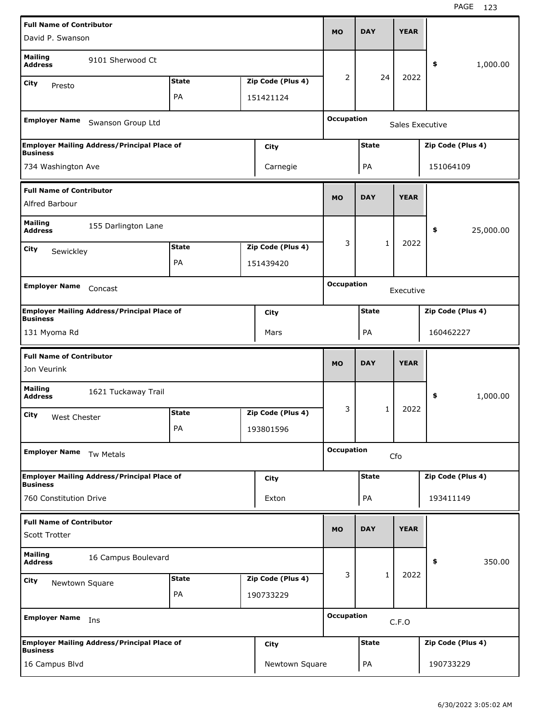| <b>Full Name of Contributor</b>                         |                                                    |              |                   |                   |              |                 |                   |
|---------------------------------------------------------|----------------------------------------------------|--------------|-------------------|-------------------|--------------|-----------------|-------------------|
| David P. Swanson                                        |                                                    |              |                   | <b>MO</b>         | <b>DAY</b>   | <b>YEAR</b>     |                   |
| <b>Mailing</b><br><b>Address</b>                        | 9101 Sherwood Ct                                   |              |                   |                   |              |                 | \$<br>1,000.00    |
| City<br>Presto                                          |                                                    | <b>State</b> | Zip Code (Plus 4) | 2                 | 24           | 2022            |                   |
|                                                         |                                                    | PA           | 151421124         |                   |              |                 |                   |
| <b>Employer Name</b>                                    | Swanson Group Ltd                                  |              |                   | <b>Occupation</b> |              | Sales Executive |                   |
| <b>Business</b>                                         | <b>Employer Mailing Address/Principal Place of</b> |              | City              |                   | <b>State</b> |                 | Zip Code (Plus 4) |
| 734 Washington Ave                                      |                                                    |              | Carnegie          |                   | PA           |                 | 151064109         |
| <b>Full Name of Contributor</b><br>Alfred Barbour       |                                                    |              |                   | <b>MO</b>         | <b>DAY</b>   | <b>YEAR</b>     |                   |
| <b>Mailing</b><br><b>Address</b>                        | 155 Darlington Lane                                |              |                   |                   |              |                 | \$<br>25,000.00   |
|                                                         |                                                    | <b>State</b> | Zip Code (Plus 4) | 3                 | 1            | 2022            |                   |
| City<br>Sewickley                                       |                                                    | PA           | 151439420         |                   |              |                 |                   |
|                                                         |                                                    |              |                   |                   |              |                 |                   |
| <b>Employer Name</b>                                    | Concast                                            |              |                   | <b>Occupation</b> |              | Executive       |                   |
| <b>Business</b>                                         | <b>Employer Mailing Address/Principal Place of</b> |              | <b>City</b>       |                   | <b>State</b> |                 | Zip Code (Plus 4) |
| 131 Myoma Rd                                            |                                                    |              | Mars              |                   | PA           |                 | 160462227         |
|                                                         |                                                    |              |                   |                   |              |                 |                   |
| <b>Full Name of Contributor</b><br>Jon Veurink          |                                                    |              |                   | <b>MO</b>         | <b>DAY</b>   | <b>YEAR</b>     |                   |
| <b>Mailing</b><br><b>Address</b>                        | 1621 Tuckaway Trail                                |              |                   |                   |              |                 | \$<br>1,000.00    |
| City                                                    |                                                    | <b>State</b> | Zip Code (Plus 4) | 3                 | 1            | 2022            |                   |
| West Chester                                            |                                                    | PA           | 193801596         |                   |              |                 |                   |
| <b>Employer Name</b>                                    | Tw Metals                                          |              |                   | <b>Occupation</b> |              | Cfo             |                   |
|                                                         | <b>Employer Mailing Address/Principal Place of</b> |              | <b>City</b>       |                   | <b>State</b> |                 | Zip Code (Plus 4) |
| <b>Business</b><br>760 Constitution Drive               |                                                    |              | Exton             |                   | PA           |                 | 193411149         |
| <b>Full Name of Contributor</b><br><b>Scott Trotter</b> |                                                    |              |                   | <b>MO</b>         | <b>DAY</b>   | <b>YEAR</b>     |                   |
| <b>Mailing</b><br><b>Address</b>                        | 16 Campus Boulevard                                |              |                   |                   |              |                 | 350.00<br>\$      |
| City                                                    |                                                    | <b>State</b> | Zip Code (Plus 4) | 3                 | $\mathbf{1}$ | 2022            |                   |
| Newtown Square                                          |                                                    | PA           | 190733229         |                   |              |                 |                   |
| <b>Employer Name</b>                                    | Ins                                                |              |                   | <b>Occupation</b> |              | C.F.O           |                   |
| <b>Business</b>                                         | <b>Employer Mailing Address/Principal Place of</b> |              | <b>City</b>       |                   | <b>State</b> |                 | Zip Code (Plus 4) |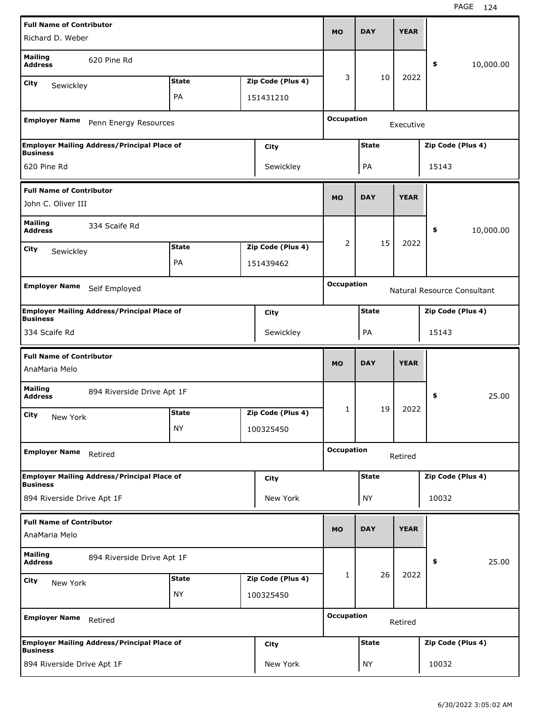| <b>Full Name of Contributor</b>  |                                                    |              |                   |                   |              |             |                   |                             |
|----------------------------------|----------------------------------------------------|--------------|-------------------|-------------------|--------------|-------------|-------------------|-----------------------------|
| Richard D. Weber                 |                                                    |              |                   | <b>MO</b>         | <b>DAY</b>   | <b>YEAR</b> |                   |                             |
| <b>Mailing</b><br><b>Address</b> | 620 Pine Rd                                        |              |                   |                   |              |             | \$                | 10,000.00                   |
| City<br>Sewickley                |                                                    | <b>State</b> | Zip Code (Plus 4) | 3                 | 10           | 2022        |                   |                             |
|                                  |                                                    | PA           | 151431210         |                   |              |             |                   |                             |
|                                  |                                                    |              |                   | <b>Occupation</b> |              |             |                   |                             |
| <b>Employer Name</b>             | Penn Energy Resources                              |              |                   |                   |              | Executive   |                   |                             |
| <b>Business</b>                  | <b>Employer Mailing Address/Principal Place of</b> |              | City              |                   | <b>State</b> |             | Zip Code (Plus 4) |                             |
| 620 Pine Rd                      |                                                    |              | Sewickley         |                   | PA           |             | 15143             |                             |
| <b>Full Name of Contributor</b>  |                                                    |              |                   |                   |              |             |                   |                             |
| John C. Oliver III               |                                                    |              |                   | <b>MO</b>         | <b>DAY</b>   | <b>YEAR</b> |                   |                             |
| <b>Mailing</b><br><b>Address</b> | 334 Scaife Rd                                      |              |                   |                   |              |             | \$                | 10,000.00                   |
| City                             |                                                    | <b>State</b> | Zip Code (Plus 4) | 2                 | 15           | 2022        |                   |                             |
| Sewickley                        |                                                    | PA           | 151439462         |                   |              |             |                   |                             |
|                                  |                                                    |              |                   |                   |              |             |                   |                             |
| <b>Employer Name</b>             | Self Employed                                      |              |                   | <b>Occupation</b> |              |             |                   | Natural Resource Consultant |
| <b>Business</b>                  | <b>Employer Mailing Address/Principal Place of</b> |              | City              |                   | <b>State</b> |             | Zip Code (Plus 4) |                             |
| 334 Scaife Rd                    |                                                    |              | Sewickley         |                   | PA           |             | 15143             |                             |
|                                  |                                                    |              |                   |                   |              |             |                   |                             |
| <b>Full Name of Contributor</b>  |                                                    |              |                   |                   |              |             |                   |                             |
| AnaMaria Melo                    |                                                    |              |                   | <b>MO</b>         | <b>DAY</b>   | <b>YEAR</b> |                   |                             |
| <b>Mailing</b><br><b>Address</b> | 894 Riverside Drive Apt 1F                         |              |                   |                   |              |             | \$                | 25.00                       |
| City                             |                                                    | <b>State</b> | Zip Code (Plus 4) | 1                 | 19           | 2022        |                   |                             |
| New York                         |                                                    | ΝY           | 100325450         |                   |              |             |                   |                             |
|                                  |                                                    |              |                   | <b>Occupation</b> |              |             |                   |                             |
| <b>Employer Name</b>             | Retired                                            |              |                   |                   |              | Retired     |                   |                             |
| <b>Business</b>                  | <b>Employer Mailing Address/Principal Place of</b> |              | <b>City</b>       |                   | <b>State</b> |             | Zip Code (Plus 4) |                             |
| 894 Riverside Drive Apt 1F       |                                                    |              | New York          |                   | ΝY           |             | 10032             |                             |
| <b>Full Name of Contributor</b>  |                                                    |              |                   |                   |              |             |                   |                             |
| AnaMaria Melo                    |                                                    |              |                   | <b>MO</b>         | <b>DAY</b>   | <b>YEAR</b> |                   |                             |
| <b>Mailing</b><br><b>Address</b> | 894 Riverside Drive Apt 1F                         |              |                   |                   |              |             | \$                | 25.00                       |
| City                             |                                                    | <b>State</b> | Zip Code (Plus 4) | 1                 | 26           | 2022        |                   |                             |
| New York                         |                                                    | <b>NY</b>    | 100325450         |                   |              |             |                   |                             |
| <b>Employer Name</b>             | Retired                                            |              |                   | <b>Occupation</b> |              | Retired     |                   |                             |
| <b>Business</b>                  | <b>Employer Mailing Address/Principal Place of</b> |              | <b>City</b>       |                   | <b>State</b> |             | Zip Code (Plus 4) |                             |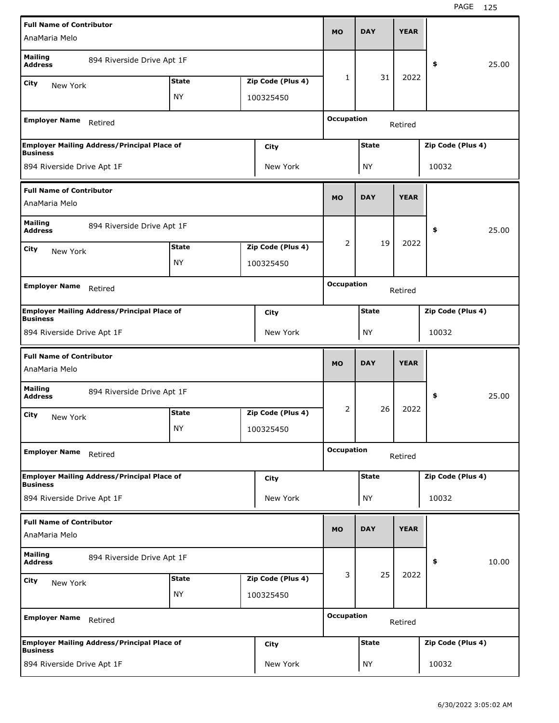| <b>Full Name of Contributor</b>                  |                                                    |              |                   |                   |              |             |                   |       |
|--------------------------------------------------|----------------------------------------------------|--------------|-------------------|-------------------|--------------|-------------|-------------------|-------|
| AnaMaria Melo                                    |                                                    |              |                   | MO                | <b>DAY</b>   | <b>YEAR</b> |                   |       |
| <b>Mailing</b><br><b>Address</b>                 | 894 Riverside Drive Apt 1F                         |              |                   |                   |              |             | \$                | 25.00 |
| City<br>New York                                 |                                                    | <b>State</b> | Zip Code (Plus 4) | 1                 | 31           | 2022        |                   |       |
|                                                  |                                                    | <b>NY</b>    | 100325450         |                   |              |             |                   |       |
| <b>Employer Name</b>                             | Retired                                            |              |                   | <b>Occupation</b> |              | Retired     |                   |       |
| <b>Business</b>                                  | <b>Employer Mailing Address/Principal Place of</b> |              | City              |                   | <b>State</b> |             | Zip Code (Plus 4) |       |
| 894 Riverside Drive Apt 1F                       |                                                    |              | New York          |                   | <b>NY</b>    |             | 10032             |       |
| <b>Full Name of Contributor</b>                  |                                                    |              |                   |                   |              |             |                   |       |
| AnaMaria Melo                                    |                                                    |              |                   | <b>MO</b>         | <b>DAY</b>   | <b>YEAR</b> |                   |       |
| <b>Mailing</b><br><b>Address</b>                 | 894 Riverside Drive Apt 1F                         |              |                   |                   |              |             | \$                | 25.00 |
| City<br>New York                                 |                                                    | <b>State</b> | Zip Code (Plus 4) | 2                 | 19           | 2022        |                   |       |
|                                                  |                                                    | ΝY           | 100325450         |                   |              |             |                   |       |
|                                                  |                                                    |              |                   | <b>Occupation</b> |              |             |                   |       |
| <b>Employer Name</b>                             | Retired                                            |              |                   |                   |              | Retired     |                   |       |
| <b>Business</b>                                  | <b>Employer Mailing Address/Principal Place of</b> |              | City              |                   | <b>State</b> |             | Zip Code (Plus 4) |       |
| 894 Riverside Drive Apt 1F                       |                                                    |              | New York          |                   | <b>NY</b>    |             | 10032             |       |
|                                                  |                                                    |              |                   |                   |              |             |                   |       |
|                                                  |                                                    |              |                   |                   |              |             |                   |       |
| <b>Full Name of Contributor</b><br>AnaMaria Melo |                                                    |              |                   | <b>MO</b>         | <b>DAY</b>   | <b>YEAR</b> |                   |       |
| <b>Mailing</b><br><b>Address</b>                 | 894 Riverside Drive Apt 1F                         |              |                   |                   |              |             | \$                | 25.00 |
| City<br>New York                                 |                                                    | <b>State</b> | Zip Code (Plus 4) | 2                 | 26           | 2022        |                   |       |
|                                                  |                                                    | <b>NY</b>    | 100325450         |                   |              |             |                   |       |
| <b>Employer Name</b>                             | Retired                                            |              |                   | <b>Occupation</b> |              | Retired     |                   |       |
|                                                  | <b>Employer Mailing Address/Principal Place of</b> |              | City              |                   | <b>State</b> |             | Zip Code (Plus 4) |       |
| <b>Business</b><br>894 Riverside Drive Apt 1F    |                                                    |              | New York          |                   | <b>NY</b>    |             | 10032             |       |
| <b>Full Name of Contributor</b>                  |                                                    |              |                   |                   |              |             |                   |       |
| AnaMaria Melo                                    |                                                    |              |                   | <b>MO</b>         | <b>DAY</b>   | <b>YEAR</b> |                   |       |
| <b>Mailing</b><br><b>Address</b>                 | 894 Riverside Drive Apt 1F                         |              |                   |                   |              |             | \$                | 10.00 |
| City<br>New York                                 |                                                    | <b>State</b> | Zip Code (Plus 4) | 3                 | 25           | 2022        |                   |       |
|                                                  |                                                    | <b>NY</b>    | 100325450         |                   |              |             |                   |       |
| <b>Employer Name</b>                             | Retired                                            |              |                   | <b>Occupation</b> |              | Retired     |                   |       |
| <b>Business</b>                                  | <b>Employer Mailing Address/Principal Place of</b> |              | City              |                   | <b>State</b> |             | Zip Code (Plus 4) |       |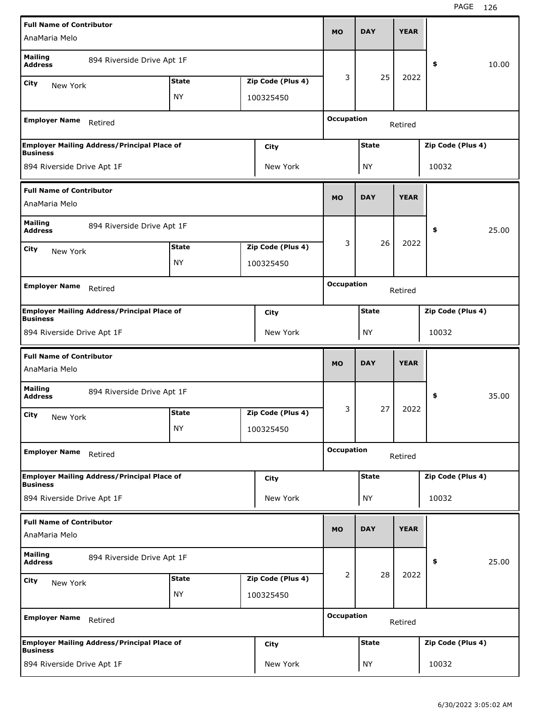| <b>Full Name of Contributor</b>                  |                                                    |              |                   |                   |              |             |                   |       |
|--------------------------------------------------|----------------------------------------------------|--------------|-------------------|-------------------|--------------|-------------|-------------------|-------|
| AnaMaria Melo                                    |                                                    |              |                   | MO                | <b>DAY</b>   | <b>YEAR</b> |                   |       |
| <b>Mailing</b><br><b>Address</b>                 | 894 Riverside Drive Apt 1F                         |              |                   |                   |              |             | \$                | 10.00 |
| City<br>New York                                 |                                                    | <b>State</b> | Zip Code (Plus 4) | 3                 | 25           | 2022        |                   |       |
|                                                  |                                                    | <b>NY</b>    | 100325450         |                   |              |             |                   |       |
| <b>Employer Name</b>                             | Retired                                            |              |                   | <b>Occupation</b> |              | Retired     |                   |       |
|                                                  | <b>Employer Mailing Address/Principal Place of</b> |              | City              |                   | <b>State</b> |             | Zip Code (Plus 4) |       |
| <b>Business</b><br>894 Riverside Drive Apt 1F    |                                                    |              | New York          |                   | <b>NY</b>    |             | 10032             |       |
| <b>Full Name of Contributor</b>                  |                                                    |              |                   |                   |              |             |                   |       |
| AnaMaria Melo                                    |                                                    |              |                   | <b>MO</b>         | <b>DAY</b>   | <b>YEAR</b> |                   |       |
| <b>Mailing</b><br><b>Address</b>                 | 894 Riverside Drive Apt 1F                         |              |                   |                   |              |             | \$                | 25.00 |
| City<br>New York                                 |                                                    | <b>State</b> | Zip Code (Plus 4) | 3                 | 26           | 2022        |                   |       |
|                                                  |                                                    | ΝY           | 100325450         |                   |              |             |                   |       |
|                                                  |                                                    |              |                   | <b>Occupation</b> |              |             |                   |       |
| <b>Employer Name</b>                             | Retired                                            |              |                   |                   |              | Retired     |                   |       |
| <b>Business</b>                                  | <b>Employer Mailing Address/Principal Place of</b> |              | City              |                   | <b>State</b> |             | Zip Code (Plus 4) |       |
| 894 Riverside Drive Apt 1F                       |                                                    |              | New York          |                   | ΝY           |             | 10032             |       |
|                                                  |                                                    |              |                   |                   |              |             |                   |       |
| <b>Full Name of Contributor</b><br>AnaMaria Melo |                                                    |              |                   | <b>MO</b>         | <b>DAY</b>   | <b>YEAR</b> |                   |       |
| <b>Mailing</b><br><b>Address</b>                 | 894 Riverside Drive Apt 1F                         |              |                   |                   |              |             | \$                | 35.00 |
| City                                             |                                                    | <b>State</b> | Zip Code (Plus 4) | 3                 | 27           | 2022        |                   |       |
| New York                                         |                                                    | <b>NY</b>    | 100325450         |                   |              |             |                   |       |
| <b>Employer Name</b>                             | Retired                                            |              |                   | <b>Occupation</b> |              | Retired     |                   |       |
|                                                  | <b>Employer Mailing Address/Principal Place of</b> |              | City              |                   | <b>State</b> |             | Zip Code (Plus 4) |       |
| <b>Business</b><br>894 Riverside Drive Apt 1F    |                                                    |              | New York          |                   | <b>NY</b>    |             | 10032             |       |
| <b>Full Name of Contributor</b>                  |                                                    |              |                   |                   |              |             |                   |       |
| AnaMaria Melo                                    |                                                    |              |                   | <b>MO</b>         | <b>DAY</b>   | <b>YEAR</b> |                   |       |
| <b>Mailing</b><br><b>Address</b>                 | 894 Riverside Drive Apt 1F                         |              |                   |                   |              |             | \$                | 25.00 |
| City<br>New York                                 |                                                    | <b>State</b> | Zip Code (Plus 4) | $\overline{2}$    | 28           | 2022        |                   |       |
|                                                  |                                                    | <b>NY</b>    | 100325450         |                   |              |             |                   |       |
| <b>Employer Name</b>                             | Retired                                            |              |                   | <b>Occupation</b> |              | Retired     |                   |       |
| <b>Business</b>                                  | <b>Employer Mailing Address/Principal Place of</b> |              | City              |                   | <b>State</b> |             | Zip Code (Plus 4) |       |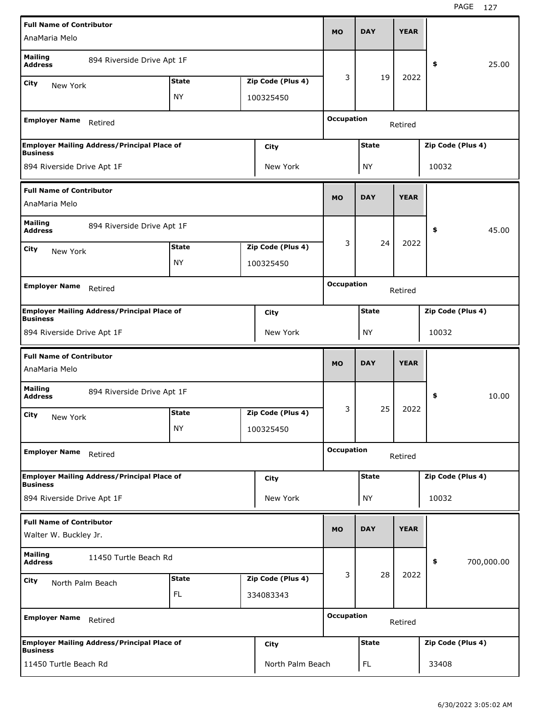| <b>Full Name of Contributor</b>                          |                                                    |              |                   |                   |              |             |                   |            |
|----------------------------------------------------------|----------------------------------------------------|--------------|-------------------|-------------------|--------------|-------------|-------------------|------------|
| AnaMaria Melo                                            |                                                    |              |                   | <b>MO</b>         | <b>DAY</b>   | <b>YEAR</b> |                   |            |
| <b>Mailing</b><br><b>Address</b>                         | 894 Riverside Drive Apt 1F                         |              |                   |                   |              |             | \$                | 25.00      |
| City<br>New York                                         |                                                    | <b>State</b> | Zip Code (Plus 4) | 3                 | 19           | 2022        |                   |            |
|                                                          |                                                    | ΝY           | 100325450         |                   |              |             |                   |            |
| <b>Employer Name</b>                                     | Retired                                            |              |                   | <b>Occupation</b> |              | Retired     |                   |            |
|                                                          | <b>Employer Mailing Address/Principal Place of</b> |              | City              |                   | <b>State</b> |             | Zip Code (Plus 4) |            |
| <b>Business</b><br>894 Riverside Drive Apt 1F            |                                                    |              | New York          |                   | NY           |             | 10032             |            |
| <b>Full Name of Contributor</b>                          |                                                    |              |                   |                   |              |             |                   |            |
| AnaMaria Melo                                            |                                                    |              |                   | <b>MO</b>         | <b>DAY</b>   | <b>YEAR</b> |                   |            |
| <b>Mailing</b><br><b>Address</b>                         | 894 Riverside Drive Apt 1F                         |              |                   |                   |              |             | \$                | 45.00      |
| City<br>New York                                         |                                                    | <b>State</b> | Zip Code (Plus 4) | 3                 | 24           | 2022        |                   |            |
|                                                          |                                                    | ΝY           | 100325450         |                   |              |             |                   |            |
|                                                          |                                                    |              |                   | <b>Occupation</b> |              |             |                   |            |
| <b>Employer Name</b>                                     | Retired                                            |              |                   |                   |              | Retired     |                   |            |
| <b>Business</b>                                          | <b>Employer Mailing Address/Principal Place of</b> |              | City              |                   | <b>State</b> |             | Zip Code (Plus 4) |            |
| 894 Riverside Drive Apt 1F                               |                                                    |              | New York          |                   | <b>NY</b>    |             | 10032             |            |
|                                                          |                                                    |              |                   |                   |              |             |                   |            |
|                                                          |                                                    |              |                   |                   |              |             |                   |            |
| <b>Full Name of Contributor</b><br>AnaMaria Melo         |                                                    |              |                   | <b>MO</b>         | <b>DAY</b>   | <b>YEAR</b> |                   |            |
| <b>Mailing</b><br><b>Address</b>                         | 894 Riverside Drive Apt 1F                         |              |                   |                   |              |             | \$                | 10.00      |
| City                                                     |                                                    | <b>State</b> | Zip Code (Plus 4) | 3                 | 25           | 2022        |                   |            |
| New York                                                 |                                                    | NY           | 100325450         |                   |              |             |                   |            |
| <b>Employer Name</b>                                     | Retired                                            |              |                   | <b>Occupation</b> |              | Retired     |                   |            |
|                                                          |                                                    |              |                   |                   | <b>State</b> |             |                   |            |
| <b>Business</b>                                          | <b>Employer Mailing Address/Principal Place of</b> |              | City              |                   |              |             | Zip Code (Plus 4) |            |
| 894 Riverside Drive Apt 1F                               |                                                    |              | New York          |                   | <b>NY</b>    |             | 10032             |            |
| <b>Full Name of Contributor</b><br>Walter W. Buckley Jr. |                                                    |              |                   | <b>MO</b>         | <b>DAY</b>   | <b>YEAR</b> |                   |            |
| <b>Mailing</b><br><b>Address</b>                         | 11450 Turtle Beach Rd                              |              |                   |                   |              |             | \$                | 700,000.00 |
| City                                                     |                                                    | <b>State</b> | Zip Code (Plus 4) | 3                 | 28           | 2022        |                   |            |
| North Palm Beach                                         |                                                    | FL           | 334083343         |                   |              |             |                   |            |
| <b>Employer Name</b>                                     | Retired                                            |              |                   | <b>Occupation</b> |              | Retired     |                   |            |
| <b>Business</b>                                          | <b>Employer Mailing Address/Principal Place of</b> |              | City              |                   | <b>State</b> |             | Zip Code (Plus 4) |            |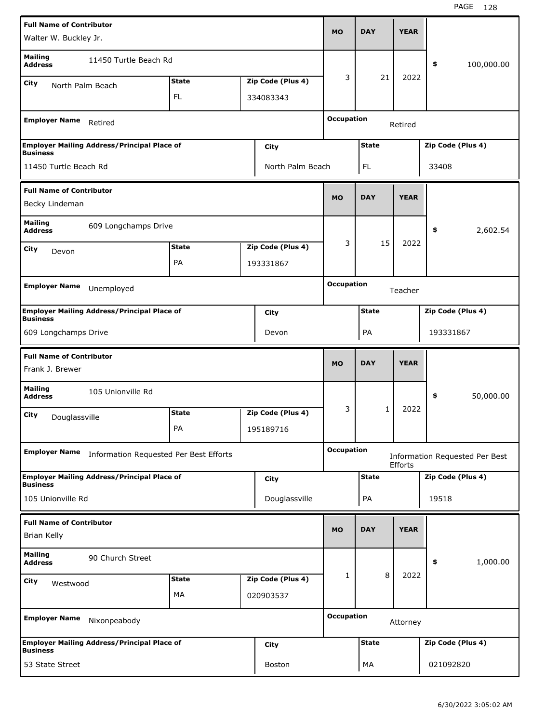| <b>Full Name of Contributor</b>                    |                                                    |              |                   |                   |              |             |                                |
|----------------------------------------------------|----------------------------------------------------|--------------|-------------------|-------------------|--------------|-------------|--------------------------------|
| Walter W. Buckley Jr.                              |                                                    |              |                   | <b>MO</b>         | <b>DAY</b>   | <b>YEAR</b> |                                |
| <b>Mailing</b><br><b>Address</b>                   | 11450 Turtle Beach Rd                              |              |                   |                   |              |             | \$<br>100,000.00               |
| City<br>North Palm Beach                           |                                                    | <b>State</b> | Zip Code (Plus 4) | 3                 | 21           | 2022        |                                |
|                                                    |                                                    | <b>FL</b>    | 334083343         |                   |              |             |                                |
| <b>Employer Name</b>                               | Retired                                            |              |                   | <b>Occupation</b> |              | Retired     |                                |
|                                                    | <b>Employer Mailing Address/Principal Place of</b> |              | City              |                   | <b>State</b> |             | Zip Code (Plus 4)              |
| <b>Business</b>                                    |                                                    |              |                   |                   |              |             |                                |
| 11450 Turtle Beach Rd                              |                                                    |              | North Palm Beach  |                   | FL           |             | 33408                          |
| <b>Full Name of Contributor</b>                    |                                                    |              |                   |                   |              |             |                                |
| Becky Lindeman                                     |                                                    |              |                   | <b>MO</b>         | <b>DAY</b>   | <b>YEAR</b> |                                |
| <b>Mailing</b><br><b>Address</b>                   | 609 Longchamps Drive                               |              |                   |                   |              |             | \$<br>2,602.54                 |
| City<br>Devon                                      |                                                    | <b>State</b> | Zip Code (Plus 4) | 3                 | 15           | 2022        |                                |
|                                                    |                                                    | PA           | 193331867         |                   |              |             |                                |
|                                                    |                                                    |              |                   | <b>Occupation</b> |              |             |                                |
| <b>Employer Name</b>                               | Unemployed                                         |              |                   |                   |              | Teacher     |                                |
| <b>Business</b>                                    | <b>Employer Mailing Address/Principal Place of</b> |              | <b>City</b>       |                   | <b>State</b> |             | Zip Code (Plus 4)              |
| 609 Longchamps Drive                               |                                                    |              | Devon             |                   | PA           |             | 193331867                      |
|                                                    |                                                    |              |                   |                   |              |             |                                |
|                                                    |                                                    |              |                   |                   |              |             |                                |
| <b>Full Name of Contributor</b><br>Frank J. Brewer |                                                    |              |                   | <b>MO</b>         | <b>DAY</b>   | <b>YEAR</b> |                                |
| <b>Mailing</b><br><b>Address</b>                   | 105 Unionville Rd                                  |              |                   |                   |              |             | \$<br>50,000.00                |
| City                                               |                                                    | <b>State</b> | Zip Code (Plus 4) | 3                 | 1            | 2022        |                                |
| Douglassville                                      |                                                    | РA           | 195189716         |                   |              |             |                                |
| <b>Employer Name</b>                               | Information Requested Per Best Efforts             |              |                   | <b>Occupation</b> |              |             | Information Requested Per Best |
|                                                    | <b>Employer Mailing Address/Principal Place of</b> |              | <b>City</b>       |                   | <b>State</b> | Efforts     | Zip Code (Plus 4)              |
| <b>Business</b><br>105 Unionville Rd               |                                                    |              | Douglassville     |                   | PA           |             | 19518                          |
| <b>Full Name of Contributor</b>                    |                                                    |              |                   |                   |              |             |                                |
| <b>Brian Kelly</b>                                 |                                                    |              |                   | <b>MO</b>         | <b>DAY</b>   | <b>YEAR</b> |                                |
| <b>Mailing</b><br><b>Address</b>                   | 90 Church Street                                   |              |                   |                   |              |             | 1,000.00<br>\$                 |
| <b>City</b>                                        |                                                    | <b>State</b> | Zip Code (Plus 4) | 1                 | 8            | 2022        |                                |
| Westwood                                           |                                                    | MA           | 020903537         |                   |              |             |                                |
| <b>Employer Name</b>                               | Nixonpeabody                                       |              |                   | <b>Occupation</b> |              | Attorney    |                                |
| <b>Business</b>                                    | <b>Employer Mailing Address/Principal Place of</b> |              | City              |                   | <b>State</b> |             | Zip Code (Plus 4)              |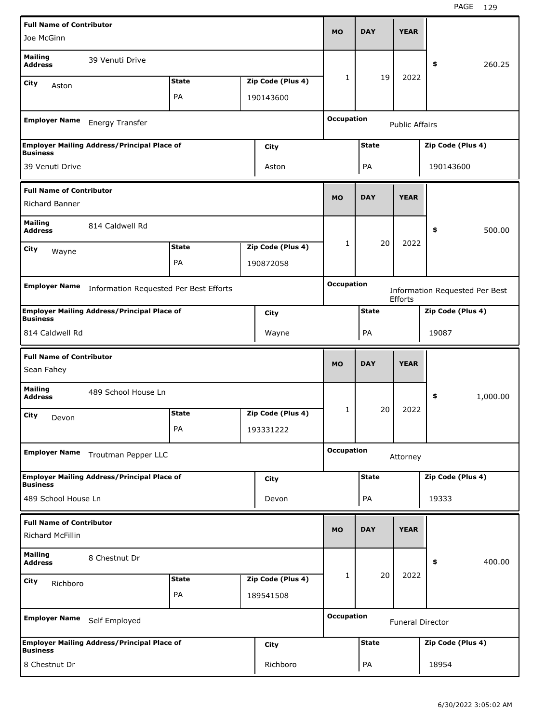| <b>Full Name of Contributor</b>                            |                                                    |              |                   |                   |              |                         |                                       |          |
|------------------------------------------------------------|----------------------------------------------------|--------------|-------------------|-------------------|--------------|-------------------------|---------------------------------------|----------|
| Joe McGinn                                                 |                                                    |              |                   | <b>MO</b>         | <b>DAY</b>   | <b>YEAR</b>             |                                       |          |
| <b>Mailing</b><br><b>Address</b>                           | 39 Venuti Drive                                    |              |                   |                   |              |                         | \$                                    | 260.25   |
| City<br>Aston                                              |                                                    | <b>State</b> | Zip Code (Plus 4) | 1                 | 19           | 2022                    |                                       |          |
|                                                            |                                                    | PA           | 190143600         |                   |              |                         |                                       |          |
| <b>Employer Name</b>                                       | Energy Transfer                                    |              |                   | <b>Occupation</b> |              | <b>Public Affairs</b>   |                                       |          |
|                                                            | <b>Employer Mailing Address/Principal Place of</b> |              | City              |                   | <b>State</b> |                         | Zip Code (Plus 4)                     |          |
| <b>Business</b>                                            |                                                    |              |                   |                   |              |                         |                                       |          |
| 39 Venuti Drive                                            |                                                    |              | Aston             |                   | PA           |                         | 190143600                             |          |
| <b>Full Name of Contributor</b><br>Richard Banner          |                                                    |              |                   | <b>MO</b>         | <b>DAY</b>   | <b>YEAR</b>             |                                       |          |
| <b>Mailing</b><br><b>Address</b>                           | 814 Caldwell Rd                                    |              |                   |                   |              |                         | \$                                    | 500.00   |
| City<br>Wayne                                              |                                                    | <b>State</b> | Zip Code (Plus 4) | $\mathbf{1}$      | 20           | 2022                    |                                       |          |
|                                                            |                                                    | PA           | 190872058         |                   |              |                         |                                       |          |
|                                                            |                                                    |              |                   |                   |              |                         |                                       |          |
| <b>Employer Name</b>                                       | Information Requested Per Best Efforts             |              |                   | <b>Occupation</b> |              | Efforts                 | <b>Information Requested Per Best</b> |          |
|                                                            | <b>Employer Mailing Address/Principal Place of</b> |              | <b>City</b>       |                   | <b>State</b> |                         | Zip Code (Plus 4)                     |          |
| <b>Business</b><br>814 Caldwell Rd                         |                                                    |              | Wayne             |                   | PA           |                         | 19087                                 |          |
|                                                            |                                                    |              |                   |                   |              |                         |                                       |          |
|                                                            |                                                    |              |                   |                   |              |                         |                                       |          |
| <b>Full Name of Contributor</b><br>Sean Fahey              |                                                    |              |                   | <b>MO</b>         | <b>DAY</b>   | <b>YEAR</b>             |                                       |          |
| <b>Mailing</b><br><b>Address</b>                           | 489 School House Ln                                |              |                   |                   |              |                         | \$                                    | 1,000.00 |
| City                                                       |                                                    | <b>State</b> | Zip Code (Plus 4) | 1                 | 20           | 2022                    |                                       |          |
| Devon                                                      |                                                    | PA           | 193331222         |                   |              |                         |                                       |          |
| <b>Employer Name</b>                                       | Troutman Pepper LLC                                |              |                   | <b>Occupation</b> |              | Attorney                |                                       |          |
|                                                            | <b>Employer Mailing Address/Principal Place of</b> |              | <b>City</b>       |                   | <b>State</b> |                         | Zip Code (Plus 4)                     |          |
| <b>Business</b><br>489 School House Ln                     |                                                    |              | Devon             |                   | PA           |                         | 19333                                 |          |
| <b>Full Name of Contributor</b><br><b>Richard McFillin</b> |                                                    |              |                   | <b>MO</b>         | <b>DAY</b>   | <b>YEAR</b>             |                                       |          |
| <b>Mailing</b><br><b>Address</b>                           | 8 Chestnut Dr                                      |              |                   |                   |              |                         | \$                                    | 400.00   |
| <b>City</b>                                                |                                                    | <b>State</b> | Zip Code (Plus 4) | $\mathbf{1}$      | 20           | 2022                    |                                       |          |
| Richboro                                                   |                                                    | PA           | 189541508         |                   |              |                         |                                       |          |
| <b>Employer Name</b>                                       | Self Employed                                      |              |                   | <b>Occupation</b> |              | <b>Funeral Director</b> |                                       |          |
| <b>Business</b>                                            | <b>Employer Mailing Address/Principal Place of</b> |              | City              |                   | <b>State</b> |                         | Zip Code (Plus 4)                     |          |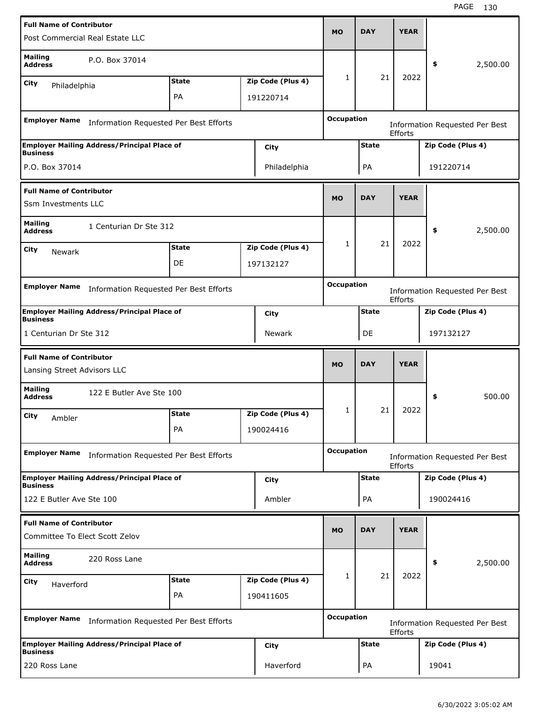| <b>Full Name of Contributor</b>                                       |                                        |                   |                   |              | <b>YEAR</b>    |                                       |          |
|-----------------------------------------------------------------------|----------------------------------------|-------------------|-------------------|--------------|----------------|---------------------------------------|----------|
| Post Commercial Real Estate LLC                                       |                                        |                   | <b>MO</b>         | <b>DAY</b>   |                |                                       |          |
| <b>Mailing</b><br>P.O. Box 37014<br><b>Address</b>                    |                                        |                   |                   |              |                | \$                                    | 2,500.00 |
| City<br>Philadelphia                                                  | <b>State</b>                           | Zip Code (Plus 4) | $\mathbf{1}$      | 21           | 2022           |                                       |          |
|                                                                       | PA                                     | 191220714         |                   |              |                |                                       |          |
|                                                                       |                                        |                   | <b>Occupation</b> |              |                |                                       |          |
| <b>Employer Name</b>                                                  | Information Requested Per Best Efforts |                   |                   |              | <b>Efforts</b> | <b>Information Requested Per Best</b> |          |
| <b>Employer Mailing Address/Principal Place of</b><br><b>Business</b> |                                        | City              |                   | <b>State</b> |                | Zip Code (Plus 4)                     |          |
| P.O. Box 37014                                                        |                                        | Philadelphia      |                   | PA           |                | 191220714                             |          |
| <b>Full Name of Contributor</b>                                       |                                        |                   |                   |              |                |                                       |          |
| Ssm Investments LLC                                                   |                                        |                   | <b>MO</b>         | <b>DAY</b>   | <b>YEAR</b>    |                                       |          |
| <b>Mailing</b><br>1 Centurian Dr Ste 312<br><b>Address</b>            |                                        |                   |                   |              |                | \$                                    | 2,500.00 |
| City<br><b>Newark</b>                                                 | <b>State</b>                           | Zip Code (Plus 4) | 1                 | 21           | 2022           |                                       |          |
|                                                                       | DE                                     | 197132127         |                   |              |                |                                       |          |
|                                                                       |                                        |                   |                   |              |                |                                       |          |
| <b>Employer Name</b>                                                  | Information Requested Per Best Efforts |                   | <b>Occupation</b> |              | Efforts        | <b>Information Requested Per Best</b> |          |
| <b>Employer Mailing Address/Principal Place of</b><br><b>Business</b> |                                        | City              |                   | <b>State</b> |                | Zip Code (Plus 4)                     |          |
| 1 Centurian Dr Ste 312                                                |                                        | Newark            |                   | DE           |                | 197132127                             |          |
|                                                                       |                                        |                   |                   |              |                |                                       |          |
| <b>Full Name of Contributor</b>                                       |                                        |                   |                   |              |                |                                       |          |
| Lansing Street Advisors LLC                                           |                                        |                   | <b>MO</b>         | <b>DAY</b>   | <b>YEAR</b>    |                                       |          |
| <b>Mailing</b><br>122 E Butler Ave Ste 100<br><b>Address</b>          |                                        |                   |                   |              |                | \$                                    | 500.00   |
| City                                                                  | <b>State</b>                           | Zip Code (Plus 4) | 1                 | 21           | 2022           |                                       |          |
| Ambler                                                                | PА                                     | 190024416         |                   |              |                |                                       |          |
| <b>Employer Name</b>                                                  | Information Requested Per Best Efforts |                   | <b>Occupation</b> |              |                |                                       |          |
|                                                                       |                                        |                   |                   |              | Efforts        | <b>Information Requested Per Best</b> |          |
| <b>Employer Mailing Address/Principal Place of</b><br><b>Business</b> |                                        | <b>City</b>       |                   | <b>State</b> |                | Zip Code (Plus 4)                     |          |
| 122 E Butler Ave Ste 100                                              |                                        | Ambler            |                   | PA           |                | 190024416                             |          |
| <b>Full Name of Contributor</b>                                       |                                        |                   |                   |              |                |                                       |          |
| Committee To Elect Scott Zelov                                        |                                        |                   | <b>MO</b>         | <b>DAY</b>   | <b>YEAR</b>    |                                       |          |
| <b>Mailing</b><br>220 Ross Lane<br><b>Address</b>                     |                                        |                   |                   |              |                | \$                                    | 2,500.00 |
| City<br>Haverford                                                     | <b>State</b>                           | Zip Code (Plus 4) | 1                 | 21           | 2022           |                                       |          |
|                                                                       | PA                                     | 190411605         |                   |              |                |                                       |          |
| <b>Employer Name</b>                                                  | Information Requested Per Best Efforts |                   | <b>Occupation</b> |              | Efforts        | Information Requested Per Best        |          |
| <b>Employer Mailing Address/Principal Place of</b><br><b>Business</b> |                                        | <b>City</b>       |                   | <b>State</b> |                | Zip Code (Plus 4)                     |          |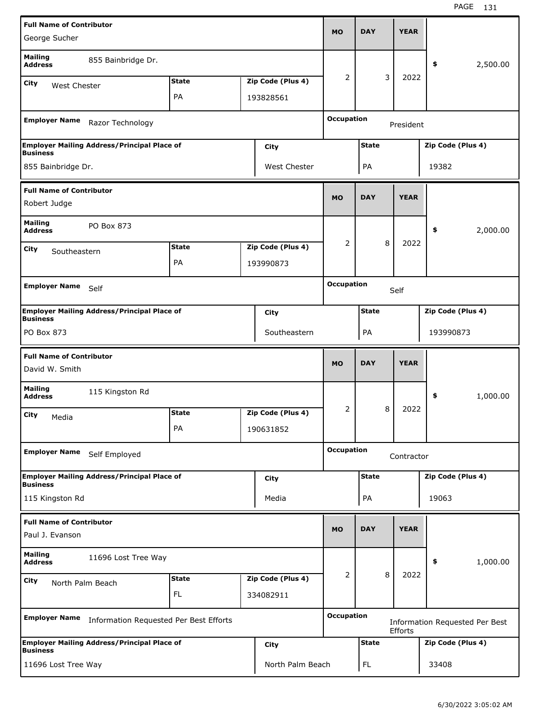| <b>Full Name of Contributor</b><br>George Sucher   |                                                    |              |  |                                |                   |              |   |             |                                |          |
|----------------------------------------------------|----------------------------------------------------|--------------|--|--------------------------------|-------------------|--------------|---|-------------|--------------------------------|----------|
|                                                    |                                                    |              |  |                                | <b>MO</b>         | <b>DAY</b>   |   | <b>YEAR</b> |                                |          |
| <b>Mailing</b><br><b>Address</b>                   | 855 Bainbridge Dr.                                 |              |  |                                |                   |              |   |             | \$                             | 2,500.00 |
| City<br>West Chester                               |                                                    | <b>State</b> |  | Zip Code (Plus 4)              | 2                 |              | 3 | 2022        |                                |          |
|                                                    |                                                    | PA           |  | 193828561                      |                   |              |   |             |                                |          |
|                                                    |                                                    |              |  |                                |                   |              |   |             |                                |          |
| <b>Employer Name</b>                               | Razor Technology                                   |              |  |                                | <b>Occupation</b> |              |   | President   |                                |          |
| <b>Business</b>                                    | <b>Employer Mailing Address/Principal Place of</b> |              |  | City                           |                   | <b>State</b> |   |             | Zip Code (Plus 4)              |          |
| 855 Bainbridge Dr.                                 |                                                    |              |  | West Chester                   |                   | PA           |   |             | 19382                          |          |
| <b>Full Name of Contributor</b>                    |                                                    |              |  |                                |                   |              |   |             |                                |          |
| Robert Judge                                       |                                                    |              |  |                                | <b>MO</b>         | <b>DAY</b>   |   | <b>YEAR</b> |                                |          |
| <b>Mailing</b><br><b>Address</b>                   | PO Box 873                                         |              |  |                                |                   |              |   |             | \$                             | 2,000.00 |
| City<br>Southeastern                               |                                                    | <b>State</b> |  | Zip Code (Plus 4)              | 2                 |              | 8 | 2022        |                                |          |
|                                                    |                                                    | PA           |  | 193990873                      |                   |              |   |             |                                |          |
|                                                    |                                                    |              |  |                                | <b>Occupation</b> |              |   |             |                                |          |
| <b>Employer Name</b>                               | Self                                               |              |  |                                |                   |              |   | Self        |                                |          |
| <b>Business</b>                                    | <b>Employer Mailing Address/Principal Place of</b> |              |  | City                           |                   | <b>State</b> |   |             | Zip Code (Plus 4)              |          |
| PO Box 873                                         |                                                    |              |  | Southeastern                   |                   | PA           |   |             | 193990873                      |          |
|                                                    |                                                    |              |  |                                |                   |              |   |             |                                |          |
|                                                    |                                                    |              |  |                                |                   |              |   |             |                                |          |
| <b>Full Name of Contributor</b><br>David W. Smith  |                                                    |              |  |                                | <b>MO</b>         | <b>DAY</b>   |   | <b>YEAR</b> |                                |          |
| <b>Mailing</b><br><b>Address</b>                   | 115 Kingston Rd                                    |              |  |                                |                   |              |   |             | \$                             | 1,000.00 |
| City<br>Media                                      |                                                    | <b>State</b> |  | Zip Code (Plus 4)              | 2                 |              | 8 | 2022        |                                |          |
|                                                    |                                                    | PA           |  | 190631852                      |                   |              |   |             |                                |          |
| <b>Employer Name</b>                               | Self Employed                                      |              |  |                                | <b>Occupation</b> |              |   | Contractor  |                                |          |
|                                                    | <b>Employer Mailing Address/Principal Place of</b> |              |  |                                |                   | <b>State</b> |   |             | Zip Code (Plus 4)              |          |
| <b>Business</b>                                    |                                                    |              |  | City                           |                   |              |   |             |                                |          |
| 115 Kingston Rd                                    |                                                    |              |  | Media                          |                   | PA           |   |             | 19063                          |          |
| <b>Full Name of Contributor</b><br>Paul J. Evanson |                                                    |              |  |                                | <b>MO</b>         | <b>DAY</b>   |   | <b>YEAR</b> |                                |          |
| <b>Mailing</b><br><b>Address</b>                   | 11696 Lost Tree Way                                |              |  |                                |                   |              |   |             | \$                             | 1,000.00 |
|                                                    |                                                    | <b>State</b> |  |                                | $\overline{2}$    |              | 8 | 2022        |                                |          |
| City<br>North Palm Beach                           |                                                    | <b>FL</b>    |  | Zip Code (Plus 4)<br>334082911 |                   |              |   |             |                                |          |
| <b>Employer Name</b>                               | Information Requested Per Best Efforts             |              |  |                                | <b>Occupation</b> |              |   |             | Information Requested Per Best |          |
|                                                    | <b>Employer Mailing Address/Principal Place of</b> |              |  |                                |                   | <b>State</b> |   | Efforts     | Zip Code (Plus 4)              |          |
| <b>Business</b><br>11696 Lost Tree Way             |                                                    |              |  | City<br>North Palm Beach       |                   | <b>FL</b>    |   |             | 33408                          |          |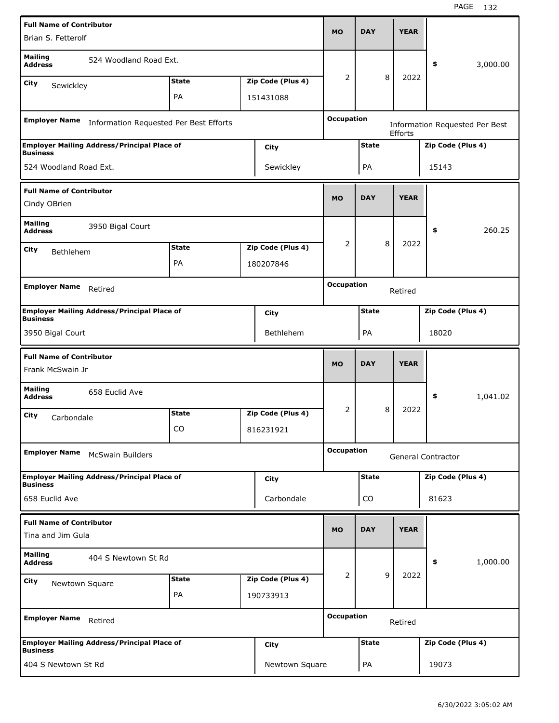| <b>Full Name of Contributor</b>                     |                                                    |              |                   |                   |              |   |             |                    |                                       |
|-----------------------------------------------------|----------------------------------------------------|--------------|-------------------|-------------------|--------------|---|-------------|--------------------|---------------------------------------|
| Brian S. Fetterolf                                  |                                                    |              |                   | MO                | <b>DAY</b>   |   | <b>YEAR</b> |                    |                                       |
| <b>Mailing</b><br><b>Address</b>                    | 524 Woodland Road Ext.                             |              |                   |                   |              |   |             | \$                 | 3,000.00                              |
| City<br>Sewickley                                   |                                                    | <b>State</b> | Zip Code (Plus 4) | 2                 |              | 8 | 2022        |                    |                                       |
|                                                     |                                                    | PA           | 151431088         |                   |              |   |             |                    |                                       |
| <b>Employer Name</b>                                | Information Requested Per Best Efforts             |              |                   | <b>Occupation</b> |              |   | Efforts     |                    | <b>Information Requested Per Best</b> |
| <b>Business</b>                                     | <b>Employer Mailing Address/Principal Place of</b> |              | City              |                   | <b>State</b> |   |             | Zip Code (Plus 4)  |                                       |
| 524 Woodland Road Ext.                              |                                                    |              | Sewickley         |                   | PA           |   |             | 15143              |                                       |
| <b>Full Name of Contributor</b>                     |                                                    |              |                   | <b>MO</b>         | <b>DAY</b>   |   | <b>YEAR</b> |                    |                                       |
| Cindy OBrien                                        |                                                    |              |                   |                   |              |   |             |                    |                                       |
| <b>Mailing</b><br><b>Address</b>                    | 3950 Bigal Court                                   |              |                   |                   |              |   |             | \$                 | 260.25                                |
| City<br>Bethlehem                                   |                                                    | <b>State</b> | Zip Code (Plus 4) | 2                 |              | 8 | 2022        |                    |                                       |
|                                                     |                                                    | PA           | 180207846         |                   |              |   |             |                    |                                       |
|                                                     |                                                    |              |                   | <b>Occupation</b> |              |   |             |                    |                                       |
| <b>Employer Name</b>                                | Retired                                            |              |                   |                   |              |   | Retired     |                    |                                       |
| <b>Business</b>                                     | <b>Employer Mailing Address/Principal Place of</b> |              | City              |                   | <b>State</b> |   |             | Zip Code (Plus 4)  |                                       |
| 3950 Bigal Court                                    |                                                    |              | <b>Bethlehem</b>  |                   | PA           |   |             | 18020              |                                       |
|                                                     |                                                    |              |                   |                   |              |   |             |                    |                                       |
|                                                     |                                                    |              |                   |                   |              |   |             |                    |                                       |
| <b>Full Name of Contributor</b><br>Frank McSwain Jr |                                                    |              |                   | <b>MO</b>         | <b>DAY</b>   |   | <b>YEAR</b> |                    |                                       |
| <b>Mailing</b><br><b>Address</b>                    | 658 Euclid Ave                                     |              |                   |                   |              |   |             | \$                 | 1,041.02                              |
| City<br>Carbondale                                  |                                                    | <b>State</b> | Zip Code (Plus 4) | 2                 |              | 8 | 2022        |                    |                                       |
|                                                     |                                                    | CO           | 816231921         |                   |              |   |             |                    |                                       |
| <b>Employer Name</b>                                | <b>McSwain Builders</b>                            |              |                   | <b>Occupation</b> |              |   |             | General Contractor |                                       |
|                                                     | <b>Employer Mailing Address/Principal Place of</b> |              | City              |                   | <b>State</b> |   |             | Zip Code (Plus 4)  |                                       |
| <b>Business</b><br>658 Euclid Ave                   |                                                    |              | Carbondale        |                   | CO           |   |             | 81623              |                                       |
| <b>Full Name of Contributor</b>                     |                                                    |              |                   |                   |              |   |             |                    |                                       |
| Tina and Jim Gula                                   |                                                    |              |                   | <b>MO</b>         | <b>DAY</b>   |   | <b>YEAR</b> |                    |                                       |
| <b>Mailing</b><br><b>Address</b>                    | 404 S Newtown St Rd                                |              |                   |                   |              |   |             | \$                 | 1,000.00                              |
| City<br>Newtown Square                              |                                                    | <b>State</b> | Zip Code (Plus 4) | 2                 |              | 9 | 2022        |                    |                                       |
|                                                     |                                                    | PA           | 190733913         |                   |              |   |             |                    |                                       |
| <b>Employer Name</b>                                | Retired                                            |              |                   | <b>Occupation</b> |              |   | Retired     |                    |                                       |
| <b>Business</b>                                     | <b>Employer Mailing Address/Principal Place of</b> |              | City              |                   | <b>State</b> |   |             | Zip Code (Plus 4)  |                                       |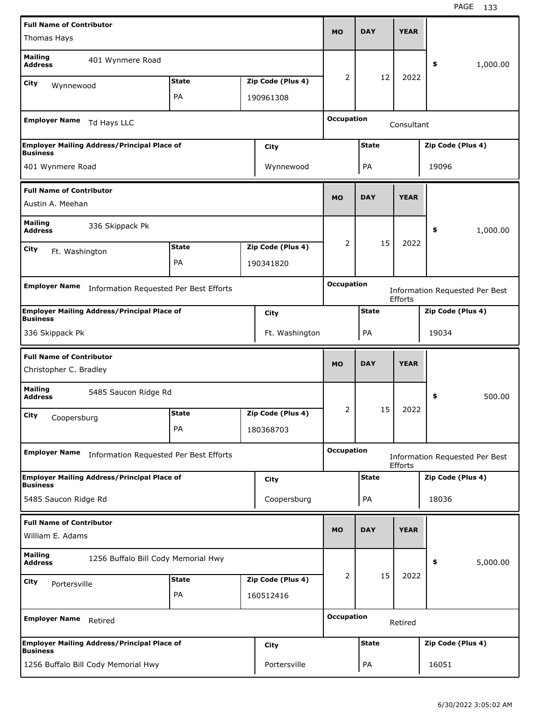| <b>Full Name of Contributor</b>                           |                                                    |              |                   |                   |              |                |                                       |          |
|-----------------------------------------------------------|----------------------------------------------------|--------------|-------------------|-------------------|--------------|----------------|---------------------------------------|----------|
| Thomas Hays                                               |                                                    |              |                   | <b>MO</b>         | <b>DAY</b>   | <b>YEAR</b>    |                                       |          |
| <b>Mailing</b><br><b>Address</b>                          | 401 Wynmere Road                                   |              |                   |                   |              |                | \$                                    | 1,000.00 |
| City<br>Wynnewood                                         |                                                    | <b>State</b> | Zip Code (Plus 4) | 2                 | 12           | 2022           |                                       |          |
|                                                           |                                                    | PA           | 190961308         |                   |              |                |                                       |          |
|                                                           |                                                    |              |                   |                   |              |                |                                       |          |
| <b>Employer Name</b>                                      | Td Hays LLC                                        |              |                   | <b>Occupation</b> |              | Consultant     |                                       |          |
| <b>Business</b>                                           | <b>Employer Mailing Address/Principal Place of</b> |              | City              |                   | <b>State</b> |                | Zip Code (Plus 4)                     |          |
| 401 Wynmere Road                                          |                                                    |              | Wynnewood         |                   | PA           |                | 19096                                 |          |
| <b>Full Name of Contributor</b>                           |                                                    |              |                   |                   |              |                |                                       |          |
| Austin A. Meehan                                          |                                                    |              |                   | <b>MO</b>         | <b>DAY</b>   | <b>YEAR</b>    |                                       |          |
| <b>Mailing</b><br><b>Address</b>                          | 336 Skippack Pk                                    |              |                   |                   |              |                | \$                                    | 1,000.00 |
| City                                                      |                                                    | <b>State</b> | Zip Code (Plus 4) | 2                 | 15           | 2022           |                                       |          |
| Ft. Washington                                            |                                                    | PA           | 190341820         |                   |              |                |                                       |          |
|                                                           |                                                    |              |                   |                   |              |                |                                       |          |
| <b>Employer Name</b>                                      | Information Requested Per Best Efforts             |              |                   | <b>Occupation</b> |              | Efforts        | <b>Information Requested Per Best</b> |          |
| <b>Business</b>                                           | <b>Employer Mailing Address/Principal Place of</b> |              | City              |                   | <b>State</b> |                | Zip Code (Plus 4)                     |          |
| 336 Skippack Pk                                           |                                                    |              | Ft. Washington    |                   | PA           |                | 19034                                 |          |
|                                                           |                                                    |              |                   |                   |              |                |                                       |          |
|                                                           |                                                    |              |                   |                   |              |                |                                       |          |
| <b>Full Name of Contributor</b><br>Christopher C. Bradley |                                                    |              |                   | <b>MO</b>         | <b>DAY</b>   | <b>YEAR</b>    |                                       |          |
| <b>Mailing</b><br><b>Address</b>                          | 5485 Saucon Ridge Rd                               |              |                   |                   |              |                | \$                                    | 500.00   |
| City                                                      |                                                    | <b>State</b> | Zip Code (Plus 4) | 2                 | 15           | 2022           |                                       |          |
| Coopersburg                                               |                                                    | PA           | 180368703         |                   |              |                |                                       |          |
|                                                           |                                                    |              |                   |                   |              |                |                                       |          |
| <b>Employer Name</b>                                      | Information Requested Per Best Efforts             |              |                   | <b>Occupation</b> |              | <b>Efforts</b> | Information Requested Per Best        |          |
| <b>Business</b>                                           | <b>Employer Mailing Address/Principal Place of</b> |              | City              |                   | <b>State</b> |                | Zip Code (Plus 4)                     |          |
| 5485 Saucon Ridge Rd                                      |                                                    |              | Coopersburg       |                   | PA           |                | 18036                                 |          |
| <b>Full Name of Contributor</b>                           |                                                    |              |                   |                   |              |                |                                       |          |
| William E. Adams                                          |                                                    |              |                   | <b>MO</b>         | <b>DAY</b>   | <b>YEAR</b>    |                                       |          |
| <b>Mailing</b><br><b>Address</b>                          | 1256 Buffalo Bill Cody Memorial Hwy                |              |                   |                   |              |                | \$                                    | 5,000.00 |
| City                                                      |                                                    | <b>State</b> | Zip Code (Plus 4) | 2                 | 15           | 2022           |                                       |          |
| Portersville                                              |                                                    | PA           | 160512416         |                   |              |                |                                       |          |
| <b>Employer Name</b>                                      | Retired                                            |              |                   | <b>Occupation</b> |              | Retired        |                                       |          |
| <b>Business</b>                                           | <b>Employer Mailing Address/Principal Place of</b> |              | City              |                   | <b>State</b> |                | Zip Code (Plus 4)                     |          |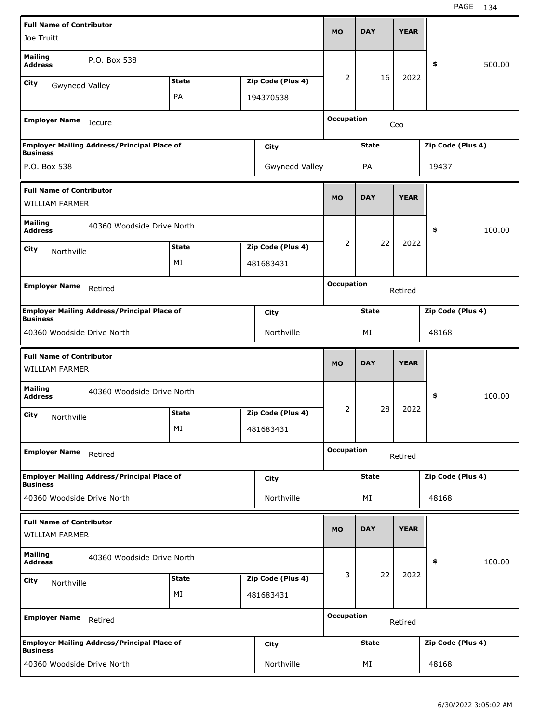| <b>Full Name of Contributor</b>                          |                                                    |              |                   |                   | <b>DAY</b>   | <b>YEAR</b> |                   |        |
|----------------------------------------------------------|----------------------------------------------------|--------------|-------------------|-------------------|--------------|-------------|-------------------|--------|
| Joe Truitt                                               |                                                    |              |                   | <b>MO</b>         |              |             |                   |        |
| <b>Mailing</b><br><b>Address</b>                         | P.O. Box 538                                       |              |                   |                   |              |             | \$                | 500.00 |
| City<br>Gwynedd Valley                                   |                                                    | <b>State</b> | Zip Code (Plus 4) | 2                 | 16           | 2022        |                   |        |
|                                                          |                                                    | PA           | 194370538         |                   |              |             |                   |        |
| <b>Employer Name</b>                                     | Iecure                                             |              |                   | <b>Occupation</b> |              | Ceo         |                   |        |
|                                                          | <b>Employer Mailing Address/Principal Place of</b> |              | City              |                   | <b>State</b> |             | Zip Code (Plus 4) |        |
| <b>Business</b>                                          |                                                    |              |                   |                   |              |             |                   |        |
| P.O. Box 538                                             |                                                    |              | Gwynedd Valley    |                   | PA           |             | 19437             |        |
| <b>Full Name of Contributor</b><br>WILLIAM FARMER        |                                                    |              |                   | <b>MO</b>         | <b>DAY</b>   | <b>YEAR</b> |                   |        |
| <b>Mailing</b><br><b>Address</b>                         | 40360 Woodside Drive North                         |              |                   |                   |              |             | \$                | 100.00 |
| City<br>Northville                                       |                                                    | <b>State</b> | Zip Code (Plus 4) | 2                 | 22           | 2022        |                   |        |
|                                                          |                                                    | MI           | 481683431         |                   |              |             |                   |        |
|                                                          |                                                    |              |                   | <b>Occupation</b> |              |             |                   |        |
| <b>Employer Name</b>                                     | Retired                                            |              |                   |                   |              | Retired     |                   |        |
| <b>Business</b>                                          | <b>Employer Mailing Address/Principal Place of</b> |              | City              |                   | <b>State</b> |             | Zip Code (Plus 4) |        |
| 40360 Woodside Drive North                               |                                                    |              | Northville        |                   | ΜI           |             | 48168             |        |
| <b>Full Name of Contributor</b><br><b>WILLIAM FARMER</b> |                                                    |              |                   | <b>MO</b>         | <b>DAY</b>   | <b>YEAR</b> |                   |        |
| <b>Mailing</b><br><b>Address</b>                         | 40360 Woodside Drive North                         |              |                   |                   |              |             | \$                | 100.00 |
| City<br>Northville                                       |                                                    | <b>State</b> | Zip Code (Plus 4) | 2                 | 28           | 2022        |                   |        |
|                                                          |                                                    | МI           | 481683431         |                   |              |             |                   |        |
| <b>Employer Name</b>                                     | Retired                                            |              |                   | <b>Occupation</b> |              | Retired     |                   |        |
|                                                          |                                                    |              |                   |                   |              |             |                   |        |
| <b>Business</b>                                          | <b>Employer Mailing Address/Principal Place of</b> |              | City              |                   | <b>State</b> |             | Zip Code (Plus 4) |        |
| 40360 Woodside Drive North                               |                                                    |              | Northville        |                   | ΜI           |             | 48168             |        |
| <b>Full Name of Contributor</b><br><b>WILLIAM FARMER</b> |                                                    |              |                   | <b>MO</b>         | <b>DAY</b>   | <b>YEAR</b> |                   |        |
|                                                          |                                                    |              |                   |                   |              |             |                   |        |
| <b>Mailing</b><br><b>Address</b>                         | 40360 Woodside Drive North                         |              |                   |                   |              |             | \$                | 100.00 |
| City<br>Northville                                       |                                                    | <b>State</b> | Zip Code (Plus 4) | 3                 | 22           | 2022        |                   |        |
|                                                          |                                                    | MI           | 481683431         |                   |              |             |                   |        |
|                                                          |                                                    |              |                   |                   |              |             |                   |        |
| <b>Employer Name</b>                                     | Retired                                            |              |                   | <b>Occupation</b> |              | Retired     |                   |        |
| <b>Business</b>                                          | <b>Employer Mailing Address/Principal Place of</b> |              | <b>City</b>       |                   | <b>State</b> |             | Zip Code (Plus 4) |        |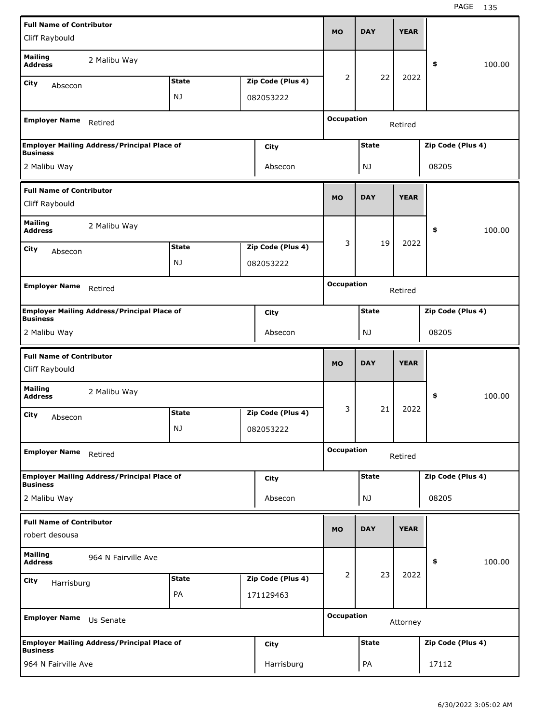| <b>Full Name of Contributor</b>                   |                                                    |              |                   |                   |              | <b>YEAR</b> |                   |        |
|---------------------------------------------------|----------------------------------------------------|--------------|-------------------|-------------------|--------------|-------------|-------------------|--------|
| Cliff Raybould                                    |                                                    |              |                   | <b>MO</b>         | <b>DAY</b>   |             |                   |        |
| <b>Mailing</b><br><b>Address</b>                  | 2 Malibu Way                                       |              |                   |                   |              |             | \$                | 100.00 |
| City<br>Absecon                                   |                                                    | <b>State</b> | Zip Code (Plus 4) | 2                 | 22           | 2022        |                   |        |
|                                                   |                                                    | NJ           | 082053222         |                   |              |             |                   |        |
| <b>Employer Name</b>                              | Retired                                            |              |                   | <b>Occupation</b> |              | Retired     |                   |        |
| <b>Business</b>                                   | <b>Employer Mailing Address/Principal Place of</b> |              | City              |                   | <b>State</b> |             | Zip Code (Plus 4) |        |
| 2 Malibu Way                                      |                                                    |              | Absecon           |                   | NJ           |             | 08205             |        |
| <b>Full Name of Contributor</b>                   |                                                    |              |                   | <b>MO</b>         | <b>DAY</b>   | <b>YEAR</b> |                   |        |
| Cliff Raybould                                    |                                                    |              |                   |                   |              |             |                   |        |
| <b>Mailing</b><br><b>Address</b>                  | 2 Malibu Way                                       |              |                   |                   |              |             | \$                | 100.00 |
| City<br>Absecon                                   |                                                    | <b>State</b> | Zip Code (Plus 4) | 3                 | 19           | 2022        |                   |        |
|                                                   |                                                    | NJ           | 082053222         |                   |              |             |                   |        |
| <b>Employer Name</b>                              | Retired                                            |              |                   | <b>Occupation</b> |              | Retired     |                   |        |
|                                                   | <b>Employer Mailing Address/Principal Place of</b> |              | City              |                   | <b>State</b> |             | Zip Code (Plus 4) |        |
| <b>Business</b>                                   |                                                    |              |                   |                   |              |             |                   |        |
| 2 Malibu Way                                      |                                                    |              | Absecon           |                   | NJ           |             | 08205             |        |
|                                                   |                                                    |              |                   |                   |              |             |                   |        |
| <b>Full Name of Contributor</b><br>Cliff Raybould |                                                    |              |                   | <b>MO</b>         | <b>DAY</b>   | <b>YEAR</b> |                   |        |
| <b>Mailing</b><br><b>Address</b>                  | 2 Malibu Way                                       |              |                   |                   |              |             | \$                | 100.00 |
| City                                              |                                                    | <b>State</b> | Zip Code (Plus 4) | 3                 | 21           | 2022        |                   |        |
| Absecon                                           |                                                    | NJ           | 082053222         |                   |              |             |                   |        |
| <b>Employer Name</b>                              | Retired                                            |              |                   | <b>Occupation</b> |              | Retired     |                   |        |
|                                                   | <b>Employer Mailing Address/Principal Place of</b> |              | <b>City</b>       |                   | <b>State</b> |             | Zip Code (Plus 4) |        |
| <b>Business</b><br>2 Malibu Way                   |                                                    |              | Absecon           |                   | NJ           |             | 08205             |        |
| <b>Full Name of Contributor</b>                   |                                                    |              |                   |                   |              |             |                   |        |
| robert desousa                                    |                                                    |              |                   | <b>MO</b>         | <b>DAY</b>   | <b>YEAR</b> |                   |        |
| <b>Mailing</b><br><b>Address</b>                  | 964 N Fairville Ave                                |              |                   |                   |              |             | \$                | 100.00 |
| <b>City</b>                                       |                                                    | <b>State</b> | Zip Code (Plus 4) | 2                 | 23           | 2022        |                   |        |
| Harrisburg                                        |                                                    | PA           | 171129463         |                   |              |             |                   |        |
| <b>Employer Name</b>                              | Us Senate                                          |              |                   | <b>Occupation</b> |              | Attorney    |                   |        |
| <b>Business</b>                                   | <b>Employer Mailing Address/Principal Place of</b> |              | <b>City</b>       |                   | <b>State</b> |             | Zip Code (Plus 4) |        |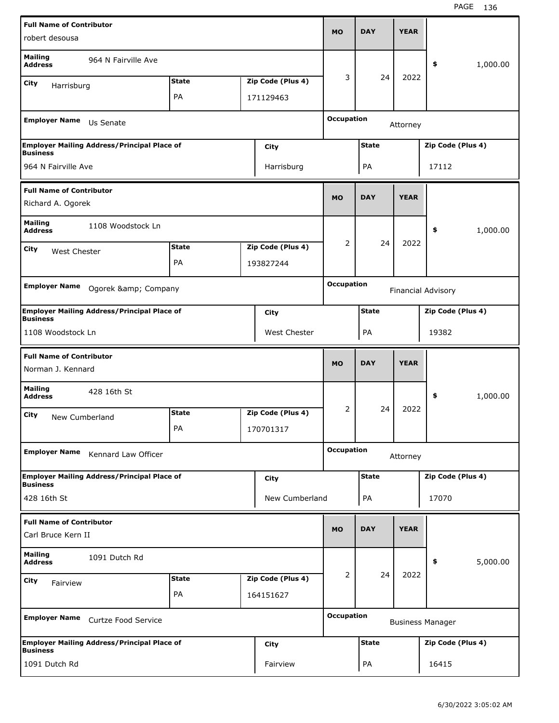| <b>Full Name of Contributor</b>                      |                                                    |              |                   |                   |              |             |                         |          |
|------------------------------------------------------|----------------------------------------------------|--------------|-------------------|-------------------|--------------|-------------|-------------------------|----------|
| robert desousa                                       |                                                    |              |                   | <b>MO</b>         | <b>DAY</b>   | <b>YEAR</b> |                         |          |
| <b>Mailing</b><br><b>Address</b>                     | 964 N Fairville Ave                                |              |                   |                   |              |             | \$                      | 1,000.00 |
| City<br>Harrisburg                                   |                                                    | <b>State</b> | Zip Code (Plus 4) | 3                 | 24           | 2022        |                         |          |
|                                                      |                                                    | PA           | 171129463         |                   |              |             |                         |          |
| <b>Employer Name</b>                                 | Us Senate                                          |              |                   | <b>Occupation</b> |              | Attorney    |                         |          |
| <b>Business</b>                                      | <b>Employer Mailing Address/Principal Place of</b> |              | City              |                   | <b>State</b> |             | Zip Code (Plus 4)       |          |
| 964 N Fairville Ave                                  |                                                    |              | Harrisburg        |                   | PA           |             | 17112                   |          |
| <b>Full Name of Contributor</b><br>Richard A. Ogorek |                                                    |              |                   | <b>MO</b>         | <b>DAY</b>   | <b>YEAR</b> |                         |          |
| <b>Mailing</b>                                       | 1108 Woodstock Ln                                  |              |                   |                   |              |             |                         |          |
| <b>Address</b>                                       |                                                    |              |                   |                   | 24           | 2022        | \$                      | 1,000.00 |
| City<br>West Chester                                 |                                                    | <b>State</b> | Zip Code (Plus 4) | 2                 |              |             |                         |          |
|                                                      |                                                    | PA           | 193827244         |                   |              |             |                         |          |
| <b>Employer Name</b>                                 | Ogorek & Company                                   |              |                   | <b>Occupation</b> |              |             | Financial Advisory      |          |
| <b>Business</b>                                      | <b>Employer Mailing Address/Principal Place of</b> |              | City              |                   | <b>State</b> |             | Zip Code (Plus 4)       |          |
| 1108 Woodstock Ln                                    |                                                    |              | West Chester      |                   | PA           |             | 19382                   |          |
|                                                      |                                                    |              |                   |                   |              |             |                         |          |
| <b>Full Name of Contributor</b>                      |                                                    |              |                   | <b>MO</b>         | <b>DAY</b>   | <b>YEAR</b> |                         |          |
| Norman J. Kennard                                    |                                                    |              |                   |                   |              |             |                         |          |
| <b>Mailing</b><br><b>Address</b>                     | 428 16th St                                        |              |                   |                   |              |             | \$                      | 1,000.00 |
| City<br>New Cumberland                               |                                                    | <b>State</b> | Zip Code (Plus 4) | 2                 | 24           | 2022        |                         |          |
|                                                      |                                                    | PA           | 170701317         |                   |              |             |                         |          |
| <b>Employer Name</b>                                 | Kennard Law Officer                                |              |                   | <b>Occupation</b> |              | Attorney    |                         |          |
| <b>Business</b>                                      | <b>Employer Mailing Address/Principal Place of</b> |              | City              |                   | <b>State</b> |             | Zip Code (Plus 4)       |          |
| 428 16th St                                          |                                                    |              | New Cumberland    |                   | PA           |             | 17070                   |          |
| <b>Full Name of Contributor</b>                      |                                                    |              |                   |                   |              |             |                         |          |
| Carl Bruce Kern II                                   |                                                    |              |                   | <b>MO</b>         | <b>DAY</b>   | <b>YEAR</b> |                         |          |
| <b>Mailing</b><br><b>Address</b>                     | 1091 Dutch Rd                                      |              |                   |                   |              |             | \$                      | 5,000.00 |
| City<br>Fairview                                     |                                                    | <b>State</b> | Zip Code (Plus 4) | $\overline{2}$    | 24           | 2022        |                         |          |
|                                                      |                                                    | PA           | 164151627         |                   |              |             |                         |          |
| <b>Employer Name</b>                                 | Curtze Food Service                                |              |                   | <b>Occupation</b> |              |             | <b>Business Manager</b> |          |
| <b>Business</b>                                      | <b>Employer Mailing Address/Principal Place of</b> |              | City              |                   | <b>State</b> |             | Zip Code (Plus 4)       |          |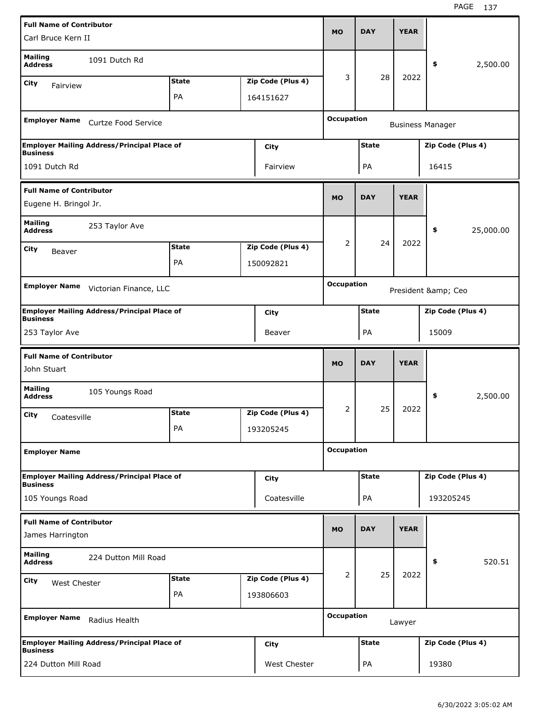| <b>Full Name of Contributor</b>                |                                                    |              |                   |                   |              |             |                         |           |
|------------------------------------------------|----------------------------------------------------|--------------|-------------------|-------------------|--------------|-------------|-------------------------|-----------|
| Carl Bruce Kern II                             |                                                    |              |                   | <b>MO</b>         | <b>DAY</b>   | <b>YEAR</b> |                         |           |
| <b>Mailing</b><br><b>Address</b>               | 1091 Dutch Rd                                      |              |                   |                   |              |             | \$                      | 2,500.00  |
| City<br>Fairview                               |                                                    | <b>State</b> | Zip Code (Plus 4) | 3                 | 28           | 2022        |                         |           |
|                                                |                                                    | PA           | 164151627         |                   |              |             |                         |           |
|                                                |                                                    |              |                   |                   |              |             |                         |           |
| <b>Employer Name</b>                           | Curtze Food Service                                |              |                   | <b>Occupation</b> |              |             | <b>Business Manager</b> |           |
| <b>Business</b>                                | <b>Employer Mailing Address/Principal Place of</b> |              | City              |                   | <b>State</b> |             | Zip Code (Plus 4)       |           |
| 1091 Dutch Rd                                  |                                                    |              | Fairview          |                   | PA           |             | 16415                   |           |
| <b>Full Name of Contributor</b>                |                                                    |              |                   |                   |              |             |                         |           |
| Eugene H. Bringol Jr.                          |                                                    |              |                   | <b>MO</b>         | <b>DAY</b>   | <b>YEAR</b> |                         |           |
| <b>Mailing</b><br><b>Address</b>               | 253 Taylor Ave                                     |              |                   |                   |              |             | \$                      | 25,000.00 |
| City                                           |                                                    | <b>State</b> | Zip Code (Plus 4) | 2                 | 24           | 2022        |                         |           |
| Beaver                                         |                                                    | PA           | 150092821         |                   |              |             |                         |           |
|                                                |                                                    |              |                   |                   |              |             |                         |           |
| <b>Employer Name</b>                           | Victorian Finance, LLC                             |              |                   | <b>Occupation</b> |              |             | President & Ceo         |           |
| <b>Business</b>                                | <b>Employer Mailing Address/Principal Place of</b> |              | City              |                   | <b>State</b> |             | Zip Code (Plus 4)       |           |
| 253 Taylor Ave                                 |                                                    |              | Beaver            |                   | PA           |             | 15009                   |           |
|                                                |                                                    |              |                   |                   |              |             |                         |           |
|                                                |                                                    |              |                   |                   |              |             |                         |           |
| <b>Full Name of Contributor</b><br>John Stuart |                                                    |              |                   | <b>MO</b>         | <b>DAY</b>   | <b>YEAR</b> |                         |           |
| <b>Mailing</b><br><b>Address</b>               | 105 Youngs Road                                    |              |                   |                   |              |             | \$                      | 2,500.00  |
| City                                           |                                                    | <b>State</b> | Zip Code (Plus 4) | 2                 | 25           | 2022        |                         |           |
| Coatesville                                    |                                                    | PA           | 193205245         |                   |              |             |                         |           |
|                                                |                                                    |              |                   |                   |              |             |                         |           |
| <b>Employer Name</b>                           |                                                    |              |                   | <b>Occupation</b> |              |             |                         |           |
|                                                | <b>Employer Mailing Address/Principal Place of</b> |              |                   |                   | <b>State</b> |             | Zip Code (Plus 4)       |           |
| <b>Business</b>                                |                                                    |              | <b>City</b>       |                   |              |             |                         |           |
| 105 Youngs Road                                |                                                    |              | Coatesville       |                   | PA           |             | 193205245               |           |
| <b>Full Name of Contributor</b>                |                                                    |              |                   |                   |              |             |                         |           |
| James Harrington                               |                                                    |              |                   | <b>MO</b>         | <b>DAY</b>   | <b>YEAR</b> |                         |           |
| <b>Mailing</b><br><b>Address</b>               | 224 Dutton Mill Road                               |              |                   |                   |              |             | \$                      | 520.51    |
|                                                |                                                    | <b>State</b> | Zip Code (Plus 4) | $\overline{2}$    | 25           | 2022        |                         |           |
| City<br>West Chester                           |                                                    | PA           | 193806603         |                   |              |             |                         |           |
|                                                |                                                    |              |                   |                   |              |             |                         |           |
| <b>Employer Name</b>                           | Radius Health                                      |              |                   | <b>Occupation</b> |              | Lawyer      |                         |           |
| <b>Business</b>                                | <b>Employer Mailing Address/Principal Place of</b> |              | City              |                   | <b>State</b> |             | Zip Code (Plus 4)       |           |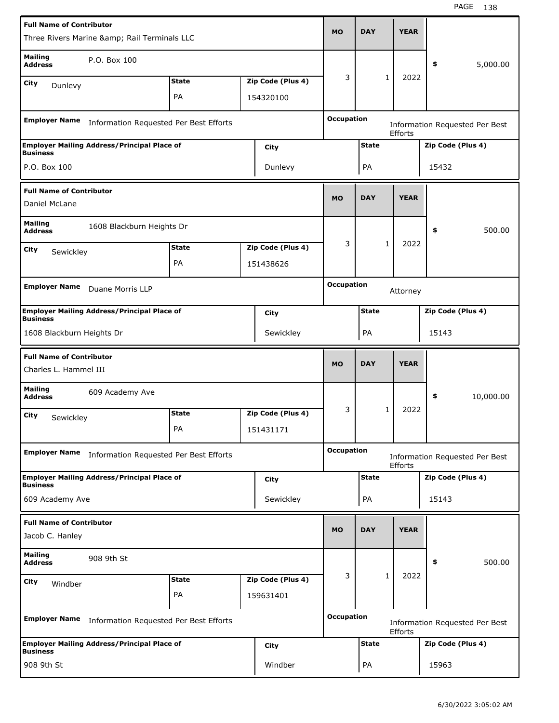| <b>Full Name of Contributor</b>                          |                                                    |              |                   |                   |              |              |                |       |                                       |
|----------------------------------------------------------|----------------------------------------------------|--------------|-------------------|-------------------|--------------|--------------|----------------|-------|---------------------------------------|
|                                                          | Three Rivers Marine & Rail Terminals LLC           |              |                   | <b>MO</b>         | <b>DAY</b>   |              | <b>YEAR</b>    |       |                                       |
| <b>Mailing</b><br><b>Address</b>                         | P.O. Box 100                                       |              |                   |                   |              |              |                | \$    | 5,000.00                              |
| City<br>Dunlevy                                          |                                                    | <b>State</b> | Zip Code (Plus 4) | 3                 |              | $\mathbf{1}$ | 2022           |       |                                       |
|                                                          |                                                    | PA           | 154320100         |                   |              |              |                |       |                                       |
| <b>Employer Name</b>                                     | Information Requested Per Best Efforts             |              |                   | <b>Occupation</b> |              |              |                |       | <b>Information Requested Per Best</b> |
|                                                          |                                                    |              |                   |                   |              |              | <b>Efforts</b> |       |                                       |
| <b>Business</b>                                          | <b>Employer Mailing Address/Principal Place of</b> |              | City              |                   | <b>State</b> |              |                |       | Zip Code (Plus 4)                     |
| P.O. Box 100                                             |                                                    |              | Dunlevy           |                   | PA           |              |                | 15432 |                                       |
| <b>Full Name of Contributor</b>                          |                                                    |              |                   |                   |              |              |                |       |                                       |
| Daniel McLane                                            |                                                    |              |                   | <b>MO</b>         | <b>DAY</b>   |              | <b>YEAR</b>    |       |                                       |
| <b>Mailing</b><br><b>Address</b>                         | 1608 Blackburn Heights Dr                          |              |                   |                   |              |              |                | \$    | 500.00                                |
| City                                                     |                                                    | <b>State</b> | Zip Code (Plus 4) | 3                 |              | $\mathbf 1$  | 2022           |       |                                       |
| Sewickley                                                |                                                    | PA           | 151438626         |                   |              |              |                |       |                                       |
|                                                          |                                                    |              |                   |                   |              |              |                |       |                                       |
| <b>Employer Name</b>                                     | Duane Morris LLP                                   |              |                   | <b>Occupation</b> |              |              | Attorney       |       |                                       |
| <b>Business</b>                                          | <b>Employer Mailing Address/Principal Place of</b> |              | <b>City</b>       |                   | <b>State</b> |              |                |       | Zip Code (Plus 4)                     |
| 1608 Blackburn Heights Dr                                |                                                    |              | Sewickley         |                   | PA           |              |                | 15143 |                                       |
|                                                          |                                                    |              |                   |                   |              |              |                |       |                                       |
| <b>Full Name of Contributor</b><br>Charles L. Hammel III |                                                    |              |                   | <b>MO</b>         | <b>DAY</b>   |              | <b>YEAR</b>    |       |                                       |
| <b>Mailing</b><br><b>Address</b>                         | 609 Academy Ave                                    |              |                   |                   |              |              |                | \$    | 10,000.00                             |
| City                                                     |                                                    | <b>State</b> | Zip Code (Plus 4) | 3                 |              | 1            | 2022           |       |                                       |
| Sewickley                                                |                                                    | PА           | 151431171         |                   |              |              |                |       |                                       |
| <b>Employer Name</b>                                     | Information Requested Per Best Efforts             |              |                   | <b>Occupation</b> |              |              |                |       | Information Requested Per Best        |
|                                                          | <b>Employer Mailing Address/Principal Place of</b> |              | <b>City</b>       |                   | <b>State</b> |              | Efforts        |       | Zip Code (Plus 4)                     |
| <b>Business</b><br>609 Academy Ave                       |                                                    |              | Sewickley         |                   | PA           |              |                | 15143 |                                       |
|                                                          |                                                    |              |                   |                   |              |              |                |       |                                       |
| <b>Full Name of Contributor</b><br>Jacob C. Hanley       |                                                    |              |                   | <b>MO</b>         | <b>DAY</b>   |              | <b>YEAR</b>    |       |                                       |
| <b>Mailing</b><br><b>Address</b>                         | 908 9th St                                         |              |                   |                   |              |              |                | \$    | 500.00                                |
| City                                                     |                                                    | <b>State</b> | Zip Code (Plus 4) | 3                 |              | 1            | 2022           |       |                                       |
| Windber                                                  |                                                    | PA           | 159631401         |                   |              |              |                |       |                                       |
| <b>Employer Name</b>                                     | Information Requested Per Best Efforts             |              |                   | <b>Occupation</b> |              |              | Efforts        |       | <b>Information Requested Per Best</b> |
| <b>Business</b>                                          | <b>Employer Mailing Address/Principal Place of</b> |              | <b>City</b>       |                   | <b>State</b> |              |                |       | Zip Code (Plus 4)                     |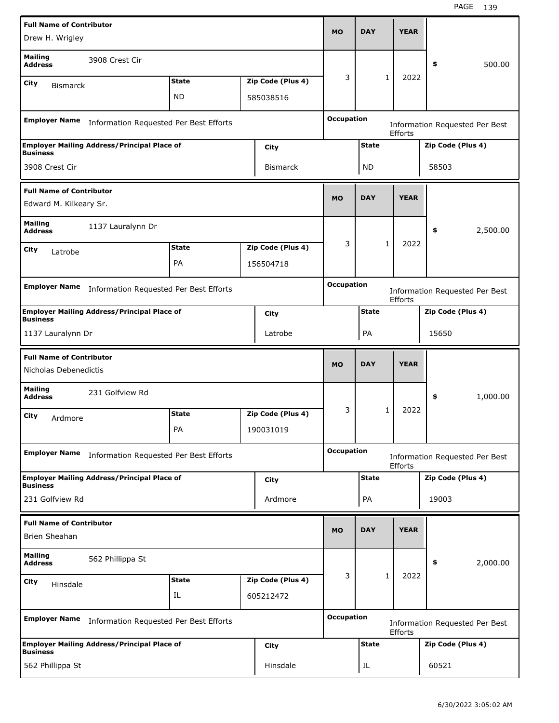| <b>Full Name of Contributor</b>  |                                                    |              |                   | <b>MO</b>         | <b>DAY</b>   |              | <b>YEAR</b>    |                   |                                       |
|----------------------------------|----------------------------------------------------|--------------|-------------------|-------------------|--------------|--------------|----------------|-------------------|---------------------------------------|
| Drew H. Wrigley                  |                                                    |              |                   |                   |              |              |                |                   |                                       |
| <b>Mailing</b><br><b>Address</b> | 3908 Crest Cir                                     |              |                   |                   |              |              |                | \$                | 500.00                                |
| City                             |                                                    | <b>State</b> | Zip Code (Plus 4) | 3                 |              | $\mathbf{1}$ | 2022           |                   |                                       |
| <b>Bismarck</b>                  |                                                    | ND           | 585038516         |                   |              |              |                |                   |                                       |
|                                  |                                                    |              |                   |                   |              |              |                |                   |                                       |
| <b>Employer Name</b>             | Information Requested Per Best Efforts             |              |                   | <b>Occupation</b> |              |              | Efforts        |                   | <b>Information Requested Per Best</b> |
| <b>Business</b>                  | <b>Employer Mailing Address/Principal Place of</b> |              | City              |                   | <b>State</b> |              |                | Zip Code (Plus 4) |                                       |
| 3908 Crest Cir                   |                                                    |              | <b>Bismarck</b>   |                   | ND           |              |                | 58503             |                                       |
| <b>Full Name of Contributor</b>  |                                                    |              |                   |                   |              |              |                |                   |                                       |
| Edward M. Kilkeary Sr.           |                                                    |              |                   | <b>MO</b>         | <b>DAY</b>   |              | <b>YEAR</b>    |                   |                                       |
| Mailing<br><b>Address</b>        | 1137 Lauralynn Dr                                  |              |                   |                   |              |              |                | \$                | 2,500.00                              |
| City<br>Latrobe                  |                                                    | <b>State</b> | Zip Code (Plus 4) | 3                 |              | $\mathbf{1}$ | 2022           |                   |                                       |
|                                  |                                                    | PA           | 156504718         |                   |              |              |                |                   |                                       |
|                                  |                                                    |              |                   |                   |              |              |                |                   |                                       |
| <b>Employer Name</b>             | Information Requested Per Best Efforts             |              |                   | <b>Occupation</b> |              |              | <b>Efforts</b> |                   | Information Requested Per Best        |
| <b>Business</b>                  | <b>Employer Mailing Address/Principal Place of</b> |              | City              |                   | <b>State</b> |              |                | Zip Code (Plus 4) |                                       |
| 1137 Lauralynn Dr                |                                                    |              | Latrobe           |                   | PA           |              |                | 15650             |                                       |
|                                  |                                                    |              |                   |                   |              |              |                |                   |                                       |
|                                  |                                                    |              |                   |                   |              |              |                |                   |                                       |
| <b>Full Name of Contributor</b>  |                                                    |              |                   | <b>MO</b>         | <b>DAY</b>   |              | <b>YEAR</b>    |                   |                                       |
| Nicholas Debenedictis            |                                                    |              |                   |                   |              |              |                |                   |                                       |
| <b>Mailing</b><br><b>Address</b> | 231 Golfview Rd                                    |              |                   |                   |              |              |                | \$                | 1,000.00                              |
| City                             |                                                    | <b>State</b> | Zip Code (Plus 4) | 3                 |              | 1            | 2022           |                   |                                       |
| Ardmore                          |                                                    | PA           | 190031019         |                   |              |              |                |                   |                                       |
|                                  |                                                    |              |                   |                   |              |              |                |                   |                                       |
| <b>Employer Name</b>             | Information Requested Per Best Efforts             |              |                   | <b>Occupation</b> |              |              | Efforts        |                   | <b>Information Requested Per Best</b> |
| <b>Business</b>                  | <b>Employer Mailing Address/Principal Place of</b> |              | City              |                   | <b>State</b> |              |                | Zip Code (Plus 4) |                                       |
| 231 Golfview Rd                  |                                                    |              | Ardmore           |                   | PA           |              |                | 19003             |                                       |
| <b>Full Name of Contributor</b>  |                                                    |              |                   |                   |              |              |                |                   |                                       |
| <b>Brien Sheahan</b>             |                                                    |              |                   | <b>MO</b>         | <b>DAY</b>   |              | <b>YEAR</b>    |                   |                                       |
| <b>Mailing</b><br><b>Address</b> | 562 Phillippa St                                   |              |                   |                   |              |              |                | \$                | 2,000.00                              |
| City                             |                                                    | <b>State</b> | Zip Code (Plus 4) | 3                 |              | $\mathbf{1}$ | 2022           |                   |                                       |
| Hinsdale                         |                                                    | IL           | 605212472         |                   |              |              |                |                   |                                       |
|                                  |                                                    |              |                   | Occupation        |              |              |                |                   |                                       |
| <b>Employer Name</b>             | Information Requested Per Best Efforts             |              |                   |                   |              |              | Efforts        |                   | <b>Information Requested Per Best</b> |
| <b>Business</b>                  | <b>Employer Mailing Address/Principal Place of</b> |              | <b>City</b>       |                   | <b>State</b> |              |                | Zip Code (Plus 4) |                                       |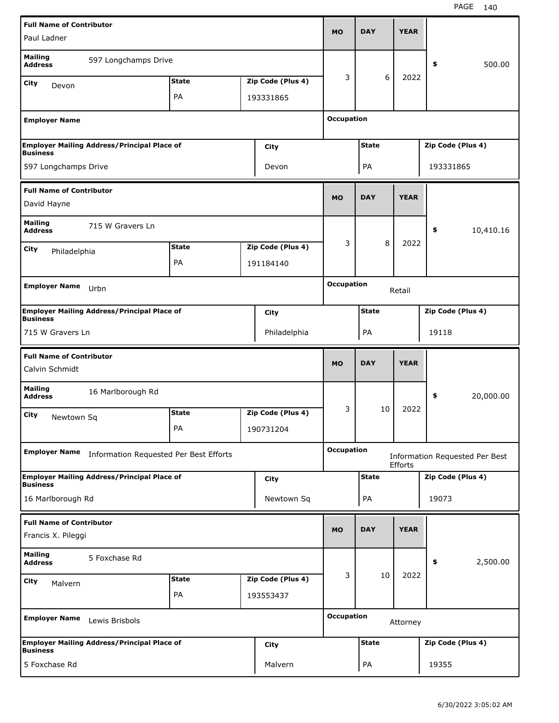| <b>Full Name of Contributor</b>                   |                                                    |              |                   |                   |              |             |                                       |           |
|---------------------------------------------------|----------------------------------------------------|--------------|-------------------|-------------------|--------------|-------------|---------------------------------------|-----------|
| Paul Ladner                                       |                                                    |              |                   | <b>MO</b>         | <b>DAY</b>   | <b>YEAR</b> |                                       |           |
| <b>Mailing</b><br><b>Address</b>                  | 597 Longchamps Drive                               |              |                   |                   |              |             | \$                                    | 500.00    |
| City<br>Devon                                     |                                                    | <b>State</b> | Zip Code (Plus 4) | 3                 | 6            | 2022        |                                       |           |
|                                                   |                                                    | PA           | 193331865         |                   |              |             |                                       |           |
|                                                   |                                                    |              |                   |                   |              |             |                                       |           |
| <b>Employer Name</b>                              |                                                    |              |                   | <b>Occupation</b> |              |             |                                       |           |
| <b>Business</b>                                   | <b>Employer Mailing Address/Principal Place of</b> |              | City              |                   | <b>State</b> |             | Zip Code (Plus 4)                     |           |
| 597 Longchamps Drive                              |                                                    |              | Devon             |                   | PA           |             | 193331865                             |           |
| <b>Full Name of Contributor</b>                   |                                                    |              |                   |                   |              |             |                                       |           |
| David Hayne                                       |                                                    |              |                   | <b>MO</b>         | <b>DAY</b>   | <b>YEAR</b> |                                       |           |
| <b>Mailing</b><br><b>Address</b>                  | 715 W Gravers Ln                                   |              |                   |                   |              |             | \$                                    | 10,410.16 |
| City<br>Philadelphia                              |                                                    | <b>State</b> | Zip Code (Plus 4) | 3                 | 8            | 2022        |                                       |           |
|                                                   |                                                    | PA           | 191184140         |                   |              |             |                                       |           |
|                                                   |                                                    |              |                   |                   |              |             |                                       |           |
| <b>Employer Name</b>                              | Urbn                                               |              |                   | <b>Occupation</b> |              | Retail      |                                       |           |
| <b>Business</b>                                   | <b>Employer Mailing Address/Principal Place of</b> |              | City              |                   | <b>State</b> |             | Zip Code (Plus 4)                     |           |
| 715 W Gravers Ln                                  |                                                    |              | Philadelphia      |                   | PA           |             | 19118                                 |           |
|                                                   |                                                    |              |                   |                   |              |             |                                       |           |
| <b>Full Name of Contributor</b><br>Calvin Schmidt |                                                    |              |                   | <b>MO</b>         |              |             |                                       |           |
|                                                   |                                                    |              |                   |                   | <b>DAY</b>   | <b>YEAR</b> |                                       |           |
| <b>Mailing</b><br><b>Address</b>                  | 16 Marlborough Rd                                  |              |                   |                   |              |             | \$                                    | 20,000.00 |
| City                                              |                                                    | <b>State</b> | Zip Code (Plus 4) | 3                 | 10           | 2022        |                                       |           |
| Newtown Sq                                        |                                                    | PA           | 190731204         |                   |              |             |                                       |           |
|                                                   |                                                    |              |                   |                   |              |             |                                       |           |
| <b>Employer Name</b>                              | Information Requested Per Best Efforts             |              |                   | <b>Occupation</b> |              | Efforts     | <b>Information Requested Per Best</b> |           |
| <b>Business</b>                                   | <b>Employer Mailing Address/Principal Place of</b> |              | <b>City</b>       |                   | <b>State</b> |             | Zip Code (Plus 4)                     |           |
| 16 Marlborough Rd                                 |                                                    |              | Newtown Sq        |                   | PA           |             | 19073                                 |           |
| <b>Full Name of Contributor</b>                   |                                                    |              |                   |                   |              |             |                                       |           |
| Francis X. Pileggi                                |                                                    |              |                   | <b>MO</b>         | <b>DAY</b>   | <b>YEAR</b> |                                       |           |
| <b>Mailing</b><br><b>Address</b>                  | 5 Foxchase Rd                                      |              |                   |                   |              |             | \$                                    | 2,500.00  |
| City                                              |                                                    | <b>State</b> | Zip Code (Plus 4) | 3                 | 10           | 2022        |                                       |           |
| Malvern                                           |                                                    | PA           | 193553437         |                   |              |             |                                       |           |
| <b>Employer Name</b>                              | Lewis Brisbols                                     |              |                   | <b>Occupation</b> |              | Attorney    |                                       |           |
|                                                   | <b>Employer Mailing Address/Principal Place of</b> |              | City              |                   | <b>State</b> |             | Zip Code (Plus 4)                     |           |
| <b>Business</b><br>5 Foxchase Rd                  |                                                    |              | Malvern           |                   | PA           |             | 19355                                 |           |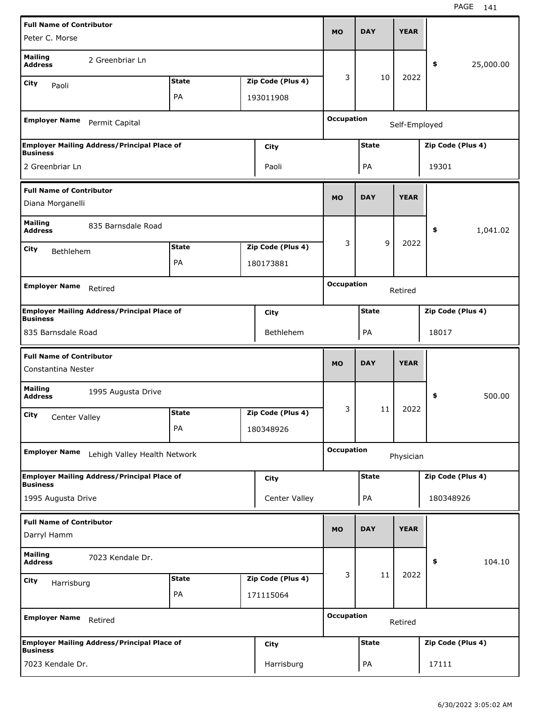| <b>Full Name of Contributor</b>                       |                                                    |              |                   |                   |              |               |                   |           |
|-------------------------------------------------------|----------------------------------------------------|--------------|-------------------|-------------------|--------------|---------------|-------------------|-----------|
| Peter C. Morse                                        |                                                    |              |                   | <b>MO</b>         | <b>DAY</b>   | <b>YEAR</b>   |                   |           |
| <b>Mailing</b><br><b>Address</b>                      | 2 Greenbriar Ln                                    |              |                   |                   |              |               | \$                | 25,000.00 |
| City<br>Paoli                                         |                                                    | <b>State</b> | Zip Code (Plus 4) | 3                 | 10           | 2022          |                   |           |
|                                                       |                                                    | PA           | 193011908         |                   |              |               |                   |           |
| <b>Employer Name</b>                                  | Permit Capital                                     |              |                   | <b>Occupation</b> |              | Self-Employed |                   |           |
| <b>Business</b>                                       | <b>Employer Mailing Address/Principal Place of</b> |              | City              |                   | <b>State</b> |               | Zip Code (Plus 4) |           |
| 2 Greenbriar Ln                                       |                                                    |              | Paoli             |                   | PA           |               | 19301             |           |
| <b>Full Name of Contributor</b>                       |                                                    |              |                   | <b>MO</b>         | <b>DAY</b>   | <b>YEAR</b>   |                   |           |
| Diana Morganelli                                      |                                                    |              |                   |                   |              |               |                   |           |
| <b>Mailing</b><br><b>Address</b>                      | 835 Barnsdale Road                                 |              |                   |                   |              |               | \$                | 1,041.02  |
| City<br>Bethlehem                                     |                                                    | <b>State</b> | Zip Code (Plus 4) | 3                 | 9            | 2022          |                   |           |
|                                                       |                                                    | PA           | 180173881         |                   |              |               |                   |           |
| <b>Employer Name</b>                                  | Retired                                            |              |                   | <b>Occupation</b> |              | Retired       |                   |           |
|                                                       | <b>Employer Mailing Address/Principal Place of</b> |              | City              |                   | <b>State</b> |               | Zip Code (Plus 4) |           |
| <b>Business</b><br>835 Barnsdale Road                 |                                                    |              | <b>Bethlehem</b>  |                   | PA           |               | 18017             |           |
|                                                       |                                                    |              |                   |                   |              |               |                   |           |
|                                                       |                                                    |              |                   |                   |              |               |                   |           |
| <b>Full Name of Contributor</b><br>Constantina Nester |                                                    |              |                   | <b>MO</b>         | <b>DAY</b>   | <b>YEAR</b>   |                   |           |
| <b>Mailing</b><br><b>Address</b>                      | 1995 Augusta Drive                                 |              |                   |                   |              |               | \$                | 500.00    |
| City                                                  |                                                    | <b>State</b> | Zip Code (Plus 4) | 3                 | 11           | 2022          |                   |           |
| Center Valley                                         |                                                    | PA           | 180348926         |                   |              |               |                   |           |
| <b>Employer Name</b>                                  | Lehigh Valley Health Network                       |              |                   | <b>Occupation</b> |              | Physician     |                   |           |
|                                                       | Employer Mailing Address/Principal Place of        |              | City              |                   | <b>State</b> |               | Zip Code (Plus 4) |           |
| <b>Business</b><br>1995 Augusta Drive                 |                                                    |              | Center Valley     |                   | PA           |               | 180348926         |           |
|                                                       |                                                    |              |                   |                   |              |               |                   |           |
| <b>Full Name of Contributor</b><br>Darryl Hamm        |                                                    |              |                   | <b>MO</b>         | <b>DAY</b>   | <b>YEAR</b>   |                   |           |
| <b>Mailing</b><br><b>Address</b>                      | 7023 Kendale Dr.                                   |              |                   |                   |              |               | \$                | 104.10    |
| <b>City</b>                                           |                                                    | <b>State</b> | Zip Code (Plus 4) | 3                 | 11           | 2022          |                   |           |
| Harrisburg                                            |                                                    | PA           | 171115064         |                   |              |               |                   |           |
| <b>Employer Name</b>                                  | Retired                                            |              |                   | <b>Occupation</b> |              | Retired       |                   |           |
| <b>Business</b>                                       | <b>Employer Mailing Address/Principal Place of</b> |              | City              |                   | <b>State</b> |               | Zip Code (Plus 4) |           |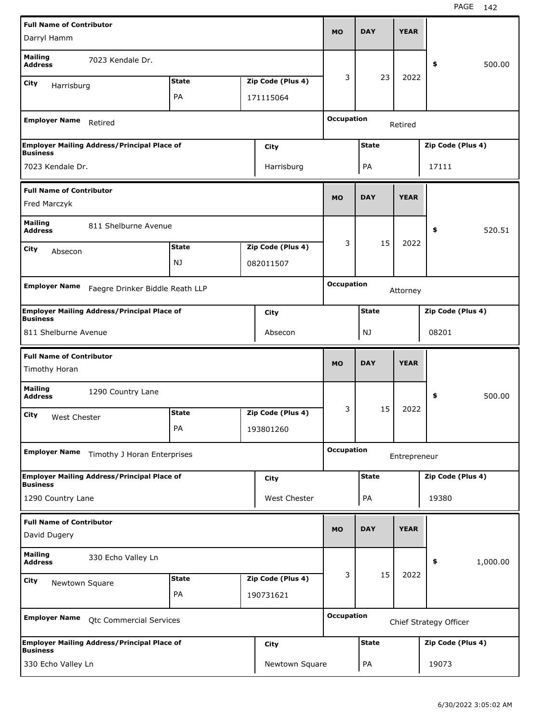| <b>Full Name of Contributor</b>                 |                                                    |              |                   |                   |              |              |                        |          |
|-------------------------------------------------|----------------------------------------------------|--------------|-------------------|-------------------|--------------|--------------|------------------------|----------|
| Darryl Hamm                                     |                                                    |              |                   | <b>MO</b>         | <b>DAY</b>   | <b>YEAR</b>  |                        |          |
| <b>Mailing</b><br><b>Address</b>                | 7023 Kendale Dr.                                   |              |                   |                   |              |              | \$                     | 500.00   |
| City<br>Harrisburg                              |                                                    | <b>State</b> | Zip Code (Plus 4) | 3                 | 23           | 2022         |                        |          |
|                                                 |                                                    | PA           | 171115064         |                   |              |              |                        |          |
| <b>Employer Name</b>                            | Retired                                            |              |                   | <b>Occupation</b> |              | Retired      |                        |          |
| <b>Business</b>                                 | <b>Employer Mailing Address/Principal Place of</b> |              | City              |                   | <b>State</b> |              | Zip Code (Plus 4)      |          |
| 7023 Kendale Dr.                                |                                                    |              | Harrisburg        |                   | PA           |              | 17111                  |          |
| <b>Full Name of Contributor</b><br>Fred Marczyk |                                                    |              |                   | <b>MO</b>         | <b>DAY</b>   | <b>YEAR</b>  |                        |          |
| <b>Mailing</b><br><b>Address</b>                | 811 Shelburne Avenue                               |              |                   |                   |              |              | \$                     | 520.51   |
| City                                            |                                                    | <b>State</b> | Zip Code (Plus 4) | 3                 | 15           | 2022         |                        |          |
| Absecon                                         |                                                    | NJ           | 082011507         |                   |              |              |                        |          |
|                                                 |                                                    |              |                   | <b>Occupation</b> |              |              |                        |          |
| <b>Employer Name</b>                            | Faegre Drinker Biddle Reath LLP                    |              |                   |                   |              | Attorney     |                        |          |
| <b>Business</b>                                 | <b>Employer Mailing Address/Principal Place of</b> |              | <b>City</b>       |                   | <b>State</b> |              | Zip Code (Plus 4)      |          |
| 811 Shelburne Avenue                            |                                                    |              | Absecon           |                   | NJ           |              | 08201                  |          |
|                                                 |                                                    |              |                   |                   |              |              |                        |          |
| <b>Full Name of Contributor</b>                 |                                                    |              |                   | <b>MO</b>         | <b>DAY</b>   | <b>YEAR</b>  |                        |          |
| Timothy Horan                                   |                                                    |              |                   |                   |              |              |                        |          |
| <b>Mailing</b><br><b>Address</b>                | 1290 Country Lane                                  |              |                   |                   |              |              | \$                     | 500.00   |
| City<br>West Chester                            |                                                    | <b>State</b> | Zip Code (Plus 4) | 3                 | 15           | 2022         |                        |          |
|                                                 |                                                    | PA           | 193801260         |                   |              |              |                        |          |
| <b>Employer Name</b>                            | Timothy J Horan Enterprises                        |              |                   | <b>Occupation</b> |              | Entrepreneur |                        |          |
| <b>Business</b>                                 | <b>Employer Mailing Address/Principal Place of</b> |              | <b>City</b>       |                   | <b>State</b> |              | Zip Code (Plus 4)      |          |
| 1290 Country Lane                               |                                                    |              | West Chester      |                   | PA           |              | 19380                  |          |
| <b>Full Name of Contributor</b><br>David Dugery |                                                    |              |                   | <b>MO</b>         | <b>DAY</b>   | <b>YEAR</b>  |                        |          |
| <b>Mailing</b><br><b>Address</b>                | 330 Echo Valley Ln                                 |              |                   |                   |              |              | \$                     | 1,000.00 |
| City                                            |                                                    | <b>State</b> | Zip Code (Plus 4) | 3                 | 15           | 2022         |                        |          |
| Newtown Square                                  |                                                    | PA           | 190731621         |                   |              |              |                        |          |
| <b>Employer Name</b>                            | Qtc Commercial Services                            |              |                   | <b>Occupation</b> |              |              | Chief Strategy Officer |          |
| <b>Business</b>                                 | <b>Employer Mailing Address/Principal Place of</b> |              | <b>City</b>       |                   | <b>State</b> |              | Zip Code (Plus 4)      |          |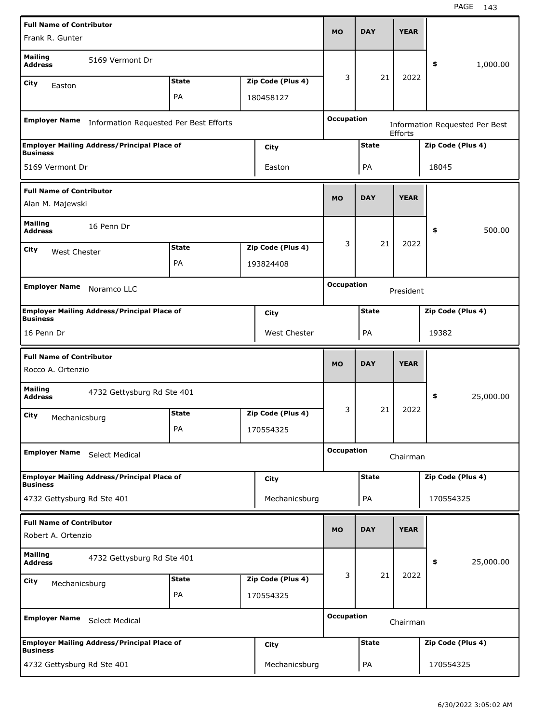| <b>Full Name of Contributor</b>                       |                                                    |              |                   |                   |              |                |                   |                                       |
|-------------------------------------------------------|----------------------------------------------------|--------------|-------------------|-------------------|--------------|----------------|-------------------|---------------------------------------|
| Frank R. Gunter                                       |                                                    |              |                   | <b>MO</b>         | <b>DAY</b>   | <b>YEAR</b>    |                   |                                       |
| <b>Mailing</b><br><b>Address</b>                      | 5169 Vermont Dr                                    |              |                   |                   |              |                | \$                | 1,000.00                              |
| City<br>Easton                                        |                                                    | <b>State</b> | Zip Code (Plus 4) | 3                 | 21           | 2022           |                   |                                       |
|                                                       |                                                    | PA           | 180458127         |                   |              |                |                   |                                       |
| <b>Employer Name</b>                                  | Information Requested Per Best Efforts             |              |                   | <b>Occupation</b> |              | <b>Efforts</b> |                   | <b>Information Requested Per Best</b> |
|                                                       | <b>Employer Mailing Address/Principal Place of</b> |              | <b>City</b>       |                   | <b>State</b> |                | Zip Code (Plus 4) |                                       |
| <b>Business</b><br>5169 Vermont Dr                    |                                                    |              | Easton            |                   | PA           |                | 18045             |                                       |
| <b>Full Name of Contributor</b><br>Alan M. Majewski   |                                                    |              |                   | <b>MO</b>         | <b>DAY</b>   | <b>YEAR</b>    |                   |                                       |
| <b>Mailing</b><br><b>Address</b>                      | 16 Penn Dr                                         |              |                   |                   |              |                | \$                | 500.00                                |
| City                                                  |                                                    | <b>State</b> | Zip Code (Plus 4) | 3                 | 21           | 2022           |                   |                                       |
| West Chester                                          |                                                    | PA           | 193824408         |                   |              |                |                   |                                       |
|                                                       |                                                    |              |                   |                   |              |                |                   |                                       |
| <b>Employer Name</b>                                  | Noramco LLC                                        |              |                   | <b>Occupation</b> |              | President      |                   |                                       |
| <b>Business</b>                                       | <b>Employer Mailing Address/Principal Place of</b> |              | City              |                   | <b>State</b> |                | Zip Code (Plus 4) |                                       |
| 16 Penn Dr                                            |                                                    |              | West Chester      |                   | PA           |                | 19382             |                                       |
|                                                       |                                                    |              |                   |                   |              |                |                   |                                       |
| <b>Full Name of Contributor</b><br>Rocco A. Ortenzio  |                                                    |              |                   | <b>MO</b>         | <b>DAY</b>   | <b>YEAR</b>    |                   |                                       |
| <b>Mailing</b><br><b>Address</b>                      | 4732 Gettysburg Rd Ste 401                         |              |                   |                   |              |                | \$                | 25,000.00                             |
| City                                                  |                                                    | <b>State</b> | Zip Code (Plus 4) | 3                 | 21           | 2022           |                   |                                       |
| Mechanicsburg                                         |                                                    | PA           | 170554325         |                   |              |                |                   |                                       |
| <b>Employer Name</b>                                  | Select Medical                                     |              |                   | <b>Occupation</b> |              | Chairman       |                   |                                       |
|                                                       | <b>Employer Mailing Address/Principal Place of</b> |              | <b>City</b>       |                   | <b>State</b> |                | Zip Code (Plus 4) |                                       |
| <b>Business</b><br>4732 Gettysburg Rd Ste 401         |                                                    |              | Mechanicsburg     |                   | PA           |                | 170554325         |                                       |
| <b>Full Name of Contributor</b><br>Robert A. Ortenzio |                                                    |              |                   | <b>MO</b>         | <b>DAY</b>   | <b>YEAR</b>    |                   |                                       |
| <b>Mailing</b>                                        |                                                    |              |                   |                   |              |                |                   |                                       |
| <b>Address</b>                                        | 4732 Gettysburg Rd Ste 401                         |              |                   |                   |              |                | \$                | 25,000.00                             |
| City<br>Mechanicsburg                                 |                                                    | <b>State</b> | Zip Code (Plus 4) | 3                 | 21           | 2022           |                   |                                       |
|                                                       |                                                    | PA           | 170554325         |                   |              |                |                   |                                       |
| <b>Employer Name</b>                                  | <b>Select Medical</b>                              |              |                   | <b>Occupation</b> |              | Chairman       |                   |                                       |
| <b>Business</b>                                       | <b>Employer Mailing Address/Principal Place of</b> |              | <b>City</b>       |                   | <b>State</b> |                | Zip Code (Plus 4) |                                       |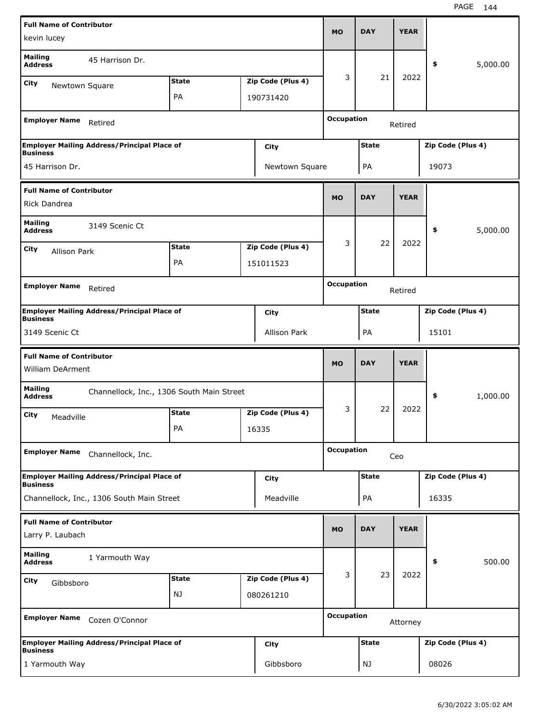| <b>Full Name of Contributor</b>                            |                                                    |              |                     |                   |              |             |                   |          |
|------------------------------------------------------------|----------------------------------------------------|--------------|---------------------|-------------------|--------------|-------------|-------------------|----------|
| kevin lucey                                                |                                                    |              |                     | <b>MO</b>         | <b>DAY</b>   | <b>YEAR</b> |                   |          |
| <b>Mailing</b><br><b>Address</b>                           | 45 Harrison Dr.                                    |              |                     |                   |              |             | \$                | 5,000.00 |
| <b>City</b><br>Newtown Square                              |                                                    | <b>State</b> | Zip Code (Plus 4)   | 3                 | 21           | 2022        |                   |          |
|                                                            |                                                    | PA           | 190731420           |                   |              |             |                   |          |
| <b>Employer Name</b>                                       | Retired                                            |              |                     | <b>Occupation</b> |              | Retired     |                   |          |
|                                                            | <b>Employer Mailing Address/Principal Place of</b> |              | City                |                   | <b>State</b> |             | Zip Code (Plus 4) |          |
| <b>Business</b><br>45 Harrison Dr.                         |                                                    |              | Newtown Square      |                   | PA           |             | 19073             |          |
| <b>Full Name of Contributor</b>                            |                                                    |              |                     | <b>MO</b>         | <b>DAY</b>   | <b>YEAR</b> |                   |          |
| Rick Dandrea                                               |                                                    |              |                     |                   |              |             |                   |          |
| <b>Mailing</b><br><b>Address</b>                           | 3149 Scenic Ct                                     |              |                     |                   |              |             | \$                | 5,000.00 |
| City<br><b>Allison Park</b>                                |                                                    | <b>State</b> | Zip Code (Plus 4)   | 3                 | 22           | 2022        |                   |          |
|                                                            |                                                    | PA           | 151011523           |                   |              |             |                   |          |
|                                                            |                                                    |              |                     | <b>Occupation</b> |              |             |                   |          |
| <b>Employer Name</b>                                       | Retired                                            |              |                     |                   |              | Retired     |                   |          |
| <b>Business</b>                                            | <b>Employer Mailing Address/Principal Place of</b> |              | City                |                   | <b>State</b> |             | Zip Code (Plus 4) |          |
| 3149 Scenic Ct                                             |                                                    |              | <b>Allison Park</b> |                   | PA           |             | 15101             |          |
|                                                            |                                                    |              |                     |                   |              |             |                   |          |
|                                                            |                                                    |              |                     |                   |              |             |                   |          |
| <b>Full Name of Contributor</b><br><b>William DeArment</b> |                                                    |              |                     | <b>MO</b>         | <b>DAY</b>   | <b>YEAR</b> |                   |          |
| <b>Mailing</b><br><b>Address</b>                           | Channellock, Inc., 1306 South Main Street          |              |                     |                   |              |             | \$                | 1,000.00 |
| City<br>Meadville                                          |                                                    | <b>State</b> | Zip Code (Plus 4)   | 3                 | 22           | 2022        |                   |          |
|                                                            |                                                    | PA           | 16335               |                   |              |             |                   |          |
| <b>Employer Name</b>                                       | Channellock, Inc.                                  |              |                     | <b>Occupation</b> |              | Ceo         |                   |          |
|                                                            | <b>Employer Mailing Address/Principal Place of</b> |              | <b>City</b>         |                   | <b>State</b> |             | Zip Code (Plus 4) |          |
| <b>Business</b>                                            | Channellock, Inc., 1306 South Main Street          |              | Meadville           |                   | PA           |             | 16335             |          |
|                                                            |                                                    |              |                     |                   |              |             |                   |          |
| <b>Full Name of Contributor</b><br>Larry P. Laubach        |                                                    |              |                     | <b>MO</b>         | <b>DAY</b>   | <b>YEAR</b> |                   |          |
| <b>Mailing</b><br><b>Address</b>                           | 1 Yarmouth Way                                     |              |                     |                   |              |             | \$                | 500.00   |
| <b>City</b><br>Gibbsboro                                   |                                                    | <b>State</b> | Zip Code (Plus 4)   | 3                 | 23           | 2022        |                   |          |
|                                                            |                                                    | NJ           | 080261210           |                   |              |             |                   |          |
| <b>Employer Name</b>                                       | Cozen O'Connor                                     |              |                     | <b>Occupation</b> |              | Attorney    |                   |          |
| <b>Business</b>                                            | <b>Employer Mailing Address/Principal Place of</b> |              | <b>City</b>         |                   | <b>State</b> |             | Zip Code (Plus 4) |          |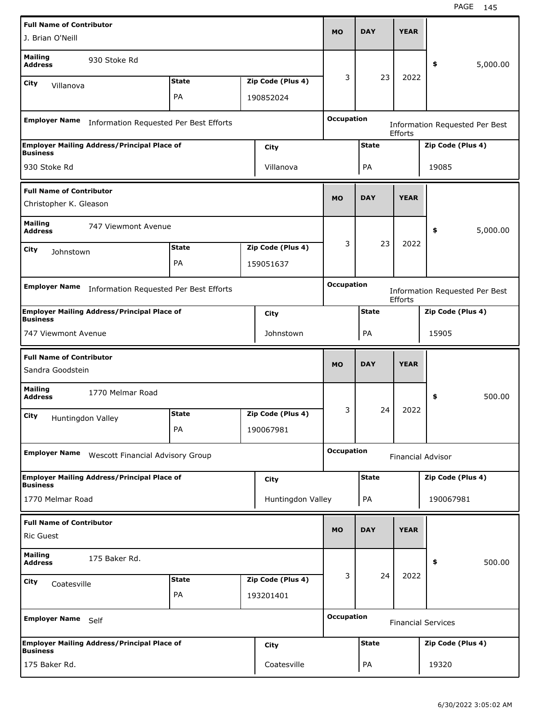| <b>Full Name of Contributor</b>                                                      |                                                    |                                                  |  |                   | <b>MO</b>         | <b>DAY</b>   | <b>YEAR</b> |                                       |          |
|--------------------------------------------------------------------------------------|----------------------------------------------------|--------------------------------------------------|--|-------------------|-------------------|--------------|-------------|---------------------------------------|----------|
| J. Brian O'Neill                                                                     |                                                    |                                                  |  |                   |                   |              |             |                                       |          |
| <b>Mailing</b><br><b>Address</b>                                                     | 930 Stoke Rd                                       |                                                  |  |                   |                   |              |             | \$                                    | 5,000.00 |
| City<br>Villanova                                                                    |                                                    | <b>State</b>                                     |  | Zip Code (Plus 4) | 3                 | 23           | 2022        |                                       |          |
|                                                                                      |                                                    | PA                                               |  | 190852024         |                   |              |             |                                       |          |
| <b>Employer Name</b>                                                                 | Information Requested Per Best Efforts             |                                                  |  |                   | <b>Occupation</b> |              | Efforts     | <b>Information Requested Per Best</b> |          |
| <b>Business</b>                                                                      | <b>Employer Mailing Address/Principal Place of</b> |                                                  |  | <b>City</b>       |                   | <b>State</b> |             | Zip Code (Plus 4)                     |          |
| 930 Stoke Rd                                                                         |                                                    |                                                  |  | Villanova         |                   | PA           |             | 19085                                 |          |
| <b>Full Name of Contributor</b><br>Christopher K. Gleason                            |                                                    |                                                  |  |                   | <b>MO</b>         | <b>DAY</b>   | <b>YEAR</b> |                                       |          |
| <b>Mailing</b><br><b>Address</b>                                                     | 747 Viewmont Avenue                                |                                                  |  |                   |                   |              |             | \$                                    | 5,000.00 |
| City                                                                                 |                                                    | <b>State</b>                                     |  | Zip Code (Plus 4) | 3                 | 23           | 2022        |                                       |          |
| Johnstown                                                                            |                                                    | PA                                               |  | 159051637         |                   |              |             |                                       |          |
|                                                                                      | Information Requested Per Best Efforts             |                                                  |  |                   | <b>Occupation</b> |              |             |                                       |          |
| <b>Employer Name</b>                                                                 |                                                    | <b>Information Requested Per Best</b><br>Efforts |  |                   |                   |              |             |                                       |          |
| <b>Employer Mailing Address/Principal Place of</b><br><b>City</b><br><b>Business</b> |                                                    |                                                  |  |                   |                   | <b>State</b> |             | Zip Code (Plus 4)                     |          |
| 747 Viewmont Avenue                                                                  |                                                    |                                                  |  | Johnstown         |                   | PA           |             | 15905                                 |          |
|                                                                                      |                                                    |                                                  |  |                   |                   |              |             |                                       |          |
| <b>Full Name of Contributor</b>                                                      |                                                    |                                                  |  |                   |                   |              |             |                                       |          |
| Sandra Goodstein                                                                     |                                                    |                                                  |  |                   | <b>MO</b>         | <b>DAY</b>   | <b>YEAR</b> |                                       |          |
| <b>Mailing</b><br><b>Address</b>                                                     | 1770 Melmar Road                                   |                                                  |  |                   |                   |              |             | \$                                    | 500.00   |
| City                                                                                 |                                                    | <b>State</b>                                     |  | Zip Code (Plus 4) | 3                 | 24           | 2022        |                                       |          |
|                                                                                      | Huntingdon Valley                                  | PA                                               |  | 190067981         |                   |              |             |                                       |          |
| <b>Employer Name</b>                                                                 | Wescott Financial Advisory Group                   |                                                  |  |                   | <b>Occupation</b> |              |             | <b>Financial Advisor</b>              |          |
| <b>Business</b>                                                                      | <b>Employer Mailing Address/Principal Place of</b> |                                                  |  | <b>City</b>       |                   | <b>State</b> |             | Zip Code (Plus 4)                     |          |
| 1770 Melmar Road                                                                     |                                                    |                                                  |  | Huntingdon Valley |                   | PA           |             | 190067981                             |          |
| <b>Full Name of Contributor</b><br><b>Ric Guest</b>                                  |                                                    |                                                  |  |                   | <b>MO</b>         | <b>DAY</b>   | <b>YEAR</b> |                                       |          |
| <b>Mailing</b><br><b>Address</b>                                                     | 175 Baker Rd.                                      |                                                  |  |                   |                   |              |             | \$                                    | 500.00   |
|                                                                                      |                                                    | <b>State</b>                                     |  | Zip Code (Plus 4) | 3                 | 24           | 2022        |                                       |          |
| City<br>Coatesville                                                                  |                                                    | PA                                               |  | 193201401         |                   |              |             |                                       |          |
| <b>Employer Name</b>                                                                 | Self                                               |                                                  |  |                   | <b>Occupation</b> |              |             | <b>Financial Services</b>             |          |
| <b>Business</b>                                                                      | <b>Employer Mailing Address/Principal Place of</b> |                                                  |  | <b>City</b>       |                   | <b>State</b> |             | Zip Code (Plus 4)                     |          |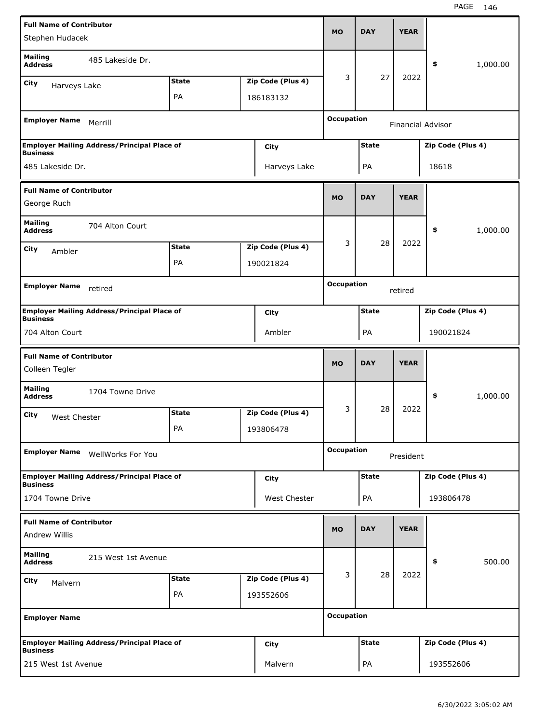| <b>Full Name of Contributor</b>  |                                                    |              |  |                   | <b>MO</b>         | <b>DAY</b>   | <b>YEAR</b> |                          |          |
|----------------------------------|----------------------------------------------------|--------------|--|-------------------|-------------------|--------------|-------------|--------------------------|----------|
| Stephen Hudacek                  |                                                    |              |  |                   |                   |              |             |                          |          |
| <b>Mailing</b><br><b>Address</b> | 485 Lakeside Dr.                                   |              |  |                   |                   |              |             | \$                       | 1,000.00 |
| City<br>Harveys Lake             |                                                    | <b>State</b> |  | Zip Code (Plus 4) | 3                 | 27           | 2022        |                          |          |
|                                  |                                                    | PA           |  | 186183132         |                   |              |             |                          |          |
| <b>Employer Name</b>             | Merrill                                            |              |  |                   | <b>Occupation</b> |              |             | <b>Financial Advisor</b> |          |
| <b>Business</b>                  | <b>Employer Mailing Address/Principal Place of</b> |              |  | City              |                   | <b>State</b> |             | Zip Code (Plus 4)        |          |
| 485 Lakeside Dr.                 |                                                    |              |  | Harveys Lake      |                   | PA           |             | 18618                    |          |
| <b>Full Name of Contributor</b>  |                                                    |              |  |                   | <b>MO</b>         | <b>DAY</b>   | <b>YEAR</b> |                          |          |
| George Ruch                      |                                                    |              |  |                   |                   |              |             |                          |          |
| <b>Mailing</b><br><b>Address</b> | 704 Alton Court                                    |              |  |                   |                   |              |             | \$                       | 1,000.00 |
| City<br>Ambler                   |                                                    | <b>State</b> |  | Zip Code (Plus 4) | 3                 | 28           | 2022        |                          |          |
|                                  |                                                    | PA           |  | 190021824         |                   |              |             |                          |          |
| <b>Employer Name</b>             | retired                                            |              |  |                   | <b>Occupation</b> |              |             |                          |          |
|                                  |                                                    | retired      |  |                   |                   |              |             |                          |          |
| <b>Business</b>                  | <b>Employer Mailing Address/Principal Place of</b> |              |  | City              |                   | <b>State</b> |             | Zip Code (Plus 4)        |          |
| 704 Alton Court                  |                                                    |              |  | Ambler            |                   | PA           |             | 190021824                |          |
|                                  |                                                    |              |  |                   |                   |              |             |                          |          |
| <b>Full Name of Contributor</b>  |                                                    |              |  |                   |                   |              |             |                          |          |
| Colleen Tegler                   |                                                    |              |  |                   | <b>MO</b>         | <b>DAY</b>   | <b>YEAR</b> |                          |          |
| <b>Mailing</b><br><b>Address</b> | 1704 Towne Drive                                   |              |  |                   |                   |              |             | \$                       | 1,000.00 |
| City<br>West Chester             |                                                    | <b>State</b> |  | Zip Code (Plus 4) | 3                 | 28           | 2022        |                          |          |
|                                  |                                                    | PA           |  | 193806478         |                   |              |             |                          |          |
| <b>Employer Name</b>             | <b>WellWorks For You</b>                           |              |  |                   | <b>Occupation</b> |              | President   |                          |          |
| <b>Business</b>                  | <b>Employer Mailing Address/Principal Place of</b> |              |  | City              |                   | <b>State</b> |             | Zip Code (Plus 4)        |          |
| 1704 Towne Drive                 |                                                    |              |  | West Chester      |                   | PA           |             | 193806478                |          |
| <b>Full Name of Contributor</b>  |                                                    |              |  |                   |                   |              |             |                          |          |
| Andrew Willis                    |                                                    |              |  |                   | <b>MO</b>         | <b>DAY</b>   | <b>YEAR</b> |                          |          |
| <b>Mailing</b><br><b>Address</b> | 215 West 1st Avenue                                |              |  |                   |                   |              |             | \$                       | 500.00   |
| City<br>Malvern                  |                                                    | <b>State</b> |  | Zip Code (Plus 4) | 3                 | 28           | 2022        |                          |          |
|                                  |                                                    | PA           |  | 193552606         |                   |              |             |                          |          |
| <b>Employer Name</b>             |                                                    |              |  |                   | <b>Occupation</b> |              |             |                          |          |
| <b>Business</b>                  | <b>Employer Mailing Address/Principal Place of</b> |              |  | City              |                   | <b>State</b> |             | Zip Code (Plus 4)        |          |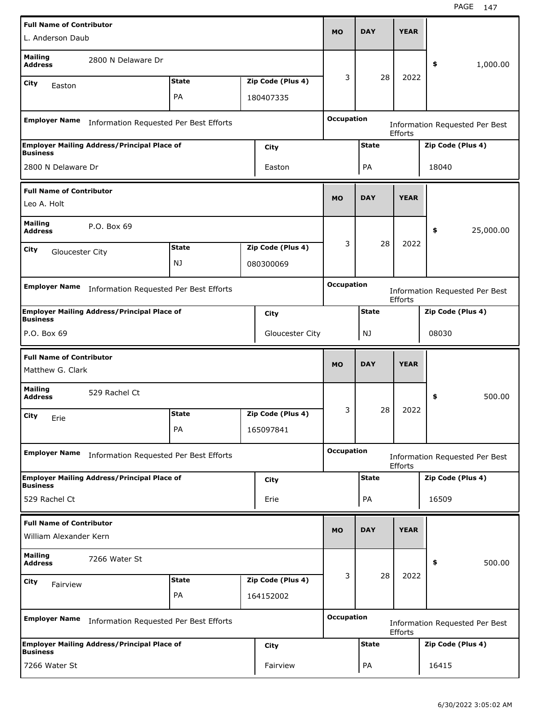| <b>Full Name of Contributor</b>                                |                                                    |              |                                                                       |                   |                   |              |                |                                       |           |
|----------------------------------------------------------------|----------------------------------------------------|--------------|-----------------------------------------------------------------------|-------------------|-------------------|--------------|----------------|---------------------------------------|-----------|
| L. Anderson Daub                                               |                                                    |              |                                                                       |                   | <b>MO</b>         | <b>DAY</b>   | <b>YEAR</b>    |                                       |           |
| <b>Mailing</b><br><b>Address</b>                               | 2800 N Delaware Dr                                 |              |                                                                       |                   |                   |              |                | \$                                    | 1,000.00  |
| City<br>Easton                                                 |                                                    | <b>State</b> |                                                                       | Zip Code (Plus 4) | 3                 | 28           | 2022           |                                       |           |
|                                                                |                                                    | PA           |                                                                       | 180407335         |                   |              |                |                                       |           |
| <b>Employer Name</b>                                           | Information Requested Per Best Efforts             |              |                                                                       |                   | <b>Occupation</b> |              | <b>Efforts</b> | <b>Information Requested Per Best</b> |           |
|                                                                | <b>Employer Mailing Address/Principal Place of</b> |              |                                                                       | City              |                   | <b>State</b> |                | Zip Code (Plus 4)                     |           |
| <b>Business</b><br>2800 N Delaware Dr                          |                                                    |              |                                                                       | Easton            |                   | PA           |                | 18040                                 |           |
| <b>Full Name of Contributor</b>                                |                                                    |              |                                                                       |                   |                   |              |                |                                       |           |
| Leo A. Holt                                                    |                                                    |              |                                                                       |                   | <b>MO</b>         | <b>DAY</b>   | <b>YEAR</b>    |                                       |           |
| <b>Mailing</b><br><b>Address</b>                               | P.O. Box 69                                        |              |                                                                       |                   |                   |              |                | \$                                    | 25,000.00 |
| City<br>Gloucester City                                        |                                                    | <b>State</b> |                                                                       | Zip Code (Plus 4) | 3                 | 28           | 2022           |                                       |           |
|                                                                |                                                    | NJ.          |                                                                       | 080300069         |                   |              |                |                                       |           |
|                                                                |                                                    |              |                                                                       |                   | <b>Occupation</b> |              |                |                                       |           |
| <b>Employer Name</b><br>Information Requested Per Best Efforts |                                                    |              |                                                                       |                   |                   |              | <b>Efforts</b> | <b>Information Requested Per Best</b> |           |
| <b>Business</b>                                                | <b>Employer Mailing Address/Principal Place of</b> |              |                                                                       | City              |                   | <b>State</b> |                | Zip Code (Plus 4)                     |           |
| P.O. Box 69                                                    |                                                    |              |                                                                       | Gloucester City   | 08030<br>NJ       |              |                |                                       |           |
| <b>Full Name of Contributor</b><br>Matthew G. Clark            |                                                    |              |                                                                       |                   | <b>MO</b>         | <b>DAY</b>   | <b>YEAR</b>    |                                       |           |
| <b>Mailing</b><br><b>Address</b>                               | 529 Rachel Ct                                      |              |                                                                       |                   |                   |              |                | \$                                    | 500.00    |
| City<br>Erie                                                   |                                                    | <b>State</b> |                                                                       | Zip Code (Plus 4) | 3                 | 28           | 2022           |                                       |           |
|                                                                |                                                    | PA           |                                                                       | 165097841         |                   |              |                |                                       |           |
| <b>Employer Name</b>                                           | Information Requested Per Best Efforts             |              |                                                                       |                   | <b>Occupation</b> |              | Efforts        | Information Requested Per Best        |           |
|                                                                |                                                    |              |                                                                       | City              |                   | <b>State</b> |                | Zip Code (Plus 4)                     |           |
|                                                                |                                                    |              | <b>Employer Mailing Address/Principal Place of</b><br><b>Business</b> |                   |                   |              |                |                                       |           |
| 529 Rachel Ct                                                  |                                                    |              |                                                                       | Erie              |                   | PA           |                | 16509                                 |           |
| <b>Full Name of Contributor</b>                                |                                                    |              |                                                                       |                   | <b>MO</b>         | <b>DAY</b>   | <b>YEAR</b>    |                                       |           |
| William Alexander Kern                                         |                                                    |              |                                                                       |                   |                   |              |                |                                       |           |
| <b>Mailing</b><br><b>Address</b>                               | 7266 Water St                                      |              |                                                                       |                   |                   |              |                | \$                                    | 500.00    |
| City<br>Fairview                                               |                                                    | <b>State</b> |                                                                       | Zip Code (Plus 4) | 3                 | 28           | 2022           |                                       |           |
|                                                                |                                                    | PA           |                                                                       | 164152002         |                   |              |                |                                       |           |
| <b>Employer Name</b>                                           | Information Requested Per Best Efforts             |              |                                                                       |                   | <b>Occupation</b> |              | Efforts        | <b>Information Requested Per Best</b> |           |
| <b>Business</b>                                                | <b>Employer Mailing Address/Principal Place of</b> |              |                                                                       | City              |                   | <b>State</b> |                | Zip Code (Plus 4)                     |           |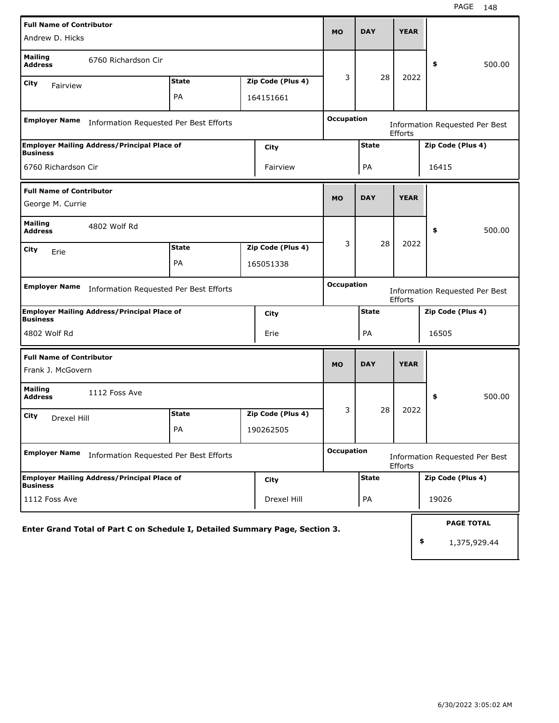| <b>Full Name of Contributor</b>                                              |                                        |  |                   | <b>MO</b>         | <b>DAY</b>   | <b>YEAR</b>    |                                         |
|------------------------------------------------------------------------------|----------------------------------------|--|-------------------|-------------------|--------------|----------------|-----------------------------------------|
| Andrew D. Hicks                                                              |                                        |  |                   |                   |              |                |                                         |
| <b>Mailing</b><br>6760 Richardson Cir<br><b>Address</b>                      |                                        |  |                   |                   |              |                | \$<br>500.00                            |
| City<br>Fairview                                                             | <b>State</b>                           |  | Zip Code (Plus 4) | 3                 | 28           | 2022           |                                         |
|                                                                              | PA                                     |  | 164151661         |                   |              |                |                                         |
| <b>Employer Name</b>                                                         | Information Requested Per Best Efforts |  |                   | <b>Occupation</b> |              | <b>Efforts</b> | <b>Information Requested Per Best</b>   |
| <b>Employer Mailing Address/Principal Place of</b><br><b>Business</b>        |                                        |  | City              |                   | <b>State</b> |                | Zip Code (Plus 4)                       |
| 6760 Richardson Cir                                                          |                                        |  | Fairview          |                   | PA           |                | 16415                                   |
| <b>Full Name of Contributor</b>                                              |                                        |  |                   | <b>MO</b>         | <b>DAY</b>   | <b>YEAR</b>    |                                         |
| George M. Currie                                                             |                                        |  |                   |                   |              |                |                                         |
| <b>Mailing</b><br>4802 Wolf Rd<br><b>Address</b>                             |                                        |  |                   |                   |              |                | \$<br>500.00                            |
| City                                                                         | <b>State</b>                           |  | Zip Code (Plus 4) | 3                 | 28           | 2022           |                                         |
| Erie                                                                         | PA                                     |  | 165051338         |                   |              |                |                                         |
| <b>Employer Name</b>                                                         | Information Requested Per Best Efforts |  |                   | <b>Occupation</b> |              | Efforts        | <b>Information Requested Per Best</b>   |
| <b>Employer Mailing Address/Principal Place of</b><br><b>Business</b>        |                                        |  | City              |                   | <b>State</b> |                | Zip Code (Plus 4)                       |
| 4802 Wolf Rd                                                                 |                                        |  | Erie              |                   | PA           |                | 16505                                   |
| <b>Full Name of Contributor</b>                                              |                                        |  |                   | <b>MO</b>         | <b>DAY</b>   | <b>YEAR</b>    |                                         |
| Frank J. McGovern                                                            |                                        |  |                   |                   |              |                |                                         |
| <b>Mailing</b><br>1112 Foss Ave<br><b>Address</b>                            |                                        |  |                   |                   |              |                | 500.00<br>\$                            |
| City<br>Drexel Hill                                                          | <b>State</b>                           |  | Zip Code (Plus 4) | 3                 | 28           | 2022           |                                         |
|                                                                              | PA                                     |  | 190262505         |                   |              |                |                                         |
| <b>Employer Name</b>                                                         | Information Requested Per Best Efforts |  |                   | <b>Occupation</b> |              | Efforts        | <b>Information Requested Per Best</b>   |
| <b>Employer Mailing Address/Principal Place of</b><br><b>Business</b>        |                                        |  | City              |                   | <b>State</b> |                | Zip Code (Plus 4)                       |
| 1112 Foss Ave                                                                |                                        |  | Drexel Hill       |                   | PA           |                | 19026                                   |
| Enter Grand Total of Part C on Schedule I, Detailed Summary Page, Section 3. |                                        |  |                   |                   |              |                | <b>PAGE TOTAL</b><br>\$<br>1,375,929.44 |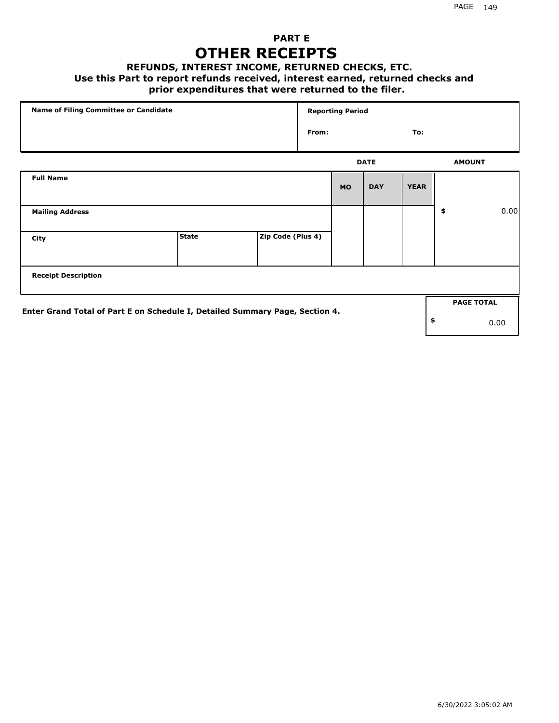### **PART E OTHER RECEIPTS**

#### **REFUNDS, INTEREST INCOME, RETURNED CHECKS, ETC.**

#### **Use this Part to report refunds received, interest earned, returned checks and**

#### **prior expenditures that were returned to the filer.**

| Name of Filing Committee or Candidate                                        |              |                   |       | <b>Reporting Period</b> |             |             |                   |      |
|------------------------------------------------------------------------------|--------------|-------------------|-------|-------------------------|-------------|-------------|-------------------|------|
|                                                                              |              |                   | From: |                         |             | To:         |                   |      |
|                                                                              |              |                   |       |                         | <b>DATE</b> |             | <b>AMOUNT</b>     |      |
| <b>Full Name</b>                                                             |              |                   |       | <b>MO</b>               | <b>DAY</b>  | <b>YEAR</b> |                   |      |
| <b>Mailing Address</b>                                                       |              |                   |       |                         |             |             | \$                | 0.00 |
| City                                                                         | <b>State</b> | Zip Code (Plus 4) |       |                         |             |             |                   |      |
| <b>Receipt Description</b>                                                   |              |                   |       |                         |             |             |                   |      |
|                                                                              |              |                   |       |                         |             |             | <b>PAGE TOTAL</b> |      |
| Enter Grand Total of Part E on Schedule I, Detailed Summary Page, Section 4. |              |                   |       |                         |             |             | \$                | 0.00 |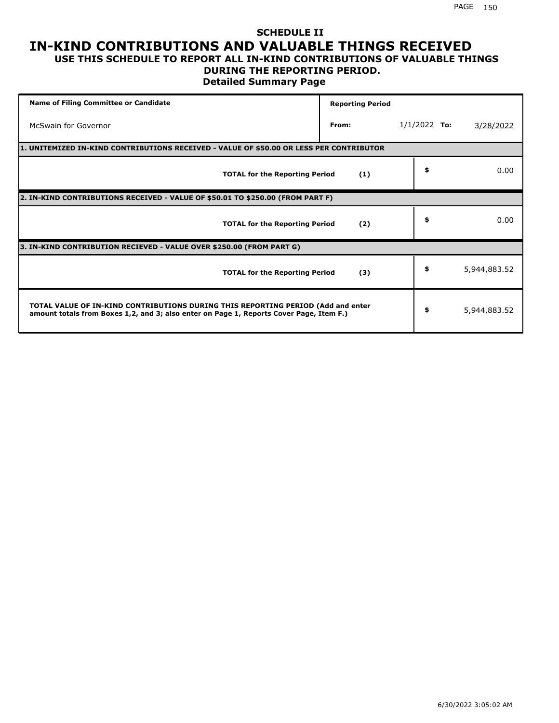#### **SCHEDULE II IN-KIND CONTRIBUTIONS AND VALUABLE THINGS RECEIVED USE THIS SCHEDULE TO REPORT ALL IN-KIND CONTRIBUTIONS OF VALUABLE THINGS**

## **DURING THE REPORTING PERIOD.**

**Detailed Summary Page**

| <b>Name of Filing Committee or Candidate</b>                                                                                                                                | <b>Reporting Period</b> |                |              |
|-----------------------------------------------------------------------------------------------------------------------------------------------------------------------------|-------------------------|----------------|--------------|
| McSwain for Governor                                                                                                                                                        | From:                   | $1/1/2022$ To: | 3/28/2022    |
| 1. UNITEMIZED IN-KIND CONTRIBUTIONS RECEIVED - VALUE OF \$50.00 OR LESS PER CONTRIBUTOR                                                                                     |                         |                |              |
| <b>TOTAL for the Reporting Period</b>                                                                                                                                       | (1)                     | \$             | 0.00         |
| 2. IN-KIND CONTRIBUTIONS RECEIVED - VALUE OF \$50.01 TO \$250.00 (FROM PART F)                                                                                              |                         |                |              |
| <b>TOTAL for the Reporting Period</b>                                                                                                                                       | (2)                     | \$             | 0.00         |
| 3. IN-KIND CONTRIBUTION RECIEVED - VALUE OVER \$250.00 (FROM PART G)                                                                                                        |                         |                |              |
| <b>TOTAL for the Reporting Period</b>                                                                                                                                       | (3)                     | \$             | 5,944,883.52 |
| TOTAL VALUE OF IN-KIND CONTRIBUTIONS DURING THIS REPORTING PERIOD (Add and enter<br>amount totals from Boxes 1,2, and 3; also enter on Page 1, Reports Cover Page, Item F.) |                         | \$             | 5,944,883.52 |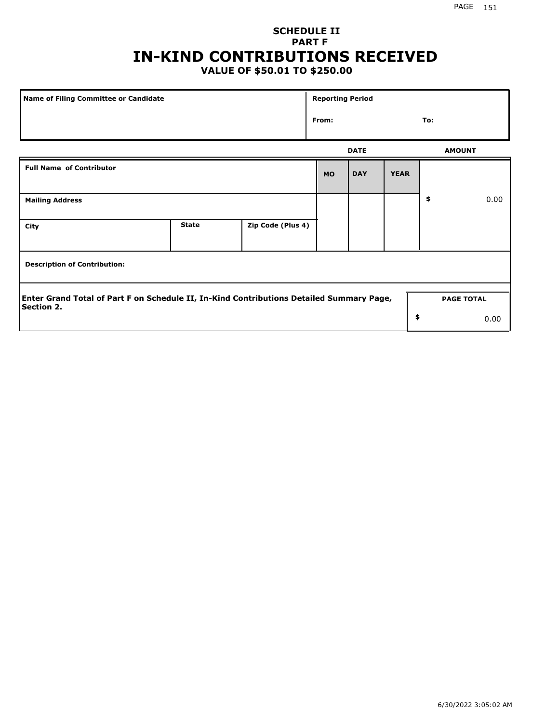## **SCHEDULE II PART F IN-KIND CONTRIBUTIONS RECEIVED**

## **VALUE OF \$50.01 TO \$250.00**

| Name of Filing Committee or Candidate                                                                         |              |                   | <b>Reporting Period</b> |             |             |     |                   |
|---------------------------------------------------------------------------------------------------------------|--------------|-------------------|-------------------------|-------------|-------------|-----|-------------------|
|                                                                                                               |              |                   | From:                   |             |             | To: |                   |
|                                                                                                               |              |                   |                         | <b>DATE</b> |             |     | <b>AMOUNT</b>     |
| <b>Full Name of Contributor</b>                                                                               |              |                   | <b>MO</b>               | <b>DAY</b>  | <b>YEAR</b> |     |                   |
| <b>Mailing Address</b>                                                                                        |              |                   |                         |             |             | \$  | 0.00              |
| City                                                                                                          | <b>State</b> | Zip Code (Plus 4) |                         |             |             |     |                   |
| <b>Description of Contribution:</b>                                                                           |              |                   |                         |             |             |     |                   |
| Enter Grand Total of Part F on Schedule II, In-Kind Contributions Detailed Summary Page,<br><b>Section 2.</b> |              |                   |                         |             |             |     | <b>PAGE TOTAL</b> |
|                                                                                                               |              |                   |                         |             | \$          |     | 0.00              |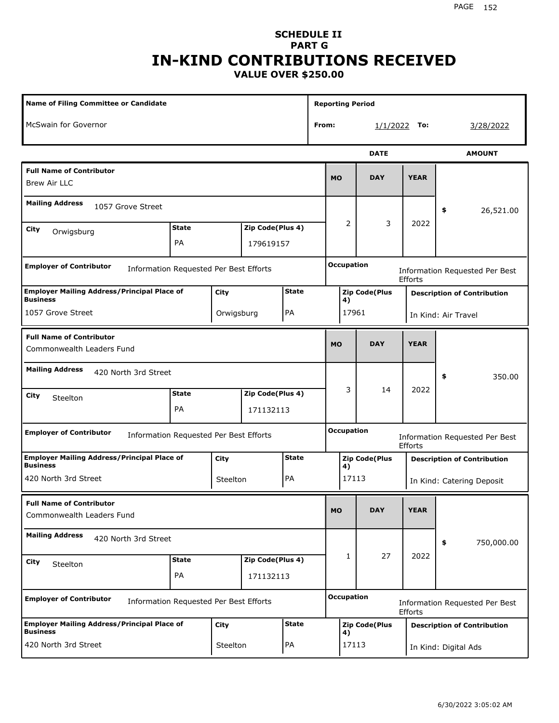#### **SCHEDULE II PART G IN-KIND CONTRIBUTIONS RECEIVED VALUE OVER \$250.00**

| <b>Name of Filing Committee or Candidate</b>                             |              |            |                  |              |       |           |                   | <b>Reporting Period</b> |             |                                    |
|--------------------------------------------------------------------------|--------------|------------|------------------|--------------|-------|-----------|-------------------|-------------------------|-------------|------------------------------------|
| McSwain for Governor                                                     |              |            |                  |              | From: |           |                   | 1/1/2022                | To:         | <u>3/28/2022</u>                   |
|                                                                          |              |            |                  |              |       |           |                   | <b>DATE</b>             |             | <b>AMOUNT</b>                      |
| <b>Full Name of Contributor</b><br><b>Brew Air LLC</b>                   |              |            |                  |              |       | <b>MO</b> |                   | <b>DAY</b>              | <b>YEAR</b> |                                    |
| <b>Mailing Address</b><br>1057 Grove Street                              |              |            |                  |              |       |           |                   |                         |             | 26,521.00<br>\$                    |
| City<br>Orwigsburg                                                       | <b>State</b> |            | Zip Code(Plus 4) |              |       | 2         |                   | 3                       | 2022        |                                    |
|                                                                          | PA           |            | 179619157        |              |       |           |                   |                         |             |                                    |
| <b>Employer of Contributor</b><br>Information Requested Per Best Efforts |              |            |                  |              |       |           | <b>Occupation</b> |                         | Efforts     | Information Requested Per Best     |
| <b>Employer Mailing Address/Principal Place of</b><br><b>Business</b>    |              | City       |                  | <b>State</b> |       |           | 4)                | <b>Zip Code(Plus</b>    |             | <b>Description of Contribution</b> |
| 1057 Grove Street                                                        |              | Orwigsburg |                  | PA           |       |           | 17961             |                         |             | In Kind: Air Travel                |
| <b>Full Name of Contributor</b><br>Commonwealth Leaders Fund             |              |            |                  |              |       | <b>MO</b> |                   | <b>DAY</b>              | <b>YEAR</b> |                                    |
| <b>Mailing Address</b><br>420 North 3rd Street                           |              |            |                  |              |       |           |                   |                         |             | 350.00<br>\$                       |
| City<br>Steelton                                                         | <b>State</b> |            | Zip Code(Plus 4) |              |       |           | 3                 | 14                      | 2022        |                                    |
|                                                                          | <b>PA</b>    |            | 171132113        |              |       |           |                   |                         |             |                                    |
| <b>Employer of Contributor</b><br>Information Requested Per Best Efforts |              |            |                  |              |       |           | <b>Occupation</b> |                         | Efforts     | Information Requested Per Best     |
| <b>Employer Mailing Address/Principal Place of</b><br><b>Business</b>    |              | City       |                  | <b>State</b> |       |           | 4)                | <b>Zip Code(Plus</b>    |             | <b>Description of Contribution</b> |
| 420 North 3rd Street                                                     |              | Steelton   |                  | PA           |       |           | 17113             |                         |             | In Kind: Catering Deposit          |
| <b>Full Name of Contributor</b><br>Commonwealth Leaders Fund             |              |            |                  |              |       | <b>MO</b> |                   | <b>DAY</b>              | <b>YEAR</b> |                                    |
| <b>Mailing Address</b><br>420 North 3rd Street                           |              |            |                  |              |       |           |                   |                         |             | \$<br>750,000.00                   |
| City<br>Steelton                                                         | <b>State</b> |            | Zip Code(Plus 4) |              |       |           | 1                 | 27                      | 2022        |                                    |
|                                                                          | PA           |            | 171132113        |              |       |           |                   |                         |             |                                    |
| <b>Employer of Contributor</b><br>Information Requested Per Best Efforts |              |            |                  |              |       |           | <b>Occupation</b> |                         | Efforts     | Information Requested Per Best     |
| <b>Employer Mailing Address/Principal Place of</b><br><b>Business</b>    |              | City       |                  | <b>State</b> |       |           | 4)                | <b>Zip Code(Plus</b>    |             | <b>Description of Contribution</b> |
| 420 North 3rd Street                                                     |              | Steelton   |                  | PA           |       |           | 17113             |                         |             | In Kind: Digital Ads               |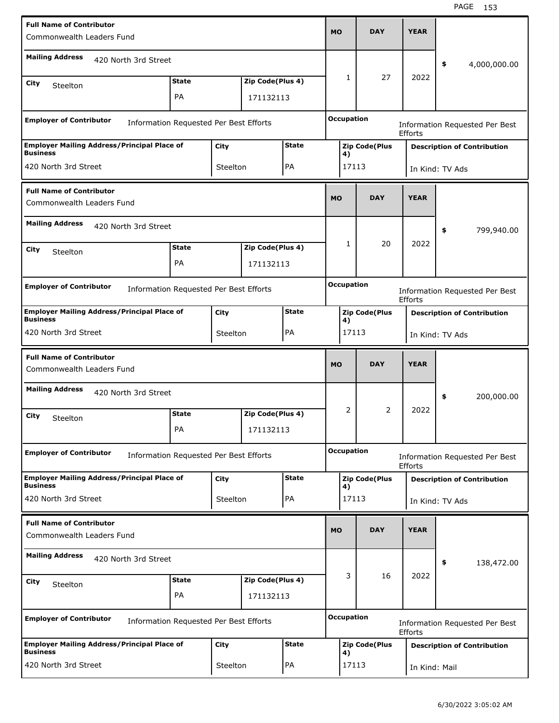| <b>Full Name of Contributor</b><br>Commonwealth Leaders Fund             |              |                   |                  |              | <b>MO</b>                      | <b>DAY</b>           | <b>YEAR</b>     |                                       |  |
|--------------------------------------------------------------------------|--------------|-------------------|------------------|--------------|--------------------------------|----------------------|-----------------|---------------------------------------|--|
| <b>Mailing Address</b><br>420 North 3rd Street                           |              |                   |                  |              |                                |                      |                 | \$<br>4,000,000.00                    |  |
| City<br>Steelton                                                         | <b>State</b> |                   | Zip Code(Plus 4) |              | 1                              | 27                   | 2022            |                                       |  |
|                                                                          | PA           |                   | 171132113        |              |                                |                      |                 |                                       |  |
| <b>Employer of Contributor</b><br>Information Requested Per Best Efforts |              |                   |                  |              | <b>Occupation</b>              |                      | Efforts         | Information Requested Per Best        |  |
| <b>Employer Mailing Address/Principal Place of</b><br><b>Business</b>    |              | City              |                  | <b>State</b> |                                | <b>Zip Code(Plus</b> |                 | <b>Description of Contribution</b>    |  |
| 420 North 3rd Street                                                     |              | Steelton          |                  | PA           | 4)                             | 17113                |                 | In Kind: TV Ads                       |  |
| <b>Full Name of Contributor</b><br>Commonwealth Leaders Fund             |              |                   |                  |              | <b>MO</b>                      | <b>DAY</b>           | <b>YEAR</b>     |                                       |  |
| <b>Mailing Address</b><br>420 North 3rd Street                           |              |                   |                  |              |                                |                      |                 | 799,940.00<br>\$                      |  |
| City<br>Steelton                                                         | <b>State</b> |                   | Zip Code(Plus 4) |              | 1                              | 20                   | 2022            |                                       |  |
|                                                                          | PA           |                   | 171132113        |              |                                |                      |                 |                                       |  |
| <b>Employer of Contributor</b><br>Information Requested Per Best Efforts |              | <b>Occupation</b> |                  | Efforts      | Information Requested Per Best |                      |                 |                                       |  |
| <b>Employer Mailing Address/Principal Place of</b>                       |              | City              |                  | <b>State</b> |                                | <b>Zip Code(Plus</b> |                 | <b>Description of Contribution</b>    |  |
| <b>Business</b><br>420 North 3rd Street                                  |              | Steelton          |                  | PA           | 4)<br>17113                    |                      | In Kind: TV Ads |                                       |  |
|                                                                          |              |                   |                  |              |                                |                      |                 |                                       |  |
| <b>Full Name of Contributor</b><br>Commonwealth Leaders Fund             |              |                   |                  |              | <b>MO</b>                      | <b>DAY</b>           | <b>YEAR</b>     |                                       |  |
| <b>Mailing Address</b><br>420 North 3rd Street                           |              |                   |                  |              |                                |                      |                 | 200,000.00<br>\$                      |  |
| City                                                                     | <b>State</b> |                   | Zip Code(Plus 4) |              | 2                              | $\overline{2}$       | 2022            |                                       |  |
| Steelton                                                                 | PA           |                   | 171132113        |              |                                |                      |                 |                                       |  |
| <b>Employer of Contributor</b><br>Information Requested Per Best Efforts |              |                   |                  |              | <b>Occupation</b>              |                      | Efforts         | <b>Information Requested Per Best</b> |  |
| <b>Employer Mailing Address/Principal Place of</b><br><b>Business</b>    |              | City              |                  | <b>State</b> |                                | <b>Zip Code(Plus</b> |                 | <b>Description of Contribution</b>    |  |
| 420 North 3rd Street                                                     |              | Steelton          |                  | PA           | 4)                             | 17113                |                 | In Kind: TV Ads                       |  |
| <b>Full Name of Contributor</b><br>Commonwealth Leaders Fund             |              |                   |                  |              | <b>MO</b>                      | <b>DAY</b>           | <b>YEAR</b>     |                                       |  |
| <b>Mailing Address</b><br>420 North 3rd Street                           |              |                   |                  |              |                                |                      |                 | \$<br>138,472.00                      |  |
| City                                                                     | <b>State</b> |                   | Zip Code(Plus 4) |              | 3                              | 16                   | 2022            |                                       |  |
| Steelton                                                                 | PA           |                   | 171132113        |              |                                |                      |                 |                                       |  |
| <b>Employer of Contributor</b><br>Information Requested Per Best Efforts |              |                   |                  |              | <b>Occupation</b>              |                      | Efforts         | <b>Information Requested Per Best</b> |  |
| <b>Employer Mailing Address/Principal Place of</b><br><b>Business</b>    |              | City              |                  | <b>State</b> | 4)                             | <b>Zip Code(Plus</b> |                 | <b>Description of Contribution</b>    |  |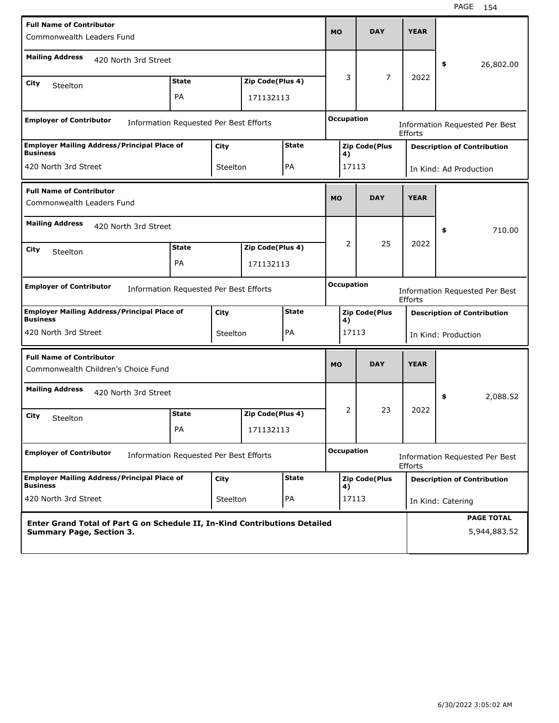| <b>Full Name of Contributor</b><br>Commonwealth Leaders Fund             |                                                                                        |          |                               |              | <b>MO</b>         | <b>DAY</b>           | <b>YEAR</b>    |                                       |
|--------------------------------------------------------------------------|----------------------------------------------------------------------------------------|----------|-------------------------------|--------------|-------------------|----------------------|----------------|---------------------------------------|
| <b>Mailing Address</b><br>420 North 3rd Street                           |                                                                                        |          |                               |              |                   |                      |                | 26,802.00<br>\$                       |
| City<br>Steelton                                                         | <b>State</b>                                                                           |          | Zip Code(Plus 4)              |              | 3                 | 7                    | 2022           |                                       |
|                                                                          | PA                                                                                     |          | 171132113                     |              |                   |                      |                |                                       |
| <b>Employer of Contributor</b><br>Information Requested Per Best Efforts |                                                                                        |          |                               |              | <b>Occupation</b> |                      | Efforts        | Information Requested Per Best        |
| <b>Employer Mailing Address/Principal Place of</b><br><b>Business</b>    |                                                                                        | City     |                               | <b>State</b> | 4)                | <b>Zip Code(Plus</b> |                | <b>Description of Contribution</b>    |
| 420 North 3rd Street                                                     |                                                                                        | Steelton |                               | PA           |                   | 17113                |                | In Kind: Ad Production                |
| <b>Full Name of Contributor</b><br>Commonwealth Leaders Fund             |                                                                                        |          |                               |              | <b>MO</b>         | <b>DAY</b>           | <b>YEAR</b>    |                                       |
| <b>Mailing Address</b><br>420 North 3rd Street                           |                                                                                        |          |                               |              | 2                 | 25                   | 2022           | 710.00<br>\$                          |
| City<br>Steelton                                                         | <b>State</b><br>PA                                                                     |          | Zip Code(Plus 4)<br>171132113 |              |                   |                      |                |                                       |
| <b>Employer of Contributor</b><br>Information Requested Per Best Efforts |                                                                                        |          |                               |              | <b>Occupation</b> |                      | Efforts        | <b>Information Requested Per Best</b> |
| <b>Employer Mailing Address/Principal Place of</b><br><b>Business</b>    |                                                                                        | City     |                               | <b>State</b> | 4)                | <b>Zip Code(Plus</b> |                | <b>Description of Contribution</b>    |
| 420 North 3rd Street                                                     |                                                                                        | Steelton |                               | PA           | 17113             |                      |                | In Kind: Production                   |
| <b>Full Name of Contributor</b><br>Commonwealth Children's Choice Fund   |                                                                                        |          |                               |              | <b>MO</b>         | <b>DAY</b>           | <b>YEAR</b>    |                                       |
| <b>Mailing Address</b><br>420 North 3rd Street                           |                                                                                        |          |                               |              |                   |                      |                | 2,088.52<br>\$                        |
| City<br>Steelton                                                         | <b>State</b>                                                                           |          | Zip Code(Plus 4)              |              | 2                 | 23                   | 2022           |                                       |
|                                                                          | PA                                                                                     |          | 171132113                     |              |                   |                      |                |                                       |
| <b>Employer of Contributor</b><br>Information Requested Per Best Efforts |                                                                                        |          |                               |              | <b>Occupation</b> |                      | <b>Efforts</b> | Information Requested Per Best        |
| <b>Employer Mailing Address/Principal Place of</b><br><b>Business</b>    |                                                                                        | City     |                               | <b>State</b> | 4)                | <b>Zip Code(Plus</b> |                | <b>Description of Contribution</b>    |
| 420 North 3rd Street                                                     |                                                                                        |          |                               | PA           |                   | 17113                |                | In Kind: Catering                     |
| <b>Summary Page, Section 3.</b>                                          | Steelton<br>Enter Grand Total of Part G on Schedule II, In-Kind Contributions Detailed |          |                               |              |                   |                      |                | <b>PAGE TOTAL</b><br>5,944,883.52     |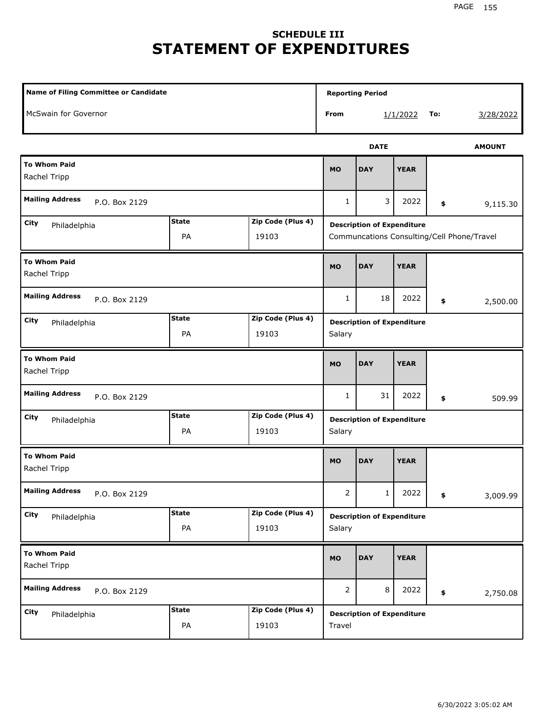# **SCHEDULE III STATEMENT OF EXPENDITURES**

| <b>Name of Filing Committee or Candidate</b> |                    |                            |                | <b>Reporting Period</b>           |             |          |                                            |
|----------------------------------------------|--------------------|----------------------------|----------------|-----------------------------------|-------------|----------|--------------------------------------------|
| McSwain for Governor                         |                    |                            | From           |                                   | 1/1/2022    | To:      | 3/28/2022                                  |
|                                              |                    |                            |                | <b>DATE</b>                       |             |          | <b>AMOUNT</b>                              |
| <b>To Whom Paid</b><br>Rachel Tripp          |                    |                            | <b>MO</b>      | <b>DAY</b>                        | <b>YEAR</b> |          |                                            |
| <b>Mailing Address</b><br>P.O. Box 2129      |                    |                            | 1              | 3                                 | 2022        | \$       | 9,115.30                                   |
| City<br>Philadelphia                         | <b>State</b><br>PA | Zip Code (Plus 4)<br>19103 |                | <b>Description of Expenditure</b> |             |          | Communcations Consulting/Cell Phone/Travel |
| <b>To Whom Paid</b><br>Rachel Tripp          | <b>MO</b>          | <b>DAY</b>                 | <b>YEAR</b>    |                                   |             |          |                                            |
| <b>Mailing Address</b><br>P.O. Box 2129      |                    | 1                          | 18             | 2022                              | \$          | 2,500.00 |                                            |
| City<br>Philadelphia                         | <b>State</b><br>PA | Zip Code (Plus 4)<br>19103 | Salary         | <b>Description of Expenditure</b> |             |          |                                            |
| <b>To Whom Paid</b><br>Rachel Tripp          |                    |                            | <b>MO</b>      | <b>DAY</b>                        | <b>YEAR</b> |          |                                            |
| <b>Mailing Address</b><br>P.O. Box 2129      |                    |                            | $\mathbf{1}$   | 31                                | 2022        | \$       | 509.99                                     |
| <b>City</b><br>Philadelphia                  | <b>State</b><br>PA | Zip Code (Plus 4)<br>19103 | Salary         | <b>Description of Expenditure</b> |             |          |                                            |
| <b>To Whom Paid</b><br>Rachel Tripp          |                    |                            | <b>MO</b>      | <b>DAY</b>                        | <b>YEAR</b> |          |                                            |
| <b>Mailing Address</b><br>P.O. Box 2129      |                    |                            | $\overline{2}$ | $1\vert$                          | 2022        | \$       | 3,009.99                                   |
| City<br>Philadelphia                         | <b>State</b><br>PA | Zip Code (Plus 4)<br>19103 | Salary         | <b>Description of Expenditure</b> |             |          |                                            |
| <b>To Whom Paid</b><br>Rachel Tripp          |                    |                            | MO             | <b>DAY</b>                        | <b>YEAR</b> |          |                                            |
| <b>Mailing Address</b><br>P.O. Box 2129      |                    |                            | $\overline{2}$ | 8                                 | 2022        | \$       | 2,750.08                                   |
| City<br>Philadelphia                         | <b>State</b><br>PA | Zip Code (Plus 4)<br>19103 | Travel         | <b>Description of Expenditure</b> |             |          |                                            |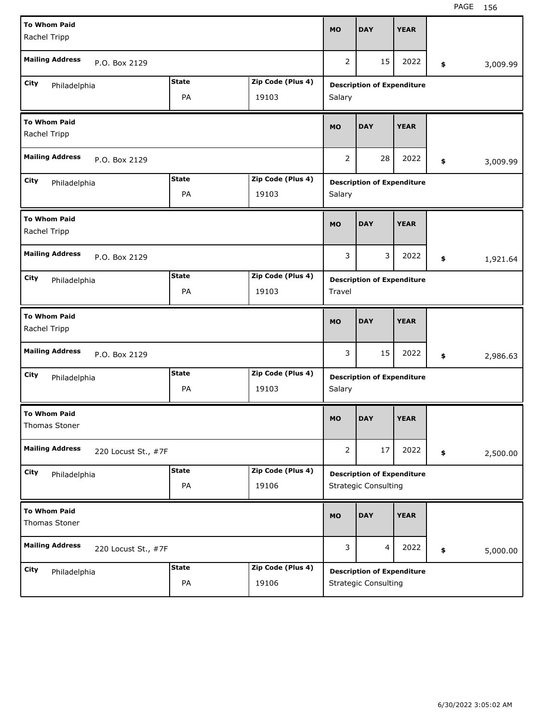| <b>To Whom Paid</b><br>Rachel Tripp           |               |                   | <b>MO</b>      | <b>DAY</b>                        | <b>YEAR</b> |                |
|-----------------------------------------------|---------------|-------------------|----------------|-----------------------------------|-------------|----------------|
| <b>Mailing Address</b><br>P.O. Box 2129       |               |                   | 2              | 15                                | 2022        | \$<br>3,009.99 |
| City<br>Philadelphia                          | <b>State</b>  | Zip Code (Plus 4) |                | <b>Description of Expenditure</b> |             |                |
|                                               | PA            | 19103             | Salary         |                                   |             |                |
| <b>To Whom Paid</b><br>Rachel Tripp           |               |                   | <b>MO</b>      | <b>DAY</b>                        | <b>YEAR</b> |                |
| <b>Mailing Address</b><br>P.O. Box 2129       |               |                   | 2              | 28                                | 2022        | \$<br>3,009.99 |
| City<br>Philadelphia                          | <b>State</b>  | Zip Code (Plus 4) |                | <b>Description of Expenditure</b> |             |                |
|                                               | PA            | 19103             | Salary         |                                   |             |                |
| <b>To Whom Paid</b><br>Rachel Tripp           | <b>MO</b>     | <b>DAY</b>        | <b>YEAR</b>    |                                   |             |                |
| <b>Mailing Address</b>                        | P.O. Box 2129 |                   |                |                                   | 2022        | \$<br>1,921.64 |
| City<br>Philadelphia                          | <b>State</b>  | Zip Code (Plus 4) |                | <b>Description of Expenditure</b> |             |                |
|                                               | PA            | 19103             | Travel         |                                   |             |                |
| <b>To Whom Paid</b><br>Rachel Tripp           |               |                   | <b>MO</b>      | <b>DAY</b>                        | <b>YEAR</b> |                |
| <b>Mailing Address</b><br>P.O. Box 2129       |               |                   | 3              | 15                                | 2022        | \$<br>2,986.63 |
| City<br>Philadelphia                          | <b>State</b>  | Zip Code (Plus 4) |                | <b>Description of Expenditure</b> |             |                |
|                                               | PA            | 19103             | Salary         |                                   |             |                |
|                                               |               |                   |                |                                   |             |                |
| <b>To Whom Paid</b><br>Thomas Stoner          |               |                   | MO             | <b>DAY</b>                        | <b>YEAR</b> |                |
| <b>Mailing Address</b><br>220 Locust St., #7F |               |                   | $\overline{2}$ | 17                                | 2022        | \$<br>2,500.00 |
| City<br>Philadelphia                          | <b>State</b>  | Zip Code (Plus 4) |                | <b>Description of Expenditure</b> |             |                |
|                                               | PA            | 19106             |                | <b>Strategic Consulting</b>       |             |                |
| <b>To Whom Paid</b><br>Thomas Stoner          |               |                   | <b>MO</b>      | <b>DAY</b>                        | <b>YEAR</b> |                |
| <b>Mailing Address</b><br>220 Locust St., #7F |               |                   | 3              | $\overline{4}$                    | 2022        | \$<br>5,000.00 |
| City<br>Philadelphia                          | <b>State</b>  | Zip Code (Plus 4) |                | <b>Description of Expenditure</b> |             |                |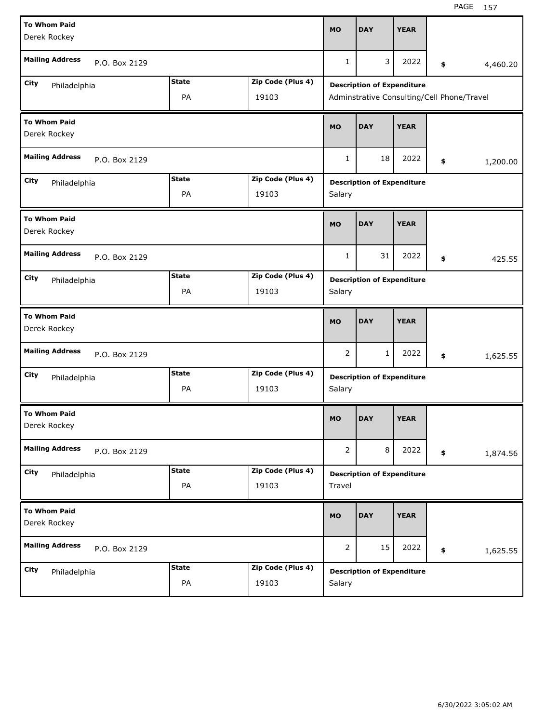| <b>To Whom Paid</b><br>Derek Rockey     |                    |                            | <b>MO</b>      | <b>DAY</b>                                                                      | <b>YEAR</b> |                |
|-----------------------------------------|--------------------|----------------------------|----------------|---------------------------------------------------------------------------------|-------------|----------------|
| <b>Mailing Address</b><br>P.O. Box 2129 |                    |                            | $\mathbf{1}$   | 3                                                                               | 2022        | \$<br>4,460.20 |
| City<br>Philadelphia                    | <b>State</b><br>PA | Zip Code (Plus 4)<br>19103 |                | <b>Description of Expenditure</b><br>Adminstrative Consulting/Cell Phone/Travel |             |                |
| <b>To Whom Paid</b><br>Derek Rockey     |                    |                            | <b>MO</b>      | <b>DAY</b>                                                                      | <b>YEAR</b> |                |
| <b>Mailing Address</b><br>P.O. Box 2129 |                    |                            | 1              | 18                                                                              | 2022        | \$<br>1,200.00 |
| City<br>Philadelphia                    | <b>State</b><br>PA | Zip Code (Plus 4)<br>19103 | Salary         | <b>Description of Expenditure</b>                                               |             |                |
| <b>To Whom Paid</b><br>Derek Rockey     |                    |                            | <b>MO</b>      | <b>DAY</b>                                                                      | <b>YEAR</b> |                |
| <b>Mailing Address</b><br>P.O. Box 2129 |                    |                            | 1              | 31                                                                              | 2022        | \$<br>425.55   |
| City<br>Philadelphia                    | <b>State</b><br>PA | Zip Code (Plus 4)<br>19103 | Salary         | <b>Description of Expenditure</b>                                               |             |                |
|                                         |                    |                            |                |                                                                                 |             |                |
| <b>To Whom Paid</b><br>Derek Rockey     |                    |                            | <b>MO</b>      | <b>DAY</b>                                                                      | <b>YEAR</b> |                |
| <b>Mailing Address</b><br>P.O. Box 2129 |                    |                            | 2              | 1                                                                               | 2022        | \$<br>1,625.55 |
| City<br>Philadelphia                    | <b>State</b><br>PA | Zip Code (Plus 4)<br>19103 | Salary         | <b>Description of Expenditure</b>                                               |             |                |
| <b>To Whom Paid</b><br>Derek Rockey     |                    |                            | <b>MO</b>      | <b>DAY</b>                                                                      | <b>YEAR</b> |                |
| <b>Mailing Address</b><br>P.O. Box 2129 |                    |                            | $\overline{2}$ | 8                                                                               | 2022        | \$<br>1,874.56 |
| City<br>Philadelphia                    | <b>State</b><br>PA | Zip Code (Plus 4)<br>19103 | Travel         | <b>Description of Expenditure</b>                                               |             |                |
| <b>To Whom Paid</b><br>Derek Rockey     |                    |                            | <b>MO</b>      | <b>DAY</b>                                                                      | <b>YEAR</b> |                |
| <b>Mailing Address</b><br>P.O. Box 2129 |                    |                            | $\overline{2}$ | 15                                                                              | 2022        | \$<br>1,625.55 |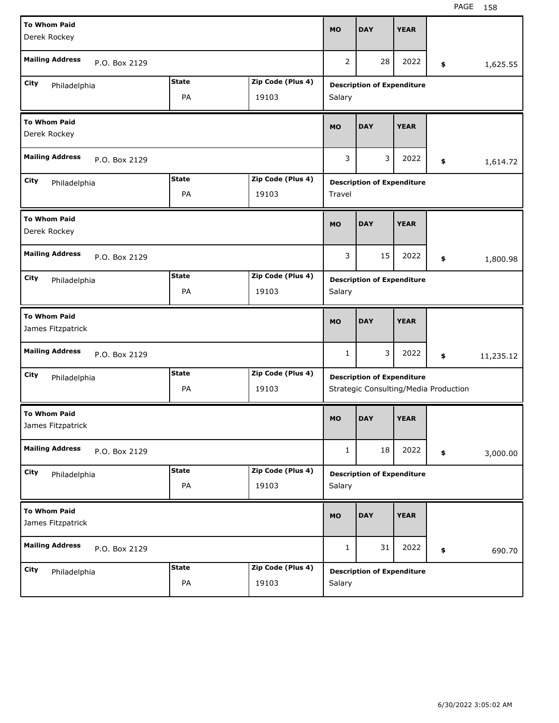| <b>To Whom Paid</b><br>Derek Rockey      |              |                   | <b>MO</b>      | <b>DAY</b>                            | <b>YEAR</b> |                 |
|------------------------------------------|--------------|-------------------|----------------|---------------------------------------|-------------|-----------------|
| <b>Mailing Address</b><br>P.O. Box 2129  |              |                   | $\overline{2}$ | 28                                    | 2022        | \$<br>1,625.55  |
| City<br>Philadelphia                     | <b>State</b> | Zip Code (Plus 4) |                | <b>Description of Expenditure</b>     |             |                 |
|                                          | PA           | 19103             | Salary         |                                       |             |                 |
| <b>To Whom Paid</b><br>Derek Rockey      |              |                   | <b>MO</b>      | <b>DAY</b>                            | <b>YEAR</b> |                 |
| <b>Mailing Address</b><br>P.O. Box 2129  |              |                   | 3              | 3                                     | 2022        | \$<br>1,614.72  |
| City<br>Philadelphia                     | <b>State</b> | Zip Code (Plus 4) |                | <b>Description of Expenditure</b>     |             |                 |
|                                          | PA           | 19103             | Travel         |                                       |             |                 |
| <b>To Whom Paid</b><br>Derek Rockey      |              |                   | <b>MO</b>      | <b>DAY</b>                            | <b>YEAR</b> |                 |
| <b>Mailing Address</b><br>P.O. Box 2129  |              |                   | 3              | 15                                    | 2022        | \$<br>1,800.98  |
| City<br>Philadelphia                     | <b>State</b> | Zip Code (Plus 4) |                | <b>Description of Expenditure</b>     |             |                 |
|                                          | PA           | 19103             | Salary         |                                       |             |                 |
|                                          |              |                   |                |                                       |             |                 |
| <b>To Whom Paid</b><br>James Fitzpatrick |              |                   | <b>MO</b>      | <b>DAY</b>                            | <b>YEAR</b> |                 |
| <b>Mailing Address</b><br>P.O. Box 2129  |              |                   | 1              | 3                                     | 2022        | \$<br>11,235.12 |
| City                                     | <b>State</b> | Zip Code (Plus 4) |                | <b>Description of Expenditure</b>     |             |                 |
| Philadelphia                             | PA           | 19103             |                | Strategic Consulting/Media Production |             |                 |
| <b>To Whom Paid</b><br>James Fitzpatrick |              |                   | MO             | <b>DAY</b>                            | <b>YEAR</b> |                 |
| <b>Mailing Address</b><br>P.O. Box 2129  |              |                   | $\mathbf{1}$   | 18                                    | 2022        | \$<br>3,000.00  |
| City                                     | <b>State</b> | Zip Code (Plus 4) |                | <b>Description of Expenditure</b>     |             |                 |
| Philadelphia                             | PA           | 19103             | Salary         |                                       |             |                 |
| <b>To Whom Paid</b><br>James Fitzpatrick |              |                   | <b>MO</b>      | <b>DAY</b>                            | <b>YEAR</b> |                 |
| <b>Mailing Address</b><br>P.O. Box 2129  |              |                   | $\mathbf{1}$   | 31                                    | 2022        | \$<br>690.70    |
| City<br>Philadelphia                     | <b>State</b> | Zip Code (Plus 4) |                | <b>Description of Expenditure</b>     |             |                 |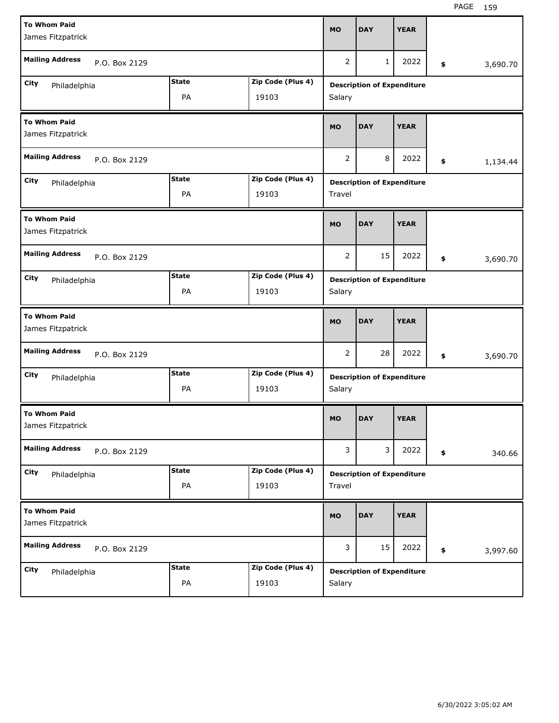| <b>To Whom Paid</b><br>James Fitzpatrick |              |                   | <b>MO</b> | <b>DAY</b>                        | <b>YEAR</b> |                |
|------------------------------------------|--------------|-------------------|-----------|-----------------------------------|-------------|----------------|
| <b>Mailing Address</b><br>P.O. Box 2129  |              |                   | 2         | 1                                 | 2022        | \$<br>3,690.70 |
| <b>City</b><br>Philadelphia              | <b>State</b> | Zip Code (Plus 4) |           | <b>Description of Expenditure</b> |             |                |
|                                          | PA           | 19103             | Salary    |                                   |             |                |
| <b>To Whom Paid</b><br>James Fitzpatrick |              |                   | <b>MO</b> | <b>DAY</b>                        | <b>YEAR</b> |                |
| <b>Mailing Address</b><br>P.O. Box 2129  |              |                   | 2         | 8                                 | 2022        | \$<br>1,134.44 |
| City<br>Philadelphia                     | <b>State</b> | Zip Code (Plus 4) |           | <b>Description of Expenditure</b> |             |                |
|                                          | PA           | 19103             | Travel    |                                   |             |                |
| <b>To Whom Paid</b><br>James Fitzpatrick |              |                   | <b>MO</b> | <b>DAY</b>                        | <b>YEAR</b> |                |
| <b>Mailing Address</b><br>P.O. Box 2129  |              |                   | 2         | 15                                | 2022        | \$<br>3,690.70 |
| <b>City</b><br>Philadelphia              | <b>State</b> | Zip Code (Plus 4) |           | <b>Description of Expenditure</b> |             |                |
|                                          | PA           | 19103             | Salary    |                                   |             |                |
|                                          |              |                   |           |                                   |             |                |
| <b>To Whom Paid</b><br>James Fitzpatrick |              |                   | <b>MO</b> | <b>DAY</b>                        | <b>YEAR</b> |                |
| <b>Mailing Address</b><br>P.O. Box 2129  |              |                   | 2         | 28                                | 2022        | \$<br>3,690.70 |
| City                                     | <b>State</b> | Zip Code (Plus 4) |           | <b>Description of Expenditure</b> |             |                |
| Philadelphia                             | PA           | 19103             | Salary    |                                   |             |                |
| <b>To Whom Paid</b><br>James Fitzpatrick |              |                   | <b>MO</b> | <b>DAY</b>                        | <b>YEAR</b> |                |
| <b>Mailing Address</b><br>P.O. Box 2129  |              |                   | 3         | 3                                 | 2022        | \$<br>340.66   |
| City                                     | <b>State</b> | Zip Code (Plus 4) |           | <b>Description of Expenditure</b> |             |                |
| Philadelphia                             | PA           | 19103             | Travel    |                                   |             |                |
| <b>To Whom Paid</b><br>James Fitzpatrick |              |                   | <b>MO</b> | <b>DAY</b>                        | <b>YEAR</b> |                |
| <b>Mailing Address</b><br>P.O. Box 2129  |              |                   | 3         | 15                                | 2022        | \$<br>3,997.60 |
| City<br>Philadelphia                     | <b>State</b> | Zip Code (Plus 4) |           | <b>Description of Expenditure</b> |             |                |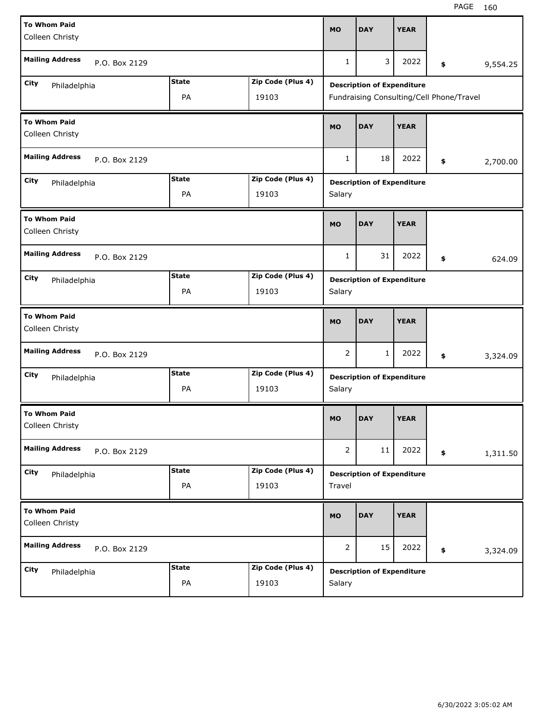| <b>To Whom Paid</b><br>Colleen Christy  |              |                   | <b>MO</b>      | <b>DAY</b>                               | <b>YEAR</b> |                |
|-----------------------------------------|--------------|-------------------|----------------|------------------------------------------|-------------|----------------|
| <b>Mailing Address</b><br>P.O. Box 2129 |              |                   | $\mathbf{1}$   | 3                                        | 2022        | \$<br>9,554.25 |
| City<br>Philadelphia                    | <b>State</b> | Zip Code (Plus 4) |                | <b>Description of Expenditure</b>        |             |                |
|                                         | PA           | 19103             |                | Fundraising Consulting/Cell Phone/Travel |             |                |
| <b>To Whom Paid</b><br>Colleen Christy  |              |                   | <b>MO</b>      | <b>DAY</b>                               | <b>YEAR</b> |                |
| <b>Mailing Address</b><br>P.O. Box 2129 |              |                   | $\mathbf{1}$   | 18                                       | 2022        | \$<br>2,700.00 |
| City<br>Philadelphia                    | <b>State</b> | Zip Code (Plus 4) |                | <b>Description of Expenditure</b>        |             |                |
|                                         | PA           | 19103             | Salary         |                                          |             |                |
| <b>To Whom Paid</b><br>Colleen Christy  |              |                   | <b>MO</b>      | <b>DAY</b>                               | <b>YEAR</b> |                |
| <b>Mailing Address</b><br>P.O. Box 2129 |              |                   | $\mathbf{1}$   | 31                                       | 2022        | \$<br>624.09   |
| City<br>Philadelphia                    | <b>State</b> | Zip Code (Plus 4) |                | <b>Description of Expenditure</b>        |             |                |
|                                         | PA           | 19103             | Salary         |                                          |             |                |
|                                         |              |                   |                |                                          |             |                |
| <b>To Whom Paid</b><br>Colleen Christy  |              |                   | <b>MO</b>      | <b>DAY</b>                               | <b>YEAR</b> |                |
| <b>Mailing Address</b><br>P.O. Box 2129 |              |                   | 2              | 1                                        | 2022        | \$<br>3,324.09 |
| City                                    | <b>State</b> | Zip Code (Plus 4) |                |                                          |             |                |
| Philadelphia                            | PA           | 19103             | Salary         | <b>Description of Expenditure</b>        |             |                |
| <b>To Whom Paid</b><br>Colleen Christy  |              |                   | MO             | <b>DAY</b>                               | <b>YEAR</b> |                |
| <b>Mailing Address</b><br>P.O. Box 2129 |              |                   | $\overline{2}$ | 11                                       | 2022        | \$<br>1,311.50 |
| City                                    | <b>State</b> | Zip Code (Plus 4) |                | <b>Description of Expenditure</b>        |             |                |
| Philadelphia                            | PA           | 19103             | Travel         |                                          |             |                |
| <b>To Whom Paid</b><br>Colleen Christy  |              |                   | <b>MO</b>      | <b>DAY</b>                               | <b>YEAR</b> |                |
| <b>Mailing Address</b><br>P.O. Box 2129 |              |                   | $\overline{2}$ | 15                                       | 2022        | \$<br>3,324.09 |
| City<br>Philadelphia                    | <b>State</b> | Zip Code (Plus 4) |                | <b>Description of Expenditure</b>        |             |                |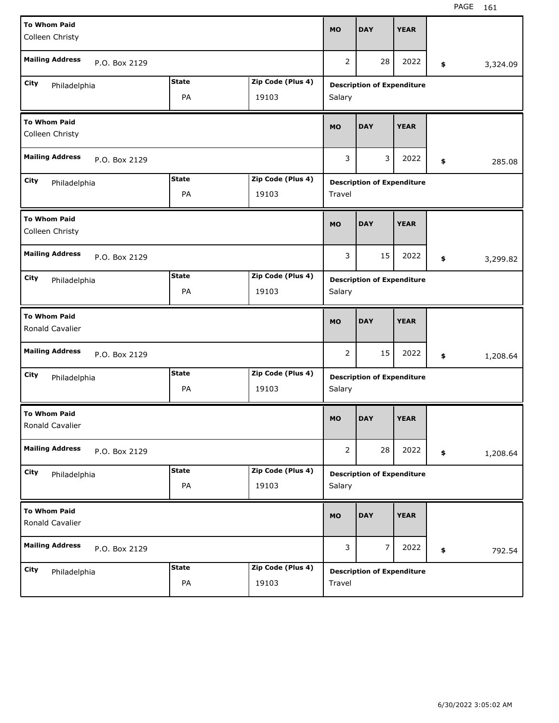| <b>To Whom Paid</b><br>Colleen Christy |               |                    |                            | <b>MO</b>      | <b>DAY</b>                        | <b>YEAR</b> |                |
|----------------------------------------|---------------|--------------------|----------------------------|----------------|-----------------------------------|-------------|----------------|
| <b>Mailing Address</b>                 | P.O. Box 2129 |                    |                            | $\overline{2}$ | 28                                | 2022        | \$<br>3,324.09 |
| City<br>Philadelphia                   |               | <b>State</b><br>PA | Zip Code (Plus 4)<br>19103 | Salary         | <b>Description of Expenditure</b> |             |                |
| <b>To Whom Paid</b><br>Colleen Christy |               |                    |                            | <b>MO</b>      | <b>DAY</b>                        | <b>YEAR</b> |                |
| <b>Mailing Address</b>                 | P.O. Box 2129 |                    |                            | 3              | 3                                 | 2022        | \$<br>285.08   |
| City<br>Philadelphia                   |               | <b>State</b><br>PA | Zip Code (Plus 4)<br>19103 | Travel         | <b>Description of Expenditure</b> |             |                |
| <b>To Whom Paid</b><br>Colleen Christy |               |                    |                            | <b>MO</b>      | <b>DAY</b>                        | <b>YEAR</b> |                |
| <b>Mailing Address</b>                 | P.O. Box 2129 |                    |                            | 3              | 15                                | 2022        | \$<br>3,299.82 |
| City<br>Philadelphia                   |               | <b>State</b><br>PA | Zip Code (Plus 4)<br>19103 | Salary         | <b>Description of Expenditure</b> |             |                |
|                                        |               |                    |                            |                |                                   |             |                |
| <b>To Whom Paid</b><br>Ronald Cavalier |               |                    |                            | <b>MO</b>      | <b>DAY</b>                        | <b>YEAR</b> |                |
| <b>Mailing Address</b>                 | P.O. Box 2129 |                    |                            | 2              | 15                                | 2022        | \$<br>1,208.64 |
| City<br>Philadelphia                   |               | <b>State</b><br>PA | Zip Code (Plus 4)<br>19103 | Salary         | <b>Description of Expenditure</b> |             |                |
| <b>To Whom Paid</b><br>Ronald Cavalier |               |                    |                            | <b>MO</b>      | <b>DAY</b>                        | <b>YEAR</b> |                |
| <b>Mailing Address</b>                 | P.O. Box 2129 |                    |                            | $\overline{2}$ | 28                                | 2022        | \$<br>1,208.64 |
| City<br>Philadelphia                   |               | <b>State</b><br>PA | Zip Code (Plus 4)<br>19103 | Salary         | <b>Description of Expenditure</b> |             |                |
| <b>To Whom Paid</b><br>Ronald Cavalier |               |                    |                            | <b>MO</b>      | <b>DAY</b>                        | <b>YEAR</b> |                |
| <b>Mailing Address</b>                 | P.O. Box 2129 |                    |                            | 3              | $\overline{7}$                    | 2022        | \$<br>792.54   |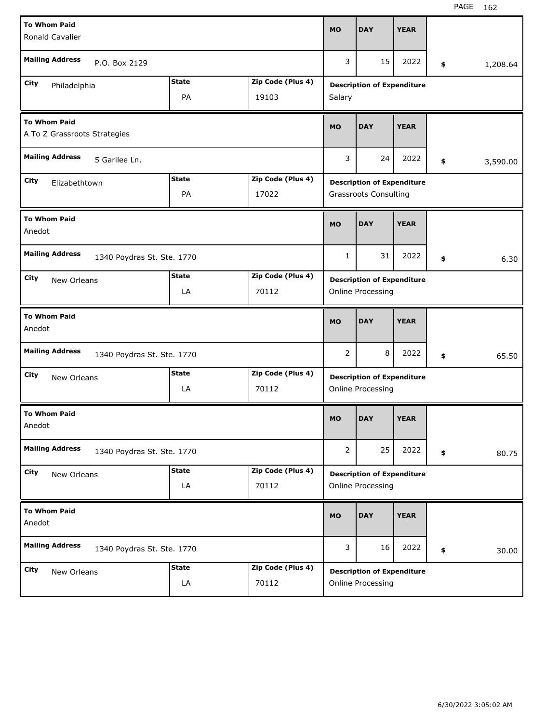| <b>To Whom Paid</b>                                 |                            |              |                   | <b>MO</b>      | <b>DAY</b>                                             | <b>YEAR</b> |                |
|-----------------------------------------------------|----------------------------|--------------|-------------------|----------------|--------------------------------------------------------|-------------|----------------|
| Ronald Cavalier                                     |                            |              |                   |                |                                                        |             |                |
| <b>Mailing Address</b>                              | P.O. Box 2129              |              |                   | 3              | 15                                                     | 2022        | \$<br>1,208.64 |
| City<br>Philadelphia                                |                            | <b>State</b> | Zip Code (Plus 4) |                | <b>Description of Expenditure</b>                      |             |                |
|                                                     |                            | PA           | 19103             | Salary         |                                                        |             |                |
| <b>To Whom Paid</b><br>A To Z Grassroots Strategies |                            |              |                   | <b>MO</b>      | <b>DAY</b>                                             | <b>YEAR</b> |                |
| <b>Mailing Address</b>                              | 5 Garilee Ln.              |              |                   | 3              | 24                                                     | 2022        | \$<br>3,590.00 |
| City<br>Elizabethtown                               |                            | <b>State</b> | Zip Code (Plus 4) |                | <b>Description of Expenditure</b>                      |             |                |
|                                                     |                            | PA           | 17022             |                | <b>Grassroots Consulting</b>                           |             |                |
| <b>To Whom Paid</b><br>Anedot                       |                            |              |                   | <b>MO</b>      | <b>DAY</b>                                             | <b>YEAR</b> |                |
| <b>Mailing Address</b>                              | 1340 Poydras St. Ste. 1770 |              |                   | 1              | 31                                                     | 2022        | \$<br>6.30     |
| City<br>New Orleans                                 |                            | <b>State</b> | Zip Code (Plus 4) |                | <b>Description of Expenditure</b>                      |             |                |
|                                                     |                            | LA           | 70112             |                | Online Processing                                      |             |                |
|                                                     |                            |              |                   |                |                                                        |             |                |
| <b>To Whom Paid</b><br>Anedot                       |                            |              |                   | <b>MO</b>      | <b>DAY</b>                                             | <b>YEAR</b> |                |
| <b>Mailing Address</b>                              | 1340 Poydras St. Ste. 1770 |              |                   | 2              | 8                                                      | 2022        | \$<br>65.50    |
| City                                                |                            | <b>State</b> | Zip Code (Plus 4) |                |                                                        |             |                |
| New Orleans                                         |                            | LA           | 70112             |                | <b>Description of Expenditure</b><br>Online Processing |             |                |
| <b>To Whom Paid</b><br>Anedot                       |                            |              |                   | MO             | <b>DAY</b>                                             | <b>YEAR</b> |                |
| <b>Mailing Address</b>                              | 1340 Poydras St. Ste. 1770 |              |                   | $\overline{2}$ | 25                                                     | 2022        | \$<br>80.75    |
| City                                                |                            | <b>State</b> | Zip Code (Plus 4) |                |                                                        |             |                |
| New Orleans                                         |                            | LA           | 70112             |                | <b>Description of Expenditure</b><br>Online Processing |             |                |
| <b>To Whom Paid</b><br>Anedot                       |                            |              |                   | <b>MO</b>      | <b>DAY</b>                                             | <b>YEAR</b> |                |
| <b>Mailing Address</b>                              | 1340 Poydras St. Ste. 1770 |              |                   | 3              | 16                                                     | 2022        | \$<br>30.00    |
| City<br>New Orleans                                 |                            | <b>State</b> | Zip Code (Plus 4) |                | <b>Description of Expenditure</b>                      |             |                |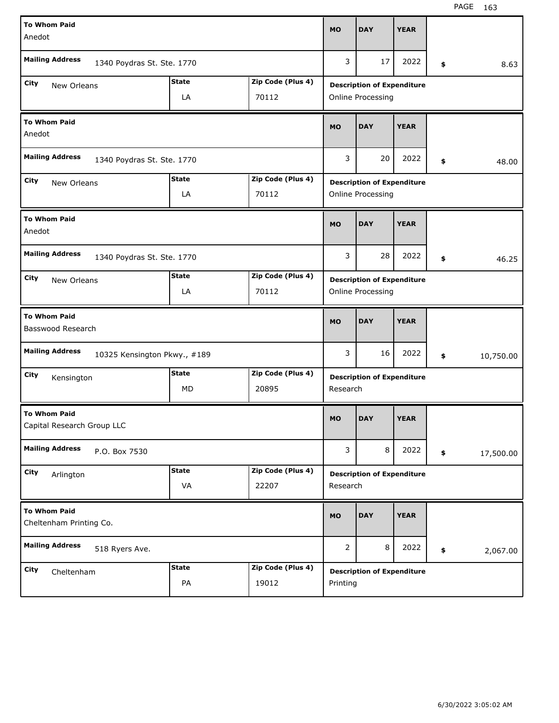| <b>To Whom Paid</b>                                    |              |                   |           |                                   |             |                 |
|--------------------------------------------------------|--------------|-------------------|-----------|-----------------------------------|-------------|-----------------|
| Anedot                                                 |              |                   | <b>MO</b> | <b>DAY</b>                        | <b>YEAR</b> |                 |
| <b>Mailing Address</b><br>1340 Poydras St. Ste. 1770   |              |                   | 3         | 17                                | 2022        | \$<br>8.63      |
| City<br>New Orleans                                    | <b>State</b> | Zip Code (Plus 4) |           | <b>Description of Expenditure</b> |             |                 |
|                                                        | LA           | 70112             |           | Online Processing                 |             |                 |
| <b>To Whom Paid</b><br>Anedot                          |              |                   | <b>MO</b> | <b>DAY</b>                        | <b>YEAR</b> |                 |
| <b>Mailing Address</b><br>1340 Poydras St. Ste. 1770   |              |                   | 3         | 20                                | 2022        | \$<br>48.00     |
| City<br>New Orleans                                    | <b>State</b> | Zip Code (Plus 4) |           | <b>Description of Expenditure</b> |             |                 |
|                                                        | LA           | 70112             |           | Online Processing                 |             |                 |
| <b>To Whom Paid</b><br>Anedot                          |              |                   | <b>MO</b> | <b>DAY</b>                        | <b>YEAR</b> |                 |
| <b>Mailing Address</b><br>1340 Poydras St. Ste. 1770   |              |                   | 3         | 28                                | 2022        | \$<br>46.25     |
| City<br>New Orleans                                    | <b>State</b> | Zip Code (Plus 4) |           | <b>Description of Expenditure</b> |             |                 |
|                                                        | LA           | 70112             |           | Online Processing                 |             |                 |
|                                                        |              |                   |           |                                   |             |                 |
| <b>To Whom Paid</b><br>Basswood Research               |              |                   | <b>MO</b> | <b>DAY</b>                        | <b>YEAR</b> |                 |
| <b>Mailing Address</b><br>10325 Kensington Pkwy., #189 |              |                   | 3         | 16                                | 2022        | \$<br>10,750.00 |
| City<br>Kensington                                     | <b>State</b> | Zip Code (Plus 4) |           | <b>Description of Expenditure</b> |             |                 |
|                                                        | МD           | 20895             | Research  |                                   |             |                 |
| <b>To Whom Paid</b><br>Capital Research Group LLC      |              |                   | MO        | <b>DAY</b>                        | <b>YEAR</b> |                 |
| <b>Mailing Address</b><br>P.O. Box 7530                |              |                   | 3         | 8                                 | 2022        | \$<br>17,500.00 |
| City<br>Arlington                                      | <b>State</b> | Zip Code (Plus 4) |           | <b>Description of Expenditure</b> |             |                 |
|                                                        | VA           | 22207             | Research  |                                   |             |                 |
| <b>To Whom Paid</b><br>Cheltenham Printing Co.         |              |                   | <b>MO</b> | <b>DAY</b>                        | <b>YEAR</b> |                 |
| <b>Mailing Address</b><br>518 Ryers Ave.               |              |                   | 2         | 8                                 | 2022        | \$<br>2,067.00  |
| City<br>Cheltenham                                     | <b>State</b> | Zip Code (Plus 4) |           | <b>Description of Expenditure</b> |             |                 |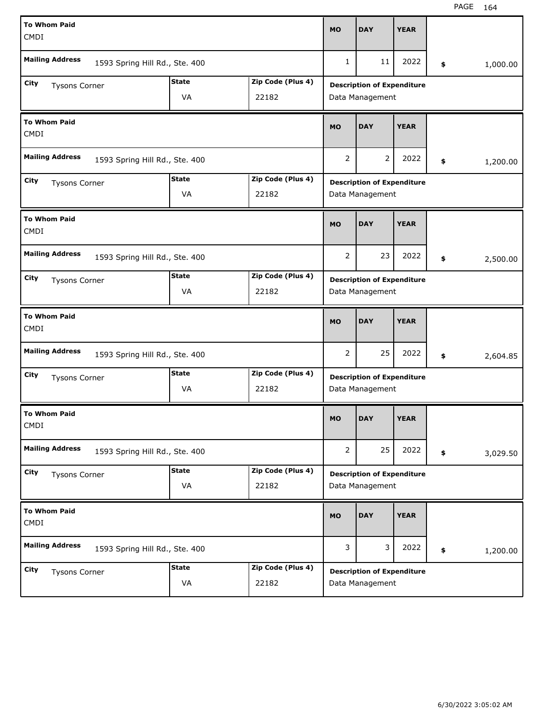| <b>To Whom Paid</b>                                      |              |                   |                |                                   |             |                |
|----------------------------------------------------------|--------------|-------------------|----------------|-----------------------------------|-------------|----------------|
| <b>CMDI</b>                                              |              |                   | <b>MO</b>      | <b>DAY</b>                        | <b>YEAR</b> |                |
| <b>Mailing Address</b><br>1593 Spring Hill Rd., Ste. 400 |              |                   | 1              | 11                                | 2022        | \$<br>1,000.00 |
| City<br><b>Tysons Corner</b>                             | <b>State</b> | Zip Code (Plus 4) |                | <b>Description of Expenditure</b> |             |                |
|                                                          | VA           | 22182             |                | Data Management                   |             |                |
| <b>To Whom Paid</b><br><b>CMDI</b>                       |              |                   | <b>MO</b>      | <b>DAY</b>                        | <b>YEAR</b> |                |
| <b>Mailing Address</b><br>1593 Spring Hill Rd., Ste. 400 |              |                   | 2              | 2                                 | 2022        | \$<br>1,200.00 |
| City<br><b>Tysons Corner</b>                             | <b>State</b> | Zip Code (Plus 4) |                | <b>Description of Expenditure</b> |             |                |
|                                                          | VA           | 22182             |                | Data Management                   |             |                |
| <b>To Whom Paid</b><br><b>CMDI</b>                       |              |                   | <b>MO</b>      | <b>DAY</b>                        | <b>YEAR</b> |                |
| <b>Mailing Address</b><br>1593 Spring Hill Rd., Ste. 400 |              |                   | 2              | 23                                | 2022        | \$<br>2,500.00 |
| City<br><b>Tysons Corner</b>                             | <b>State</b> | Zip Code (Plus 4) |                | <b>Description of Expenditure</b> |             |                |
|                                                          | VA           | 22182             |                | Data Management                   |             |                |
|                                                          |              |                   |                |                                   |             |                |
| <b>To Whom Paid</b><br><b>CMDI</b>                       |              |                   | <b>MO</b>      | <b>DAY</b>                        | <b>YEAR</b> |                |
| <b>Mailing Address</b><br>1593 Spring Hill Rd., Ste. 400 |              |                   | 2              | 25                                | 2022        | \$<br>2,604.85 |
| City<br><b>Tysons Corner</b>                             | <b>State</b> | Zip Code (Plus 4) |                | <b>Description of Expenditure</b> |             |                |
|                                                          | VA           | 22182             |                | Data Management                   |             |                |
| <b>To Whom Paid</b><br>CMDI                              |              |                   | MO             | <b>DAY</b>                        | <b>YEAR</b> |                |
| <b>Mailing Address</b><br>1593 Spring Hill Rd., Ste. 400 |              |                   | $\overline{2}$ | 25                                | 2022        | \$<br>3,029.50 |
| City                                                     | <b>State</b> | Zip Code (Plus 4) |                | <b>Description of Expenditure</b> |             |                |
| <b>Tysons Corner</b>                                     | VA           | 22182             |                | Data Management                   |             |                |
| <b>To Whom Paid</b><br><b>CMDI</b>                       |              |                   | <b>MO</b>      | <b>DAY</b>                        | <b>YEAR</b> |                |
| <b>Mailing Address</b><br>1593 Spring Hill Rd., Ste. 400 |              |                   | 3              | 3                                 | 2022        | \$<br>1,200.00 |
| City<br>Tysons Corner                                    | <b>State</b> | Zip Code (Plus 4) |                | <b>Description of Expenditure</b> |             |                |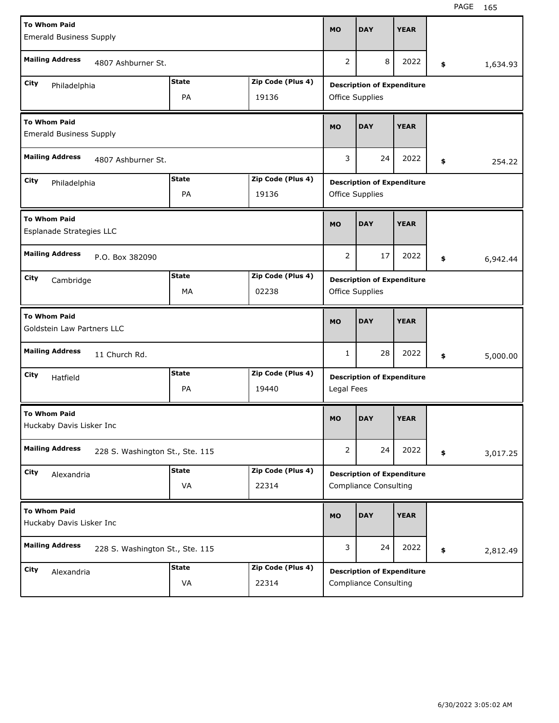| <b>To Whom Paid</b><br><b>Emerald Business Supply</b>     |              |                   | <b>MO</b>      | <b>DAY</b>                                                        | <b>YEAR</b> |                |
|-----------------------------------------------------------|--------------|-------------------|----------------|-------------------------------------------------------------------|-------------|----------------|
| <b>Mailing Address</b><br>4807 Ashburner St.              |              |                   | 2              | 8                                                                 | 2022        | \$<br>1,634.93 |
| City<br>Philadelphia                                      | <b>State</b> | Zip Code (Plus 4) |                | <b>Description of Expenditure</b>                                 |             |                |
|                                                           | PA           | 19136             |                | Office Supplies                                                   |             |                |
| <b>To Whom Paid</b><br><b>Emerald Business Supply</b>     |              |                   | <b>MO</b>      | <b>DAY</b>                                                        | <b>YEAR</b> |                |
| <b>Mailing Address</b><br>4807 Ashburner St.              |              |                   | 3              | 24                                                                | 2022        | \$<br>254.22   |
| City<br>Philadelphia                                      | <b>State</b> | Zip Code (Plus 4) |                | <b>Description of Expenditure</b>                                 |             |                |
|                                                           | PA           | 19136             |                | Office Supplies                                                   |             |                |
| <b>To Whom Paid</b><br>Esplanade Strategies LLC           |              |                   | <b>MO</b>      | <b>DAY</b>                                                        | <b>YEAR</b> |                |
| <b>Mailing Address</b><br>P.O. Box 382090                 |              |                   | 2              | 17                                                                | 2022        | \$<br>6,942.44 |
| City<br>Cambridge                                         | <b>State</b> | Zip Code (Plus 4) |                | <b>Description of Expenditure</b>                                 |             |                |
|                                                           | MA           | 02238             |                | Office Supplies                                                   |             |                |
|                                                           |              |                   |                |                                                                   |             |                |
| <b>To Whom Paid</b><br>Goldstein Law Partners LLC         |              |                   | <b>MO</b>      | <b>DAY</b>                                                        | <b>YEAR</b> |                |
| <b>Mailing Address</b><br>11 Church Rd.                   |              |                   | $\mathbf{1}$   | 28                                                                | 2022        | \$<br>5,000.00 |
| City                                                      | <b>State</b> | Zip Code (Plus 4) |                |                                                                   |             |                |
| Hatfield                                                  | PA           | 19440             | Legal Fees     | <b>Description of Expenditure</b>                                 |             |                |
| <b>To Whom Paid</b><br>Huckaby Davis Lisker Inc           |              |                   | MO             | <b>DAY</b>                                                        | <b>YEAR</b> |                |
| <b>Mailing Address</b><br>228 S. Washington St., Ste. 115 |              |                   | $\overline{2}$ | 24                                                                | 2022        | \$<br>3,017.25 |
| City                                                      | <b>State</b> | Zip Code (Plus 4) |                |                                                                   |             |                |
| Alexandria                                                | VA           | 22314             |                | <b>Description of Expenditure</b><br><b>Compliance Consulting</b> |             |                |
| <b>To Whom Paid</b><br>Huckaby Davis Lisker Inc           |              |                   | <b>MO</b>      | <b>DAY</b>                                                        | <b>YEAR</b> |                |
| <b>Mailing Address</b><br>228 S. Washington St., Ste. 115 |              |                   | 3              | 24                                                                | 2022        | \$<br>2,812.49 |
| City<br>Alexandria                                        | <b>State</b> | Zip Code (Plus 4) |                | <b>Description of Expenditure</b>                                 |             |                |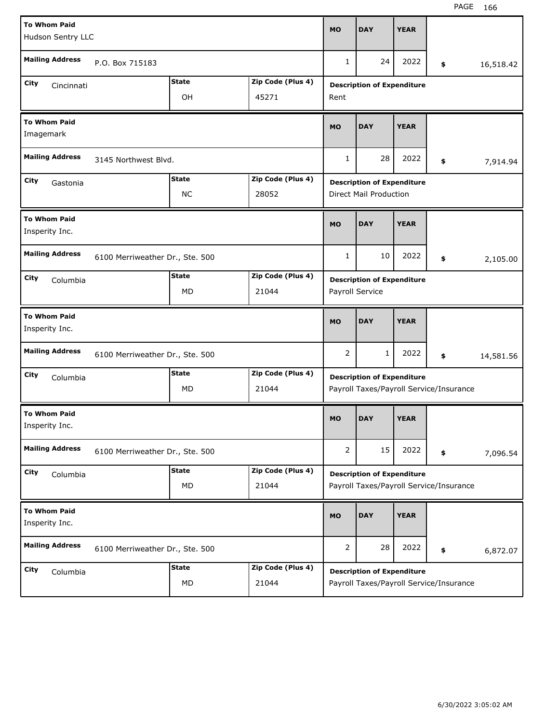| <b>To Whom Paid</b><br>Hudson Sentry LLC |                                 |              |                   | <b>MO</b>      | <b>DAY</b>                        | <b>YEAR</b> |                                         |           |
|------------------------------------------|---------------------------------|--------------|-------------------|----------------|-----------------------------------|-------------|-----------------------------------------|-----------|
| <b>Mailing Address</b>                   | P.O. Box 715183                 |              |                   | $\mathbf{1}$   | 24                                | 2022        | \$                                      | 16,518.42 |
| City<br>Cincinnati                       |                                 | <b>State</b> | Zip Code (Plus 4) |                | <b>Description of Expenditure</b> |             |                                         |           |
|                                          |                                 | OH           | 45271             | Rent           |                                   |             |                                         |           |
| <b>To Whom Paid</b><br>Imagemark         |                                 |              |                   | <b>MO</b>      | <b>DAY</b>                        | <b>YEAR</b> |                                         |           |
| <b>Mailing Address</b>                   | 3145 Northwest Blvd.            |              |                   | 1              | 28                                | 2022        | \$                                      | 7,914.94  |
| City<br>Gastonia                         |                                 | <b>State</b> | Zip Code (Plus 4) |                | <b>Description of Expenditure</b> |             |                                         |           |
|                                          |                                 | <b>NC</b>    | 28052             |                | Direct Mail Production            |             |                                         |           |
| <b>To Whom Paid</b><br>Insperity Inc.    |                                 |              |                   | <b>MO</b>      | <b>DAY</b>                        | <b>YEAR</b> |                                         |           |
| <b>Mailing Address</b>                   | 6100 Merriweather Dr., Ste. 500 |              |                   | $\mathbf{1}$   | 10                                | 2022        | \$                                      | 2,105.00  |
| City<br>Columbia                         |                                 | <b>State</b> | Zip Code (Plus 4) |                | <b>Description of Expenditure</b> |             |                                         |           |
|                                          |                                 | MD           | 21044             |                | Payroll Service                   |             |                                         |           |
| <b>To Whom Paid</b><br>Insperity Inc.    |                                 |              |                   | <b>MO</b>      | <b>DAY</b>                        | <b>YEAR</b> |                                         |           |
| <b>Mailing Address</b>                   | 6100 Merriweather Dr., Ste. 500 |              |                   | 2              | 1                                 | 2022        | \$                                      | 14,581.56 |
| City<br>Columbia                         |                                 | <b>State</b> | Zip Code (Plus 4) |                |                                   |             |                                         |           |
|                                          |                                 |              |                   |                | <b>Description of Expenditure</b> |             |                                         |           |
|                                          |                                 | <b>MD</b>    | 21044             |                |                                   |             | Payroll Taxes/Payroll Service/Insurance |           |
| <b>To Whom Paid</b><br>Insperity Inc.    |                                 |              |                   | <b>MO</b>      | <b>DAY</b>                        | <b>YEAR</b> |                                         |           |
| <b>Mailing Address</b>                   | 6100 Merriweather Dr., Ste. 500 |              |                   | $\overline{2}$ | 15                                | 2022        | \$                                      | 7,096.54  |
| City<br>Columbia                         |                                 | <b>State</b> | Zip Code (Plus 4) |                | <b>Description of Expenditure</b> |             |                                         |           |
|                                          |                                 | MD           | 21044             |                |                                   |             | Payroll Taxes/Payroll Service/Insurance |           |
| <b>To Whom Paid</b><br>Insperity Inc.    |                                 |              |                   | <b>MO</b>      | <b>DAY</b>                        | <b>YEAR</b> |                                         |           |
| <b>Mailing Address</b>                   | 6100 Merriweather Dr., Ste. 500 |              |                   | $\overline{2}$ | 28                                | 2022        | \$                                      | 6,872.07  |
| City<br>Columbia                         |                                 | <b>State</b> | Zip Code (Plus 4) |                | <b>Description of Expenditure</b> |             |                                         |           |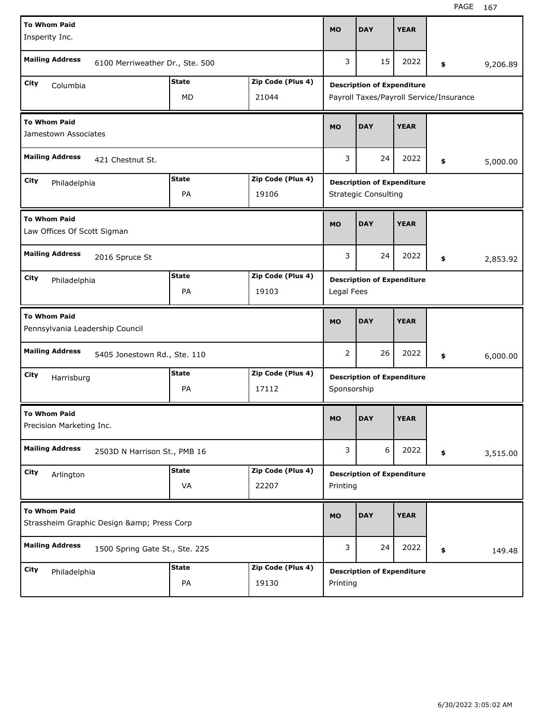| <b>To Whom Paid</b><br>Insperity Inc.                  |                                        |              |                   | <b>MO</b>   | <b>DAY</b>                              | <b>YEAR</b> |    |          |
|--------------------------------------------------------|----------------------------------------|--------------|-------------------|-------------|-----------------------------------------|-------------|----|----------|
| <b>Mailing Address</b>                                 | 6100 Merriweather Dr., Ste. 500        |              |                   | 3           | 15                                      | 2022        | \$ | 9,206.89 |
| City<br>Columbia                                       |                                        | <b>State</b> | Zip Code (Plus 4) |             | <b>Description of Expenditure</b>       |             |    |          |
|                                                        |                                        | MD           | 21044             |             | Payroll Taxes/Payroll Service/Insurance |             |    |          |
| <b>To Whom Paid</b><br>Jamestown Associates            |                                        |              |                   | <b>MO</b>   | <b>DAY</b>                              | <b>YEAR</b> |    |          |
| <b>Mailing Address</b>                                 | 421 Chestnut St.                       |              |                   | 3           | 24                                      | 2022        | \$ | 5,000.00 |
| City<br>Philadelphia                                   |                                        | <b>State</b> | Zip Code (Plus 4) |             | <b>Description of Expenditure</b>       |             |    |          |
|                                                        |                                        | PA           | 19106             |             | <b>Strategic Consulting</b>             |             |    |          |
| <b>To Whom Paid</b><br>Law Offices Of Scott Sigman     |                                        |              |                   | <b>MO</b>   | <b>DAY</b>                              | <b>YEAR</b> |    |          |
| <b>Mailing Address</b>                                 | 2016 Spruce St                         |              |                   | 3           | 24                                      | 2022        | \$ | 2,853.92 |
| City<br>Philadelphia                                   |                                        | <b>State</b> | Zip Code (Plus 4) |             | <b>Description of Expenditure</b>       |             |    |          |
|                                                        |                                        | PA           | 19103             | Legal Fees  |                                         |             |    |          |
|                                                        |                                        |              |                   |             |                                         |             |    |          |
| <b>To Whom Paid</b><br>Pennsylvania Leadership Council |                                        |              |                   | <b>MO</b>   | <b>DAY</b>                              | <b>YEAR</b> |    |          |
| <b>Mailing Address</b>                                 | 5405 Jonestown Rd., Ste. 110           |              |                   | 2           | 26                                      | 2022        | \$ | 6,000.00 |
| City                                                   |                                        | <b>State</b> | Zip Code (Plus 4) |             | <b>Description of Expenditure</b>       |             |    |          |
| Harrisburg                                             |                                        | PA           | 17112             | Sponsorship |                                         |             |    |          |
| <b>To Whom Paid</b><br>Precision Marketing Inc.        |                                        |              |                   | <b>MO</b>   | <b>DAY</b>                              | <b>YEAR</b> |    |          |
| <b>Mailing Address</b>                                 | 2503D N Harrison St., PMB 16           |              |                   | 3           | 6                                       | 2022        | \$ | 3,515.00 |
| City                                                   |                                        | <b>State</b> | Zip Code (Plus 4) |             | <b>Description of Expenditure</b>       |             |    |          |
| Arlington                                              |                                        | VA           | 22207             | Printing    |                                         |             |    |          |
| <b>To Whom Paid</b>                                    | Strassheim Graphic Design & Press Corp |              |                   | <b>MO</b>   | <b>DAY</b>                              | <b>YEAR</b> |    |          |
| <b>Mailing Address</b>                                 | 1500 Spring Gate St., Ste. 225         |              |                   | 3           | 24                                      | 2022        | \$ | 149.48   |
| City<br>Philadelphia                                   |                                        | <b>State</b> | Zip Code (Plus 4) |             | <b>Description of Expenditure</b>       |             |    |          |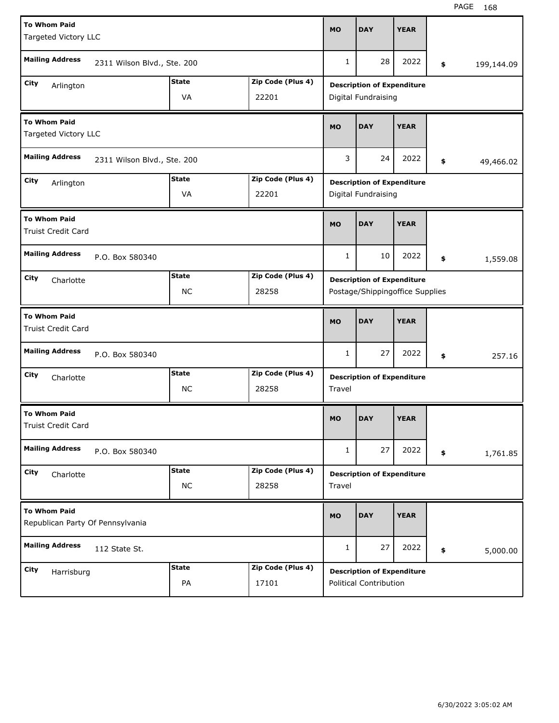| <b>To Whom Paid</b><br>Targeted Victory LLC             |                             |              |                   | <b>MO</b>    | <b>DAY</b>                        | <b>YEAR</b> |                  |
|---------------------------------------------------------|-----------------------------|--------------|-------------------|--------------|-----------------------------------|-------------|------------------|
|                                                         |                             |              |                   |              |                                   |             |                  |
| <b>Mailing Address</b>                                  | 2311 Wilson Blvd., Ste. 200 |              |                   | $\mathbf{1}$ | 28                                | 2022        | \$<br>199,144.09 |
| City<br>Arlington                                       |                             | <b>State</b> | Zip Code (Plus 4) |              | <b>Description of Expenditure</b> |             |                  |
|                                                         |                             | VA           | 22201             |              | Digital Fundraising               |             |                  |
| <b>To Whom Paid</b><br>Targeted Victory LLC             |                             |              |                   | <b>MO</b>    | <b>DAY</b>                        | <b>YEAR</b> |                  |
| <b>Mailing Address</b>                                  | 2311 Wilson Blvd., Ste. 200 |              |                   | 3            | 24                                | 2022        | \$<br>49,466.02  |
| City<br>Arlington                                       |                             | <b>State</b> | Zip Code (Plus 4) |              | <b>Description of Expenditure</b> |             |                  |
|                                                         |                             | VA           | 22201             |              | Digital Fundraising               |             |                  |
| <b>To Whom Paid</b><br><b>Truist Credit Card</b>        |                             |              |                   | <b>MO</b>    | <b>DAY</b>                        | <b>YEAR</b> |                  |
| <b>Mailing Address</b>                                  | P.O. Box 580340             |              |                   | 1            | 10                                | 2022        | \$<br>1,559.08   |
| City<br>Charlotte                                       |                             | <b>State</b> | Zip Code (Plus 4) |              | <b>Description of Expenditure</b> |             |                  |
|                                                         |                             | <b>NC</b>    | 28258             |              | Postage/Shippingoffice Supplies   |             |                  |
|                                                         |                             |              |                   |              |                                   |             |                  |
| <b>To Whom Paid</b><br>Truist Credit Card               |                             |              |                   | <b>MO</b>    | <b>DAY</b>                        | <b>YEAR</b> |                  |
| <b>Mailing Address</b>                                  | P.O. Box 580340             |              |                   | $\mathbf{1}$ | 27                                | 2022        | \$<br>257.16     |
| City                                                    |                             | <b>State</b> | Zip Code (Plus 4) |              |                                   |             |                  |
| Charlotte                                               |                             | <b>NC</b>    | 28258             | Travel       | <b>Description of Expenditure</b> |             |                  |
| <b>To Whom Paid</b><br>Truist Credit Card               |                             |              |                   | <b>MO</b>    | <b>DAY</b>                        | <b>YEAR</b> |                  |
| <b>Mailing Address</b>                                  | P.O. Box 580340             |              |                   | 1            | 27                                | 2022        | \$<br>1,761.85   |
| City                                                    |                             | <b>State</b> | Zip Code (Plus 4) |              |                                   |             |                  |
| Charlotte                                               |                             | $NC$         | 28258             | Travel       | <b>Description of Expenditure</b> |             |                  |
| <b>To Whom Paid</b><br>Republican Party Of Pennsylvania |                             |              |                   | <b>MO</b>    | <b>DAY</b>                        | <b>YEAR</b> |                  |
| <b>Mailing Address</b>                                  | 112 State St.               |              |                   | 1            | 27                                | 2022        | \$<br>5,000.00   |
| City<br>Harrisburg                                      |                             | <b>State</b> | Zip Code (Plus 4) |              | <b>Description of Expenditure</b> |             |                  |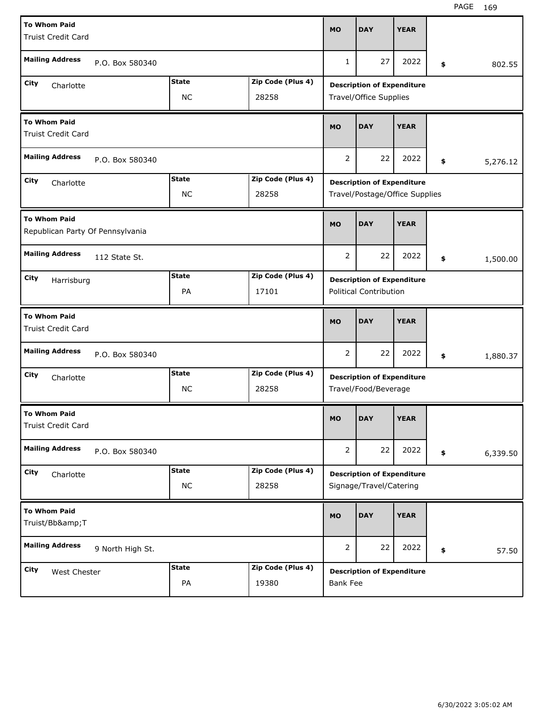| <b>To Whom Paid</b><br><b>Truist Credit Card</b>        |                                                         |                           |                            |                                                                     | <b>DAY</b>                                                   | <b>YEAR</b> |        |          |  |  |
|---------------------------------------------------------|---------------------------------------------------------|---------------------------|----------------------------|---------------------------------------------------------------------|--------------------------------------------------------------|-------------|--------|----------|--|--|
| <b>Mailing Address</b><br>P.O. Box 580340               |                                                         |                           | $\mathbf{1}$               | 27                                                                  | 2022                                                         | \$          | 802.55 |          |  |  |
| City<br>Charlotte                                       | Zip Code (Plus 4)<br><b>State</b><br><b>NC</b><br>28258 |                           |                            |                                                                     | <b>Description of Expenditure</b><br>Travel/Office Supplies  |             |        |          |  |  |
| <b>To Whom Paid</b><br><b>Truist Credit Card</b>        |                                                         |                           | <b>MO</b>                  | <b>DAY</b>                                                          | <b>YEAR</b>                                                  |             |        |          |  |  |
| <b>Mailing Address</b>                                  | P.O. Box 580340                                         |                           |                            | $\overline{2}$                                                      | 22                                                           | 2022        | \$     | 5,276.12 |  |  |
| City<br>Charlotte                                       |                                                         | <b>State</b><br><b>NC</b> | Zip Code (Plus 4)<br>28258 | <b>Description of Expenditure</b><br>Travel/Postage/Office Supplies |                                                              |             |        |          |  |  |
| <b>To Whom Paid</b><br>Republican Party Of Pennsylvania |                                                         |                           | <b>MO</b>                  | <b>DAY</b>                                                          | <b>YEAR</b>                                                  |             |        |          |  |  |
| <b>Mailing Address</b>                                  | 112 State St.                                           |                           |                            | $\overline{2}$                                                      | 22                                                           | 2022        | \$     | 1,500.00 |  |  |
| City<br>Harrisburg                                      |                                                         | <b>State</b><br>PA        | Zip Code (Plus 4)<br>17101 | <b>Description of Expenditure</b><br><b>Political Contribution</b>  |                                                              |             |        |          |  |  |
| <b>To Whom Paid</b><br><b>Truist Credit Card</b>        |                                                         |                           |                            |                                                                     |                                                              |             |        |          |  |  |
|                                                         |                                                         |                           |                            | <b>MO</b>                                                           | <b>DAY</b>                                                   | <b>YEAR</b> |        |          |  |  |
| <b>Mailing Address</b>                                  | P.O. Box 580340                                         |                           |                            | $\overline{2}$                                                      | 22                                                           | 2022        | \$     | 1,880.37 |  |  |
| City<br>Charlotte                                       |                                                         | <b>State</b><br><b>NC</b> | Zip Code (Plus 4)<br>28258 |                                                                     | <b>Description of Expenditure</b><br>Travel/Food/Beverage    |             |        |          |  |  |
| <b>To Whom Paid</b><br>Truist Credit Card               |                                                         |                           |                            | <b>MO</b>                                                           | <b>DAY</b>                                                   | <b>YEAR</b> |        |          |  |  |
| <b>Mailing Address</b>                                  | P.O. Box 580340                                         |                           |                            | $\overline{2}$                                                      | 22                                                           | 2022        | \$     | 6,339.50 |  |  |
| City<br>Charlotte                                       |                                                         | <b>State</b><br>$NC$      | Zip Code (Plus 4)<br>28258 |                                                                     | <b>Description of Expenditure</b><br>Signage/Travel/Catering |             |        |          |  |  |
| <b>To Whom Paid</b><br>Truist/Bb&T                      |                                                         |                           |                            | <b>MO</b>                                                           | <b>DAY</b>                                                   | <b>YEAR</b> |        |          |  |  |
| <b>Mailing Address</b>                                  | 9 North High St.                                        |                           |                            | $\overline{2}$                                                      | 22                                                           | 2022        | \$     | 57.50    |  |  |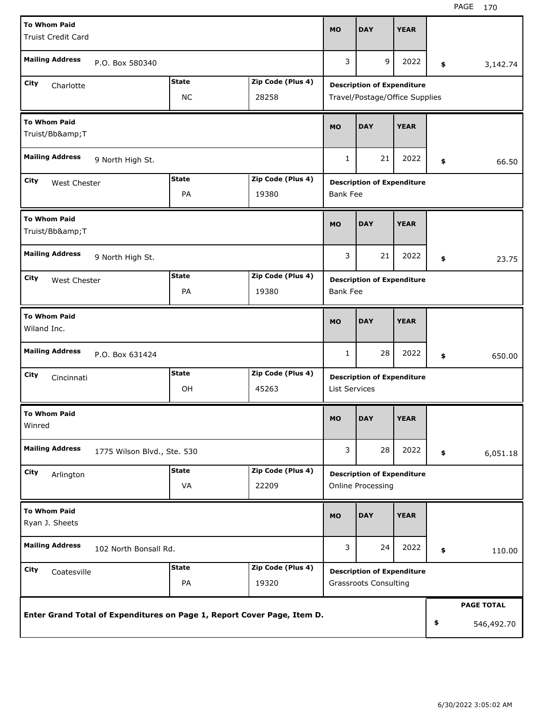| <b>To Whom Paid</b>                                   |  |              |                                                                         | <b>MO</b>                         | <b>DAY</b>                        | <b>YEAR</b> |        |                   |  |
|-------------------------------------------------------|--|--------------|-------------------------------------------------------------------------|-----------------------------------|-----------------------------------|-------------|--------|-------------------|--|
| <b>Truist Credit Card</b>                             |  |              |                                                                         |                                   |                                   |             |        |                   |  |
| <b>Mailing Address</b><br>P.O. Box 580340             |  |              |                                                                         | 3                                 | 9                                 | 2022        | \$     | 3,142.74          |  |
| City<br>Charlotte                                     |  | <b>State</b> | Zip Code (Plus 4)                                                       |                                   | <b>Description of Expenditure</b> |             |        |                   |  |
| <b>NC</b><br>28258                                    |  |              |                                                                         | Travel/Postage/Office Supplies    |                                   |             |        |                   |  |
| <b>To Whom Paid</b><br>Truist/Bb&T                    |  |              |                                                                         | <b>MO</b>                         | <b>DAY</b>                        | <b>YEAR</b> |        |                   |  |
| <b>Mailing Address</b><br>9 North High St.            |  |              |                                                                         | $\mathbf{1}$                      | 21                                | 2022        | \$     | 66.50             |  |
| City<br>West Chester                                  |  | <b>State</b> | Zip Code (Plus 4)                                                       | <b>Description of Expenditure</b> |                                   |             |        |                   |  |
|                                                       |  | PA           | 19380                                                                   | <b>Bank Fee</b>                   |                                   |             |        |                   |  |
| <b>To Whom Paid</b><br>Truist/Bb&T                    |  |              |                                                                         | <b>MO</b>                         | <b>DAY</b>                        | <b>YEAR</b> |        |                   |  |
| <b>Mailing Address</b><br>9 North High St.            |  |              |                                                                         | 3                                 | 21                                | 2022        | \$     | 23.75             |  |
| City<br>West Chester                                  |  | <b>State</b> | Zip Code (Plus 4)                                                       | <b>Description of Expenditure</b> |                                   |             |        |                   |  |
| PA<br>19380                                           |  |              |                                                                         | <b>Bank Fee</b>                   |                                   |             |        |                   |  |
| <b>To Whom Paid</b><br>Wiland Inc.                    |  |              |                                                                         | <b>MO</b>                         | <b>DAY</b>                        | <b>YEAR</b> |        |                   |  |
| <b>Mailing Address</b><br>P.O. Box 631424             |  |              | 1                                                                       | 28                                | 2022                              | \$          | 650.00 |                   |  |
| City<br>Cincinnati                                    |  | <b>State</b> | Zip Code (Plus 4)                                                       |                                   | <b>Description of Expenditure</b> |             |        |                   |  |
|                                                       |  | OH           | 45263                                                                   | <b>List Services</b>              |                                   |             |        |                   |  |
| <b>To Whom Paid</b><br>Winred                         |  |              |                                                                         | <b>MO</b>                         | <b>DAY</b>                        | <b>YEAR</b> |        |                   |  |
| <b>Mailing Address</b><br>1775 Wilson Blvd., Ste. 530 |  |              |                                                                         | 3                                 | 28                                | 2022        | \$     | 6,051.18          |  |
| City<br>Arlington                                     |  | <b>State</b> | Zip Code (Plus 4)                                                       | <b>Description of Expenditure</b> |                                   |             |        |                   |  |
|                                                       |  | VA           | 22209                                                                   |                                   | Online Processing                 |             |        |                   |  |
| <b>To Whom Paid</b><br>Ryan J. Sheets                 |  |              |                                                                         | <b>MO</b>                         | <b>DAY</b>                        | <b>YEAR</b> |        |                   |  |
| <b>Mailing Address</b><br>102 North Bonsall Rd.       |  |              |                                                                         | 3                                 | 24                                | 2022        | \$     | 110.00            |  |
| City<br>Coatesville                                   |  | <b>State</b> | Zip Code (Plus 4)                                                       |                                   | <b>Description of Expenditure</b> |             |        |                   |  |
|                                                       |  | PA           | 19320                                                                   |                                   | <b>Grassroots Consulting</b>      |             |        |                   |  |
|                                                       |  |              |                                                                         |                                   |                                   |             |        | <b>PAGE TOTAL</b> |  |
|                                                       |  |              | Enter Grand Total of Expenditures on Page 1, Report Cover Page, Item D. |                                   |                                   |             | \$     | 546,492.70        |  |